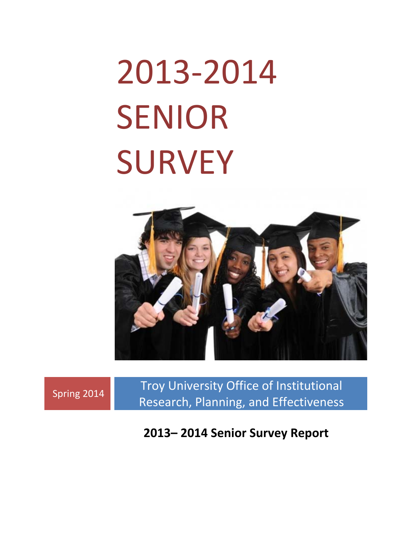# 2013‐2014 SENIOR **SURVEY**



Spring 2014 Troy University Office of Institutional Research, Planning, and Effectiveness

**2013– 2014 Senior Survey Report**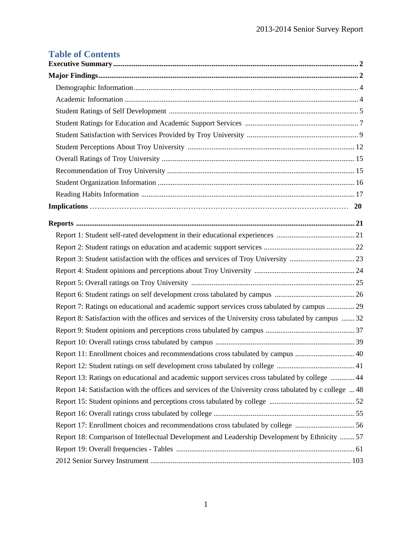# **Table of Contents**

| Report 7: Ratings on educational and academic support services cross tabulated by campus  29             |
|----------------------------------------------------------------------------------------------------------|
| Report 8: Satisfaction with the offices and services of the University cross tabulated by campus  32     |
|                                                                                                          |
|                                                                                                          |
| Report 11: Enrollment choices and recommendations cross tabulated by campus  40                          |
|                                                                                                          |
| Report 13: Ratings on educational and academic support services cross tabulated by college  44           |
| Report 14: Satisfaction with the offices and services of the University cross tabulated by c college  48 |
|                                                                                                          |
|                                                                                                          |
| Report 17: Enrollment choices and recommendations cross tabulated by college 56                          |
| Report 18: Comparison of Intellectual Development and Leadership Development by Ethnicity  57            |
|                                                                                                          |
|                                                                                                          |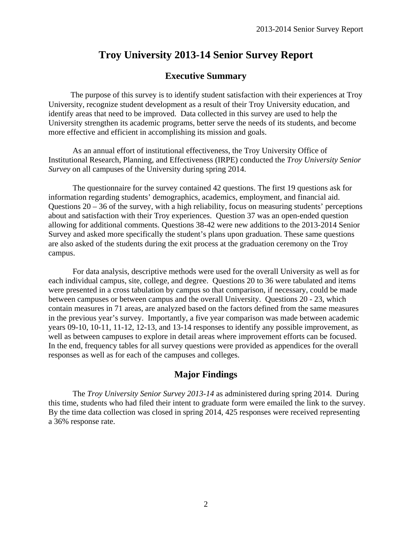# **Executive Summary**

 The purpose of this survey is to identify student satisfaction with their experiences at Troy University, recognize student development as a result of their Troy University education, and identify areas that need to be improved. Data collected in this survey are used to help the University strengthen its academic programs, better serve the needs of its students, and become more effective and efficient in accomplishing its mission and goals.

 As an annual effort of institutional effectiveness, the Troy University Office of Institutional Research, Planning, and Effectiveness (IRPE) conducted the *Troy University Senior Survey* on all campuses of the University during spring 2014.

 The questionnaire for the survey contained 42 questions. The first 19 questions ask for information regarding students' demographics, academics, employment, and financial aid. Questions  $20 - 36$  of the survey, with a high reliability, focus on measuring students' perceptions about and satisfaction with their Troy experiences. Question 37 was an open-ended question allowing for additional comments. Questions 38-42 were new additions to the 2013-2014 Senior Survey and asked more specifically the student's plans upon graduation. These same questions are also asked of the students during the exit process at the graduation ceremony on the Troy campus.

 For data analysis, descriptive methods were used for the overall University as well as for each individual campus, site, college, and degree. Questions 20 to 36 were tabulated and items were presented in a cross tabulation by campus so that comparison, if necessary, could be made between campuses or between campus and the overall University. Questions 20 - 23, which contain measures in 71 areas, are analyzed based on the factors defined from the same measures in the previous year's survey. Importantly, a five year comparison was made between academic years 09-10, 10-11, 11-12, 12-13, and 13-14 responses to identify any possible improvement, as well as between campuses to explore in detail areas where improvement efforts can be focused. In the end, frequency tables for all survey questions were provided as appendices for the overall responses as well as for each of the campuses and colleges.

# **Major Findings**

 The *Troy University Senior Survey 2013-14* as administered during spring 2014. During this time, students who had filed their intent to graduate form were emailed the link to the survey. By the time data collection was closed in spring 2014, 425 responses were received representing a 36% response rate.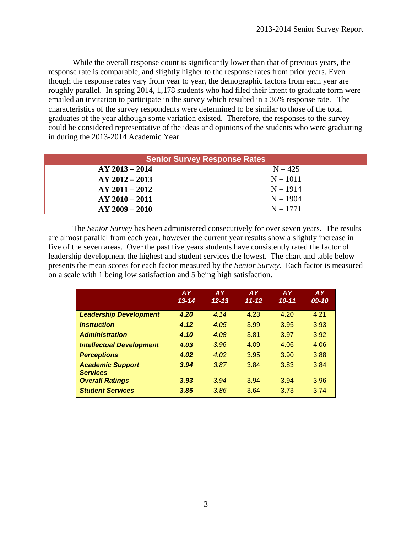While the overall response count is significantly lower than that of previous years, the response rate is comparable, and slightly higher to the response rates from prior years. Even though the response rates vary from year to year, the demographic factors from each year are roughly parallel. In spring 2014, 1,178 students who had filed their intent to graduate form were emailed an invitation to participate in the survey which resulted in a 36% response rate. The characteristics of the survey respondents were determined to be similar to those of the total graduates of the year although some variation existed. Therefore, the responses to the survey could be considered representative of the ideas and opinions of the students who were graduating in during the 2013-2014 Academic Year.

| <b>Senior Survey Response Rates</b> |            |  |  |  |  |  |  |  |  |
|-------------------------------------|------------|--|--|--|--|--|--|--|--|
| $AY 2013 - 2014$                    | $N = 425$  |  |  |  |  |  |  |  |  |
| $AY 2012 - 2013$                    | $N = 1011$ |  |  |  |  |  |  |  |  |
| $AY 2011 - 2012$                    | $N = 1914$ |  |  |  |  |  |  |  |  |
| $AY 2010 - 2011$                    | $N = 1904$ |  |  |  |  |  |  |  |  |
| $AY 2009 - 2010$                    | $N = 1771$ |  |  |  |  |  |  |  |  |

 The *Senior Survey* has been administered consecutively for over seven years. The results are almost parallel from each year, however the current year results show a slightly increase in five of the seven areas. Over the past five years students have consistently rated the factor of leadership development the highest and student services the lowest. The chart and table below presents the mean scores for each factor measured by the *Senior Survey*. Each factor is measured on a scale with 1 being low satisfaction and 5 being high satisfaction.

|                                            | <b>AY</b><br>$13 - 14$ | <b>AY</b><br>$12 - 13$ | <b>AY</b><br>$11 - 12$ | <b>AY</b><br>$10 - 11$ | <b>AY</b><br>$09 - 10$ |
|--------------------------------------------|------------------------|------------------------|------------------------|------------------------|------------------------|
| <b>Leadership Development</b>              | 4.20                   | 4.14                   | 4.23                   | 4.20                   | 4.21                   |
| <i><u><b>Instruction</b></u></i>           | 4.12                   | 4.05                   | 3.99                   | 3.95                   | 3.93                   |
| <b>Administration</b>                      | 4.10                   | 4.08                   | 3.81                   | 3.97                   | 3.92                   |
| <b>Intellectual Development</b>            | 4.03                   | 3.96                   | 4.09                   | 4.06                   | 4.06                   |
| <b>Perceptions</b>                         | 4.02                   | 4.02                   | 3.95                   | 3.90                   | 3.88                   |
| <b>Academic Support</b><br><b>Services</b> | 3.94                   | 3.87                   | 3.84                   | 3.83                   | 3.84                   |
| <b>Overall Ratings</b>                     | 3.93                   | 3.94                   | 3.94                   | 3.94                   | 3.96                   |
| <b>Student Services</b>                    | 3.85                   | 3.86                   | 3.64                   | 3.73                   | 3.74                   |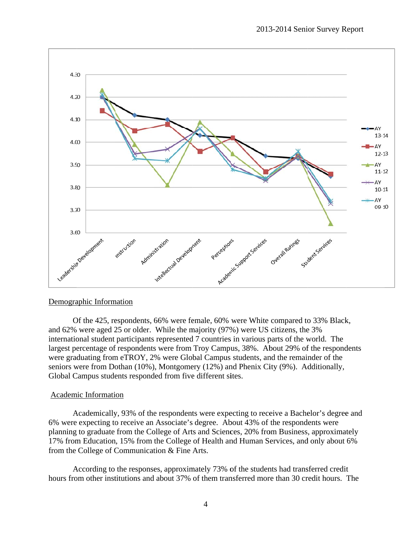

#### Demographic Information

Of the 425, respondents, 66% were female, 60% were White compared to 33% Black, and 62% were aged 25 or older. While the majority (97%) were US citizens, the 3% international student participants represented 7 countries in various parts of the world. The largest percentage of respondents were from Troy Campus, 38%. About 29% of the respondents were graduating from eTROY, 2% were Global Campus students, and the remainder of the seniors were from Dothan (10%), Montgomery (12%) and Phenix City (9%). Additionally, Global Campus students responded from five different sites.

#### Academic Information

Academically, 93% of the respondents were expecting to receive a Bachelor's degree and 6% were expecting to receive an Associate's degree. About 43% of the respondents were planning to graduate from the College of Arts and Sciences, 20% from Business, approximately 17% from Education, 15% from the College of Health and Human Services, and only about 6% from the College of Communication & Fine Arts.

According to the responses, approximately 73% of the students had transferred credit According to the responses, approximately 73% of the students had transferred credit<br>hours from other institutions and about 37% of them transferred more than 30 credit hours. The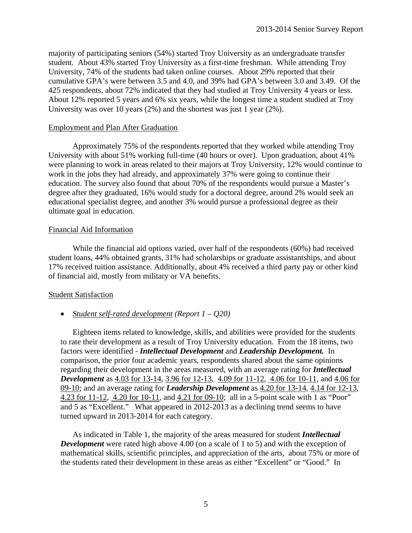majority of participating seniors (54%) started Troy University as an undergraduate transfer student. About 43% started Troy University as a first-time freshman. While attending Troy University, 74% of the students had taken online courses. About 29% reported that their cumulative GPA's were between 3.5 and 4.0, and 39% had GPA's between 3.0 and 3.49. Of the 425 respondents, about 72% indicated that they had studied at Troy University 4 years or less. About 12% reported 5 years and 6% six years, while the longest time a student studied at Troy University was over 10 years (2%) and the shortest was just 1 year (2%).

#### Employment and Plan After Graduation

 Approximately 75% of the respondents reported that they worked while attending Troy University with about 51% working full-time (40 hours or over). Upon graduation, about 41% were planning to work in areas related to their majors at Troy University, 12% would continue to work in the jobs they had already, and approximately 37% were going to continue their education. The survey also found that about 70% of the respondents would pursue a Master's degree after they graduated, 16% would study for a doctoral degree, around 2% would seek an educational specialist degree, and another 3% would pursue a professional degree as their ultimate goal in education.

#### Financial Aid Information

 While the financial aid options varied, over half of the respondents (60%) had received student loans, 44% obtained grants, 31% had scholarships or graduate assistantships, and about 17% received tuition assistance. Additionally, about 4% received a third party pay or other kind of financial aid, mostly from military or VA benefits.

#### Student Satisfaction

#### *Student self-rated development (Report 1 – Q20)*

 Eighteen items related to knowledge, skills, and abilities were provided for the students to rate their development as a result of Troy University education. From the 18 items, two factors were identified - *Intellectual Development* and *Leadership Development.* In comparison, the prior four academic years, respondents shared about the same opinions regarding their development in the areas measured, with an average rating for *Intellectual Development* as 4.03 for 13-14, 3.96 for 12-13, 4.09 for 11-12, 4.06 for 10-11, and 4.06 for 09-10; and an average rating for *Leadership Development* as 4.20 for 13-14, 4.14 for 12-13, 4.23 for 11-12, 4.20 for 10-11, and 4.21 for 09-10; all in a 5-point scale with 1 as "Poor" and 5 as "Excellent." What appeared in 2012-2013 as a declining trend seems to have turned upward in 2013-2014 for each category.

 As indicated in Table 1, the majority of the areas measured for student *Intellectual Development* were rated high above 4.00 (on a scale of 1 to 5) and with the exception of mathematical skills, scientific principles, and appreciation of the arts, about 75% or more of the students rated their development in these areas as either "Excellent" or "Good." In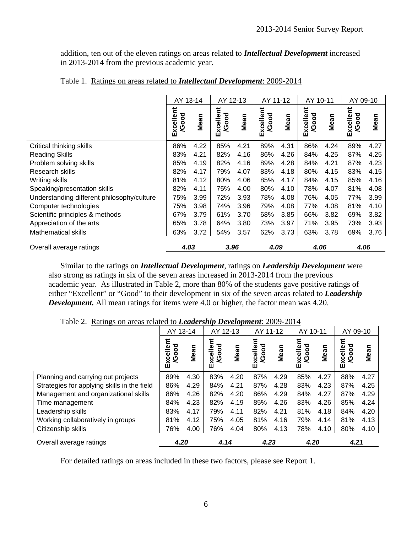addition, ten out of the eleven ratings on areas related to *Intellectual Development* increased in 2013-2014 from the previous academic year.

|                                            | AY 13-14                  |      | AY 12-13                  |      | AY 11-12                  |      | AY 10-11                 |      | AY 09-10                  |      |
|--------------------------------------------|---------------------------|------|---------------------------|------|---------------------------|------|--------------------------|------|---------------------------|------|
|                                            | Excellent<br><b>/Good</b> | Mean | Excellent<br><b>/Good</b> | Mean | Excellent<br><b>/Good</b> | Mean | Excellent<br>ठ<br>Ŏ<br>ହ | Mean | Excellent<br><b>/Good</b> | Mean |
| Critical thinking skills                   | 86%                       | 4.22 | 85%                       | 4.21 | 89%                       | 4.31 | 86%                      | 4.24 | 89%                       | 4.27 |
| <b>Reading Skills</b>                      | 83%                       | 4.21 | 82%                       | 4.16 | 86%                       | 4.26 | 84%                      | 4.25 | 87%                       | 4.25 |
| Problem solving skills                     | 85%                       | 4.19 | 82%                       | 4.16 | 89%                       | 4.28 | 84%                      | 4.21 | 87%                       | 4.23 |
| Research skills                            | 82%                       | 4.17 | 79%                       | 4.07 | 83%                       | 4.18 | 80%                      | 4.15 | 83%                       | 4.15 |
| Writing skills                             | 81%                       | 4.12 | 80%                       | 4.06 | 85%                       | 4.17 | 84%                      | 4.15 | 85%                       | 4.16 |
| Speaking/presentation skills               | 82%                       | 4.11 | 75%                       | 4.00 | 80%                       | 4.10 | 78%                      | 4.07 | 81%                       | 4.08 |
| Understanding different philosophy/culture | 75%                       | 3.99 | 72%                       | 3.93 | 78%                       | 4.08 | 76%                      | 4.05 | 77%                       | 3.99 |
| Computer technologies                      | 75%                       | 3.98 | 74%                       | 3.96 | 79%                       | 4.08 | 77%                      | 4.08 | 81%                       | 4.10 |
| Scientific principles & methods            | 67%                       | 3.79 | 61%                       | 3.70 | 68%                       | 3.85 | 66%                      | 3.82 | 69%                       | 3.82 |
| Appreciation of the arts                   | 65%                       | 3.78 | 64%                       | 3.80 | 73%                       | 3.97 | 71%                      | 3.95 | 73%                       | 3.93 |
| <b>Mathematical skills</b>                 | 63%                       | 3.72 | 54%                       | 3.57 | 62%                       | 3.73 | 63%                      | 3.78 | 69%                       | 3.76 |
| Overall average ratings                    | 4.03                      |      | 3.96                      |      | 4.09                      |      | 4.06                     |      | 4.06                      |      |

#### Table 1. Ratings on areas related to *Intellectual Development*: 2009-2014

Similar to the ratings on *Intellectual Development*, ratings on *Leadership Development* were also strong as ratings in six of the seven areas increased in 2013-2014 from the previous academic year. As illustrated in Table 2, more than 80% of the students gave positive ratings of either "Excellent" or "Good" to their development in six of the seven areas related to *Leadership Development.* All mean ratings for items were 4.0 or higher, the factor mean was 4.20.

|                                             | AY 13-14                      |      | AY 12-13                 |      | AY 11-12               |      | AY 10-11           |      | AY 09-10                   |      |
|---------------------------------------------|-------------------------------|------|--------------------------|------|------------------------|------|--------------------|------|----------------------------|------|
|                                             | Ξ<br><b>Good</b><br>elle<br>Ă | Mean | Excellent<br><b>Jood</b> | Mean | xcellent<br>/Good<br>Ш | Mean | Excellent<br>/Good | Mean | lent<br>/Good<br>xcel<br>ш | Mean |
| Planning and carrying out projects          | 89%                           | 4.30 | 83%                      | 4.20 | 87%                    | 4.29 | 85%                | 4.27 | 88%                        | 4.27 |
| Strategies for applying skills in the field | 86%                           | 4.29 | 84%                      | 4.21 | 87%                    | 4.28 | 83%                | 4.23 | 87%                        | 4.25 |
| Management and organizational skills        | 86%                           | 4.26 | 82%                      | 4.20 | 86%                    | 4.29 | 84%                | 4.27 | 87%                        | 4.29 |
| Time management                             | 84%                           | 4.23 | 82%                      | 4.19 | 85%                    | 4.26 | 83%                | 4.26 | 85%                        | 4.24 |
| Leadership skills                           | 83%                           | 4.17 | 79%                      | 4.11 | 82%                    | 4.21 | 81%                | 4.18 | 84%                        | 4.20 |
| Working collaboratively in groups           | 81%                           | 4.12 | 75%                      | 4.05 | 81%                    | 4.16 | 79%                | 4.14 | 81%                        | 4.13 |
| Citizenship skills                          | 76%                           | 4.00 | 76%                      | 4.04 | 80%                    | 4.13 | 78%                | 4.10 | 80%                        | 4.10 |
| Overall average ratings                     | 4.20                          |      | 4.14                     |      | 4.23                   |      | 4.20               |      | 4.21                       |      |

Table 2. Ratings on areas related to *Leadership Development*: 2009-2014

For detailed ratings on areas included in these two factors, please see Report 1.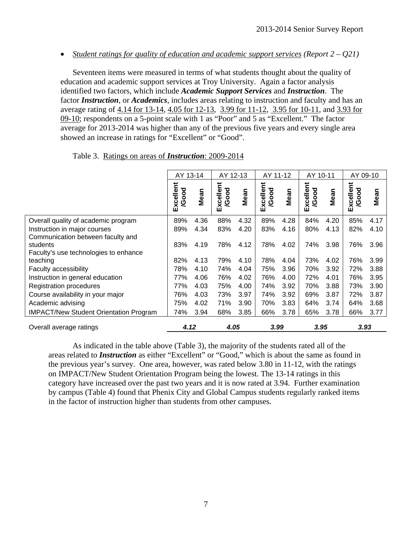*Student ratings for quality of education and academic support services (Report 2 – Q21)* 

 Seventeen items were measured in terms of what students thought about the quality of education and academic support services at Troy University. Again a factor analysis identified two factors, which include *Academic Support Services* and *Instruction*. The factor *Instruction*, or *Academics*, includes areas relating to instruction and faculty and has an average rating of 4.14 for 13-14, 4.05 for 12-13, 3.99 for 11-12, 3.95 for 10-11, and 3.93 for 09-10; respondents on a 5-point scale with 1 as "Poor" and 5 as "Excellent." The factor average for 2013-2014 was higher than any of the previous five years and every single area showed an increase in ratings for "Excellent" or "Good".

|                                               | AY 13-14               |      | AY 12-13           |      | AY 11-12           |      | AY 10-11           |      | AY 09-10           |      |
|-----------------------------------------------|------------------------|------|--------------------|------|--------------------|------|--------------------|------|--------------------|------|
|                                               | xcellent<br>/Good<br>ш | Mean | Excellent<br>/Good | Mean | Excellent<br>/Good | Mean | Excellent<br>/Good | Mean | Excellent<br>/Good | Mean |
| Overall quality of academic program           | 89%                    | 4.36 | 88%                | 4.32 | 89%                | 4.28 | 84%                | 4.20 | 85%                | 4.17 |
| Instruction in major courses                  | 89%                    | 4.34 | 83%                | 4.20 | 83%                | 4.16 | 80%                | 4.13 | 82%                | 4.10 |
| Communication between faculty and             |                        |      |                    |      |                    |      |                    |      |                    |      |
| students                                      | 83%                    | 4.19 | 78%                | 4.12 | 78%                | 4.02 | 74%                | 3.98 | 76%                | 3.96 |
| Faculty's use technologies to enhance         |                        |      |                    |      |                    |      |                    |      |                    |      |
| teaching                                      | 82%                    | 4.13 | 79%                | 4.10 | 78%                | 4.04 | 73%                | 4.02 | 76%                | 3.99 |
| Faculty accessibility                         | 78%                    | 4.10 | 74%                | 4.04 | 75%                | 3.96 | 70%                | 3.92 | 72%                | 3.88 |
| Instruction in general education              | 77%                    | 4.06 | 76%                | 4.02 | 76%                | 4.00 | 72%                | 4.01 | 76%                | 3.95 |
| <b>Registration procedures</b>                | 77%                    | 4.03 | 75%                | 4.00 | 74%                | 3.92 | 70%                | 3.88 | 73%                | 3.90 |
| Course availability in your major             | 76%                    | 4.03 | 73%                | 3.97 | 74%                | 3.92 | 69%                | 3.87 | 72%                | 3.87 |
| Academic advising                             | 75%                    | 4.02 | 71%                | 3.90 | 70%                | 3.83 | 64%                | 3.74 | 64%                | 3.68 |
| <b>IMPACT/New Student Orientation Program</b> | 74%                    | 3.94 | 68%                | 3.85 | 66%                | 3.78 | 65%                | 3.78 | 66%                | 3.77 |
| Overall average ratings                       | 4.12                   |      | 4.05               |      | 3.99               |      | 3.95               |      | 3.93               |      |

Table 3. Ratings on areas of *Instruction*: 2009-2014

 As indicated in the table above (Table 3), the majority of the students rated all of the areas related to *Instruction* as either "Excellent" or "Good," which is about the same as found in the previous year's survey. One area, however, was rated below 3.80 in 11-12, with the ratings on IMPACT/New Student Orientation Program being the lowest. The 13-14 ratings in this category have increased over the past two years and it is now rated at 3.94. Further examination by campus (Table 4) found that Phenix City and Global Campus students regularly ranked items in the factor of instruction higher than students from other campuses.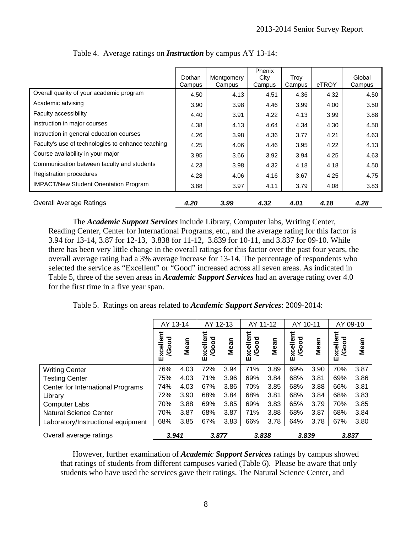|                                                   | Dothan<br>Campus | Montgomery<br>Campus | Phenix<br>City<br>Campus | Troy<br>Campus | eTROY | Global<br>Campus |
|---------------------------------------------------|------------------|----------------------|--------------------------|----------------|-------|------------------|
| Overall quality of your academic program          | 4.50             | 4.13                 | 4.51                     | 4.36           | 4.32  | 4.50             |
| Academic advising                                 | 3.90             | 3.98                 | 4.46                     | 3.99           | 4.00  | 3.50             |
| Faculty accessibility                             | 4.40             | 3.91                 | 4.22                     | 4.13           | 3.99  | 3.88             |
| Instruction in major courses                      | 4.38             | 4.13                 | 4.64                     | 4.34           | 4.30  | 4.50             |
| Instruction in general education courses          | 4.26             | 3.98                 | 4.36                     | 3.77           | 4.21  | 4.63             |
| Faculty's use of technologies to enhance teaching | 4.25             | 4.06                 | 4.46                     | 3.95           | 4.22  | 4.13             |
| Course availability in your major                 | 3.95             | 3.66                 | 3.92                     | 3.94           | 4.25  | 4.63             |
| Communication between faculty and students        | 4.23             | 3.98                 | 4.32                     | 4.18           | 4.18  | 4.50             |
| Registration procedures                           | 4.28             | 4.06                 | 4.16                     | 3.67           | 4.25  | 4.75             |
| <b>IMPACT/New Student Orientation Program</b>     | 3.88             | 3.97                 | 4.11                     | 3.79           | 4.08  | 3.83             |
| <b>Overall Average Ratings</b>                    | 4.20             | 3.99                 | 4.32                     | 4.01           | 4.18  | 4.28             |

Table 4. Average ratings on *Instruction* by campus AY 13-14:

 The *Academic Support Services* include Library, Computer labs, Writing Center, Reading Center, Center for International Programs, etc., and the average rating for this factor is 3.94 for 13-14, 3.87 for 12-13, 3.838 for 11-12, 3.839 for 10-11, and 3.837 for 09-10. While there has been very little change in the overall ratings for this factor over the past four years, the overall average rating had a 3% average increase for 13-14. The percentage of respondents who selected the service as "Excellent" or "Good" increased across all seven areas. As indicated in Table 5, three of the seven areas in *Academic Support Services* had an average rating over 4.0 for the first time in a five year span.

Table 5. Ratings on areas related to *Academic Support Services*: 2009-2014:

|                                    | AY 13-14                  |      | AY 12-13                  |      | AY 11-12                  |      | AY 10-11                  |      | AY 09-10                  |      |
|------------------------------------|---------------------------|------|---------------------------|------|---------------------------|------|---------------------------|------|---------------------------|------|
|                                    | Excellent<br><b>/Good</b> | Mean | Excellent<br><b>/Good</b> | Mean | Excellent<br><b>/Good</b> | Mean | Excellent<br><b>/Good</b> | Mean | Excellent<br><b>/Good</b> | Mean |
| <b>Writing Center</b>              | 76%                       | 4.03 | 72%                       | 3.94 | 71%                       | 3.89 | 69%                       | 3.90 | 70%                       | 3.87 |
| <b>Testing Center</b>              | 75%                       | 4.03 | 71%                       | 3.96 | 69%                       | 3.84 | 68%                       | 3.81 | 69%                       | 3.86 |
| Center for International Programs  | 74%                       | 4.03 | 67%                       | 3.86 | 70%                       | 3.85 | 68%                       | 3.88 | 66%                       | 3.81 |
| Library                            | 72%                       | 3.90 | 68%                       | 3.84 | 68%                       | 3.81 | 68%                       | 3.84 | 68%                       | 3.83 |
| <b>Computer Labs</b>               | 70%                       | 3.88 | 69%                       | 3.85 | 69%                       | 3.83 | 65%                       | 3.79 | 70%                       | 3.85 |
| <b>Natural Science Center</b>      | 70%                       | 3.87 | 68%                       | 3.87 | 71%                       | 3.88 | 68%                       | 3.87 | 68%                       | 3.84 |
| Laboratory/Instructional equipment | 68%                       | 3.85 | 67%                       | 3.83 | 66%                       | 3.78 | 64%                       | 3.78 | 67%                       | 3.80 |
| Overall average ratings            | 3.941                     |      | 3.877                     |      | 3.838                     |      | 3.839                     |      | 3.837                     |      |

However, further examination of *Academic Support Services* ratings by campus showed that ratings of students from different campuses varied (Table 6). Please be aware that only students who have used the services gave their ratings. The Natural Science Center, and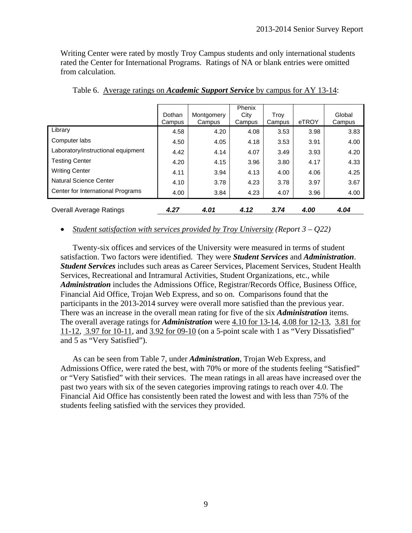Writing Center were rated by mostly Troy Campus students and only international students rated the Center for International Programs. Ratings of NA or blank entries were omitted from calculation.

|                                    | Dothan<br>Campus | Montgomery<br>Campus | Phenix<br>City<br>Campus | Trov<br>Campus | eTROY | Global<br>Campus |
|------------------------------------|------------------|----------------------|--------------------------|----------------|-------|------------------|
| Library                            | 4.58             | 4.20                 | 4.08                     | 3.53           | 3.98  | 3.83             |
| Computer labs                      | 4.50             | 4.05                 | 4.18                     | 3.53           | 3.91  | 4.00             |
| Laboratory/instructional equipment | 4.42             | 4.14                 | 4.07                     | 3.49           | 3.93  | 4.20             |
| <b>Testing Center</b>              | 4.20             | 4.15                 | 3.96                     | 3.80           | 4.17  | 4.33             |
| <b>Writing Center</b>              | 4.11             | 3.94                 | 4.13                     | 4.00           | 4.06  | 4.25             |
| Natural Science Center             | 4.10             | 3.78                 | 4.23                     | 3.78           | 3.97  | 3.67             |
| Center for International Programs  | 4.00             | 3.84                 | 4.23                     | 4.07           | 3.96  | 4.00             |
| <b>Overall Average Ratings</b>     | 4.27             | 4.01                 | 4.12                     | 3.74           | 4.00  | 4.04             |

Table 6. Average ratings on *Academic Support Service* by campus for AY 13-14:

#### *Student satisfaction with services provided by Troy University (Report 3 – Q22)*

 Twenty-six offices and services of the University were measured in terms of student satisfaction. Two factors were identified. They were *Student Services* and *Administration*. *Student Services* includes such areas as Career Services, Placement Services, Student Health Services, Recreational and Intramural Activities, Student Organizations, etc., while *Administration* includes the Admissions Office, Registrar/Records Office, Business Office, Financial Aid Office, Trojan Web Express, and so on. Comparisons found that the participants in the 2013-2014 survey were overall more satisfied than the previous year. There was an increase in the overall mean rating for five of the six *Administration* items. The overall average ratings for *Administration* were 4.10 for 13-14, 4.08 for 12-13, 3.81 for 11-12, 3.97 for 10-11, and 3.92 for 09-10 (on a 5-point scale with 1 as "Very Dissatisfied" and 5 as "Very Satisfied").

 As can be seen from Table 7, under *Administration*, Trojan Web Express, and Admissions Office, were rated the best, with 70% or more of the students feeling "Satisfied" or "Very Satisfied" with their services. The mean ratings in all areas have increased over the past two years with six of the seven categories improving ratings to reach over 4.0. The Financial Aid Office has consistently been rated the lowest and with less than 75% of the students feeling satisfied with the services they provided.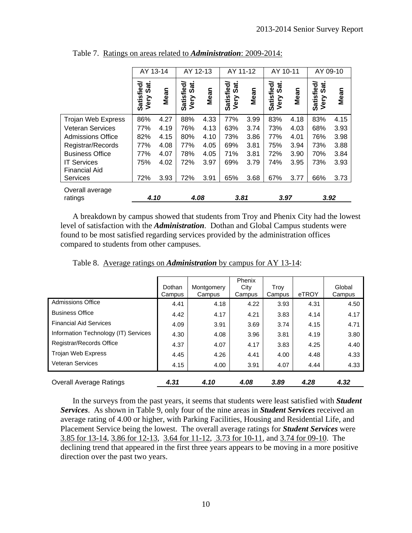|                                            | AY 13-14                   |      | AY 12-13                   |      | AY 11-12                   |      | AY 10-11                   |      | AY 09-10                   |      |
|--------------------------------------------|----------------------------|------|----------------------------|------|----------------------------|------|----------------------------|------|----------------------------|------|
|                                            | Satisfied/<br>Sat.<br>Very | Mean | Satisfied/<br>Sat.<br>Very | Mean | Satisfied/<br>Sat.<br>Very | Mean | Satisfied/<br>Sat.<br>Very | Mean | Satisfied/<br>Sat.<br>Very | Mean |
| Trojan Web Express                         | 86%                        | 4.27 | 88%                        | 4.33 | 77%                        | 3.99 | 83%                        | 4.18 | 83%                        | 4.15 |
| <b>Veteran Services</b>                    | 77%                        | 4.19 | 76%                        | 4.13 | 63%                        | 3.74 | 73%                        | 4.03 | 68%                        | 3.93 |
| <b>Admissions Office</b>                   | 82%                        | 4.15 | 80%                        | 4.10 | 73%                        | 3.86 | 77%                        | 4.01 | 76%                        | 3.98 |
| Registrar/Records                          | 77%                        | 4.08 | 77%                        | 4.05 | 69%                        | 3.81 | 75%                        | 3.94 | 73%                        | 3.88 |
| <b>Business Office</b>                     | 77%                        | 4.07 | 78%                        | 4.05 | 71%                        | 3.81 | 72%                        | 3.90 | 70%                        | 3.84 |
| <b>IT Services</b><br><b>Financial Aid</b> | 75%                        | 4.02 | 72%                        | 3.97 | 69%                        | 3.79 | 74%                        | 3.95 | 73%                        | 3.93 |
| <b>Services</b>                            | 72%                        | 3.93 | 72%                        | 3.91 | 65%                        | 3.68 | 67%                        | 3.77 | 66%                        | 3.73 |
| Overall average<br>ratings                 | 4.10                       |      | 4.08                       |      | 3.81                       |      | 3.97                       |      | 3.92                       |      |

Table 7. Ratings on areas related to *Administration*: 2009-2014:

A breakdown by campus showed that students from Troy and Phenix City had the lowest level of satisfaction with the *Administration*. Dothan and Global Campus students were found to be most satisfied regarding services provided by the administration offices compared to students from other campuses.

| <b>Overall Average Ratings</b>       | 4.31             | 4.10                 | 4.08           | 3.89           | 4.28  | 4.32             |
|--------------------------------------|------------------|----------------------|----------------|----------------|-------|------------------|
| <b>Veteran Services</b>              | 4.15             | 4.00                 | 3.91           | 4.07           | 4.44  | 4.33             |
| Trojan Web Express                   | 4.45             | 4.26                 | 4.41           | 4.00           | 4.48  | 4.33             |
| Registrar/Records Office             | 4.37             | 4.07                 | 4.17           | 3.83           | 4.25  | 4.40             |
| Information Technology (IT) Services | 4.30             | 4.08                 | 3.96           | 3.81           | 4.19  | 3.80             |
| <b>Financial Aid Services</b>        | 4.09             | 3.91                 | 3.69           | 3.74           | 4.15  | 4.71             |
| <b>Business Office</b>               | 4.42             | 4.17                 | 4.21           | 3.83           | 4.14  | 4.17             |
| <b>Admissions Office</b>             | 4.41             | 4.18                 | 4.22           | 3.93           | 4.31  | 4.50             |
|                                      | Dothan<br>Campus | Montgomery<br>Campus | City<br>Campus | Trov<br>Campus | eTROY | Global<br>Campus |
|                                      |                  |                      | Phenix         |                |       |                  |

Table 8. Average ratings on *Administration* by campus for AY 13-14:

In the surveys from the past years, it seems that students were least satisfied with *Student Services*. As shown in Table 9, only four of the nine areas in *Student Services* received an average rating of 4.00 or higher, with Parking Facilities, Housing and Residential Life, and Placement Service being the lowest. The overall average ratings for *Student Services* were 3.85 for 13-14, 3.86 for 12-13, 3.64 for 11-12, 3.73 for 10-11, and 3.74 for 09-10. The declining trend that appeared in the first three years appears to be moving in a more positive direction over the past two years.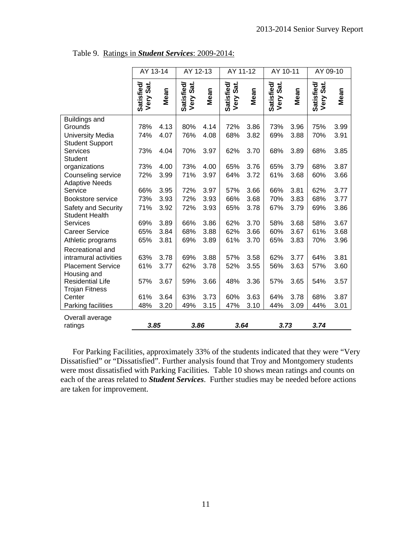|                                              | AY 13-14                   |      | AY 12-13                   |      | AY 11-12                   |      | AY 10-11                   |      | AY 09-10                   |      |
|----------------------------------------------|----------------------------|------|----------------------------|------|----------------------------|------|----------------------------|------|----------------------------|------|
|                                              | Satisfied/<br>Sat.<br>Very | Mean | Satisfied/<br>Sat.<br>Very | Mean | Satisfied/<br>Sat.<br>Very | Mean | Satisfied/<br>Sat.<br>Very | Mean | Satisfied/<br>Sat.<br>Very | Mean |
| <b>Buildings and</b>                         |                            |      |                            |      |                            |      |                            |      |                            |      |
| Grounds                                      | 78%                        | 4.13 | 80%                        | 4.14 | 72%                        | 3.86 | 73%                        | 3.96 | 75%                        | 3.99 |
| <b>University Media</b>                      | 74%                        | 4.07 | 76%                        | 4.08 | 68%                        | 3.82 | 69%                        | 3.88 | 70%                        | 3.91 |
| <b>Student Support</b>                       |                            |      |                            |      |                            |      |                            |      |                            |      |
| Services                                     | 73%                        | 4.04 | 70%                        | 3.97 | 62%                        | 3.70 | 68%                        | 3.89 | 68%                        | 3.85 |
| <b>Student</b>                               |                            |      |                            |      |                            |      |                            |      |                            |      |
| organizations                                | 73%                        | 4.00 | 73%                        | 4.00 | 65%                        | 3.76 | 65%                        | 3.79 | 68%                        | 3.87 |
| Counseling service                           | 72%                        | 3.99 | 71%                        | 3.97 | 64%                        | 3.72 | 61%                        | 3.68 | 60%                        | 3.66 |
| <b>Adaptive Needs</b><br>Service             | 66%                        | 3.95 | 72%                        | 3.97 | 57%                        | 3.66 | 66%                        | 3.81 | 62%                        | 3.77 |
| Bookstore service                            | 73%                        | 3.93 | 72%                        | 3.93 | 66%                        | 3.68 | 70%                        | 3.83 | 68%                        | 3.77 |
|                                              | 71%                        |      |                            |      |                            |      | 67%                        |      |                            |      |
| Safety and Security<br><b>Student Health</b> |                            | 3.92 | 72%                        | 3.93 | 65%                        | 3.78 |                            | 3.79 | 69%                        | 3.86 |
| <b>Services</b>                              | 69%                        | 3.89 | 66%                        | 3.86 | 62%                        | 3.70 | 58%                        | 3.68 | 58%                        | 3.67 |
| <b>Career Service</b>                        | 65%                        | 3.84 | 68%                        | 3.88 | 62%                        | 3.66 | 60%                        | 3.67 | 61%                        | 3.68 |
| Athletic programs                            | 65%                        | 3.81 | 69%                        | 3.89 | 61%                        | 3.70 | 65%                        | 3.83 | 70%                        | 3.96 |
| Recreational and                             |                            |      |                            |      |                            |      |                            |      |                            |      |
| intramural activities                        | 63%                        | 3.78 | 69%                        | 3.88 | 57%                        | 3.58 | 62%                        | 3.77 | 64%                        | 3.81 |
| <b>Placement Service</b>                     | 61%                        | 3.77 | 62%                        | 3.78 | 52%                        | 3.55 | 56%                        | 3.63 | 57%                        | 3.60 |
| Housing and                                  |                            |      |                            |      |                            |      |                            |      |                            |      |
| <b>Residential Life</b>                      | 57%                        | 3.67 | 59%                        | 3.66 | 48%                        | 3.36 | 57%                        | 3.65 | 54%                        | 3.57 |
| <b>Trojan Fitness</b>                        |                            |      |                            |      |                            |      |                            |      |                            |      |
| Center                                       | 61%                        | 3.64 | 63%                        | 3.73 | 60%                        | 3.63 | 64%                        | 3.78 | 68%                        | 3.87 |
| Parking facilities                           | 48%                        | 3.20 | 49%                        | 3.15 | 47%                        | 3.10 | 44%                        | 3.09 | 44%                        | 3.01 |
|                                              |                            |      |                            |      |                            |      |                            |      |                            |      |
| Overall average<br>ratings                   | 3.85                       |      | 3.86                       |      | 3.64                       |      | 3.73                       |      | 3.74                       |      |
|                                              |                            |      |                            |      |                            |      |                            |      |                            |      |

Table 9. Ratings in *Student Services*: 2009-2014:

 For Parking Facilities, approximately 33% of the students indicated that they were "Very Dissatisfied" or "Dissatisfied". Further analysis found that Troy and Montgomery students were most dissatisfied with Parking Facilities. Table 10 shows mean ratings and counts on each of the areas related to *Student Services*. Further studies may be needed before actions are taken for improvement.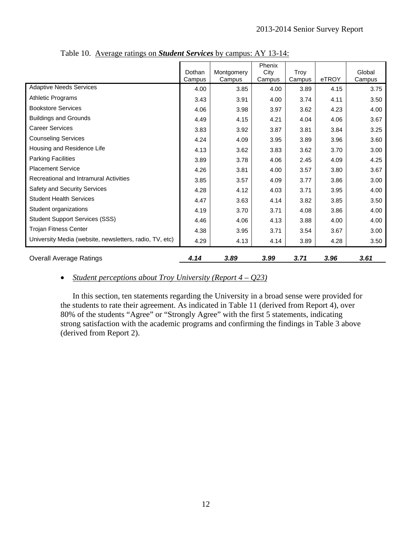|                                                         | Dothan<br>Campus | Montgomery<br>Campus | Phenix<br>City<br>Campus | Troy<br>Campus | eTROY | Global<br>Campus |
|---------------------------------------------------------|------------------|----------------------|--------------------------|----------------|-------|------------------|
| <b>Adaptive Needs Services</b>                          | 4.00             | 3.85                 | 4.00                     | 3.89           | 4.15  | 3.75             |
| <b>Athletic Programs</b>                                | 3.43             | 3.91                 | 4.00                     | 3.74           | 4.11  | 3.50             |
| <b>Bookstore Services</b>                               | 4.06             | 3.98                 | 3.97                     | 3.62           | 4.23  | 4.00             |
| <b>Buildings and Grounds</b>                            | 4.49             | 4.15                 | 4.21                     | 4.04           | 4.06  | 3.67             |
| <b>Career Services</b>                                  | 3.83             | 3.92                 | 3.87                     | 3.81           | 3.84  | 3.25             |
| <b>Counseling Services</b>                              | 4.24             | 4.09                 | 3.95                     | 3.89           | 3.96  | 3.60             |
| Housing and Residence Life                              | 4.13             | 3.62                 | 3.83                     | 3.62           | 3.70  | 3.00             |
| <b>Parking Facilities</b>                               | 3.89             | 3.78                 | 4.06                     | 2.45           | 4.09  | 4.25             |
| <b>Placement Service</b>                                | 4.26             | 3.81                 | 4.00                     | 3.57           | 3.80  | 3.67             |
| Recreational and Intramural Activities                  | 3.85             | 3.57                 | 4.09                     | 3.77           | 3.86  | 3.00             |
| Safety and Security Services                            | 4.28             | 4.12                 | 4.03                     | 3.71           | 3.95  | 4.00             |
| <b>Student Health Services</b>                          | 4.47             | 3.63                 | 4.14                     | 3.82           | 3.85  | 3.50             |
| Student organizations                                   | 4.19             | 3.70                 | 3.71                     | 4.08           | 3.86  | 4.00             |
| <b>Student Support Services (SSS)</b>                   | 4.46             | 4.06                 | 4.13                     | 3.88           | 4.00  | 4.00             |
| <b>Trojan Fitness Center</b>                            | 4.38             | 3.95                 | 3.71                     | 3.54           | 3.67  | 3.00             |
| University Media (website, newsletters, radio, TV, etc) | 4.29             | 4.13                 | 4.14                     | 3.89           | 4.28  | 3.50             |
| <b>Overall Average Ratings</b>                          | 4.14             | 3.89                 | 3.99                     | 3.71           | 3.96  | 3.61             |

Table 10. Average ratings on *Student Services* by campus: AY 13-14:

# *Student perceptions about Troy University (Report 4 – Q23)*

 In this section, ten statements regarding the University in a broad sense were provided for the students to rate their agreement. As indicated in Table 11 (derived from Report 4), over 80% of the students "Agree" or "Strongly Agree" with the first 5 statements, indicating strong satisfaction with the academic programs and confirming the findings in Table 3 above (derived from Report 2).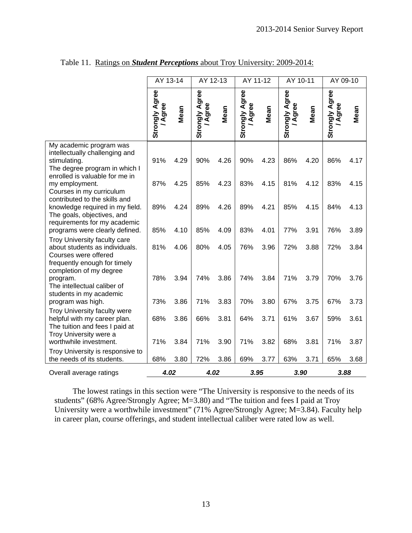|                                                                                                                                                   | AY 13-14                |      | AY 12-13                |      | AY 11-12                           |      | AY 10-11                       |      | AY 09-10                       |      |
|---------------------------------------------------------------------------------------------------------------------------------------------------|-------------------------|------|-------------------------|------|------------------------------------|------|--------------------------------|------|--------------------------------|------|
|                                                                                                                                                   | Strongly Agree<br>Agree | Mean | Strongly Agree<br>Agree | Mean | <b>Strongly Agree</b><br>gree<br>ৰ | Mean | <b>Strongly Agree</b><br>Agree | Mean | <b>Strongly Agree</b><br>Agree | Mean |
| My academic program was<br>intellectually challenging and<br>stimulating.<br>The degree program in which I                                        | 91%                     | 4.29 | 90%                     | 4.26 | 90%                                | 4.23 | 86%                            | 4.20 | 86%                            | 4.17 |
| enrolled is valuable for me in<br>my employment.<br>Courses in my curriculum<br>contributed to the skills and                                     | 87%                     | 4.25 | 85%                     | 4.23 | 83%                                | 4.15 | 81%                            | 4.12 | 83%                            | 4.15 |
| knowledge required in my field.<br>The goals, objectives, and<br>requirements for my academic                                                     | 89%                     | 4.24 | 89%                     | 4.26 | 89%                                | 4.21 | 85%                            | 4.15 | 84%                            | 4.13 |
| programs were clearly defined.                                                                                                                    | 85%                     | 4.10 | 85%                     | 4.09 | 83%                                | 4.01 | 77%                            | 3.91 | 76%                            | 3.89 |
| Troy University faculty care<br>about students as individuals.<br>Courses were offered<br>frequently enough for timely<br>completion of my degree | 81%                     | 4.06 | 80%                     | 4.05 | 76%                                | 3.96 | 72%                            | 3.88 | 72%                            | 3.84 |
| program.<br>The intellectual caliber of<br>students in my academic                                                                                | 78%                     | 3.94 | 74%                     | 3.86 | 74%                                | 3.84 | 71%                            | 3.79 | 70%                            | 3.76 |
| program was high.                                                                                                                                 | 73%                     | 3.86 | 71%                     | 3.83 | 70%                                | 3.80 | 67%                            | 3.75 | 67%                            | 3.73 |
| Troy University faculty were<br>helpful with my career plan.<br>The tuition and fees I paid at<br>Troy University were a                          | 68%                     | 3.86 | 66%                     | 3.81 | 64%                                | 3.71 | 61%                            | 3.67 | 59%                            | 3.61 |
| worthwhile investment.                                                                                                                            | 71%                     | 3.84 | 71%                     | 3.90 | 71%                                | 3.82 | 68%                            | 3.81 | 71%                            | 3.87 |
| Troy University is responsive to<br>the needs of its students.                                                                                    | 68%                     | 3.80 | 72%                     | 3.86 | 69%                                | 3.77 | 63%                            | 3.71 | 65%                            | 3.68 |
| Overall average ratings                                                                                                                           | 4.02                    |      | 4.02                    |      | 3.95                               |      | 3.90                           |      | 3.88                           |      |

Table 11. Ratings on *Student Perceptions* about Troy University: 2009-2014:

The lowest ratings in this section were "The University is responsive to the needs of its students" (68% Agree/Strongly Agree; M=3.80) and "The tuition and fees I paid at Troy University were a worthwhile investment" (71% Agree/Strongly Agree; M=3.84). Faculty help in career plan, course offerings, and student intellectual caliber were rated low as well.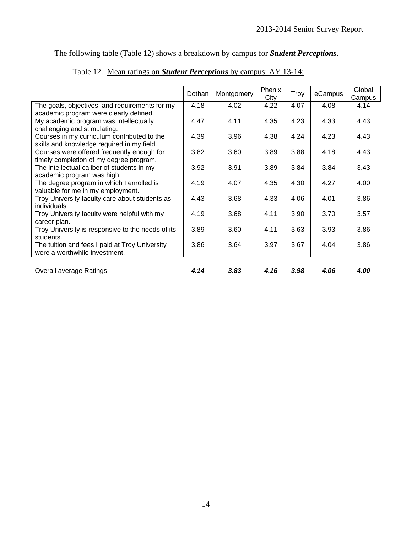The following table (Table 12) shows a breakdown by campus for *Student Perceptions*.

|                                                   | Dothan | Montgomery | Phenix | Troy | eCampus | Global |
|---------------------------------------------------|--------|------------|--------|------|---------|--------|
|                                                   |        |            | City   |      |         | Campus |
| The goals, objectives, and requirements for my    | 4.18   | 4.02       | 4.22   | 4.07 | 4.08    | 4.14   |
| academic program were clearly defined.            |        |            |        |      |         |        |
| My academic program was intellectually            | 4.47   | 4.11       | 4.35   | 4.23 | 4.33    | 4.43   |
| challenging and stimulating.                      |        |            |        |      |         |        |
| Courses in my curriculum contributed to the       | 4.39   | 3.96       | 4.38   | 4.24 | 4.23    | 4.43   |
| skills and knowledge required in my field.        |        |            |        |      |         |        |
| Courses were offered frequently enough for        | 3.82   | 3.60       | 3.89   | 3.88 | 4.18    | 4.43   |
| timely completion of my degree program.           |        |            |        |      |         |        |
| The intellectual caliber of students in my        | 3.92   | 3.91       | 3.89   | 3.84 | 3.84    | 3.43   |
| academic program was high.                        |        |            |        |      |         |        |
| The degree program in which I enrolled is         | 4.19   | 4.07       | 4.35   | 4.30 | 4.27    | 4.00   |
| valuable for me in my employment.                 |        |            |        |      |         |        |
| Troy University faculty care about students as    | 4.43   | 3.68       | 4.33   | 4.06 | 4.01    | 3.86   |
| individuals.                                      |        |            |        |      |         |        |
| Troy University faculty were helpful with my      | 4.19   | 3.68       | 4.11   | 3.90 | 3.70    | 3.57   |
| career plan.                                      |        |            |        |      |         |        |
| Troy University is responsive to the needs of its | 3.89   | 3.60       | 4.11   | 3.63 | 3.93    | 3.86   |
| students.                                         |        |            |        |      |         |        |
| The tuition and fees I paid at Troy University    | 3.86   | 3.64       | 3.97   | 3.67 | 4.04    | 3.86   |
| were a worthwhile investment.                     |        |            |        |      |         |        |
|                                                   |        |            |        |      |         |        |
| <b>Overall average Ratings</b>                    | 4.14   | 3.83       | 4.16   | 3.98 | 4.06    | 4.00   |

|--|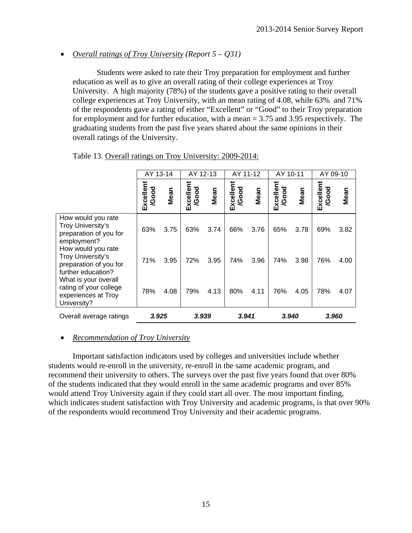# *Overall ratings of Troy University (Report 5 – Q31)*

Students were asked to rate their Troy preparation for employment and further education as well as to give an overall rating of their college experiences at Troy University. A high majority (78%) of the students gave a positive rating to their overall college experiences at Troy University, with an mean rating of 4.08, while 63% and 71% of the respondents gave a rating of either "Excellent" or "Good" to their Troy preparation for employment and for further education, with a mean = 3.75 and 3.95 respectively. The graduating students from the past five years shared about the same opinions in their overall ratings of the University.

|                                                                                         | AY 13-14           |      | AY 12-13                 |      | AY 11-12           |      | AY 10-11                 |      | AY 09-10           |      |
|-----------------------------------------------------------------------------------------|--------------------|------|--------------------------|------|--------------------|------|--------------------------|------|--------------------|------|
|                                                                                         | Excellent<br>/Good | Mean | Excellent<br><b>Good</b> | Mean | Excellent<br>/Good | Mean | Excellent<br><b>Good</b> | Mean | Excellent<br>/Good | Mean |
| How would you rate<br>Troy University's<br>preparation of you for<br>employment?        | 63%                | 3.75 | 63%                      | 3.74 | 66%                | 3.76 | 65%                      | 3.78 | 69%                | 3.82 |
| How would you rate<br>Troy University's<br>preparation of you for<br>further education? | 71%                | 3.95 | 72%                      | 3.95 | 74%                | 3.96 | 74%                      | 3.98 | 76%                | 4.00 |
| What is your overall<br>rating of your college<br>experiences at Troy<br>University?    | 78%                | 4.08 | 79%                      | 4.13 | 80%                | 4.11 | 76%                      | 4.05 | 78%                | 4.07 |
| Overall average ratings                                                                 | 3.925              |      | 3.939                    |      | 3.941              |      | 3.940                    |      | 3.960              |      |

Table 13. Overall ratings on Troy University: 2009-2014:

# *Recommendation of Troy University*

Important satisfaction indicators used by colleges and universities include whether students would re-enroll in the university, re-enroll in the same academic program, and recommend their university to others. The surveys over the past five years found that over 80% of the students indicated that they would enroll in the same academic programs and over 85% would attend Troy University again if they could start all over. The most important finding, which indicates student satisfaction with Troy University and academic programs, is that over 90% of the respondents would recommend Troy University and their academic programs.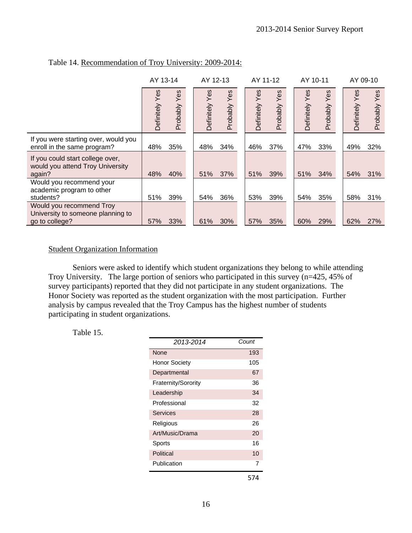|                                                                                 | AY 13-14         |                 | AY 12-13          |                 | AY 11-12          |                 |                   | AY 10-11        | AY 09-10          |                 |
|---------------------------------------------------------------------------------|------------------|-----------------|-------------------|-----------------|-------------------|-----------------|-------------------|-----------------|-------------------|-----------------|
|                                                                                 | စိ<br>Definitely | Yes<br>Probably | Yes<br>Definitely | Yes<br>Probably | Yes<br>Definitely | Yes<br>Probably | Yes<br>Definitely | Yes<br>Probably | Yes<br>Definitely | Yes<br>Probably |
| If you were starting over, would you<br>enroll in the same program?             | 48%              | 35%             | 48%               | 34%             | 46%               | 37%             | 47%               | 33%             | 49%               | 32%             |
| If you could start college over,<br>would you attend Troy University<br>again?  | 48%              | 40%             | 51%               | 37%             | 51%               | 39%             | 51%               | 34%             | 54%               | 31%             |
| Would you recommend your<br>academic program to other<br>students?              | 51%              | 39%             | 54%               | 36%             | 53%               | 39%             | 54%               | 35%             | 58%               | 31%             |
| Would you recommend Troy<br>University to someone planning to<br>go to college? | 57%              | 33%             | 61%               | 30%             | 57%               | 35%             | 60%               | 29%             | 62%               | 27%             |

## Table 14. Recommendation of Troy University: 2009-2014:

#### Student Organization Information

 Seniors were asked to identify which student organizations they belong to while attending Troy University. The large portion of seniors who participated in this survey (n=425, 45% of survey participants) reported that they did not participate in any student organizations. The Honor Society was reported as the student organization with the most participation. Further analysis by campus revealed that the Troy Campus has the highest number of students participating in student organizations.

Table 15.

| 2013-2014           | Count |
|---------------------|-------|
| None                | 193   |
| Honor Society       | 105   |
| Departmental        | 67    |
| Fraternity/Sorority | 36    |
| Leadership          | 34    |
| Professional        | 32    |
| <b>Services</b>     | 28    |
| Religious           | 26    |
| Art/Music/Drama     | 20    |
| Sports              | 16    |
| Political           | 10    |
| Publication         | 7     |
|                     | 574   |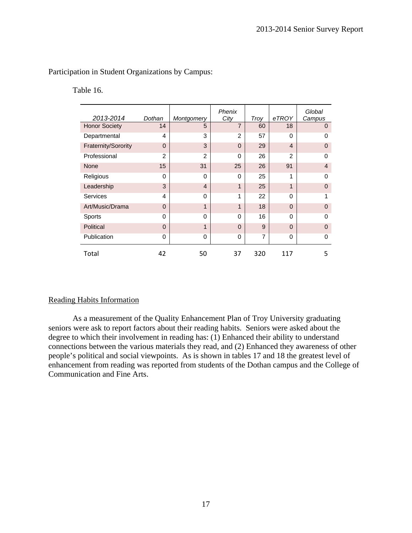Participation in Student Organizations by Campus:

Table 16.

| 2013-2014            | Dothan         | Montgomery     | Phenix<br>City | Troy           | eTROY          | Global<br>Campus |
|----------------------|----------------|----------------|----------------|----------------|----------------|------------------|
| <b>Honor Society</b> | 14             | 5              | $\overline{7}$ | 60             | 18             | $\mathbf 0$      |
| Departmental         | 4              | 3              | $\mathfrak{p}$ | 57             | $\Omega$       | 0                |
| Fraternity/Sorority  | $\Omega$       | 3              | $\Omega$       | 29             | $\overline{4}$ | $\Omega$         |
| Professional         | $\overline{2}$ | $\mathfrak{p}$ | $\Omega$       | 26             | $\overline{2}$ | 0                |
| <b>None</b>          | 15             | 31             | 25             | 26             | 91             | $\overline{4}$   |
| Religious            | $\Omega$       | $\Omega$       | $\Omega$       | 25             | 1              | 0                |
| Leadership           | 3              | 4              | 1              | 25             | 1              | $\Omega$         |
| Services             | 4              | $\Omega$       | 1              | 22             | $\Omega$       | 1                |
| Art/Music/Drama      | $\Omega$       | 1              | 1              | 18             | $\Omega$       | 0                |
| Sports               | 0              | $\Omega$       | $\Omega$       | 16             | $\Omega$       | $\Omega$         |
| Political            | $\Omega$       | 1              | $\Omega$       | 9              | $\Omega$       | $\Omega$         |
| Publication          | 0              | 0              | $\Omega$       | $\overline{7}$ | 0              | 0                |
| Total                | 42             | 50             | 37             | 320            | 117            | 5                |

#### Reading Habits Information

 As a measurement of the Quality Enhancement Plan of Troy University graduating seniors were ask to report factors about their reading habits. Seniors were asked about the degree to which their involvement in reading has: (1) Enhanced their ability to understand connections between the various materials they read, and (2) Enhanced they awareness of other people's political and social viewpoints. As is shown in tables 17 and 18 the greatest level of enhancement from reading was reported from students of the Dothan campus and the College of Communication and Fine Arts.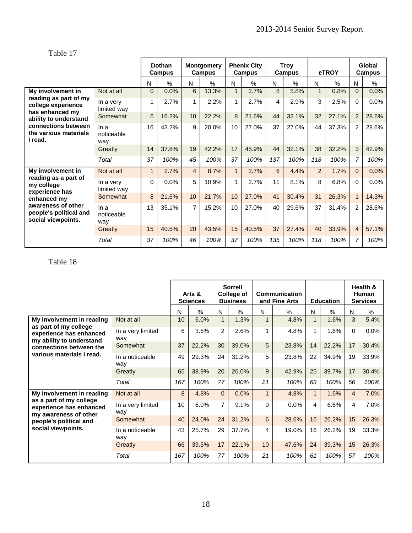Table 17

|                                                                    |                           |              | Dothan<br>Campus | <b>Montgomery</b><br>Campus |               | <b>Phenix City</b><br><b>Campus</b> |               |     | <b>Troy</b><br>Campus |                | eTROY | Global<br>Campus |       |
|--------------------------------------------------------------------|---------------------------|--------------|------------------|-----------------------------|---------------|-------------------------------------|---------------|-----|-----------------------|----------------|-------|------------------|-------|
|                                                                    |                           | N            | $\%$             | N                           | $\frac{0}{0}$ | N                                   | $\frac{0}{0}$ | N   | $\frac{0}{0}$         | N              | %     | N                | $\%$  |
| My involvement in                                                  | Not at all                | $\Omega$     | 0.0%             | 6                           | 13.3%         | $\mathbf{1}$                        | 2.7%          | 8   | 5.8%                  | $\overline{1}$ | 0.8%  | $\Omega$         | 0.0%  |
| reading as part of my<br>college experience<br>has enhanced my     | In a very<br>limited way  | 1            | 2.7%             |                             | 2.2%          | 1                                   | 2.7%          | 4   | 2.9%                  | 3              | 2.5%  | $\Omega$         | 0.0%  |
| ability to understand                                              | Somewhat                  | 6            | 16.2%            | 10                          | 22.2%         | 8                                   | 21.6%         | 44  | 32.1%                 | 32             | 27.1% | 2                | 28.6% |
| connections between<br>the various materials<br>I read.            | In a<br>noticeable<br>way | 16           | 43.2%            | 9                           | 20.0%         | 10                                  | 27.0%         | 37  | 27.0%                 | 44             | 37.3% | $\overline{2}$   | 28.6% |
|                                                                    | Greatly                   | 14           | 37.8%            | 19                          | 42.2%         | 17                                  | 45.9%         | 44  | 32.1%                 | 38             | 32.2% | 3                | 42.9% |
|                                                                    | Total                     | 37           | 100%             | 45                          | 100%          | 37                                  | 100%          | 137 | 100%                  | 118            | 100%  | $\overline{7}$   | 100%  |
| My involvement in                                                  | Not at all                | $\mathbf{1}$ | 2.7%             | $\overline{4}$              | 8.7%          | $\mathbf{1}$                        | 2.7%          | 6   | 4.4%                  | $\overline{2}$ | 1.7%  | $\Omega$         | 0.0%  |
| reading as a part of<br>my college<br>experience has               | In a very<br>limited way  | $\Omega$     | 0.0%             | 5                           | 10.9%         | 1                                   | 2.7%          | 11  | 8.1%                  | 8              | 6.8%  | $\Omega$         | 0.0%  |
| enhanced my                                                        | Somewhat                  | 8            | 21.6%            | 10                          | 21.7%         | 10                                  | 27.0%         | 41  | 30.4%                 | 31             | 26.3% | $\mathbf{1}$     | 14.3% |
| awareness of other<br>people's political and<br>social viewpoints. | In a<br>noticeable<br>way | 13           | 35.1%            | $\overline{7}$              | 15.2%         | 10                                  | 27.0%         | 40  | 29.6%                 | 37             | 31.4% | $\overline{2}$   | 28.6% |
|                                                                    | Greatly                   | 15           | 40.5%            | 20                          | 43.5%         | 15                                  | 40.5%         | 37  | 27.4%                 | 40             | 33.9% | $\overline{4}$   | 57.1% |
|                                                                    | Total                     | 37           | 100%             | 46                          | 100%          | 37                                  | 100%          | 135 | 100%                  | 118            | 100%  | $\overline{7}$   | 100%  |

# Table 18

|                                                                              |                          |     | Arts &<br><b>Sciences</b> |                | <b>Sorrell</b><br>College of<br><b>Business</b> |              | Communication<br>and Fine Arts |              | <b>Education</b> | Health &<br>Human<br><b>Services</b> |       |  |
|------------------------------------------------------------------------------|--------------------------|-----|---------------------------|----------------|-------------------------------------------------|--------------|--------------------------------|--------------|------------------|--------------------------------------|-------|--|
|                                                                              |                          | N   | $\frac{0}{0}$             | N              | $\%$                                            | N            | $\%$                           | N            | $\%$             | N                                    | %     |  |
| My involvement in reading                                                    | Not at all               | 10  | 6.0%                      |                | 1.3%                                            | $\mathbf{1}$ | 4.8%                           | $\mathbf{1}$ | 1.6%             | 3                                    | 5.4%  |  |
| as part of my college<br>experience has enhanced<br>my ability to understand | In a very limited<br>way | 6   | 3.6%                      | $\overline{2}$ | 2.6%                                            | 1            | 4.8%                           | 1            | 1.6%             | $\Omega$                             | 0.0%  |  |
| connections between the                                                      | Somewhat                 | 37  | 22.2%                     | 30             | 39.0%                                           | 5            | 23.8%                          | 14           | 22.2%            | 17                                   | 30.4% |  |
| various materials I read.<br>way                                             | In a noticeable          | 49  | 29.3%                     | 24             | 31.2%                                           | 5            | 23.8%                          | 22           | 34.9%            | 19                                   | 33.9% |  |
|                                                                              | Greatly                  | 65  | 38.9%                     | 20             | 26.0%                                           | 9            | 42.9%                          | 25           | 39.7%            | 17                                   | 30.4% |  |
|                                                                              | Total                    | 167 | 100%                      | 77             | 100%                                            | 21           | 100%                           | 63           | 100%             | 56                                   | 100%  |  |
| My involvement in reading                                                    | Not at all               | 8   | 4.8%                      | $\Omega$       | 0.0%                                            | $\mathbf{1}$ | 4.8%                           | $\mathbf{1}$ | 1.6%             | $\overline{4}$                       | 7.0%  |  |
| as a part of my college<br>experience has enhanced<br>my awareness of other  | In a very limited<br>way | 10  | 6.0%                      | $\overline{7}$ | 9.1%                                            | $\Omega$     | 0.0%                           | 4            | 6.6%             | 4                                    | 7.0%  |  |
| people's political and                                                       | Somewhat                 | 40  | 24.0%                     | 24             | 31.2%                                           | 6            | 28.6%                          | 16           | 26.2%            | 15                                   | 26.3% |  |
| social viewpoints.                                                           | In a noticeable<br>way   | 43  | 25.7%                     | 29             | 37.7%                                           | 4            | 19.0%                          | 16           | 26.2%            | 19                                   | 33.3% |  |
|                                                                              | Greatly                  | 66  | 39.5%                     | 17             | 22.1%                                           | 10           | 47.6%                          | 24           | 39.3%            | 15                                   | 26.3% |  |
|                                                                              | Total                    | 167 | 100%                      | 77             | 100%                                            | 21           | 100%                           | 61           | 100%             | 57                                   | 100%  |  |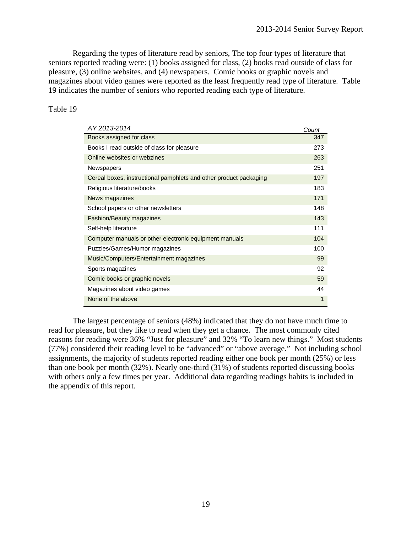Regarding the types of literature read by seniors, The top four types of literature that seniors reported reading were: (1) books assigned for class, (2) books read outside of class for pleasure, (3) online websites, and (4) newspapers. Comic books or graphic novels and magazines about video games were reported as the least frequently read type of literature. Table 19 indicates the number of seniors who reported reading each type of literature.

#### Table 19

| AY 2013-2014                                                      | Count |
|-------------------------------------------------------------------|-------|
| Books assigned for class                                          | 347   |
| Books I read outside of class for pleasure                        | 273   |
| Online websites or webzines                                       | 263   |
| Newspapers                                                        | 251   |
| Cereal boxes, instructional pamphlets and other product packaging | 197   |
| Religious literature/books                                        | 183   |
| News magazines                                                    | 171   |
| School papers or other newsletters                                | 148   |
| <b>Fashion/Beauty magazines</b>                                   | 143   |
| Self-help literature                                              | 111   |
| Computer manuals or other electronic equipment manuals            | 104   |
| Puzzles/Games/Humor magazines                                     | 100   |
| Music/Computers/Entertainment magazines                           | 99    |
| Sports magazines                                                  | 92    |
| Comic books or graphic novels                                     | 59    |
| Magazines about video games                                       | 44    |
| None of the above                                                 | 1     |

 The largest percentage of seniors (48%) indicated that they do not have much time to read for pleasure, but they like to read when they get a chance. The most commonly cited reasons for reading were 36% "Just for pleasure" and 32% "To learn new things." Most students (77%) considered their reading level to be "advanced" or "above average." Not including school assignments, the majority of students reported reading either one book per month (25%) or less than one book per month (32%). Nearly one-third (31%) of students reported discussing books with others only a few times per year. Additional data regarding readings habits is included in the appendix of this report.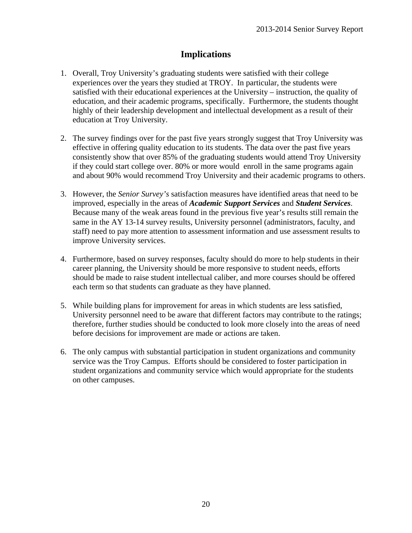# **Implications**

- 1. Overall, Troy University's graduating students were satisfied with their college experiences over the years they studied at TROY. In particular, the students were satisfied with their educational experiences at the University – instruction, the quality of education, and their academic programs, specifically. Furthermore, the students thought highly of their leadership development and intellectual development as a result of their education at Troy University.
- 2. The survey findings over for the past five years strongly suggest that Troy University was effective in offering quality education to its students. The data over the past five years consistently show that over 85% of the graduating students would attend Troy University if they could start college over. 80% or more would enroll in the same programs again and about 90% would recommend Troy University and their academic programs to others.
- 3. However, the *Senior Survey's* satisfaction measures have identified areas that need to be improved, especially in the areas of *Academic Support Services* and *Student Services*. Because many of the weak areas found in the previous five year's results still remain the same in the AY 13-14 survey results, University personnel (administrators, faculty, and staff) need to pay more attention to assessment information and use assessment results to improve University services.
- 4. Furthermore, based on survey responses, faculty should do more to help students in their career planning, the University should be more responsive to student needs, efforts should be made to raise student intellectual caliber, and more courses should be offered each term so that students can graduate as they have planned.
- 5. While building plans for improvement for areas in which students are less satisfied, University personnel need to be aware that different factors may contribute to the ratings; therefore, further studies should be conducted to look more closely into the areas of need before decisions for improvement are made or actions are taken.
- 6. The only campus with substantial participation in student organizations and community service was the Troy Campus. Efforts should be considered to foster participation in student organizations and community service which would appropriate for the students on other campuses.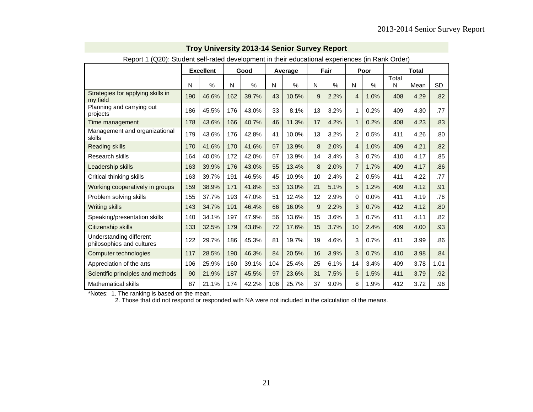| Report T (QZU): Student seif-rated development in their educational experiences (in Rank Order) |     |                  |     |       |     |         |    |               |                |      |            |              |      |  |  |
|-------------------------------------------------------------------------------------------------|-----|------------------|-----|-------|-----|---------|----|---------------|----------------|------|------------|--------------|------|--|--|
|                                                                                                 |     | <b>Excellent</b> |     | Good  |     | Average |    | Fair          |                | Poor |            | <b>Total</b> |      |  |  |
|                                                                                                 | N   | $\%$             | N   | %     | N   | $\%$    | N  | $\frac{0}{0}$ | N              | $\%$ | Total<br>N | Mean         | SD   |  |  |
| Strategies for applying skills in<br>my field                                                   | 190 | 46.6%            | 162 | 39.7% | 43  | 10.5%   | 9  | 2.2%          | 4              | 1.0% | 408        | 4.29         | .82  |  |  |
| Planning and carrying out<br>projects                                                           | 186 | 45.5%            | 176 | 43.0% | 33  | 8.1%    | 13 | 3.2%          | 1              | 0.2% | 409        | 4.30         | .77  |  |  |
| Time management                                                                                 | 178 | 43.6%            | 166 | 40.7% | 46  | 11.3%   | 17 | 4.2%          | $\mathbf 1$    | 0.2% | 408        | 4.23         | .83  |  |  |
| Management and organizational<br>skills                                                         | 179 | 43.6%            | 176 | 42.8% | 41  | 10.0%   | 13 | 3.2%          | 2              | 0.5% | 411        | 4.26         | .80  |  |  |
| <b>Reading skills</b>                                                                           | 170 | 41.6%            | 170 | 41.6% | 57  | 13.9%   | 8  | 2.0%          | $\overline{4}$ | 1.0% | 409        | 4.21         | .82  |  |  |
| Research skills                                                                                 | 164 | 40.0%            | 172 | 42.0% | 57  | 13.9%   | 14 | 3.4%          | 3              | 0.7% | 410        | 4.17         | .85  |  |  |
| Leadership skills                                                                               | 163 | 39.9%            | 176 | 43.0% | 55  | 13.4%   | 8  | 2.0%          | $\overline{7}$ | 1.7% | 409        | 4.17         | .86  |  |  |
| Critical thinking skills                                                                        | 163 | 39.7%            | 191 | 46.5% | 45  | 10.9%   | 10 | 2.4%          | 2              | 0.5% | 411        | 4.22         | .77  |  |  |
| Working cooperatively in groups                                                                 | 159 | 38.9%            | 171 | 41.8% | 53  | 13.0%   | 21 | 5.1%          | 5              | 1.2% | 409        | 4.12         | .91  |  |  |
| Problem solving skills                                                                          | 155 | 37.7%            | 193 | 47.0% | 51  | 12.4%   | 12 | 2.9%          | $\Omega$       | 0.0% | 411        | 4.19         | .76  |  |  |
| <b>Writing skills</b>                                                                           | 143 | 34.7%            | 191 | 46.4% | 66  | 16.0%   | 9  | 2.2%          | 3              | 0.7% | 412        | 4.12         | .80  |  |  |
| Speaking/presentation skills                                                                    | 140 | 34.1%            | 197 | 47.9% | 56  | 13.6%   | 15 | 3.6%          | 3              | 0.7% | 411        | 4.11         | .82  |  |  |
| Citizenship skills                                                                              | 133 | 32.5%            | 179 | 43.8% | 72  | 17.6%   | 15 | 3.7%          | 10             | 2.4% | 409        | 4.00         | .93  |  |  |
| Understanding different<br>philosophies and cultures                                            | 122 | 29.7%            | 186 | 45.3% | 81  | 19.7%   | 19 | 4.6%          | 3              | 0.7% | 411        | 3.99         | .86  |  |  |
| Computer technologies                                                                           | 117 | 28.5%            | 190 | 46.3% | 84  | 20.5%   | 16 | 3.9%          | 3              | 0.7% | 410        | 3.98         | .84  |  |  |
| Appreciation of the arts                                                                        | 106 | 25.9%            | 160 | 39.1% | 104 | 25.4%   | 25 | 6.1%          | 14             | 3.4% | 409        | 3.78         | 1.01 |  |  |
| Scientific principles and methods                                                               | 90  | 21.9%            | 187 | 45.5% | 97  | 23.6%   | 31 | 7.5%          | 6              | 1.5% | 411        | 3.79         | .92  |  |  |
| <b>Mathematical skills</b>                                                                      | 87  | 21.1%            | 174 | 42.2% | 106 | 25.7%   | 37 | 9.0%          | 8              | 1.9% | 412        | 3.72         | .96  |  |  |

Report 1 (Q20): Student self-rated development in their educational experiences (in Rank Order)

\*Notes: 1. The ranking is based on the mean.

2. Those that did not respond or responded with NA were not included in the calculation of the means.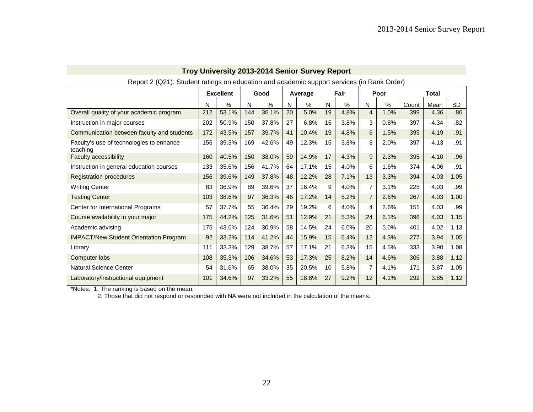|                                                      |     | <b>Excellent</b> |     | Good  |    | Average |    | Fair |                | Poor |       | Total |           |
|------------------------------------------------------|-----|------------------|-----|-------|----|---------|----|------|----------------|------|-------|-------|-----------|
|                                                      | N   | $\%$             | N   | $\%$  | N  | $\%$    | N  | $\%$ | N              | %    | Count | Mean  | <b>SD</b> |
| Overall quality of your academic program             | 212 | 53.1%            | 144 | 36.1% | 20 | 5.0%    | 19 | 4.8% | $\overline{4}$ | 1.0% | 399   | 4.36  | .86       |
| Instruction in major courses                         | 202 | 50.9%            | 150 | 37.8% | 27 | 6.8%    | 15 | 3.8% | 3              | 0.8% | 397   | 4.34  | .82       |
| Communication between faculty and students           | 172 | 43.5%            | 157 | 39.7% | 41 | 10.4%   | 19 | 4.8% | 6              | 1.5% | 395   | 4.19  | .91       |
| Faculty's use of technologies to enhance<br>teaching | 156 | 39.3%            | 169 | 42.6% | 49 | 12.3%   | 15 | 3.8% | 8              | 2.0% | 397   | 4.13  | .91       |
| <b>Faculty accessibility</b>                         | 160 | 40.5%            | 150 | 38.0% | 59 | 14.9%   | 17 | 4.3% | 9              | 2.3% | 395   | 4.10  | .96       |
| Instruction in general education courses             | 133 | 35.6%            | 156 | 41.7% | 64 | 17.1%   | 15 | 4.0% | 6              | 1.6% | 374   | 4.06  | .91       |
| <b>Registration procedures</b>                       | 156 | 39.6%            | 149 | 37.8% | 48 | 12.2%   | 28 | 7.1% | 13             | 3.3% | 394   | 4.03  | 1.05      |
| <b>Writing Center</b>                                | 83  | 36.9%            | 89  | 39.6% | 37 | 16.4%   | 9  | 4.0% | 7              | 3.1% | 225   | 4.03  | .99       |
| <b>Testing Center</b>                                | 103 | 38.6%            | 97  | 36.3% | 46 | 17.2%   | 14 | 5.2% | $\overline{7}$ | 2.6% | 267   | 4.03  | 1.00      |
| Center for International Programs                    | 57  | 37.7%            | 55  | 36.4% | 29 | 19.2%   | 6  | 4.0% | 4              | 2.6% | 151   | 4.03  | .99       |
| Course availability in your major                    | 175 | 44.2%            | 125 | 31.6% | 51 | 12.9%   | 21 | 5.3% | 24             | 6.1% | 396   | 4.03  | 1.15      |
| Academic advising                                    | 175 | 43.6%            | 124 | 30.9% | 58 | 14.5%   | 24 | 6.0% | 20             | 5.0% | 401   | 4.02  | 1.13      |
| <b>IMPACT/New Student Orientation Program</b>        | 92  | 33.2%            | 114 | 41.2% | 44 | 15.9%   | 15 | 5.4% | 12             | 4.3% | 277   | 3.94  | 1.05      |
| Library                                              | 111 | 33.3%            | 129 | 38.7% | 57 | 17.1%   | 21 | 6.3% | 15             | 4.5% | 333   | 3.90  | 1.08      |
| Computer labs                                        | 108 | 35.3%            | 106 | 34.6% | 53 | 17.3%   | 25 | 8.2% | 14             | 4.6% | 306   | 3.88  | 1.12      |
| Natural Science Center                               | 54  | 31.6%            | 65  | 38.0% | 35 | 20.5%   | 10 | 5.8% | 7              | 4.1% | 171   | 3.87  | 1.05      |
| Laboratory/instructional equipment                   | 101 | 34.6%            | 97  | 33.2% | 55 | 18.8%   | 27 | 9.2% | 12             | 4.1% | 292   | 3.85  | 1.12      |

Report 2 (Q21): Student ratings on education and academic support services (in Rank Order)

\*Notes: 1. The ranking is based on the mean.

2. Those that did not respond or responded with NA were not included in the calculation of the means.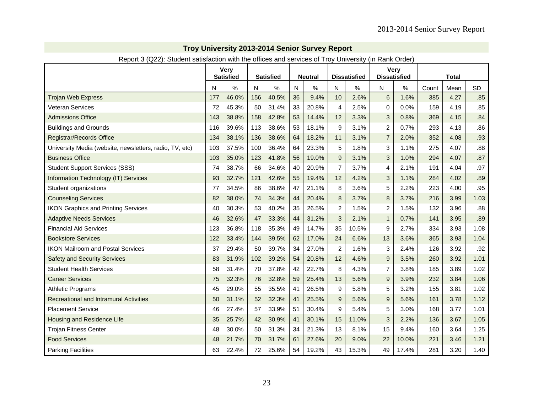| Report 3 (QZZ). Student satisfaction with the offices and services of Froy University (in Rank Order) |     |                                 |     |                  |    |                |                |                     |                     |             |       |              |           |
|-------------------------------------------------------------------------------------------------------|-----|---------------------------------|-----|------------------|----|----------------|----------------|---------------------|---------------------|-------------|-------|--------------|-----------|
|                                                                                                       |     | <b>Very</b><br><b>Satisfied</b> |     | <b>Satisfied</b> |    | <b>Neutral</b> |                | <b>Dissatisfied</b> | <b>Dissatisfied</b> | <b>Very</b> |       | <b>Total</b> |           |
|                                                                                                       | N   | %                               | N   | ℅                | N  | $\%$           | N              | %                   | N                   | %           | Count | Mean         | <b>SD</b> |
| <b>Trojan Web Express</b>                                                                             | 177 | 46.0%                           | 156 | 40.5%            | 36 | 9.4%           | 10             | 2.6%                | 6                   | 1.6%        | 385   | 4.27         | .85       |
| <b>Veteran Services</b>                                                                               | 72  | 45.3%                           | 50  | 31.4%            | 33 | 20.8%          | 4              | 2.5%                | 0                   | 0.0%        | 159   | 4.19         | .85       |
| <b>Admissions Office</b>                                                                              | 143 | 38.8%                           | 158 | 42.8%            | 53 | 14.4%          | 12             | 3.3%                | 3                   | 0.8%        | 369   | 4.15         | .84       |
| <b>Buildings and Grounds</b>                                                                          | 116 | 39.6%                           | 113 | 38.6%            | 53 | 18.1%          | 9              | 3.1%                | $\overline{2}$      | 0.7%        | 293   | 4.13         | .86       |
| <b>Registrar/Records Office</b>                                                                       | 134 | 38.1%                           | 136 | 38.6%            | 64 | 18.2%          | 11             | 3.1%                | $\overline{7}$      | 2.0%        | 352   | 4.08         | .93       |
| University Media (website, newsletters, radio, TV, etc)                                               | 103 | 37.5%                           | 100 | 36.4%            | 64 | 23.3%          | 5              | 1.8%                | 3                   | 1.1%        | 275   | 4.07         | .88       |
| <b>Business Office</b>                                                                                | 103 | 35.0%                           | 123 | 41.8%            | 56 | 19.0%          | 9              | 3.1%                | 3                   | 1.0%        | 294   | 4.07         | .87       |
| <b>Student Support Services (SSS)</b>                                                                 | 74  | 38.7%                           | 66  | 34.6%            | 40 | 20.9%          | $\overline{7}$ | 3.7%                | 4                   | 2.1%        | 191   | 4.04         | .97       |
| Information Technology (IT) Services                                                                  | 93  | 32.7%                           | 121 | 42.6%            | 55 | 19.4%          | 12             | 4.2%                | 3                   | 1.1%        | 284   | 4.02         | .89       |
| Student organizations                                                                                 | 77  | 34.5%                           | 86  | 38.6%            | 47 | 21.1%          | 8              | 3.6%                | 5                   | 2.2%        | 223   | 4.00         | .95       |
| <b>Counseling Services</b>                                                                            | 82  | 38.0%                           | 74  | 34.3%            | 44 | 20.4%          | 8              | 3.7%                | 8                   | 3.7%        | 216   | 3.99         | 1.03      |
| <b>IKON Graphics and Printing Services</b>                                                            | 40  | 30.3%                           | 53  | 40.2%            | 35 | 26.5%          | $\overline{c}$ | 1.5%                | $\overline{c}$      | 1.5%        | 132   | 3.96         | .88       |
| <b>Adaptive Needs Services</b>                                                                        | 46  | 32.6%                           | 47  | 33.3%            | 44 | 31.2%          | 3              | 2.1%                | $\mathbf{1}$        | 0.7%        | 141   | 3.95         | .89       |
| <b>Financial Aid Services</b>                                                                         | 123 | 36.8%                           | 118 | 35.3%            | 49 | 14.7%          | 35             | 10.5%               | 9                   | 2.7%        | 334   | 3.93         | 1.08      |
| <b>Bookstore Services</b>                                                                             | 122 | 33.4%                           | 144 | 39.5%            | 62 | 17.0%          | 24             | 6.6%                | 13                  | 3.6%        | 365   | 3.93         | 1.04      |
| <b>IKON Mailroom and Postal Services</b>                                                              | 37  | 29.4%                           | 50  | 39.7%            | 34 | 27.0%          | $\overline{2}$ | 1.6%                | 3                   | 2.4%        | 126   | 3.92         | .92       |
| <b>Safety and Security Services</b>                                                                   | 83  | 31.9%                           | 102 | 39.2%            | 54 | 20.8%          | 12             | 4.6%                | 9                   | 3.5%        | 260   | 3.92         | 1.01      |
| <b>Student Health Services</b>                                                                        | 58  | 31.4%                           | 70  | 37.8%            | 42 | 22.7%          | 8              | 4.3%                | 7                   | 3.8%        | 185   | 3.89         | 1.02      |
| <b>Career Services</b>                                                                                | 75  | 32.3%                           | 76  | 32.8%            | 59 | 25.4%          | 13             | 5.6%                | $\boldsymbol{9}$    | 3.9%        | 232   | 3.84         | 1.06      |
| <b>Athletic Programs</b>                                                                              | 45  | 29.0%                           | 55  | 35.5%            | 41 | 26.5%          | 9              | 5.8%                | 5                   | 3.2%        | 155   | 3.81         | 1.02      |
| <b>Recreational and Intramural Activities</b>                                                         | 50  | 31.1%                           | 52  | 32.3%            | 41 | 25.5%          | 9              | 5.6%                | 9                   | 5.6%        | 161   | 3.78         | 1.12      |
| <b>Placement Service</b>                                                                              | 46  | 27.4%                           | 57  | 33.9%            | 51 | 30.4%          | 9              | 5.4%                | 5                   | 3.0%        | 168   | 3.77         | 1.01      |
| Housing and Residence Life                                                                            | 35  | 25.7%                           | 42  | 30.9%            | 41 | 30.1%          | 15             | 11.0%               | 3                   | 2.2%        | 136   | 3.67         | 1.05      |
| <b>Trojan Fitness Center</b>                                                                          | 48  | 30.0%                           | 50  | 31.3%            | 34 | 21.3%          | 13             | 8.1%                | 15                  | 9.4%        | 160   | 3.64         | 1.25      |
| <b>Food Services</b>                                                                                  | 48  | 21.7%                           | 70  | 31.7%            | 61 | 27.6%          | 20             | 9.0%                | 22                  | 10.0%       | 221   | 3.46         | 1.21      |
| <b>Parking Facilities</b>                                                                             | 63  | 22.4%                           | 72  | 25.6%            | 54 | 19.2%          | 43             | 15.3%               | 49                  | 17.4%       | 281   | 3.20         | 1.40      |

Report 3 (Q22): Student satisfaction with the offices and services of Troy University (in Rank Order)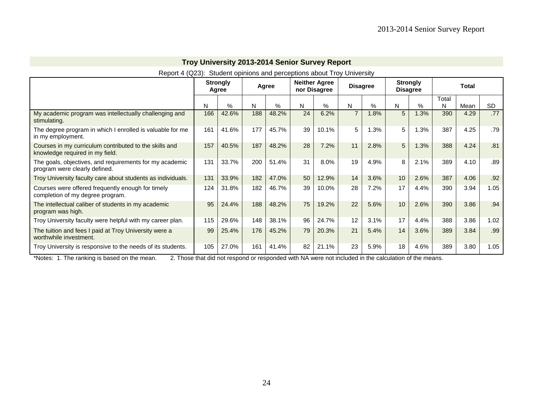| Report 4 (Q23):                                                                           |     |                          |     |       |    | Student opinions and perceptions about Troy University |                 |      |                 |                 |            |              |           |
|-------------------------------------------------------------------------------------------|-----|--------------------------|-----|-------|----|--------------------------------------------------------|-----------------|------|-----------------|-----------------|------------|--------------|-----------|
|                                                                                           |     | <b>Strongly</b><br>Agree |     | Agree |    | <b>Neither Agree</b><br>nor Disagree                   | <b>Disagree</b> |      | <b>Disagree</b> | <b>Strongly</b> |            | <b>Total</b> |           |
|                                                                                           | N   | %                        | N   | %     | N  | %                                                      | N               | %    | N               | $\%$            | Total<br>N | Mean         | <b>SD</b> |
| My academic program was intellectually challenging and<br>stimulating.                    | 166 | 42.6%                    | 188 | 48.2% | 24 | 6.2%                                                   | $\overline{7}$  | 1.8% | 5               | 1.3%            | 390        | 4.29         | .77       |
| The degree program in which I enrolled is valuable for me<br>in my employment.            | 161 | 41.6%                    | 177 | 45.7% | 39 | 10.1%                                                  | 5               | 1.3% | 5               | 1.3%            | 387        | 4.25         | .79       |
| Courses in my curriculum contributed to the skills and<br>knowledge required in my field. | 157 | 40.5%                    | 187 | 48.2% | 28 | 7.2%                                                   | 11              | 2.8% | 5               | 1.3%            | 388        | 4.24         | .81       |
| The goals, objectives, and requirements for my academic<br>program were clearly defined.  | 131 | 33.7%                    | 200 | 51.4% | 31 | 8.0%                                                   | 19              | 4.9% | 8               | 2.1%            | 389        | 4.10         | .89       |
| Troy University faculty care about students as individuals.                               | 131 | 33.9%                    | 182 | 47.0% | 50 | 12.9%                                                  | 14              | 3.6% | 10              | 2.6%            | 387        | 4.06         | .92       |
| Courses were offered frequently enough for timely<br>completion of my degree program.     | 124 | 31.8%                    | 182 | 46.7% | 39 | 10.0%                                                  | 28              | 7.2% | 17              | 4.4%            | 390        | 3.94         | 1.05      |
| The intellectual caliber of students in my academic<br>program was high.                  | 95  | 24.4%                    | 188 | 48.2% | 75 | 19.2%                                                  | 22              | 5.6% | 10              | 2.6%            | 390        | 3.86         | .94       |
| Troy University faculty were helpful with my career plan.                                 | 115 | 29.6%                    | 148 | 38.1% | 96 | 24.7%                                                  | 12              | 3.1% | 17              | 4.4%            | 388        | 3.86         | 1.02      |
| The tuition and fees I paid at Troy University were a<br>worthwhile investment.           | 99  | 25.4%                    | 176 | 45.2% | 79 | 20.3%                                                  | 21              | 5.4% | 14              | 3.6%            | 389        | 3.84         | .99       |
| Troy University is responsive to the needs of its students.                               | 105 | 27.0%                    | 161 | 41.4% | 82 | 21.1%                                                  | 23              | 5.9% | 18              | 4.6%            | 389        | 3.80         | 1.05      |

\*Notes: 1. The ranking is based on the mean. 2. Those that did not respond or responded with NA were not included in the calculation of the means.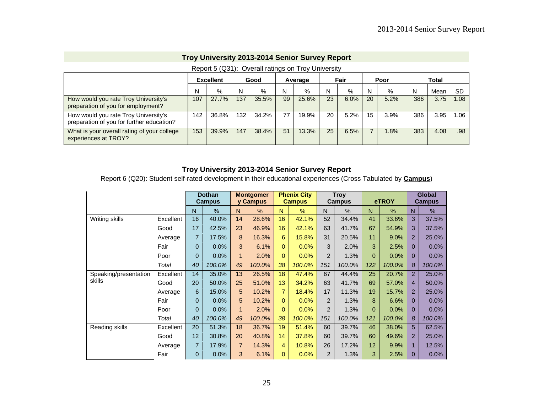|                                                                                   |     | <b>Excellent</b> |     | Good  |    | Average |    | Fair |    | Poor |     | <b>Total</b> |      |
|-----------------------------------------------------------------------------------|-----|------------------|-----|-------|----|---------|----|------|----|------|-----|--------------|------|
|                                                                                   | N   | %                | N   | $\%$  | N  | $\%$    | N  | %    | N  | %    | N   | Mean         | -SD  |
| How would you rate Troy University's<br>preparation of you for employment?        | 107 | 27.7%            | 137 | 35.5% | 99 | 25.6%   | 23 | 6.0% | 20 | 5.2% | 386 | 3.75         | 1.08 |
| How would you rate Troy University's<br>preparation of you for further education? | 142 | 36.8%            | 132 | 34.2% | 77 | 19.9%   | 20 | 5.2% | 15 | 3.9% | 386 | 3.95         | 0.06 |
| What is your overall rating of your college<br>experiences at TROY?               | 153 | 39.9%            | 147 | 38.4% | 51 | 13.3%   | 25 | 6.5% |    | .8%  | 383 | 4.08         | .98  |

#### Report 5 (Q31): Overall ratings on Troy University

## **Troy University 2013-2014 Senior Survey Report**

Report 6 (Q20): Student self-rated development in their educational experiences (Cross Tabulated by **Campus**)

|                       |           |                | <b>Dothan</b><br><b>Campus</b> |                | <b>Montgomer</b><br>y Campus |                | <b>Phenix City</b><br><b>Campus</b> |                | <b>Troy</b><br><b>Campus</b> |          | eTROY  |                | <b>Global</b><br><b>Campus</b> |
|-----------------------|-----------|----------------|--------------------------------|----------------|------------------------------|----------------|-------------------------------------|----------------|------------------------------|----------|--------|----------------|--------------------------------|
|                       |           | N              | $\%$                           | $\mathsf{N}$   | %                            | N              | %                                   | N              | $\%$                         | N        | %      | N              | %                              |
| Writing skills        | Excellent | 16             | 40.0%                          | 14             | 28.6%                        | 16             | 42.1%                               | 52             | 34.4%                        | 41       | 33.6%  | 3              | 37.5%                          |
|                       | Good      | 17             | 42.5%                          | 23             | 46.9%                        | 16             | 42.1%                               | 63             | 41.7%                        | 67       | 54.9%  | 3              | 37.5%                          |
|                       | Average   | $\overline{7}$ | 17.5%                          | 8              | 16.3%                        | 6              | 15.8%                               | 31             | 20.5%                        | 11       | 9.0%   | $\overline{2}$ | 25.0%                          |
|                       | Fair      | 0              | 0.0%                           | 3              | 6.1%                         | 0              | 0.0%                                | 3              | 2.0%                         | 3        | 2.5%   | $\Omega$       | 0.0%                           |
|                       | Poor      | 0              | 0.0%                           | 1              | 2.0%                         | $\Omega$       | 0.0%                                | $\overline{2}$ | 1.3%                         | $\Omega$ | 0.0%   | 0              | 0.0%                           |
|                       | Total     | 40             | 100.0%                         | 49             | 100.0%                       | 38             | 100.0%                              | 151            | 100.0%                       | 122      | 100.0% | 8              | 100.0%                         |
| Speaking/presentation | Excellent | 14             | 35.0%                          | 13             | 26.5%                        | 18             | 47.4%                               | 67             | 44.4%                        | 25       | 20.7%  | $\overline{2}$ | 25.0%                          |
| skills                | Good      | 20             | 50.0%                          | 25             | 51.0%                        | 13             | 34.2%                               | 63             | 41.7%                        | 69       | 57.0%  | $\overline{4}$ | 50.0%                          |
|                       | Average   | 6              | 15.0%                          | 5              | 10.2%                        | $\overline{7}$ | 18.4%                               | 17             | 11.3%                        | 19       | 15.7%  | $\overline{2}$ | 25.0%                          |
|                       | Fair      | 0              | 0.0%                           | 5              | 10.2%                        | $\Omega$       | 0.0%                                | $\overline{2}$ | 1.3%                         | 8        | 6.6%   | 0              | 0.0%                           |
|                       | Poor      | 0              | 0.0%                           | 1              | 2.0%                         | $\Omega$       | 0.0%                                | $\overline{2}$ | 1.3%                         | $\Omega$ | 0.0%   | 0              | 0.0%                           |
|                       | Total     | 40             | 100.0%                         | 49             | 100.0%                       | 38             | 100.0%                              | 151            | 100.0%                       | 121      | 100.0% | 8              | 100.0%                         |
| Reading skills        | Excellent | 20             | 51.3%                          | 18             | 36.7%                        | 19             | 51.4%                               | 60             | 39.7%                        | 46       | 38.0%  | 5              | 62.5%                          |
|                       | Good      | 12             | 30.8%                          | 20             | 40.8%                        | 14             | 37.8%                               | 60             | 39.7%                        | 60       | 49.6%  | $\overline{2}$ | 25.0%                          |
|                       | Average   | $\overline{7}$ | 17.9%                          | $\overline{7}$ | 14.3%                        | 4              | 10.8%                               | 26             | 17.2%                        | 12       | 9.9%   | $\mathbf{1}$   | 12.5%                          |
|                       | Fair      | 0              | 0.0%                           | 3              | 6.1%                         | 0              | 0.0%                                | 2              | 1.3%                         | 3        | 2.5%   | $\Omega$       | 0.0%                           |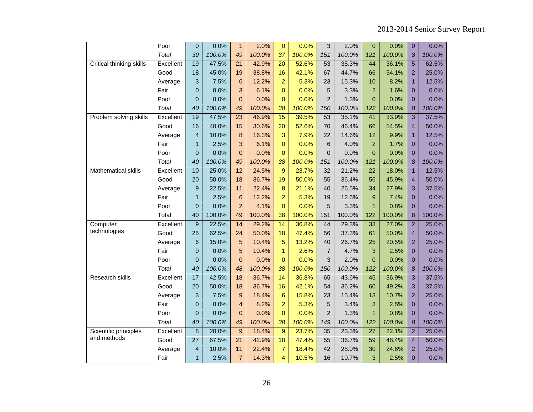|                            | Poor      | $\overline{0}$  | 0.0%   | $\mathbf{1}$    | 2.0%   | $\pmb{0}$        | 0.0%   | 3              | 2.0%   | $\overline{0}$  | 0.0%   | $\overline{0}$          | 0.0%   |
|----------------------------|-----------|-----------------|--------|-----------------|--------|------------------|--------|----------------|--------|-----------------|--------|-------------------------|--------|
|                            | Total     | 39              | 100.0% | 49              | 100.0% | 37               | 100.0% | 151            | 100.0% | 121             | 100.0% | 8                       | 100.0% |
| Critical thinking skills   | Excellent | 19              | 47.5%  | $\overline{21}$ | 42.9%  | $\overline{20}$  | 52.6%  | 53             | 35.3%  | 44              | 36.1%  | $\overline{5}$          | 62.5%  |
|                            | Good      | 18              | 45.0%  | 19              | 38.8%  | 16               | 42.1%  | 67             | 44.7%  | 66              | 54.1%  | $\overline{2}$          | 25.0%  |
|                            | Average   | 3               | 7.5%   | 6               | 12.2%  | $\overline{a}$   | 5.3%   | 23             | 15.3%  | 10              | 8.2%   | 1                       | 12.5%  |
|                            | Fair      | $\overline{0}$  | 0.0%   | 3               | 6.1%   | $\overline{0}$   | 0.0%   | 5              | 3.3%   | $\overline{2}$  | 1.6%   | $\overline{0}$          | 0.0%   |
|                            | Poor      | $\overline{0}$  | 0.0%   | $\overline{0}$  | 0.0%   | $\Omega$         | 0.0%   | $\overline{2}$ | 1.3%   | $\Omega$        | 0.0%   | $\Omega$                | 0.0%   |
|                            | Total     | 40              | 100.0% | 49              | 100.0% | 38               | 100.0% | 150            | 100.0% | 122             | 100.0% | 8                       | 100.0% |
| Problem solving skills     | Excellent | 19              | 47.5%  | $\overline{23}$ | 46.9%  | $\overline{15}$  | 39.5%  | 53             | 35.1%  | 41              | 33.9%  | $\overline{3}$          | 37.5%  |
|                            | Good      | 16              | 40.0%  | 15              | 30.6%  | 20               | 52.6%  | 70             | 46.4%  | 66              | 54.5%  | $\overline{4}$          | 50.0%  |
|                            | Average   | $\overline{4}$  | 10.0%  | 8               | 16.3%  | 3                | 7.9%   | 22             | 14.6%  | 12              | 9.9%   | 1                       | 12.5%  |
|                            | Fair      | $\mathbf{1}$    | 2.5%   | 3               | 6.1%   | $\overline{0}$   | 0.0%   | 6              | 4.0%   | $\overline{2}$  | 1.7%   | $\overline{0}$          | 0.0%   |
|                            | Poor      | $\overline{0}$  | 0.0%   | $\overline{0}$  | 0.0%   | $\overline{0}$   | 0.0%   | $\overline{0}$ | 0.0%   | $\overline{0}$  | 0.0%   | $\Omega$                | 0.0%   |
|                            | Total     | 40              | 100.0% | 49              | 100.0% | 38               | 100.0% | 151            | 100.0% | 121             | 100.0% | 8                       | 100.0% |
| <b>Mathematical skills</b> | Excellent | 10              | 25.0%  | 12              | 24.5%  | $\boldsymbol{9}$ | 23.7%  | 32             | 21.2%  | $\overline{22}$ | 18.0%  | $\overline{1}$          | 12.5%  |
|                            | Good      | 20              | 50.0%  | 18              | 36.7%  | 19               | 50.0%  | 55             | 36.4%  | 56              | 45.9%  | $\overline{4}$          | 50.0%  |
|                            | Average   | 9               | 22.5%  | 11              | 22.4%  | 8                | 21.1%  | 40             | 26.5%  | 34              | 27.9%  | 3                       | 37.5%  |
|                            | Fair      | $\mathbf{1}$    | 2.5%   | 6               | 12.2%  | $\overline{2}$   | 5.3%   | 19             | 12.6%  | 9               | 7.4%   | $\overline{0}$          | 0.0%   |
|                            | Poor      | $\overline{0}$  | 0.0%   | $\overline{2}$  | 4.1%   | $\overline{0}$   | 0.0%   | 5              | 3.3%   | $\mathbf{1}$    | 0.8%   | $\overline{0}$          | 0.0%   |
|                            | Total     | 40              | 100.0% | 49              | 100.0% | 38               | 100.0% | 151            | 100.0% | 122             | 100.0% | 8                       | 100.0% |
| Computer                   | Excellent | $\overline{9}$  | 22.5%  | 14              | 29.2%  | 14               | 36.8%  | 44             | 29.3%  | 33              | 27.0%  | $\overline{2}$          | 25.0%  |
| technologies               | Good      | 25              | 62.5%  | 24              | 50.0%  | 18               | 47.4%  | 56             | 37.3%  | 61              | 50.0%  | $\overline{\mathbf{4}}$ | 50.0%  |
|                            | Average   | 6               | 15.0%  | 5               | 10.4%  | 5                | 13.2%  | 40             | 26.7%  | 25              | 20.5%  | $\overline{2}$          | 25.0%  |
|                            | Fair      | $\Omega$        | 0.0%   | 5               | 10.4%  | $\mathbf{1}$     | 2.6%   | $\overline{7}$ | 4.7%   | 3               | 2.5%   | $\overline{0}$          | 0.0%   |
|                            | Poor      | $\overline{0}$  | 0.0%   | $\overline{0}$  | 0.0%   | $\overline{0}$   | 0.0%   | 3              | 2.0%   | $\Omega$        | 0.0%   | $\overline{0}$          | 0.0%   |
|                            | Total     | 40              | 100.0% | 48              | 100.0% | 38               | 100.0% | 150            | 100.0% | 122             | 100.0% | 8                       | 100.0% |
| <b>Research skills</b>     | Excellent | $\overline{17}$ | 42.5%  | 18              | 36.7%  | $\overline{14}$  | 36.8%  | 65             | 43.6%  | $\overline{45}$ | 36.9%  | $\overline{3}$          | 37.5%  |
|                            | Good      | 20              | 50.0%  | 18              | 36.7%  | 16               | 42.1%  | 54             | 36.2%  | 60              | 49.2%  | 3                       | 37.5%  |
|                            | Average   | 3               | 7.5%   | 9               | 18.4%  | $6\phantom{1}6$  | 15.8%  | 23             | 15.4%  | 13              | 10.7%  | $\overline{2}$          | 25.0%  |
|                            | Fair      | $\overline{0}$  | 0.0%   | $\overline{4}$  | 8.2%   | $\overline{a}$   | 5.3%   | 5              | 3.4%   | 3               | 2.5%   | $\Omega$                | 0.0%   |
|                            | Poor      | $\Omega$        | 0.0%   | $\overline{0}$  | 0.0%   | $\Omega$         | 0.0%   | $\overline{2}$ | 1.3%   | $\mathbf{1}$    | 0.8%   | $\Omega$                | 0.0%   |
|                            | Total     | 40              | 100.0% | 49              | 100.0% | 38               | 100.0% | 149            | 100.0% | 122             | 100.0% | 8                       | 100.0% |
| Scientific principles      | Excellent | 8               | 20.0%  | 9               | 18.4%  | 9                | 23.7%  | 35             | 23.3%  | $\overline{27}$ | 22.1%  | $\overline{2}$          | 25.0%  |
| and methods                | Good      | 27              | 67.5%  | 21              | 42.9%  | 18               | 47.4%  | 55             | 36.7%  | 59              | 48.4%  | $\overline{4}$          | 50.0%  |
|                            | Average   | $\overline{4}$  | 10.0%  | 11              | 22.4%  | $\overline{7}$   | 18.4%  | 42             | 28.0%  | 30              | 24.6%  | $\overline{2}$          | 25.0%  |
|                            | Fair      | $\overline{1}$  | 2.5%   | $\overline{7}$  | 14.3%  | $\overline{4}$   | 10.5%  | 16             | 10.7%  | 3               | 2.5%   | $\overline{0}$          | 0.0%   |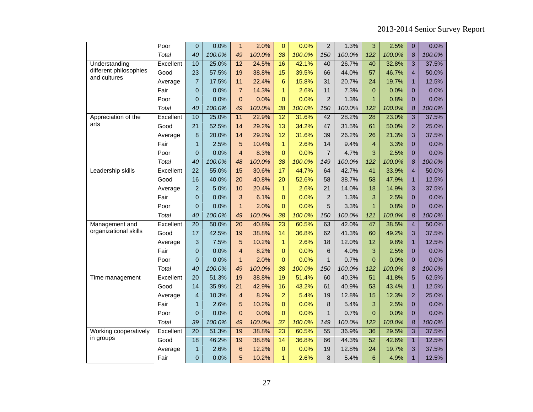|                        | Poor         | 0               | 0.0%   | $\mathbf{1}$    | 2.0%   | $\overline{0}$  | 0.0%   | $\overline{2}$ | 1.3%   | 3               | 2.5%   | $\overline{0}$          | 0.0%   |
|------------------------|--------------|-----------------|--------|-----------------|--------|-----------------|--------|----------------|--------|-----------------|--------|-------------------------|--------|
|                        | <b>Total</b> | 40              | 100.0% | 49              | 100.0% | 38              | 100.0% | 150            | 100.0% | 122             | 100.0% | 8                       | 100.0% |
| Understanding          | Excellent    | 10              | 25.0%  | $\overline{12}$ | 24.5%  | 16              | 42.1%  | 40             | 26.7%  | 40              | 32.8%  | 3                       | 37.5%  |
| different philosophies | Good         | 23              | 57.5%  | 19              | 38.8%  | 15              | 39.5%  | 66             | 44.0%  | 57              | 46.7%  | $\overline{4}$          | 50.0%  |
| and cultures           | Average      | $\overline{7}$  | 17.5%  | 11              | 22.4%  | 6               | 15.8%  | 31             | 20.7%  | 24              | 19.7%  | 1                       | 12.5%  |
|                        | Fair         | 0               | 0.0%   | $\overline{7}$  | 14.3%  | $\mathbf{1}$    | 2.6%   | 11             | 7.3%   | $\mathbf{0}$    | 0.0%   | $\overline{0}$          | 0.0%   |
|                        | Poor         | 0               | 0.0%   | $\pmb{0}$       | 0.0%   | $\Omega$        | 0.0%   | $\overline{2}$ | 1.3%   | $\mathbf{1}$    | 0.8%   | $\overline{0}$          | 0.0%   |
|                        | Total        | 40              | 100.0% | 49              | 100.0% | 38              | 100.0% | 150            | 100.0% | 122             | 100.0% | 8                       | 100.0% |
| Appreciation of the    | Excellent    | 10              | 25.0%  | 11              | 22.9%  | 12              | 31.6%  | 42             | 28.2%  | 28              | 23.0%  | 3                       | 37.5%  |
| arts                   | Good         | 21              | 52.5%  | 14              | 29.2%  | 13              | 34.2%  | 47             | 31.5%  | 61              | 50.0%  | $\overline{2}$          | 25.0%  |
|                        | Average      | 8               | 20.0%  | 14              | 29.2%  | 12              | 31.6%  | 39             | 26.2%  | 26              | 21.3%  | 3                       | 37.5%  |
|                        | Fair         | $\mathbf{1}$    | 2.5%   | 5               | 10.4%  | $\mathbf{1}$    | 2.6%   | 14             | 9.4%   | $\overline{4}$  | 3.3%   | $\overline{0}$          | 0.0%   |
|                        | Poor         | 0               | 0.0%   | $\overline{4}$  | 8.3%   | $\overline{0}$  | 0.0%   | $\overline{7}$ | 4.7%   | 3               | 2.5%   | $\overline{0}$          | 0.0%   |
|                        | Total        | 40              | 100.0% | 48              | 100.0% | 38              | 100.0% | 149            | 100.0% | 122             | 100.0% | 8                       | 100.0% |
| Leadership skills      | Excellent    | $\overline{22}$ | 55.0%  | 15              | 30.6%  | $\overline{17}$ | 44.7%  | 64             | 42.7%  | 41              | 33.9%  | $\overline{4}$          | 50.0%  |
|                        | Good         | 16              | 40.0%  | 20              | 40.8%  | 20              | 52.6%  | 58             | 38.7%  | 58              | 47.9%  | 1                       | 12.5%  |
|                        | Average      | $\overline{2}$  | 5.0%   | 10              | 20.4%  | $\mathbf{1}$    | 2.6%   | 21             | 14.0%  | 18              | 14.9%  | 3                       | 37.5%  |
|                        | Fair         | 0               | 0.0%   | 3               | 6.1%   | 0               | 0.0%   | $\overline{c}$ | 1.3%   | 3               | 2.5%   | $\mathbf 0$             | 0.0%   |
|                        | Poor         | 0               | 0.0%   | $\overline{1}$  | 2.0%   | $\overline{0}$  | 0.0%   | 5              | 3.3%   | $\mathbf{1}$    | 0.8%   | $\overline{0}$          | 0.0%   |
|                        | Total        | 40              | 100.0% | 49              | 100.0% | 38              | 100.0% | 150            | 100.0% | 121             | 100.0% | 8                       | 100.0% |
| Management and         | Excellent    | $\overline{20}$ | 50.0%  | 20              | 40.8%  | $\overline{23}$ | 60.5%  | 63             | 42.0%  | 47              | 38.5%  | $\overline{\mathbf{4}}$ | 50.0%  |
| organizational skills  | Good         | 17              | 42.5%  | 19              | 38.8%  | 14              | 36.8%  | 62             | 41.3%  | 60              | 49.2%  | 3                       | 37.5%  |
|                        | Average      | 3               | 7.5%   | 5               | 10.2%  | $\mathbf{1}$    | 2.6%   | 18             | 12.0%  | 12 <sup>2</sup> | 9.8%   | $\overline{1}$          | 12.5%  |
|                        | Fair         | $\overline{0}$  | 0.0%   | $\overline{4}$  | 8.2%   | $\overline{0}$  | 0.0%   | 6              | 4.0%   | 3               | 2.5%   | $\overline{0}$          | 0.0%   |
|                        | Poor         | $\overline{0}$  | 0.0%   | $\mathbf{1}$    | 2.0%   | $\Omega$        | 0.0%   | $\mathbf{1}$   | 0.7%   | $\Omega$        | 0.0%   | $\overline{0}$          | 0.0%   |
|                        | Total        | 40              | 100.0% | 49              | 100.0% | 38              | 100.0% | 150            | 100.0% | 122             | 100.0% | 8                       | 100.0% |
| Time management        | Excellent    | $\overline{20}$ | 51.3%  | 19              | 38.8%  | 19              | 51.4%  | 60             | 40.3%  | $\overline{51}$ | 41.8%  | $\overline{5}$          | 62.5%  |
|                        | Good         | 14              | 35.9%  | 21              | 42.9%  | 16              | 43.2%  | 61             | 40.9%  | 53              | 43.4%  | $\overline{1}$          | 12.5%  |
|                        | Average      | 4               | 10.3%  | $\overline{4}$  | 8.2%   | $\overline{a}$  | 5.4%   | 19             | 12.8%  | 15              | 12.3%  | $\overline{2}$          | 25.0%  |
|                        | Fair         | $\mathbf{1}$    | 2.6%   | 5               | 10.2%  | $\Omega$        | 0.0%   | 8              | 5.4%   | 3               | 2.5%   | $\overline{0}$          | 0.0%   |
|                        | Poor         | 0               | 0.0%   | $\overline{0}$  | 0.0%   | $\overline{0}$  | 0.0%   | $\mathbf{1}$   | 0.7%   | $\Omega$        | 0.0%   | $\overline{0}$          | 0.0%   |
|                        | Total        | 39              | 100.0% | 49              | 100.0% | 37              | 100.0% | 149            | 100.0% | 122             | 100.0% | 8                       | 100.0% |
| Working cooperatively  | Excellent    | $\overline{20}$ | 51.3%  | 19              | 38.8%  | 23              | 60.5%  | 55             | 36.9%  | 36              | 29.5%  | $\overline{3}$          | 37.5%  |
| in groups              | Good         | 18              | 46.2%  | 19              | 38.8%  | 14              | 36.8%  | 66             | 44.3%  | 52              | 42.6%  | 1                       | 12.5%  |
|                        | Average      | 1               | 2.6%   | $6\phantom{1}6$ | 12.2%  | $\overline{0}$  | 0.0%   | 19             | 12.8%  | 24              | 19.7%  | 3                       | 37.5%  |
|                        | Fair         | 0               | 0.0%   | 5               | 10.2%  | $\mathbf{1}$    | 2.6%   | 8              | 5.4%   | 6               | 4.9%   | 1                       | 12.5%  |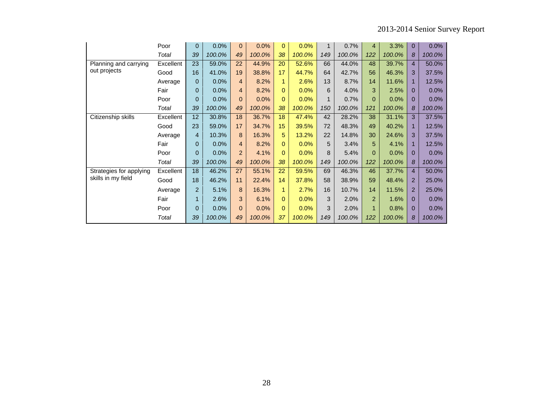|                         | Poor      | 0              | 0.0%   | $\mathbf{0}$   | 0.0%   | $\mathbf{0}$ | 0.0%   | 1   | 0.7%   | 4              | 3.3%   | $\mathbf 0$    | 0.0%   |
|-------------------------|-----------|----------------|--------|----------------|--------|--------------|--------|-----|--------|----------------|--------|----------------|--------|
|                         | Total     | 39             | 100.0% | 49             | 100.0% | 38           | 100.0% | 149 | 100.0% | 122            | 100.0% | 8              | 100.0% |
| Planning and carrying   | Excellent | 23             | 59.0%  | 22             | 44.9%  | 20           | 52.6%  | 66  | 44.0%  | 48             | 39.7%  | $\overline{4}$ | 50.0%  |
| out projects            | Good      | 16             | 41.0%  | 19             | 38.8%  | 17           | 44.7%  | 64  | 42.7%  | 56             | 46.3%  | 3              | 37.5%  |
|                         | Average   | 0              | 0.0%   | 4              | 8.2%   |              | 2.6%   | 13  | 8.7%   | 14             | 11.6%  | 1              | 12.5%  |
|                         | Fair      | 0              | 0.0%   | $\overline{4}$ | 8.2%   | $\Omega$     | 0.0%   | 6   | 4.0%   | 3              | 2.5%   | $\mathbf 0$    | 0.0%   |
|                         | Poor      | 0              | 0.0%   | $\overline{0}$ | 0.0%   | $\Omega$     | 0.0%   | 1   | 0.7%   | $\Omega$       | 0.0%   | $\mathbf 0$    | 0.0%   |
|                         | Total     | 39             | 100.0% | 49             | 100.0% | 38           | 100.0% | 150 | 100.0% | 121            | 100.0% | 8              | 100.0% |
| Citizenship skills      | Excellent | 12             | 30.8%  | 18             | 36.7%  | 18           | 47.4%  | 42  | 28.2%  | 38             | 31.1%  | 3              | 37.5%  |
|                         | Good      | 23             | 59.0%  | 17             | 34.7%  | 15           | 39.5%  | 72  | 48.3%  | 49             | 40.2%  |                | 12.5%  |
|                         | Average   | 4              | 10.3%  | 8              | 16.3%  | 5            | 13.2%  | 22  | 14.8%  | 30             | 24.6%  | 3              | 37.5%  |
|                         | Fair      | 0              | 0.0%   | 4              | 8.2%   | $\mathbf{0}$ | 0.0%   | 5   | 3.4%   | 5              | 4.1%   | 1              | 12.5%  |
|                         | Poor      | 0              | 0.0%   | $\overline{c}$ | 4.1%   | $\Omega$     | 0.0%   | 8   | 5.4%   | $\Omega$       | 0.0%   | $\mathbf 0$    | 0.0%   |
|                         | Total     | 39             | 100.0% | 49             | 100.0% | 38           | 100.0% | 149 | 100.0% | 122            | 100.0% | 8              | 100.0% |
| Strategies for applying | Excellent | 18             | 46.2%  | 27             | 55.1%  | 22           | 59.5%  | 69  | 46.3%  | 46             | 37.7%  | $\overline{4}$ | 50.0%  |
| skills in my field      | Good      | 18             | 46.2%  | 11             | 22.4%  | 14           | 37.8%  | 58  | 38.9%  | 59             | 48.4%  | $\overline{2}$ | 25.0%  |
|                         | Average   | $\overline{2}$ | 5.1%   | 8              | 16.3%  |              | 2.7%   | 16  | 10.7%  | 14             | 11.5%  | $\overline{2}$ | 25.0%  |
|                         | Fair      | $\mathbf{1}$   | 2.6%   | 3              | 6.1%   | $\Omega$     | 0.0%   | 3   | 2.0%   | $\overline{2}$ | 1.6%   | $\mathbf 0$    | 0.0%   |
|                         | Poor      | 0              | 0.0%   | $\overline{0}$ | 0.0%   | $\Omega$     | 0.0%   | 3   | 2.0%   | 1              | 0.8%   | $\mathbf 0$    | 0.0%   |
|                         | Total     | 39             | 100.0% | 49             | 100.0% | 37           | 100.0% | 149 | 100.0% | 122            | 100.0% | 8              | 100.0% |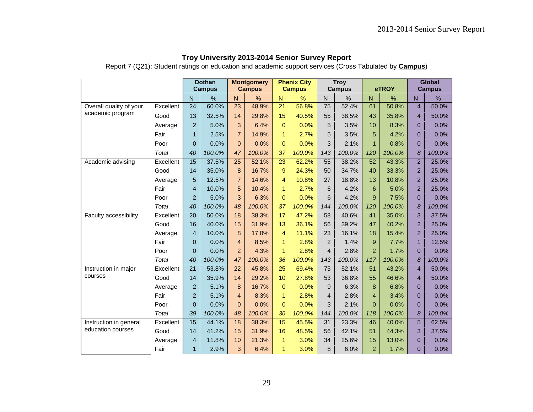Report 7 (Q21): Student ratings on education and academic support services (Cross Tabulated by **Campus**)

|                         |           |                 | <b>Dothan</b><br><b>Campus</b> |                | <b>Montgomery</b><br><b>Campus</b> |                | <b>Phenix City</b><br><b>Campus</b> |                 | <b>Troy</b><br><b>Campus</b> |                | eTROY  |                | Global<br><b>Campus</b> |
|-------------------------|-----------|-----------------|--------------------------------|----------------|------------------------------------|----------------|-------------------------------------|-----------------|------------------------------|----------------|--------|----------------|-------------------------|
|                         |           | N               | %                              | $\overline{N}$ | %                                  | $\mathsf{N}$   | %                                   | $\overline{N}$  | %                            | $\mathsf{N}$   | %      | $\mathsf{N}$   | %                       |
| Overall quality of your | Excellent | 24              | 60.0%                          | 23             | 48.9%                              | 21             | 56.8%                               | $\overline{75}$ | 52.4%                        | 61             | 50.8%  | $\overline{4}$ | 50.0%                   |
| academic program        | Good      | 13              | 32.5%                          | 14             | 29.8%                              | 15             | 40.5%                               | 55              | 38.5%                        | 43             | 35.8%  | $\overline{4}$ | 50.0%                   |
|                         | Average   | $\overline{2}$  | 5.0%                           | 3              | 6.4%                               | 0              | 0.0%                                | 5               | 3.5%                         | 10             | 8.3%   | $\overline{0}$ | 0.0%                    |
|                         | Fair      | $\mathbf{1}$    | 2.5%                           | $\overline{7}$ | 14.9%                              | $\mathbf{1}$   | 2.7%                                | 5               | 3.5%                         | 5              | 4.2%   | $\overline{0}$ | 0.0%                    |
|                         | Poor      | 0               | 0.0%                           | $\mathbf{0}$   | 0.0%                               | $\Omega$       | 0.0%                                | 3               | 2.1%                         | $\mathbf{1}$   | 0.8%   | $\Omega$       | 0.0%                    |
|                         | Total     | 40              | 100.0%                         | 47             | 100.0%                             | 37             | 100.0%                              | 143             | 100.0%                       | 120            | 100.0% | 8              | 100.0%                  |
| Academic advising       | Excellent | 15              | 37.5%                          | 25             | 52.1%                              | 23             | 62.2%                               | 55              | 38.2%                        | 52             | 43.3%  | $\overline{2}$ | 25.0%                   |
|                         | Good      | 14              | 35.0%                          | 8              | 16.7%                              | 9              | 24.3%                               | 50              | 34.7%                        | 40             | 33.3%  | $\overline{a}$ | 25.0%                   |
|                         | Average   | 5               | 12.5%                          | $\overline{7}$ | 14.6%                              | 4              | 10.8%                               | 27              | 18.8%                        | 13             | 10.8%  | $\overline{2}$ | 25.0%                   |
|                         | Fair      | 4               | 10.0%                          | 5              | 10.4%                              | $\mathbf{1}$   | 2.7%                                | 6               | 4.2%                         | 6              | 5.0%   | $\overline{2}$ | 25.0%                   |
|                         | Poor      | $\overline{2}$  | 5.0%                           | 3              | 6.3%                               | $\Omega$       | 0.0%                                | 6               | 4.2%                         | 9              | 7.5%   | $\overline{0}$ | 0.0%                    |
|                         | Total     | 40              | 100.0%                         | 48             | 100.0%                             | 37             | 100.0%                              | 144             | 100.0%                       | 120            | 100.0% | 8              | 100.0%                  |
| Faculty accessibility   | Excellent | $\overline{20}$ | 50.0%                          | 18             | 38.3%                              | 17             | 47.2%                               | 58              | 40.6%                        | 41             | 35.0%  | 3              | 37.5%                   |
|                         | Good      | 16              | 40.0%                          | 15             | 31.9%                              | 13             | 36.1%                               | 56              | 39.2%                        | 47             | 40.2%  | $\overline{2}$ | 25.0%                   |
|                         | Average   | 4               | 10.0%                          | 8              | 17.0%                              | 4              | 11.1%                               | 23              | 16.1%                        | 18             | 15.4%  | $\overline{2}$ | 25.0%                   |
|                         | Fair      | $\overline{0}$  | 0.0%                           | $\overline{4}$ | 8.5%                               | $\mathbf{1}$   | 2.8%                                | $\overline{2}$  | 1.4%                         | 9              | 7.7%   | $\mathbf{1}$   | 12.5%                   |
|                         | Poor      | 0               | 0.0%                           | $\overline{2}$ | 4.3%                               | $\mathbf{1}$   | 2.8%                                | $\overline{4}$  | 2.8%                         | $\overline{2}$ | 1.7%   | $\overline{0}$ | 0.0%                    |
|                         | Total     | 40              | 100.0%                         | 47             | 100.0%                             | 36             | 100.0%                              | 143             | 100.0%                       | 117            | 100.0% | 8              | 100.0%                  |
| Instruction in major    | Excellent | $\overline{21}$ | 53.8%                          | 22             | 45.8%                              | 25             | 69.4%                               | 75              | 52.1%                        | 51             | 43.2%  | $\overline{4}$ | 50.0%                   |
| courses                 | Good      | 14              | 35.9%                          | 14             | 29.2%                              | 10             | 27.8%                               | 53              | 36.8%                        | 55             | 46.6%  | $\overline{4}$ | 50.0%                   |
|                         | Average   | $\overline{2}$  | 5.1%                           | 8              | 16.7%                              | $\overline{0}$ | 0.0%                                | 9               | 6.3%                         | 8              | 6.8%   | $\mathbf 0$    | 0.0%                    |
|                         | Fair      | $\overline{2}$  | 5.1%                           | $\overline{4}$ | 8.3%                               | $\mathbf{1}$   | 2.8%                                | $\overline{4}$  | 2.8%                         | $\overline{4}$ | 3.4%   | $\Omega$       | 0.0%                    |
|                         | Poor      | $\Omega$        | 0.0%                           | $\mathbf{0}$   | 0.0%                               | $\Omega$       | 0.0%                                | 3               | 2.1%                         | $\Omega$       | 0.0%   | $\overline{0}$ | 0.0%                    |
|                         | Total     | 39              | 100.0%                         | 48             | 100.0%                             | 36             | 100.0%                              | 144             | 100.0%                       | 118            | 100.0% | 8              | 100.0%                  |
| Instruction in general  | Excellent | 15              | 44.1%                          | 18             | 38.3%                              | 15             | 45.5%                               | 31              | 23.3%                        | 46             | 40.0%  | 5              | 62.5%                   |
| education courses       | Good      | 14              | 41.2%                          | 15             | 31.9%                              | 16             | 48.5%                               | 56              | 42.1%                        | 51             | 44.3%  | 3              | 37.5%                   |
|                         | Average   | 4               | 11.8%                          | 10             | 21.3%                              | $\mathbf{1}$   | 3.0%                                | 34              | 25.6%                        | 15             | 13.0%  | $\overline{0}$ | 0.0%                    |
|                         | Fair      | $\mathbf{1}$    | 2.9%                           | 3              | 6.4%                               | $\mathbf{1}$   | 3.0%                                | 8               | 6.0%                         | $\overline{2}$ | 1.7%   | $\overline{0}$ | 0.0%                    |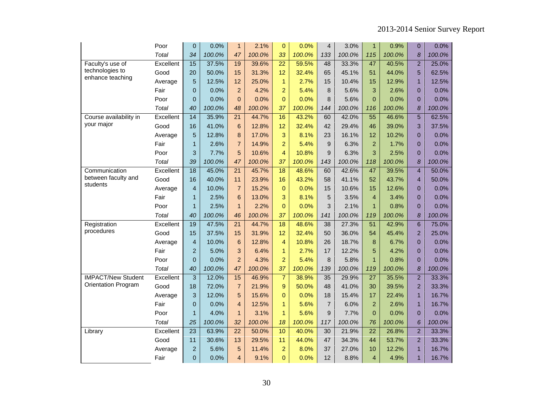|                            | Poor         | $\mathbf{0}$    | 0.0%   | $\mathbf{1}$    | 2.1%   | $\mathbf{0}$     | 0.0%   | $\overline{4}$   | 3.0%   | $\mathbf{1}$    | 0.9%   | $\mathbf{0}$   | 0.0%   |
|----------------------------|--------------|-----------------|--------|-----------------|--------|------------------|--------|------------------|--------|-----------------|--------|----------------|--------|
|                            | <b>Total</b> | 34              | 100.0% | 47              | 100.0% | 33               | 100.0% | 133              | 100.0% | 115             | 100.0% | 8              | 100.0% |
| Faculty's use of           | Excellent    | 15              | 37.5%  | 19              | 39.6%  | $\overline{22}$  | 59.5%  | 48               | 33.3%  | 47              | 40.5%  | $\overline{2}$ | 25.0%  |
| technologies to            | Good         | 20              | 50.0%  | 15              | 31.3%  | 12               | 32.4%  | 65               | 45.1%  | 51              | 44.0%  | 5              | 62.5%  |
| enhance teaching           | Average      | 5               | 12.5%  | 12              | 25.0%  | $\mathbf{1}$     | 2.7%   | 15               | 10.4%  | 15              | 12.9%  | $\mathbf{1}$   | 12.5%  |
|                            | Fair         | 0               | 0.0%   | $\overline{2}$  | 4.2%   | $\overline{2}$   | 5.4%   | 8                | 5.6%   | 3               | 2.6%   | $\overline{0}$ | 0.0%   |
|                            | Poor         | $\overline{0}$  | 0.0%   | $\Omega$        | 0.0%   | $\Omega$         | 0.0%   | 8                | 5.6%   | $\Omega$        | 0.0%   | $\Omega$       | 0.0%   |
|                            | Total        | 40              | 100.0% | 48              | 100.0% | 37               | 100.0% | 144              | 100.0% | 116             | 100.0% | 8              | 100.0% |
| Course availability in     | Excellent    | $\overline{14}$ | 35.9%  | $\overline{21}$ | 44.7%  | 16               | 43.2%  | 60               | 42.0%  | $\overline{55}$ | 46.6%  | $\overline{5}$ | 62.5%  |
| your major                 | Good         | 16              | 41.0%  | 6               | 12.8%  | 12               | 32.4%  | 42               | 29.4%  | 46              | 39.0%  | 3              | 37.5%  |
|                            | Average      | 5               | 12.8%  | 8               | 17.0%  | 3                | 8.1%   | 23               | 16.1%  | 12              | 10.2%  | $\overline{0}$ | 0.0%   |
|                            | Fair         | $\mathbf{1}$    | 2.6%   | $\overline{7}$  | 14.9%  | $\overline{2}$   | 5.4%   | 9                | 6.3%   | $\overline{2}$  | 1.7%   | $\overline{0}$ | 0.0%   |
|                            | Poor         | 3               | 7.7%   | 5               | 10.6%  | $\overline{4}$   | 10.8%  | 9                | 6.3%   | 3               | 2.5%   | $\overline{0}$ | 0.0%   |
|                            | Total        | 39              | 100.0% | 47              | 100.0% | 37               | 100.0% | 143              | 100.0% | 118             | 100.0% | 8              | 100.0% |
| Communication              | Excellent    | $\overline{18}$ | 45.0%  | $\overline{21}$ | 45.7%  | 18               | 48.6%  | 60               | 42.6%  | 47              | 39.5%  | $\overline{4}$ | 50.0%  |
| between faculty and        | Good         | 16              | 40.0%  | 11              | 23.9%  | 16               | 43.2%  | 58               | 41.1%  | 52              | 43.7%  | $\overline{4}$ | 50.0%  |
| students                   | Average      | $\overline{4}$  | 10.0%  | $\overline{7}$  | 15.2%  | $\mathbf{0}$     | 0.0%   | 15               | 10.6%  | 15              | 12.6%  | $\overline{0}$ | 0.0%   |
|                            | Fair         | $\mathbf{1}$    | 2.5%   | $6\phantom{a}$  | 13.0%  | 3                | 8.1%   | 5                | 3.5%   | $\overline{4}$  | 3.4%   | $\overline{0}$ | 0.0%   |
|                            | Poor         | $\mathbf{1}$    | 2.5%   | $\mathbf{1}$    | 2.2%   | $\Omega$         | 0.0%   | 3                | 2.1%   | $\mathbf{1}$    | 0.8%   | $\overline{0}$ | 0.0%   |
|                            | Total        | 40              | 100.0% | 46              | 100.0% | 37               | 100.0% | 141              | 100.0% | 119             | 100.0% | 8              | 100.0% |
| Registration               | Excellent    | 19              | 47.5%  | $\overline{21}$ | 44.7%  | $\overline{18}$  | 48.6%  | $\overline{38}$  | 27.3%  | $\overline{51}$ | 42.9%  | $6\phantom{1}$ | 75.0%  |
| procedures                 | Good         | 15              | 37.5%  | 15              | 31.9%  | 12               | 32.4%  | 50               | 36.0%  | 54              | 45.4%  | $\overline{2}$ | 25.0%  |
|                            | Average      | $\overline{4}$  | 10.0%  | 6               | 12.8%  | $\overline{4}$   | 10.8%  | 26               | 18.7%  | 8               | 6.7%   | $\overline{0}$ | 0.0%   |
|                            | Fair         | $\overline{c}$  | 5.0%   | 3               | 6.4%   | $\mathbf{1}$     | 2.7%   | 17               | 12.2%  | 5               | 4.2%   | $\overline{0}$ | 0.0%   |
|                            | Poor         | 0               | 0.0%   | $\overline{2}$  | 4.3%   | $\overline{a}$   | 5.4%   | $\boldsymbol{8}$ | 5.8%   | $\mathbf{1}$    | 0.8%   | $\overline{0}$ | 0.0%   |
|                            | Total        | 40              | 100.0% | 47              | 100.0% | 37               | 100.0% | 139              | 100.0% | 119             | 100.0% | 8              | 100.0% |
| <b>IMPACT/New Student</b>  | Excellent    | 3               | 12.0%  | 15              | 46.9%  | $\overline{7}$   | 38.9%  | 35               | 29.9%  | $\overline{27}$ | 35.5%  | $\overline{2}$ | 33.3%  |
| <b>Orientation Program</b> | Good         | 18              | 72.0%  | $\overline{7}$  | 21.9%  | $\boldsymbol{9}$ | 50.0%  | 48               | 41.0%  | 30              | 39.5%  | $\overline{2}$ | 33.3%  |
|                            | Average      | 3               | 12.0%  | 5               | 15.6%  | $\mathbf{0}$     | 0.0%   | 18               | 15.4%  | 17              | 22.4%  | $\mathbf{1}$   | 16.7%  |
|                            | Fair         | 0               | 0.0%   | $\overline{4}$  | 12.5%  | $\mathbf{1}$     | 5.6%   | $\overline{7}$   | 6.0%   | $\overline{2}$  | 2.6%   | $\mathbf{1}$   | 16.7%  |
|                            | Poor         | $\mathbf{1}$    | 4.0%   | $\mathbf{1}$    | 3.1%   | $\mathbf{1}$     | 5.6%   | 9                | 7.7%   | $\Omega$        | 0.0%   | $\overline{0}$ | 0.0%   |
|                            | Total        | 25              | 100.0% | 32              | 100.0% | 18               | 100.0% | 117              | 100.0% | 76              | 100.0% | 6              | 100.0% |
| Library                    | Excellent    | $\overline{23}$ | 63.9%  | $\overline{22}$ | 50.0%  | 10               | 40.0%  | 30               | 21.9%  | $\overline{22}$ | 26.8%  | $\overline{2}$ | 33.3%  |
|                            | Good         | 11              | 30.6%  | 13              | 29.5%  | 11               | 44.0%  | 47               | 34.3%  | 44              | 53.7%  | $\overline{2}$ | 33.3%  |
|                            | Average      | $\overline{2}$  | 5.6%   | 5               | 11.4%  | $\overline{a}$   | 8.0%   | 37               | 27.0%  | 10              | 12.2%  | $\mathbf{1}$   | 16.7%  |
|                            | Fair         | 0               | 0.0%   | $\overline{4}$  | 9.1%   | $\overline{0}$   | 0.0%   | 12               | 8.8%   | $\overline{4}$  | 4.9%   | $\mathbf{1}$   | 16.7%  |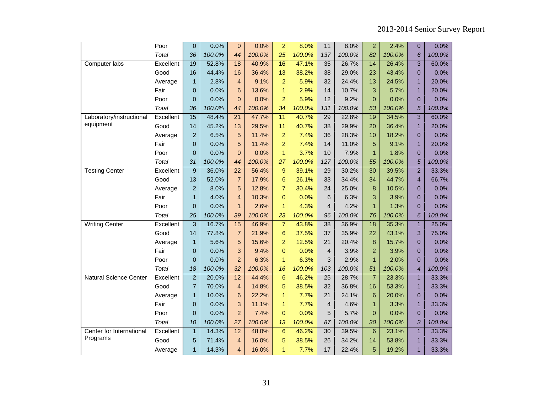|                          | Poor      | 0                | 0.0%   | $\mathbf{0}$   | 0.0%   | $\overline{2}$ | 8.0%   | 11              | 8.0%   | $\overline{2}$ | 2.4%   | 0              | 0.0%   |
|--------------------------|-----------|------------------|--------|----------------|--------|----------------|--------|-----------------|--------|----------------|--------|----------------|--------|
|                          | Total     | 36               | 100.0% | 44             | 100.0% | 25             | 100.0% | 137             | 100.0% | 82             | 100.0% | 6              | 100.0% |
| Computer labs            | Excellent | 19               | 52.8%  | 18             | 40.9%  | 16             | 47.1%  | 35              | 26.7%  | 14             | 26.4%  | 3              | 60.0%  |
|                          | Good      | 16               | 44.4%  | 16             | 36.4%  | 13             | 38.2%  | 38              | 29.0%  | 23             | 43.4%  | $\overline{0}$ | 0.0%   |
|                          | Average   | $\mathbf{1}$     | 2.8%   | $\overline{4}$ | 9.1%   | $\overline{a}$ | 5.9%   | 32              | 24.4%  | 13             | 24.5%  | $\mathbf{1}$   | 20.0%  |
|                          | Fair      | $\overline{0}$   | 0.0%   | 6              | 13.6%  | $\mathbf{1}$   | 2.9%   | 14              | 10.7%  | 3              | 5.7%   | 1              | 20.0%  |
|                          | Poor      | $\overline{0}$   | 0.0%   | $\overline{0}$ | 0.0%   | $\overline{2}$ | 5.9%   | 12              | 9.2%   | $\overline{0}$ | 0.0%   | $\overline{0}$ | 0.0%   |
|                          | Total     | 36               | 100.0% | 44             | 100.0% | 34             | 100.0% | 131             | 100.0% | 53             | 100.0% | 5              | 100.0% |
| Laboratory/instructional | Excellent | 15               | 48.4%  | 21             | 47.7%  | 11             | 40.7%  | 29              | 22.8%  | 19             | 34.5%  | 3              | 60.0%  |
| equipment                | Good      | 14               | 45.2%  | 13             | 29.5%  | 11             | 40.7%  | 38              | 29.9%  | 20             | 36.4%  | $\mathbf{1}$   | 20.0%  |
|                          | Average   | $\overline{2}$   | 6.5%   | 5              | 11.4%  | $\overline{a}$ | 7.4%   | 36              | 28.3%  | 10             | 18.2%  | $\overline{0}$ | 0.0%   |
|                          | Fair      | $\overline{0}$   | 0.0%   | 5              | 11.4%  | $\overline{2}$ | 7.4%   | 14              | 11.0%  | 5              | 9.1%   | 1              | 20.0%  |
|                          | Poor      | 0                | 0.0%   | $\overline{0}$ | 0.0%   | $\mathbf{1}$   | 3.7%   | 10              | 7.9%   | $\mathbf{1}$   | 1.8%   | $\overline{0}$ | 0.0%   |
|                          | Total     | 31               | 100.0% | 44             | 100.0% | 27             | 100.0% | 127             | 100.0% | 55             | 100.0% | 5              | 100.0% |
| <b>Testing Center</b>    | Excellent | $\boldsymbol{9}$ | 36.0%  | 22             | 56.4%  | 9              | 39.1%  | 29              | 30.2%  | 30             | 39.5%  | $\overline{2}$ | 33.3%  |
|                          | Good      | 13               | 52.0%  | $\overline{7}$ | 17.9%  | 6              | 26.1%  | 33              | 34.4%  | 34             | 44.7%  | $\overline{4}$ | 66.7%  |
|                          | Average   | $\overline{c}$   | 8.0%   | 5              | 12.8%  | $\overline{7}$ | 30.4%  | 24              | 25.0%  | 8              | 10.5%  | $\overline{0}$ | 0.0%   |
|                          | Fair      | 1                | 4.0%   | 4              | 10.3%  | $\Omega$       | 0.0%   | 6               | 6.3%   | 3              | 3.9%   | $\Omega$       | 0.0%   |
|                          | Poor      | $\overline{0}$   | 0.0%   | $\mathbf{1}$   | 2.6%   | $\mathbf{1}$   | 4.3%   | 4               | 4.2%   | $\mathbf{1}$   | 1.3%   | $\overline{0}$ | 0.0%   |
|                          | Total     | 25               | 100.0% | 39             | 100.0% | 23             | 100.0% | 96              | 100.0% | 76             | 100.0% | 6              | 100.0% |
| <b>Writing Center</b>    | Excellent | 3                | 16.7%  | 15             | 46.9%  | $\overline{7}$ | 43.8%  | 38              | 36.9%  | 18             | 35.3%  | $\mathbf{1}$   | 25.0%  |
|                          | Good      | 14               | 77.8%  | $\overline{7}$ | 21.9%  | 6              | 37.5%  | 37              | 35.9%  | 22             | 43.1%  | 3              | 75.0%  |
|                          | Average   | $\mathbf{1}$     | 5.6%   | 5              | 15.6%  | $\overline{a}$ | 12.5%  | 21              | 20.4%  | 8              | 15.7%  | $\overline{0}$ | 0.0%   |
|                          | Fair      | $\overline{0}$   | 0.0%   | 3              | 9.4%   | $\Omega$       | 0.0%   | $\overline{4}$  | 3.9%   | $\overline{2}$ | 3.9%   | $\Omega$       | 0.0%   |
|                          | Poor      | 0                | 0.0%   | $\overline{2}$ | 6.3%   | $\mathbf{1}$   | 6.3%   | 3               | 2.9%   | $\mathbf{1}$   | 2.0%   | $\overline{0}$ | 0.0%   |
|                          | Total     | 18               | 100.0% | 32             | 100.0% | 16             | 100.0% | 103             | 100.0% | 51             | 100.0% | $\overline{4}$ | 100.0% |
| Natural Science Center   | Excellent | $\overline{2}$   | 20.0%  | 12             | 44.4%  | 6              | 46.2%  | $\overline{25}$ | 28.7%  | $\overline{7}$ | 23.3%  | $\mathbf{1}$   | 33.3%  |
|                          | Good      | $\overline{7}$   | 70.0%  | 4              | 14.8%  | 5              | 38.5%  | 32              | 36.8%  | 16             | 53.3%  | $\mathbf{1}$   | 33.3%  |
|                          | Average   | $\mathbf{1}$     | 10.0%  | $6\phantom{1}$ | 22.2%  | $\mathbf{1}$   | 7.7%   | 21              | 24.1%  | 6              | 20.0%  | $\mathbf 0$    | 0.0%   |
|                          | Fair      | $\overline{0}$   | 0.0%   | 3              | 11.1%  | 1              | 7.7%   | $\overline{4}$  | 4.6%   | $\mathbf{1}$   | 3.3%   | $\overline{1}$ | 33.3%  |
|                          | Poor      | $\overline{0}$   | 0.0%   | $\overline{2}$ | 7.4%   | $\overline{0}$ | 0.0%   | 5               | 5.7%   | $\overline{0}$ | 0.0%   | $\overline{0}$ | 0.0%   |
|                          | Total     | 10               | 100.0% | 27             | 100.0% | 13             | 100.0% | 87              | 100.0% | 30             | 100.0% | 3              | 100.0% |
| Center for International | Excellent | $\mathbf{1}$     | 14.3%  | 12             | 48.0%  | 6              | 46.2%  | 30              | 39.5%  | 6              | 23.1%  | $\mathbf{1}$   | 33.3%  |
| Programs                 | Good      | 5                | 71.4%  | 4              | 16.0%  | 5              | 38.5%  | 26              | 34.2%  | 14             | 53.8%  | $\mathbf{1}$   | 33.3%  |
|                          | Average   | $\mathbf{1}$     | 14.3%  | 4              | 16.0%  | $\mathbf{1}$   | 7.7%   | 17              | 22.4%  | 5              | 19.2%  | $\mathbf{1}$   | 33.3%  |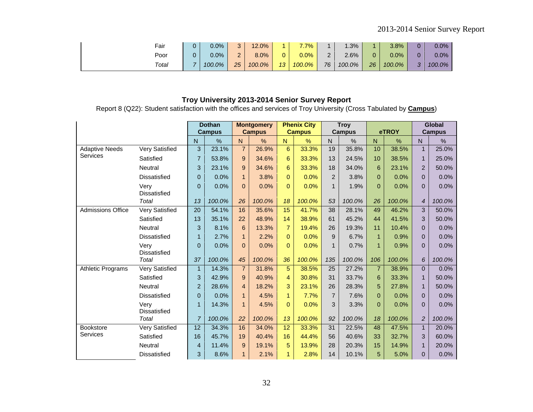| Fair  | 0.0%   | າ        | 12.0%   |                 | 7.7%    |    | 1.3%   |    | 3.8%    | 0        | 0.0%    |
|-------|--------|----------|---------|-----------------|---------|----|--------|----|---------|----------|---------|
| Poor  | 0.0%   | ົ<br>. . | $8.0\%$ | 0               | $0.0\%$ | -  | 2.6%   |    | $0.0\%$ | $\Omega$ | $0.0\%$ |
| Total | 100.0% | 25       | 100.0%  | 13 <sup>°</sup> | 100.0%  | 76 | 100.0% | 26 | 100.0%  | $\sim$   | 100.0%  |

Report 8 (Q22): Student satisfaction with the offices and services of Troy University (Cross Tabulated by **Campus**)

|                          |                             | <b>Dothan</b><br><b>Campus</b> |        | <b>Montgomery</b><br><b>Campus</b> |        | <b>Phenix City</b><br><b>Campus</b> |        | <b>Troy</b><br><b>Campus</b> |        | eTROY           |        | <b>Global</b><br><b>Campus</b> |        |
|--------------------------|-----------------------------|--------------------------------|--------|------------------------------------|--------|-------------------------------------|--------|------------------------------|--------|-----------------|--------|--------------------------------|--------|
|                          |                             | N.                             | %      | $\mathsf{N}$                       | %      | N.                                  | %      | N.                           | $\%$   | $\mathsf{N}$    | %      | $\mathsf{N}$                   | %      |
| <b>Adaptive Needs</b>    | <b>Very Satisfied</b>       | 3                              | 23.1%  | $\overline{7}$                     | 26.9%  | $6\phantom{a}$                      | 33.3%  | 19                           | 35.8%  | 10              | 38.5%  | $\overline{1}$                 | 25.0%  |
| Services                 | Satisfied                   | $\overline{7}$                 | 53.8%  | 9                                  | 34.6%  | 6                                   | 33.3%  | 13                           | 24.5%  | 10 <sup>1</sup> | 38.5%  | $\mathbf{1}$                   | 25.0%  |
|                          | Neutral                     | 3                              | 23.1%  | 9                                  | 34.6%  | 6                                   | 33.3%  | 18                           | 34.0%  | 6               | 23.1%  | $\overline{2}$                 | 50.0%  |
|                          | <b>Dissatisfied</b>         | $\overline{0}$                 | 0.0%   | $\mathbf{1}$                       | 3.8%   | $\Omega$                            | 0.0%   | $\overline{2}$               | 3.8%   | $\Omega$        | 0.0%   | $\Omega$                       | 0.0%   |
|                          | Very<br><b>Dissatisfied</b> | $\overline{0}$                 | 0.0%   | $\Omega$                           | 0.0%   | $\overline{0}$                      | 0.0%   | $\mathbf{1}$                 | 1.9%   | $\Omega$        | 0.0%   | $\mathbf{0}$                   | 0.0%   |
|                          | Total                       | 13                             | 100.0% | 26                                 | 100.0% | 18                                  | 100.0% | 53                           | 100.0% | 26              | 100.0% | $\overline{4}$                 | 100.0% |
| <b>Admissions Office</b> | <b>Very Satisfied</b>       | $\overline{20}$                | 54.1%  | 16                                 | 35.6%  | $\overline{15}$                     | 41.7%  | $\overline{38}$              | 28.1%  | 49              | 46.2%  | $\overline{3}$                 | 50.0%  |
|                          | Satisfied                   | 13                             | 35.1%  | 22                                 | 48.9%  | 14                                  | 38.9%  | 61                           | 45.2%  | 44              | 41.5%  | $\mathbf{3}$                   | 50.0%  |
|                          | Neutral                     | 3                              | 8.1%   | 6                                  | 13.3%  | $\overline{7}$                      | 19.4%  | 26                           | 19.3%  | 11              | 10.4%  | $\mathbf{0}$                   | 0.0%   |
|                          | <b>Dissatisfied</b>         | 1                              | 2.7%   | $\mathbf{1}$                       | 2.2%   | $\Omega$                            | 0.0%   | 9                            | 6.7%   | $\mathbf 1$     | 0.9%   | $\mathbf{0}$                   | 0.0%   |
|                          | Very<br><b>Dissatisfied</b> | $\overline{0}$                 | 0.0%   | $\Omega$                           | 0.0%   | $\Omega$                            | 0.0%   | 1                            | 0.7%   | 1               | 0.9%   | $\mathbf{0}$                   | 0.0%   |
|                          | Total                       | 37                             | 100.0% | 45                                 | 100.0% | 36                                  | 100.0% | 135                          | 100.0% | 106             | 100.0% | $\boldsymbol{6}$               | 100.0% |
| <b>Athletic Programs</b> | <b>Very Satisfied</b>       | $\mathbf{1}$                   | 14.3%  | $\overline{7}$                     | 31.8%  | 5                                   | 38.5%  | 25                           | 27.2%  | $\overline{7}$  | 38.9%  | $\overline{0}$                 | 0.0%   |
|                          | Satisfied                   | 3                              | 42.9%  | 9                                  | 40.9%  | 4                                   | 30.8%  | 31                           | 33.7%  | 6               | 33.3%  | $\mathbf{1}$                   | 50.0%  |
|                          | Neutral                     | $\overline{c}$                 | 28.6%  | 4                                  | 18.2%  | 3                                   | 23.1%  | 26                           | 28.3%  | 5               | 27.8%  | $\mathbf{1}$                   | 50.0%  |
|                          | <b>Dissatisfied</b>         | 0                              | 0.0%   | $\mathbf{1}$                       | 4.5%   | $\mathbf{1}$                        | 7.7%   | $\overline{7}$               | 7.6%   | $\overline{0}$  | 0.0%   | $\mathbf{0}$                   | 0.0%   |
|                          | Very<br><b>Dissatisfied</b> | 1                              | 14.3%  | $\mathbf{1}$                       | 4.5%   | $\Omega$                            | 0.0%   | 3                            | 3.3%   | $\Omega$        | 0.0%   | $\mathbf{0}$                   | 0.0%   |
|                          | Total                       | $\overline{7}$                 | 100.0% | 22                                 | 100.0% | 13                                  | 100.0% | 92                           | 100.0% | 18              | 100.0% | $\overline{2}$                 | 100.0% |
| <b>Bookstore</b>         | <b>Very Satisfied</b>       | 12                             | 34.3%  | 16                                 | 34.0%  | 12                                  | 33.3%  | 31                           | 22.5%  | 48              | 47.5%  | $\mathbf{1}$                   | 20.0%  |
| <b>Services</b>          | Satisfied                   | 16                             | 45.7%  | 19                                 | 40.4%  | 16                                  | 44.4%  | 56                           | 40.6%  | 33              | 32.7%  | 3                              | 60.0%  |
|                          | Neutral                     | 4                              | 11.4%  | 9                                  | 19.1%  | 5                                   | 13.9%  | 28                           | 20.3%  | 15              | 14.9%  | $\mathbf{1}$                   | 20.0%  |
|                          | <b>Dissatisfied</b>         | 3                              | 8.6%   | $\mathbf{1}$                       | 2.1%   | $\mathbf{1}$                        | 2.8%   | 14                           | 10.1%  | 5               | 5.0%   | $\mathbf{0}$                   | 0.0%   |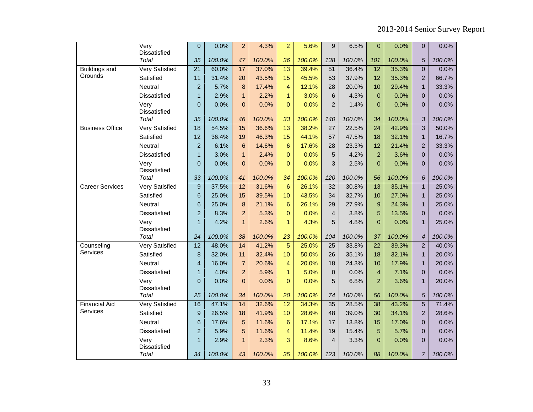|                                  | Very<br>Dissatisfied  | $\overline{0}$  | 0.0%   | $\overline{a}$  | 4.3%   | $\overline{a}$  | 5.6%   | 9                       | 6.5%   | $\overline{0}$  | 0.0%   | $\mathbf{0}$     | 0.0%   |
|----------------------------------|-----------------------|-----------------|--------|-----------------|--------|-----------------|--------|-------------------------|--------|-----------------|--------|------------------|--------|
|                                  | Total                 | 35              | 100.0% | 47              | 100.0% | 36              | 100.0% | 138                     | 100.0% | 101             | 100.0% | 5                | 100.0% |
| <b>Buildings and</b>             | <b>Very Satisfied</b> | $\overline{21}$ | 60.0%  | 17              | 37.0%  | $\overline{13}$ | 39.4%  | $\overline{51}$         | 36.4%  | $\overline{12}$ | 35.3%  | $\overline{0}$   | 0.0%   |
| Grounds                          | Satisfied             | 11              | 31.4%  | 20              | 43.5%  | 15              | 45.5%  | 53                      | 37.9%  | 12              | 35.3%  | $\mathbf 2$      | 66.7%  |
|                                  | Neutral               | $\overline{a}$  | 5.7%   | 8               | 17.4%  | 4               | 12.1%  | 28                      | 20.0%  | 10              | 29.4%  | $\mathbf{1}$     | 33.3%  |
|                                  | Dissatisfied          | $\mathbf{1}$    | 2.9%   | $\mathbf{1}$    | 2.2%   | $\mathbf{1}$    | 3.0%   | $\,$ 6 $\,$             | 4.3%   | $\Omega$        | 0.0%   | $\mathbf 0$      | 0.0%   |
|                                  | Very<br>Dissatisfied  | $\overline{0}$  | 0.0%   | $\overline{0}$  | 0.0%   | $\Omega$        | 0.0%   | $\overline{2}$          | 1.4%   | $\Omega$        | 0.0%   | $\overline{0}$   | 0.0%   |
|                                  | Total                 | 35              | 100.0% | 46              | 100.0% | 33              | 100.0% | 140                     | 100.0% | 34              | 100.0% | $\mathfrak{Z}$   | 100.0% |
| <b>Business Office</b>           | <b>Very Satisfied</b> | $\overline{18}$ | 54.5%  | 15              | 36.6%  | 13              | 38.2%  | $\overline{27}$         | 22.5%  | $\overline{24}$ | 42.9%  | $\overline{3}$   | 50.0%  |
|                                  | Satisfied             | 12              | 36.4%  | 19              | 46.3%  | 15              | 44.1%  | 57                      | 47.5%  | 18              | 32.1%  | $\mathbf{1}$     | 16.7%  |
|                                  | Neutral               | $\overline{a}$  | 6.1%   | $6\phantom{1}6$ | 14.6%  | $6\phantom{1}6$ | 17.6%  | 28                      | 23.3%  | 12              | 21.4%  | $\overline{2}$   | 33.3%  |
|                                  | Dissatisfied          | $\mathbf{1}$    | 3.0%   | $\mathbf{1}$    | 2.4%   | $\mathbf{0}$    | 0.0%   | 5                       | 4.2%   | 2               | 3.6%   | $\mathbf{0}$     | 0.0%   |
|                                  | Very<br>Dissatisfied  | $\overline{0}$  | 0.0%   | $\Omega$        | 0.0%   | $\Omega$        | 0.0%   | 3                       | 2.5%   | $\Omega$        | 0.0%   | $\mathbf{0}$     | 0.0%   |
|                                  | Total                 | 33              | 100.0% | 41              | 100.0% | 34              | 100.0% | 120                     | 100.0% | 56              | 100.0% | 6                | 100.0% |
| <b>Career Services</b>           | <b>Very Satisfied</b> | 9               | 37.5%  | $\overline{12}$ | 31.6%  | 6               | 26.1%  | $\overline{32}$         | 30.8%  | 13              | 35.1%  | $\mathbf{1}$     | 25.0%  |
|                                  | Satisfied             | 6               | 25.0%  | 15              | 39.5%  | 10              | 43.5%  | 34                      | 32.7%  | 10              | 27.0%  | $\mathbf{1}$     | 25.0%  |
|                                  | Neutral               | 6               | 25.0%  | 8               | 21.1%  | $6\phantom{1}6$ | 26.1%  | 29                      | 27.9%  | 9               | 24.3%  | $\mathbf{1}$     | 25.0%  |
|                                  | <b>Dissatisfied</b>   | $\overline{a}$  | 8.3%   | $\overline{2}$  | 5.3%   | $\overline{0}$  | 0.0%   | $\overline{\mathbf{4}}$ | 3.8%   | 5               | 13.5%  | $\mathbf 0$      | 0.0%   |
|                                  | Very<br>Dissatisfied  | $\mathbf{1}$    | 4.2%   | $\mathbf{1}$    | 2.6%   | $\mathbf{1}$    | 4.3%   | 5                       | 4.8%   | $\mathbf{0}$    | 0.0%   | $\mathbf{1}$     | 25.0%  |
|                                  | Total                 | 24              | 100.0% | 38              | 100.0% | 23              | 100.0% | 104                     | 100.0% | 37              | 100.0% | $\boldsymbol{4}$ | 100.0% |
| Counseling                       | <b>Very Satisfied</b> | $\overline{12}$ | 48.0%  | 14              | 41.2%  | $\overline{5}$  | 25.0%  | $\overline{25}$         | 33.8%  | $\overline{22}$ | 39.3%  | $\overline{2}$   | 40.0%  |
| Services                         | Satisfied             | 8               | 32.0%  | 11              | 32.4%  | 10              | 50.0%  | 26                      | 35.1%  | 18              | 32.1%  | $\mathbf{1}$     | 20.0%  |
|                                  | Neutral               | $\overline{4}$  | 16.0%  | $\overline{7}$  | 20.6%  | $\overline{4}$  | 20.0%  | 18                      | 24.3%  | 10              | 17.9%  | $\mathbf{1}$     | 20.0%  |
|                                  | Dissatisfied          | $\mathbf{1}$    | 4.0%   | $\overline{a}$  | 5.9%   | $\mathbf{1}$    | 5.0%   | $\boldsymbol{0}$        | 0.0%   | $\overline{4}$  | 7.1%   | $\mathbf 0$      | 0.0%   |
|                                  | Very<br>Dissatisfied  | $\mathbf 0$     | 0.0%   | $\overline{0}$  | 0.0%   | $\overline{0}$  | 0.0%   | 5                       | 6.8%   | $\overline{2}$  | 3.6%   | $\mathbf{1}$     | 20.0%  |
|                                  | Total                 | 25              | 100.0% | 34              | 100.0% | 20              | 100.0% | 74                      | 100.0% | 56              | 100.0% | $\sqrt{5}$       | 100.0% |
| <b>Financial Aid</b><br>Services | <b>Very Satisfied</b> | 16              | 47.1%  | $\overline{14}$ | 32.6%  | 12              | 34.3%  | $\overline{35}$         | 28.5%  | $\overline{38}$ | 43.2%  | $\overline{5}$   | 71.4%  |
|                                  | Satisfied             | 9               | 26.5%  | 18              | 41.9%  | 10              | 28.6%  | 48                      | 39.0%  | 30              | 34.1%  | $\overline{2}$   | 28.6%  |
|                                  | Neutral               | 6               | 17.6%  | 5               | 11.6%  | $6\phantom{1}6$ | 17.1%  | 17                      | 13.8%  | 15              | 17.0%  | $\mathbf{0}$     | 0.0%   |
|                                  | Dissatisfied          | $\overline{2}$  | 5.9%   | 5               | 11.6%  | $\overline{4}$  | 11.4%  | 19                      | 15.4%  | 5               | 5.7%   | $\pmb{0}$        | 0.0%   |
|                                  | Very<br>Dissatisfied  | $\mathbf{1}$    | 2.9%   | $\mathbf{1}$    | 2.3%   | 3               | 8.6%   | $\overline{4}$          | 3.3%   | $\overline{0}$  | 0.0%   | $\pmb{0}$        | 0.0%   |
|                                  | Total                 | 34              | 100.0% | 43              | 100.0% | 35              | 100.0% | 123                     | 100.0% | 88              | 100.0% | 7                | 100.0% |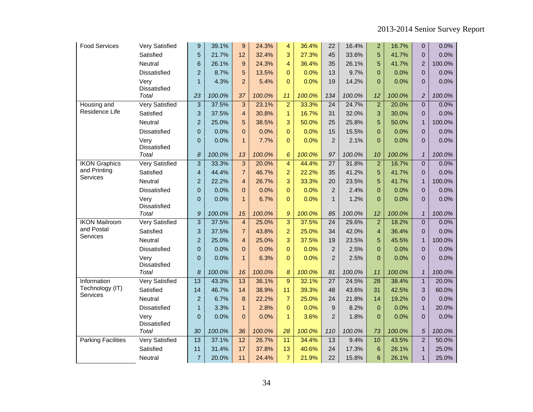| <b>Food Services</b>        | Very Satisfied        | 9                       | 39.1%  | 9                       | 24.3%  | $\overline{4}$ | 36.4%  | 22              | 16.4%  | $\overline{2}$  | 16.7%  | $\mathbf{0}$               | 0.0%   |
|-----------------------------|-----------------------|-------------------------|--------|-------------------------|--------|----------------|--------|-----------------|--------|-----------------|--------|----------------------------|--------|
|                             | Satisfied             | 5                       | 21.7%  | 12                      | 32.4%  | 3              | 27.3%  | 45              | 33.6%  | 5               | 41.7%  | $\pmb{0}$                  | 0.0%   |
|                             | Neutral               | 6                       | 26.1%  | 9                       | 24.3%  | 4              | 36.4%  | 35              | 26.1%  | 5               | 41.7%  | $\overline{2}$             | 100.0% |
|                             | Dissatisfied          | $\overline{2}$          | 8.7%   | 5                       | 13.5%  | $\Omega$       | 0.0%   | 13              | 9.7%   | $\Omega$        | 0.0%   | $\overline{0}$             | 0.0%   |
|                             | Very<br>Dissatisfied  | $\mathbf{1}$            | 4.3%   | $\overline{2}$          | 5.4%   | $\Omega$       | 0.0%   | 19              | 14.2%  | $\Omega$        | 0.0%   | $\overline{0}$             | 0.0%   |
|                             | Total                 | 23                      | 100.0% | 37                      | 100.0% | 11             | 100.0% | 134             | 100.0% | 12              | 100.0% | $\sqrt{2}$                 | 100.0% |
| Housing and                 | <b>Very Satisfied</b> | 3                       | 37.5%  | 3                       | 23.1%  | $\overline{a}$ | 33.3%  | 24              | 24.7%  | $\overline{2}$  | 20.0%  | $\mathbf{0}$               | 0.0%   |
| Residence Life              | Satisfied             | 3                       | 37.5%  | $\overline{4}$          | 30.8%  | $\mathbf{1}$   | 16.7%  | 31              | 32.0%  | 3               | 30.0%  | $\Omega$                   | 0.0%   |
|                             | Neutral               | $\overline{a}$          | 25.0%  | 5                       | 38.5%  | 3              | 50.0%  | 25              | 25.8%  | 5               | 50.0%  | $\mathbf{1}$               | 100.0% |
|                             | Dissatisfied          | $\pmb{0}$               | 0.0%   | $\overline{0}$          | 0.0%   | $\mathbf 0$    | 0.0%   | 15              | 15.5%  | $\overline{0}$  | 0.0%   | $\pmb{0}$                  | 0.0%   |
|                             | Very<br>Dissatisfied  | $\overline{0}$          | 0.0%   | $\mathbf{1}$            | 7.7%   | $\Omega$       | 0.0%   | $\overline{2}$  | 2.1%   | $\Omega$        | 0.0%   | $\Omega$                   | 0.0%   |
|                             | Total                 | 8                       | 100.0% | 13                      | 100.0% | 6              | 100.0% | 97              | 100.0% | 10              | 100.0% | $\mathbf{1}$               | 100.0% |
| <b>IKON Graphics</b>        | <b>Very Satisfied</b> | 3                       | 33.3%  | 3                       | 20.0%  | $\overline{4}$ | 44.4%  | $\overline{27}$ | 31.8%  | $\overline{2}$  | 16.7%  | $\mathbf 0$                | 0.0%   |
| and Printing<br>Services    | Satisfied             | $\overline{\mathbf{4}}$ | 44.4%  | $\overline{7}$          | 46.7%  | $\overline{a}$ | 22.2%  | 35              | 41.2%  | 5               | 41.7%  | $\mathbf{0}$               | 0.0%   |
|                             | Neutral               | $\overline{2}$          | 22.2%  | $\overline{\mathbf{4}}$ | 26.7%  | 3              | 33.3%  | 20              | 23.5%  | 5               | 41.7%  | $\mathbf{1}$               | 100.0% |
|                             | Dissatisfied          | $\mathbf 0$             | 0.0%   | 0                       | 0.0%   | $\mathbf 0$    | 0.0%   | $\overline{2}$  | 2.4%   | $\overline{0}$  | 0.0%   | $\pmb{0}$                  | 0.0%   |
|                             | Very<br>Dissatisfied  | $\overline{0}$          | 0.0%   | $\mathbf{1}$            | 6.7%   | $\overline{0}$ | 0.0%   | $\mathbf{1}$    | 1.2%   | $\Omega$        | 0.0%   | $\overline{0}$             | 0.0%   |
|                             | <b>Total</b>          | $\mathcal{G}$           | 100.0% | 15                      | 100.0% | $\mathcal{G}$  | 100.0% | 85              | 100.0% | 12              | 100.0% | $\boldsymbol{\mathcal{I}}$ | 100.0% |
| <b>IKON Mailroom</b>        | <b>Very Satisfied</b> | $\overline{3}$          | 37.5%  | $\overline{\mathbf{4}}$ | 25.0%  | $\overline{3}$ | 37.5%  | $\overline{24}$ | 29.6%  | $\overline{2}$  | 18.2%  | $\mathbf 0$                | 0.0%   |
| and Postal                  | Satisfied             | 3                       | 37.5%  | $\overline{7}$          | 43.8%  | $\overline{a}$ | 25.0%  | 34              | 42.0%  | $\overline{4}$  | 36.4%  | $\mathbf{0}$               | 0.0%   |
| Services                    | Neutral               | $\overline{2}$          | 25.0%  | $\overline{\mathbf{4}}$ | 25.0%  | 3              | 37.5%  | 19              | 23.5%  | 5               | 45.5%  | $\mathbf{1}$               | 100.0% |
|                             | <b>Dissatisfied</b>   | $\mathbf 0$             | 0.0%   | $\overline{0}$          | 0.0%   | $\overline{0}$ | 0.0%   | $\overline{c}$  | 2.5%   | $\Omega$        | 0.0%   | $\overline{0}$             | 0.0%   |
|                             | Very<br>Dissatisfied  | $\mathbf 0$             | 0.0%   | $\mathbf{1}$            | 6.3%   | $\overline{0}$ | 0.0%   | $\overline{2}$  | 2.5%   | $\overline{0}$  | 0.0%   | $\overline{0}$             | 0.0%   |
|                             | Total                 | 8                       | 100.0% | 16                      | 100.0% | 8              | 100.0% | 81              | 100.0% | 11              | 100.0% | $\mathbf{1}$               | 100.0% |
| Information                 | <b>Very Satisfied</b> | $\overline{13}$         | 43.3%  | 13                      | 36.1%  | 9              | 32.1%  | $\overline{27}$ | 24.5%  | $\overline{28}$ | 38.4%  | $\mathbf{1}$               | 20.0%  |
| Technology (IT)<br>Services | Satisfied             | 14                      | 46.7%  | 14                      | 38.9%  | 11             | 39.3%  | 48              | 43.6%  | 31              | 42.5%  | 3                          | 60.0%  |
|                             | Neutral               | $\overline{2}$          | 6.7%   | 8                       | 22.2%  | $\overline{7}$ | 25.0%  | 24              | 21.8%  | 14              | 19.2%  | $\overline{0}$             | 0.0%   |
|                             | Dissatisfied          | $\mathbf{1}$            | 3.3%   | $\mathbf{1}$            | 2.8%   | $\overline{0}$ | 0.0%   | 9               | 8.2%   | $\overline{0}$  | 0.0%   | $\mathbf{1}$               | 20.0%  |
|                             | Very<br>Dissatisfied  | $\overline{0}$          | 0.0%   | $\overline{0}$          | 0.0%   | $\mathbf{1}$   | 3.6%   | $\overline{2}$  | 1.8%   | $\Omega$        | 0.0%   | $\mathbf 0$                | 0.0%   |
|                             | Total                 | 30                      | 100.0% | 36                      | 100.0% | 28             | 100.0% | 110             | 100.0% | 73              | 100.0% | 5                          | 100.0% |
| <b>Parking Facilities</b>   | <b>Very Satisfied</b> | $\overline{13}$         | 37.1%  | $\overline{12}$         | 26.7%  | 11             | 34.4%  | 13              | 9.4%   | 10              | 43.5%  | $\overline{2}$             | 50.0%  |
|                             | Satisfied             | 11                      | 31.4%  | 17                      | 37.8%  | 13             | 40.6%  | 24              | 17.3%  | $6\phantom{1}6$ | 26.1%  | $\mathbf{1}$               | 25.0%  |
|                             | Neutral               | $\overline{7}$          | 20.0%  | 11                      | 24.4%  | $\overline{7}$ | 21.9%  | 22              | 15.8%  | $6\phantom{1}6$ | 26.1%  | $\mathbf{1}$               | 25.0%  |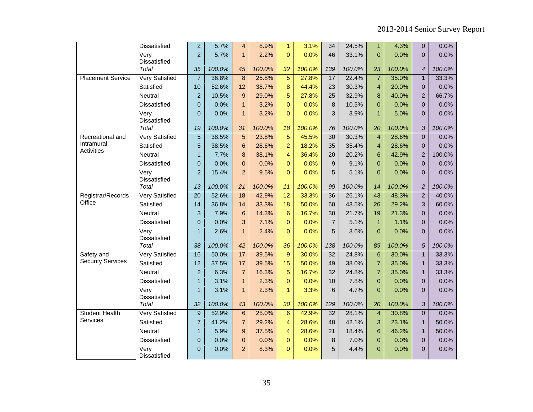|                          | Dissatisfied                | $\overline{2}$  | 5.7%   | $\overline{4}$  | 8.9%   | $\mathbf{1}$    | 3.1%   | 34               | 24.5%  | $\mathbf{1}$    | 4.3%   | $\mathbf{0}$     | 0.0%   |
|--------------------------|-----------------------------|-----------------|--------|-----------------|--------|-----------------|--------|------------------|--------|-----------------|--------|------------------|--------|
|                          | Very                        | $\overline{2}$  | 5.7%   | $\mathbf{1}$    | 2.2%   | $\Omega$        | 0.0%   | 46               | 33.1%  | $\overline{0}$  | 0.0%   | $\overline{0}$   | 0.0%   |
|                          | Dissatisfied                |                 |        |                 |        |                 |        |                  |        |                 |        |                  |        |
|                          | Total                       | 35              | 100.0% | 45              | 100.0% | 32              | 100.0% | 139              | 100.0% | 23              | 100.0% | $\boldsymbol{4}$ | 100.0% |
| <b>Placement Service</b> | <b>Very Satisfied</b>       | $\overline{7}$  | 36.8%  | 8               | 25.8%  | $\overline{5}$  | 27.8%  | 17               | 22.4%  | $\overline{7}$  | 35.0%  | $\mathbf{1}$     | 33.3%  |
|                          | Satisfied                   | 10              | 52.6%  | 12              | 38.7%  | $\bf 8$         | 44.4%  | 23               | 30.3%  | $\overline{4}$  | 20.0%  | $\mathbf{0}$     | 0.0%   |
|                          | Neutral                     | $\overline{2}$  | 10.5%  | 9               | 29.0%  | 5               | 27.8%  | 25               | 32.9%  | 8               | 40.0%  | $\overline{2}$   | 66.7%  |
|                          | Dissatisfied                | $\pmb{0}$       | 0.0%   | $\mathbf{1}$    | 3.2%   | $\mathbf 0$     | 0.0%   | $\bf8$           | 10.5%  | $\overline{0}$  | 0.0%   | $\mathbf 0$      | 0.0%   |
|                          | Very<br>Dissatisfied        | $\overline{0}$  | 0.0%   | $\mathbf{1}$    | 3.2%   | $\Omega$        | 0.0%   | 3                | 3.9%   | $\mathbf{1}$    | 5.0%   | $\overline{0}$   | 0.0%   |
|                          | Total                       | 19              | 100.0% | 31              | 100.0% | 18              | 100.0% | 76               | 100.0% | 20              | 100.0% | 3                | 100.0% |
| Recreational and         | <b>Very Satisfied</b>       | $\overline{5}$  | 38.5%  | $\overline{5}$  | 23.8%  | $\overline{5}$  | 45.5%  | $\overline{30}$  | 30.3%  | $\overline{4}$  | 28.6%  | $\overline{0}$   | 0.0%   |
| Intramural               | Satisfied                   | 5               | 38.5%  | 6               | 28.6%  | $\overline{a}$  | 18.2%  | 35               | 35.4%  | $\overline{4}$  | 28.6%  | $\mathbf{0}$     | 0.0%   |
| <b>Activities</b>        | Neutral                     | $\mathbf{1}$    | 7.7%   | 8               | 38.1%  | $\overline{4}$  | 36.4%  | 20               | 20.2%  | $6\phantom{1}6$ | 42.9%  | $\overline{2}$   | 100.0% |
|                          | Dissatisfied                | $\pmb{0}$       | 0.0%   | $\overline{0}$  | 0.0%   | $\overline{0}$  | 0.0%   | $\boldsymbol{9}$ | 9.1%   | $\mathbf{0}$    | 0.0%   | $\pmb{0}$        | 0.0%   |
|                          | Very<br>Dissatisfied        | $\overline{2}$  | 15.4%  | $\overline{2}$  | 9.5%   | $\Omega$        | 0.0%   | 5                | 5.1%   | $\Omega$        | 0.0%   | $\mathbf{0}$     | 0.0%   |
|                          | Total                       | 13              | 100.0% | 21              | 100.0% | 11              | 100.0% | 99               | 100.0% | 14              | 100.0% | $\overline{c}$   | 100.0% |
| Registrar/Records        | <b>Very Satisfied</b>       | $\overline{20}$ | 52.6%  | $\overline{18}$ | 42.9%  | $\overline{12}$ | 33.3%  | $\overline{36}$  | 26.1%  | $\overline{43}$ | 48.3%  | $\overline{2}$   | 40.0%  |
| Office                   | Satisfied                   | 14              | 36.8%  | 14              | 33.3%  | 18              | 50.0%  | 60               | 43.5%  | 26              | 29.2%  | 3                | 60.0%  |
|                          | Neutral                     | 3               | 7.9%   | $6\phantom{1}6$ | 14.3%  | $6\phantom{1}$  | 16.7%  | 30               | 21.7%  | 19              | 21.3%  | $\pmb{0}$        | 0.0%   |
|                          | <b>Dissatisfied</b>         | $\overline{0}$  | 0.0%   | 3               | 7.1%   | $\overline{0}$  | 0.0%   | $\overline{7}$   | 5.1%   | $\overline{1}$  | 1.1%   | $\mathbf{0}$     | 0.0%   |
|                          | Very<br>Dissatisfied        | $\mathbf{1}$    | 2.6%   | $\mathbf{1}$    | 2.4%   | $\Omega$        | 0.0%   | 5                | 3.6%   | $\Omega$        | 0.0%   | $\overline{0}$   | 0.0%   |
|                          | <b>Total</b>                | 38              | 100.0% | 42              | 100.0% | 36              | 100.0% | 138              | 100.0% | 89              | 100.0% | $\sqrt{5}$       | 100.0% |
| Safety and               | <b>Very Satisfied</b>       | 16              | 50.0%  | 17              | 39.5%  | 9               | 30.0%  | 32               | 24.8%  | $6\phantom{1}6$ | 30.0%  | $\mathbf{1}$     | 33.3%  |
| <b>Security Services</b> | Satisfied                   | 12              | 37.5%  | 17              | 39.5%  | 15              | 50.0%  | 49               | 38.0%  | $\overline{7}$  | 35.0%  | $\mathbf{1}$     | 33.3%  |
|                          | Neutral                     | $\overline{a}$  | 6.3%   | $\overline{7}$  | 16.3%  | 5               | 16.7%  | 32               | 24.8%  | $\overline{7}$  | 35.0%  | $\mathbf{1}$     | 33.3%  |
|                          | <b>Dissatisfied</b>         | $\mathbf{1}$    | 3.1%   | $\mathbf{1}$    | 2.3%   | $\overline{0}$  | 0.0%   | 10               | 7.8%   | $\overline{0}$  | 0.0%   | $\pmb{0}$        | 0.0%   |
|                          | Very<br><b>Dissatisfied</b> | $\mathbf{1}$    | 3.1%   | $\mathbf{1}$    | 2.3%   | $\mathbf{1}$    | 3.3%   | 6                | 4.7%   | $\Omega$        | 0.0%   | $\mathbf{0}$     | 0.0%   |
|                          | Total                       | 32              | 100.0% | 43              | 100.0% | 30              | 100.0% | 129              | 100.0% | 20              | 100.0% | $\sqrt{3}$       | 100.0% |
| <b>Student Health</b>    | <b>Very Satisfied</b>       | $\mathsf g$     | 52.9%  | 6               | 25.0%  | $6\phantom{1}$  | 42.9%  | 32               | 28.1%  | $\overline{4}$  | 30.8%  | $\overline{0}$   | 0.0%   |
| Services                 | Satisfied                   | $\overline{7}$  | 41.2%  | $\overline{7}$  | 29.2%  | 4               | 28.6%  | 48               | 42.1%  | 3               | 23.1%  | $\mathbf{1}$     | 50.0%  |
|                          | Neutral                     | $\mathbf{1}$    | 5.9%   | 9               | 37.5%  | 4               | 28.6%  | 21               | 18.4%  | $6\phantom{1}6$ | 46.2%  | $\mathbf{1}$     | 50.0%  |
|                          | <b>Dissatisfied</b>         | $\mathbf 0$     | 0.0%   | $\overline{0}$  | 0.0%   | $\overline{0}$  | 0.0%   | 8                | 7.0%   | $\Omega$        | 0.0%   | $\pmb{0}$        | 0.0%   |
|                          | Very<br>Dissatisfied        | $\overline{0}$  | 0.0%   | $\overline{2}$  | 8.3%   | $\overline{0}$  | 0.0%   | 5                | 4.4%   | $\overline{0}$  | 0.0%   | 0                | 0.0%   |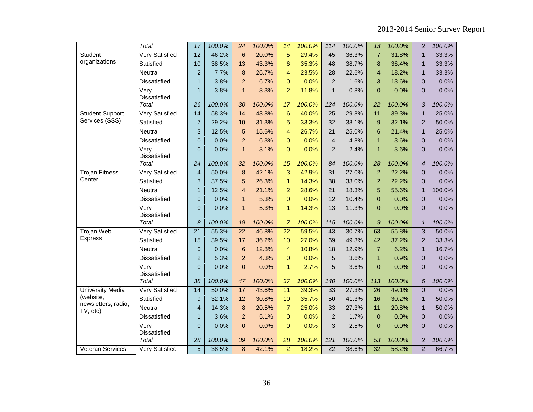|                                  | Total                       | 17              | 100.0% | 24              | 100.0% | 14              | 100.0% | 114                     | 100.0% | 13               | 100.0% | $\overline{c}$ | 100.0% |
|----------------------------------|-----------------------------|-----------------|--------|-----------------|--------|-----------------|--------|-------------------------|--------|------------------|--------|----------------|--------|
| Student                          | <b>Very Satisfied</b>       | $\overline{12}$ | 46.2%  | $6\phantom{1}$  | 20.0%  | $\overline{5}$  | 29.4%  | 45                      | 36.3%  | $\overline{7}$   | 31.8%  | $\overline{1}$ | 33.3%  |
| organizations                    | Satisfied                   | 10              | 38.5%  | 13              | 43.3%  | $6\phantom{1}$  | 35.3%  | 48                      | 38.7%  | 8                | 36.4%  | $\mathbf{1}$   | 33.3%  |
|                                  | Neutral                     | $\overline{2}$  | 7.7%   | 8               | 26.7%  | 4               | 23.5%  | 28                      | 22.6%  | $\overline{4}$   | 18.2%  | $\mathbf{1}$   | 33.3%  |
|                                  | Dissatisfied                | $\mathbf{1}$    | 3.8%   | $\overline{a}$  | 6.7%   | $\mathbf{0}$    | 0.0%   | $\mathbf 2$             | 1.6%   | 3                | 13.6%  | 0              | 0.0%   |
|                                  | Very<br>Dissatisfied        | $\mathbf{1}$    | 3.8%   | $\mathbf{1}$    | 3.3%   | $\overline{2}$  | 11.8%  | $\mathbf{1}$            | 0.8%   | $\overline{0}$   | 0.0%   | $\pmb{0}$      | 0.0%   |
|                                  | Total                       | 26              | 100.0% | 30              | 100.0% | 17              | 100.0% | 124                     | 100.0% | 22               | 100.0% | 3              | 100.0% |
| <b>Student Support</b>           | <b>Very Satisfied</b>       | 14              | 58.3%  | 14              | 43.8%  | $6\phantom{1}$  | 40.0%  | $\overline{25}$         | 29.8%  | 11               | 39.3%  | $\overline{1}$ | 25.0%  |
| Services (SSS)                   | Satisfied                   | $\overline{7}$  | 29.2%  | 10              | 31.3%  | 5               | 33.3%  | 32                      | 38.1%  | 9                | 32.1%  | $\overline{2}$ | 50.0%  |
|                                  | Neutral                     | 3               | 12.5%  | 5               | 15.6%  | 4               | 26.7%  | 21                      | 25.0%  | 6                | 21.4%  | $\mathbf{1}$   | 25.0%  |
|                                  | Dissatisfied                | $\pmb{0}$       | 0.0%   | $\overline{2}$  | 6.3%   | $\overline{0}$  | 0.0%   | $\overline{\mathbf{4}}$ | 4.8%   | $\mathbf{1}$     | 3.6%   | $\pmb{0}$      | 0.0%   |
|                                  | Very<br>Dissatisfied        | $\overline{0}$  | 0.0%   | $\mathbf{1}$    | 3.1%   | $\overline{0}$  | 0.0%   | $\overline{c}$          | 2.4%   | $\mathbf{1}$     | 3.6%   | $\pmb{0}$      | 0.0%   |
|                                  | Total                       | 24              | 100.0% | 32              | 100.0% | 15              | 100.0% | 84                      | 100.0% | 28               | 100.0% | $\overline{4}$ | 100.0% |
| <b>Trojan Fitness</b>            | <b>Very Satisfied</b>       | $\overline{4}$  | 50.0%  | 8               | 42.1%  | 3               | 42.9%  | 31                      | 27.0%  | $\overline{2}$   | 22.2%  | 0              | 0.0%   |
| Center                           | Satisfied                   | 3               | 37.5%  | 5               | 26.3%  | $\mathbf{1}$    | 14.3%  | 38                      | 33.0%  | $\overline{2}$   | 22.2%  | $\mathbf{0}$   | 0.0%   |
|                                  | Neutral                     | $\mathbf{1}$    | 12.5%  | $\overline{4}$  | 21.1%  | $\overline{a}$  | 28.6%  | 21                      | 18.3%  | 5                | 55.6%  | $\mathbf{1}$   | 100.0% |
|                                  | Dissatisfied                | $\mathbf 0$     | 0.0%   | $\mathbf{1}$    | 5.3%   | $\mathbf{0}$    | 0.0%   | 12                      | 10.4%  | $\overline{0}$   | 0.0%   | $\pmb{0}$      | 0.0%   |
|                                  | Very<br>Dissatisfied        | $\overline{0}$  | 0.0%   | $\mathbf{1}$    | 5.3%   | $\mathbf{1}$    | 14.3%  | 13                      | 11.3%  | $\Omega$         | 0.0%   | 0              | 0.0%   |
|                                  | Total                       | 8               | 100.0% | 19              | 100.0% | 7               | 100.0% | 115                     | 100.0% | 9                | 100.0% | $\mathbf{1}$   | 100.0% |
| <b>Trojan Web</b>                | <b>Very Satisfied</b>       | $\overline{21}$ | 55.3%  | $\overline{22}$ | 46.8%  | $\overline{22}$ | 59.5%  | 43                      | 30.7%  | 63               | 55.8%  | $\overline{3}$ | 50.0%  |
| <b>Express</b>                   | Satisfied                   | 15              | 39.5%  | 17              | 36.2%  | 10              | 27.0%  | 69                      | 49.3%  | 42               | 37.2%  | $\overline{c}$ | 33.3%  |
|                                  | Neutral                     | $\mathbf 0$     | 0.0%   | 6               | 12.8%  | $\overline{4}$  | 10.8%  | 18                      | 12.9%  | $\overline{7}$   | 6.2%   | $\mathbf{1}$   | 16.7%  |
|                                  | <b>Dissatisfied</b>         | $\overline{2}$  | 5.3%   | $\overline{2}$  | 4.3%   | $\overline{0}$  | 0.0%   | 5                       | 3.6%   | $\mathbf{1}$     | 0.9%   | $\pmb{0}$      | 0.0%   |
|                                  | Very<br><b>Dissatisfied</b> | $\mathbf 0$     | 0.0%   | $\mathbf 0$     | 0.0%   | $\mathbf{1}$    | 2.7%   | 5                       | 3.6%   | $\overline{0}$   | 0.0%   | $\pmb{0}$      | 0.0%   |
|                                  | Total                       | 38              | 100.0% | 47              | 100.0% | 37              | 100.0% | 140                     | 100.0% | 113              | 100.0% | 6              | 100.0% |
| <b>University Media</b>          | <b>Very Satisfied</b>       | $\overline{14}$ | 50.0%  | 17              | 43.6%  | 11              | 39.3%  | 33                      | 27.3%  | $\overline{26}$  | 49.1%  | $\overline{0}$ | 0.0%   |
| (website,<br>newsletters, radio, | Satisfied                   | 9               | 32.1%  | 12              | 30.8%  | 10              | 35.7%  | 50                      | 41.3%  | 16               | 30.2%  | $\mathbf{1}$   | 50.0%  |
| TV, etc)                         | Neutral                     | $\overline{4}$  | 14.3%  | 8               | 20.5%  | $\overline{7}$  | 25.0%  | 33                      | 27.3%  | 11               | 20.8%  | $\mathbf{1}$   | 50.0%  |
|                                  | Dissatisfied                | $\mathbf{1}$    | 3.6%   | $\overline{a}$  | 5.1%   | $\mathbf 0$     | 0.0%   | $\mathbf 2$             | 1.7%   | $\boldsymbol{0}$ | 0.0%   | $\pmb{0}$      | 0.0%   |
|                                  | Very<br><b>Dissatisfied</b> | $\pmb{0}$       | 0.0%   | $\overline{0}$  | 0.0%   | $\Omega$        | 0.0%   | 3                       | 2.5%   | $\overline{0}$   | 0.0%   | $\pmb{0}$      | 0.0%   |
|                                  | Total                       | 28              | 100.0% | 39              | 100.0% | 28              | 100.0% | 121                     | 100.0% | 53               | 100.0% | $\overline{c}$ | 100.0% |
| Veteran Services                 | <b>Very Satisfied</b>       | $\overline{5}$  | 38.5%  | $\overline{8}$  | 42.1%  | $\overline{2}$  | 18.2%  | $\overline{22}$         | 38.6%  | $\overline{32}$  | 58.2%  | $\overline{2}$ | 66.7%  |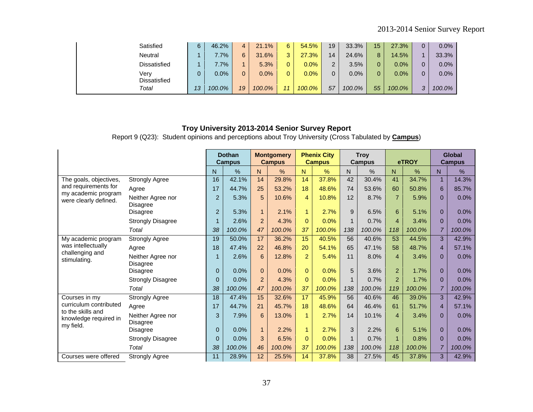| Satisfied      | 6  | 46.2%   | 4  | 21.1%  | 6                 | 54.5%        | 19 | 33.3%  | 15 <sub>1</sub> | 27.3%  | 0.0%   |
|----------------|----|---------|----|--------|-------------------|--------------|----|--------|-----------------|--------|--------|
| <b>Neutral</b> |    | $.7\%$  | 6  | 31.6%  | $\mathbf{P}$<br>J | $.3\%$<br>27 | 14 | 24.6%  | 8               | 14.5%  | 33.3%  |
| Dissatisfied   |    | $7.7\%$ |    | 5.3%   | 0                 | $0.0\%$      | 2  | 3.5%   | 0               | 0.0%   | 0.0%   |
| Verv           |    | 0.0%    |    | 0.0%   | 0                 | $0.0\%$      | 0  | 0.0%   | 0               | 0.0%   | 0.0%   |
| Dissatisfied   |    |         |    |        |                   |              |    |        |                 |        |        |
| Total          | 13 | 100.0%  | 19 | 100.0% | 11                | 100.0%       | 57 | 100.0% | 55              | 100.0% | 100.0% |

Report 9 (Q23): Student opinions and perceptions about Troy University (Cross Tabulated by **Campus**)

|                                                         |                                      |                | <b>Dothan</b><br><b>Campus</b> |                | <b>Montgomery</b><br><b>Campus</b> |                | <b>Phenix City</b><br><b>Campus</b> |              | <b>Troy</b><br>Campus |                | eTROY  |                | <b>Global</b><br><b>Campus</b> |
|---------------------------------------------------------|--------------------------------------|----------------|--------------------------------|----------------|------------------------------------|----------------|-------------------------------------|--------------|-----------------------|----------------|--------|----------------|--------------------------------|
|                                                         |                                      | N              | $\%$                           | N.             | %                                  | N.             | $\%$                                | N.           | $\frac{0}{0}$         | N              | $\%$   | N.             | %                              |
| The goals, objectives,                                  | <b>Strongly Agree</b>                | 16             | 42.1%                          | 14             | 29.8%                              | 14             | 37.8%                               | 42           | 30.4%                 | 41             | 34.7%  |                | 14.3%                          |
| and requirements for                                    | Agree                                | 17             | 44.7%                          | 25             | 53.2%                              | 18             | 48.6%                               | 74           | 53.6%                 | 60             | 50.8%  | 6              | 85.7%                          |
| my academic program<br>were clearly defined.            | Neither Agree nor<br>Disagree        | $\overline{2}$ | 5.3%                           | 5              | 10.6%                              | 4              | 10.8%                               | 12           | 8.7%                  | $\overline{7}$ | 5.9%   | $\Omega$       | 0.0%                           |
|                                                         | Disagree                             | $\overline{2}$ | 5.3%                           | $\mathbf{1}$   | 2.1%                               | $\mathbf{1}$   | 2.7%                                | 9            | 6.5%                  | 6              | 5.1%   | $\Omega$       | 0.0%                           |
|                                                         | <b>Strongly Disagree</b>             | $\mathbf{1}$   | 2.6%                           | 2              | 4.3%                               | $\Omega$       | 0.0%                                | $\mathbf 1$  | 0.7%                  | $\overline{4}$ | 3.4%   | $\Omega$       | 0.0%                           |
|                                                         | Total                                | 38             | 100.0%                         | 47             | 100.0%                             | 37             | 100.0%                              | 138          | 100.0%                | 118            | 100.0% |                | 100.0%                         |
| My academic program                                     | <b>Strongly Agree</b>                | 19             | 50.0%                          | 17             | 36.2%                              | 15             | 40.5%                               | 56           | 40.6%                 | 53             | 44.5%  | 3              | 42.9%                          |
| was intellectually                                      | Agree                                | 18             | 47.4%                          | 22             | 46.8%                              | 20             | 54.1%                               | 65           | 47.1%                 | 58             | 48.7%  | $\overline{4}$ | 57.1%                          |
| challenging and<br>stimulating.                         | Neither Agree nor<br><b>Disagree</b> | $\mathbf{1}$   | 2.6%                           | 6              | 12.8%                              | $\overline{2}$ | 5.4%                                | 11           | 8.0%                  | 4              | 3.4%   | $\Omega$       | 0.0%                           |
|                                                         | <b>Disagree</b>                      | $\mathbf 0$    | 0.0%                           | $\Omega$       | 0.0%                               | $\Omega$       | 0.0%                                | 5            | 3.6%                  | 2              | 1.7%   | $\Omega$       | 0.0%                           |
|                                                         | <b>Strongly Disagree</b>             | $\mathbf 0$    | 0.0%                           | $\overline{2}$ | 4.3%                               | $\mathbf{0}$   | 0.0%                                |              | 0.7%                  | $\overline{2}$ | 1.7%   | $\Omega$       | 0.0%                           |
|                                                         | Total                                | 38             | 100.0%                         | 47             | 100.0%                             | 37             | 100.0%                              | 138          | 100.0%                | 119            | 100.0% |                | 100.0%                         |
| Courses in my                                           | <b>Strongly Agree</b>                | 18             | 47.4%                          | 15             | 32.6%                              | 17             | 45.9%                               | 56           | 40.6%                 | 46             | 39.0%  | 3              | 42.9%                          |
| curriculum contributed                                  | Agree                                | 17             | 44.7%                          | 21             | 45.7%                              | 18             | 48.6%                               | 64           | 46.4%                 | 61             | 51.7%  | $\overline{4}$ | 57.1%                          |
| to the skills and<br>knowledge required in<br>my field. | Neither Agree nor<br>Disagree        | 3              | 7.9%                           | 6              | 13.0%                              | $\mathbf{1}$   | 2.7%                                | 14           | 10.1%                 | $\overline{4}$ | 3.4%   | $\Omega$       | 0.0%                           |
|                                                         | <b>Disagree</b>                      | $\mathbf{0}$   | 0.0%                           | $\mathbf{1}$   | 2.2%                               | $\mathbf{1}$   | 2.7%                                | 3            | 2.2%                  | 6              | 5.1%   | $\mathbf{0}$   | 0.0%                           |
|                                                         | <b>Strongly Disagree</b>             | $\Omega$       | 0.0%                           | 3              | 6.5%                               | $\Omega$       | 0.0%                                | $\mathbf{1}$ | 0.7%                  | 1              | 0.8%   | $\Omega$       | 0.0%                           |
|                                                         | Total                                | 38             | 100.0%                         | 46             | 100.0%                             | 37             | 100.0%                              | 138          | 100.0%                | 118            | 100.0% | $\overline{7}$ | 100.0%                         |
| Courses were offered                                    | <b>Strongly Agree</b>                | 11             | 28.9%                          | 12             | 25.5%                              | 14             | 37.8%                               | 38           | 27.5%                 | 45             | 37.8%  | 3              | 42.9%                          |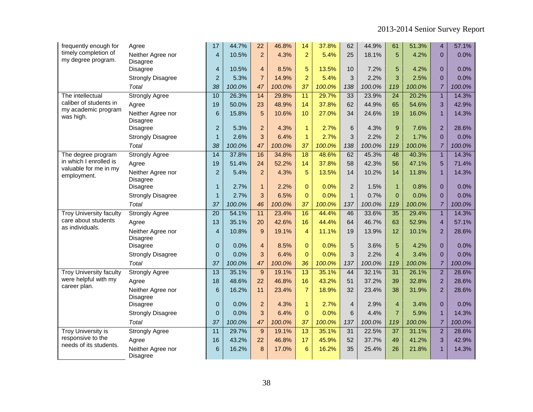| frequently enough for                       | Agree                                | 17               | 44.7%  | 22             | 46.8%  | 14              | 37.8%  | 62             | 44.9%  | 61              | 51.3%  | $\overline{4}$ | 57.1%  |
|---------------------------------------------|--------------------------------------|------------------|--------|----------------|--------|-----------------|--------|----------------|--------|-----------------|--------|----------------|--------|
| timely completion of<br>my degree program.  | Neither Agree nor                    | $\overline{4}$   | 10.5%  | $\overline{2}$ | 4.3%   | $\overline{2}$  | 5.4%   | 25             | 18.1%  | 5               | 4.2%   | $\Omega$       | 0.0%   |
|                                             | <b>Disagree</b><br><b>Disagree</b>   | $\overline{4}$   | 10.5%  | $\overline{4}$ | 8.5%   | 5               | 13.5%  | 10             | 7.2%   | 5               | 4.2%   | $\Omega$       | 0.0%   |
|                                             | <b>Strongly Disagree</b>             | $\overline{a}$   | 5.3%   | $\overline{7}$ | 14.9%  | $\overline{2}$  | 5.4%   | 3              | 2.2%   | 3               | 2.5%   | $\Omega$       | 0.0%   |
|                                             | Total                                | 38               | 100.0% | 47             | 100.0% | 37              | 100.0% | 138            | 100.0% | 119             | 100.0% | $\overline{7}$ | 100.0% |
| The intellectual                            | <b>Strongly Agree</b>                | 10               | 26.3%  | 14             | 29.8%  | 11              | 29.7%  | 33             | 23.9%  | 24              | 20.2%  | $\mathbf{1}$   | 14.3%  |
| caliber of students in                      | Agree                                | 19               | 50.0%  | 23             | 48.9%  | 14              | 37.8%  | 62             | 44.9%  | 65              | 54.6%  | 3              | 42.9%  |
| my academic program                         | Neither Agree nor                    | 6                | 15.8%  | 5              | 10.6%  | 10              | 27.0%  | 34             | 24.6%  | 19              | 16.0%  | $\overline{1}$ | 14.3%  |
| was high.                                   | Disagree                             |                  |        |                |        |                 |        |                |        |                 |        |                |        |
|                                             | <b>Disagree</b>                      | $\overline{c}$   | 5.3%   | $\overline{2}$ | 4.3%   | 1               | 2.7%   | 6              | 4.3%   | 9               | 7.6%   | $\overline{2}$ | 28.6%  |
|                                             | <b>Strongly Disagree</b>             | $\mathbf{1}$     | 2.6%   | 3              | 6.4%   | $\mathbf{1}$    | 2.7%   | 3              | 2.2%   | $\overline{2}$  | 1.7%   | $\overline{0}$ | 0.0%   |
|                                             | Total                                | 38               | 100.0% | 47             | 100.0% | 37              | 100.0% | 138            | 100.0% | 119             | 100.0% | $\overline{7}$ | 100.0% |
| The degree program                          | <b>Strongly Agree</b>                | 14               | 37.8%  | 16             | 34.8%  | 18              | 48.6%  | 62             | 45.3%  | 48              | 40.3%  | $\overline{1}$ | 14.3%  |
| in which I enrolled is                      | Agree                                | 19               | 51.4%  | 24             | 52.2%  | 14              | 37.8%  | 58             | 42.3%  | 56              | 47.1%  | 5              | 71.4%  |
| valuable for me in my<br>employment.        | Neither Agree nor                    | $\overline{c}$   | 5.4%   | $\overline{2}$ | 4.3%   | 5               | 13.5%  | 14             | 10.2%  | 14              | 11.8%  | $\overline{1}$ | 14.3%  |
|                                             | <b>Disagree</b>                      |                  |        |                |        |                 |        |                |        |                 |        |                |        |
|                                             | <b>Disagree</b>                      | $\mathbf{1}$     | 2.7%   | $\mathbf{1}$   | 2.2%   | $\mathbf{0}$    | 0.0%   | $\overline{c}$ | 1.5%   | $\overline{1}$  | 0.8%   | $\overline{0}$ | 0.0%   |
|                                             | <b>Strongly Disagree</b>             | $\mathbf 1$      | 2.7%   | 3              | 6.5%   | $\Omega$        | 0.0%   | $\mathbf{1}$   | 0.7%   | $\Omega$        | 0.0%   | $\Omega$       | 0.0%   |
|                                             | Total                                | 37               | 100.0% | 46             | 100.0% | 37              | 100.0% | 137            | 100.0% | 119             | 100.0% | $\overline{7}$ | 100.0% |
| <b>Troy University faculty</b>              | <b>Strongly Agree</b>                | $\overline{20}$  | 54.1%  | 11             | 23.4%  | 16              | 44.4%  | 46             | 33.6%  | 35              | 29.4%  | $\mathbf{1}$   | 14.3%  |
| care about students<br>as individuals.      | Agree                                | 13               | 35.1%  | 20             | 42.6%  | 16              | 44.4%  | 64             | 46.7%  | 63              | 52.9%  | $\overline{4}$ | 57.1%  |
|                                             | Neither Agree nor<br><b>Disagree</b> | $\overline{4}$   | 10.8%  | $\overline{9}$ | 19.1%  | 4               | 11.1%  | 19             | 13.9%  | 12              | 10.1%  | $\overline{2}$ | 28.6%  |
|                                             | Disagree                             | $\pmb{0}$        | 0.0%   | $\overline{4}$ | 8.5%   | $\pmb{0}$       | 0.0%   | $\overline{5}$ | 3.6%   | 5               | 4.2%   | $\mathbf{0}$   | 0.0%   |
|                                             | <b>Strongly Disagree</b>             | $\boldsymbol{0}$ | 0.0%   | 3              | 6.4%   | $\overline{0}$  | 0.0%   | 3              | 2.2%   | $\overline{4}$  | 3.4%   | $\Omega$       | 0.0%   |
|                                             | Total                                | 37               | 100.0% | 47             | 100.0% | 36              | 100.0% | 137            | 100.0% | 119             | 100.0% | $\overline{7}$ | 100.0% |
| <b>Troy University faculty</b>              | <b>Strongly Agree</b>                | $\overline{13}$  | 35.1%  | 9              | 19.1%  | $\overline{13}$ | 35.1%  | 44             | 32.1%  | 31              | 26.1%  | $\overline{2}$ | 28.6%  |
| were helpful with my                        | Agree                                | 18               | 48.6%  | 22             | 46.8%  | 16              | 43.2%  | 51             | 37.2%  | 39              | 32.8%  | $\overline{2}$ | 28.6%  |
| career plan.                                | Neither Agree nor                    | $6\phantom{1}$   | 16.2%  | 11             | 23.4%  | $\overline{7}$  | 18.9%  | 32             | 23.4%  | 38              | 31.9%  | $\overline{2}$ | 28.6%  |
|                                             | Disagree                             |                  |        |                |        |                 |        |                |        |                 |        |                |        |
|                                             | <b>Disagree</b>                      | $\mathbf 0$      | 0.0%   | $\overline{2}$ | 4.3%   | $\mathbf{1}$    | 2.7%   | $\overline{4}$ | 2.9%   | $\overline{4}$  | 3.4%   | $\overline{0}$ | 0.0%   |
|                                             | <b>Strongly Disagree</b>             | $\boldsymbol{0}$ | 0.0%   | 3              | 6.4%   | 0               | 0.0%   | 6              | 4.4%   | $\overline{7}$  | 5.9%   | $\overline{1}$ | 14.3%  |
|                                             | Total                                | 37               | 100.0% | 47             | 100.0% | 37              | 100.0% | 137            | 100.0% | 119             | 100.0% | $\overline{7}$ | 100.0% |
| <b>Troy University is</b>                   | <b>Strongly Agree</b>                | 11               | 29.7%  | 9              | 19.1%  | $\overline{13}$ | 35.1%  | 31             | 22.5%  | $\overline{37}$ | 31.1%  | $\overline{2}$ | 28.6%  |
| responsive to the<br>needs of its students. | Agree                                | 16               | 43.2%  | 22             | 46.8%  | 17              | 45.9%  | 52             | 37.7%  | 49              | 41.2%  | 3              | 42.9%  |
|                                             | Neither Agree nor<br>Disagree        | 6                | 16.2%  | 8              | 17.0%  | 6               | 16.2%  | 35             | 25.4%  | 26              | 21.8%  | 1              | 14.3%  |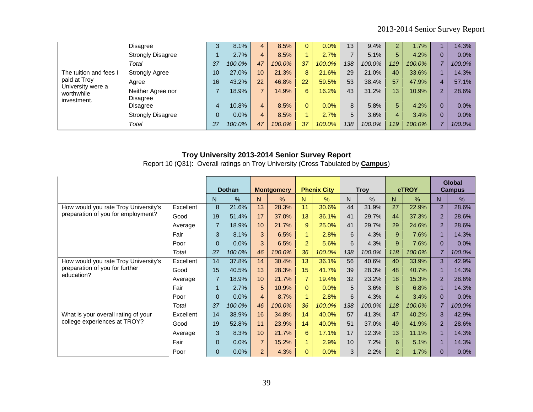|                                   | Disagree                      | 3            | 8.1%   | 4              | 8.5%   | 0              | 0.0%   | 13  | 9.4%   | $\sim$ | 1.7%   |   | 14.3%   |
|-----------------------------------|-------------------------------|--------------|--------|----------------|--------|----------------|--------|-----|--------|--------|--------|---|---------|
|                                   | <b>Strongly Disagree</b>      |              | 2.7%   | 4              | 8.5%   |                | 2.7%   |     | 5.1%   | 5.     | 4.2%   |   | $0.0\%$ |
|                                   | Total                         | 37           | 100.0% | 47             | 100.0% | 37             | 100.0% | 138 | 100.0% | 119    | 100.0% |   | 100.0%  |
| The tuition and fees I            | <b>Strongly Agree</b>         | 10           | 27.0%  | 10             | 21.3%  | 8              | 21.6%  | 29  | 21.0%  | 40     | 33.6%  |   | 14.3%   |
| paid at Troy<br>University were a | Agree                         | 16           | 43.2%  | 22             | 46.8%  | 22             | 59.5%  | 53  | 38.4%  | 57     | 47.9%  | 4 | 57.1%   |
| worthwhile<br>investment.         | Neither Agree nor<br>Disagree |              | 18.9%  | $\overline{ }$ | 14.9%  | 6              | 16.2%  | 43  | 31.2%  | 13     | 10.9%  |   | 28.6%   |
|                                   | Disagree                      | 4            | 10.8%  | 4              | 8.5%   | $\overline{0}$ | 0.0%   | 8   | 5.8%   | 5.     | 4.2%   |   | $0.0\%$ |
|                                   | <b>Strongly Disagree</b>      | $\mathbf{0}$ | 0.0%   | 4              | 8.5%   |                | 2.7%   | 5   | 3.6%   | 4      | 3.4%   |   | $0.0\%$ |
|                                   | Total                         | 37           | 100.0% | 47             | 100.0% | 37             | 100.0% | 138 | 100.0% | 119    | 100.0% |   | 100.0%  |

Report 10 (Q31): Overall ratings on Troy University (Cross Tabulated by **Campus**)

|                                      |           |                | <b>Dothan</b> |                | <b>Montgomery</b> |                      | <b>Phenix City</b> |     | <b>Troy</b>   |                | <b>eTROY</b> |                | <b>Global</b><br><b>Campus</b> |
|--------------------------------------|-----------|----------------|---------------|----------------|-------------------|----------------------|--------------------|-----|---------------|----------------|--------------|----------------|--------------------------------|
|                                      |           | N              | $\frac{0}{0}$ | N              | $\%$              | N.                   | $\frac{0}{0}$      | N   | $\frac{0}{0}$ | N              | $\%$         | N              | $\%$                           |
| How would you rate Troy University's | Excellent | 8              | 21.6%         | 13             | 28.3%             | 11                   | 30.6%              | 44  | 31.9%         | 27             | 22.9%        | $\overline{2}$ | 28.6%                          |
| preparation of you for employment?   | Good      | 19             | 51.4%         | 17             | 37.0%             | 13                   | 36.1%              | 41  | 29.7%         | 44             | 37.3%        | $\overline{2}$ | 28.6%                          |
|                                      | Average   | $\overline{7}$ | 18.9%         | 10             | 21.7%             | 9                    | 25.0%              | 41  | 29.7%         | 29             | 24.6%        | $\overline{2}$ | 28.6%                          |
|                                      | Fair      | 3              | 8.1%          | 3              | 6.5%              | $\mathbf{1}$         | 2.8%               | 6   | 4.3%          | 9              | 7.6%         |                | 14.3%                          |
|                                      | Poor      | $\mathbf{0}$   | 0.0%          | 3              | 6.5%              | 2                    | 5.6%               | 6   | 4.3%          | 9              | 7.6%         | $\Omega$       | 0.0%                           |
|                                      | Total     | 37             | 100.0%        | 46             | 100.0%            | 36                   | 100.0%             | 138 | 100.0%        | 118            | 100.0%       |                | 100.0%                         |
| How would you rate Troy University's | Excellent | 14             | 37.8%         | 14             | 30.4%             | 13                   | 36.1%              | 56  | 40.6%         | 40             | 33.9%        | 3              | 42.9%                          |
| preparation of you for further       | Good      | 15             | 40.5%         | 13             | 28.3%             | 15                   | 41.7%              | 39  | 28.3%         | 48             | 40.7%        |                | 14.3%                          |
| education?                           | Average   | $\overline{7}$ | 18.9%         | 10             | 21.7%             | $\overline{7}$       | 19.4%              | 32  | 23.2%         | 18             | 15.3%        | $\overline{2}$ | 28.6%                          |
|                                      | Fair      | $\blacksquare$ | 2.7%          | 5              | 10.9%             | $\Omega$             | 0.0%               | 5   | 3.6%          | 8              | 6.8%         |                | 14.3%                          |
|                                      | Poor      | $\mathbf{0}$   | 0.0%          | $\overline{4}$ | 8.7%              | $\blacktriangleleft$ | 2.8%               | 6   | 4.3%          | $\overline{4}$ | 3.4%         | $\Omega$       | 0.0%                           |
|                                      | Total     | 37             | 100.0%        | 46             | 100.0%            | 36                   | 100.0%             | 138 | 100.0%        | 118            | 100.0%       |                | 100.0%                         |
| What is your overall rating of your  | Excellent | 14             | 38.9%         | 16             | 34.8%             | 14                   | 40.0%              | 57  | 41.3%         | 47             | 40.2%        | 3              | 42.9%                          |
| college experiences at TROY?         | Good      | 19             | 52.8%         | 11             | 23.9%             | 14                   | 40.0%              | 51  | 37.0%         | 49             | 41.9%        | $\overline{2}$ | 28.6%                          |
|                                      | Average   | 3              | 8.3%          | 10             | 21.7%             | 6                    | 17.1%              | 17  | 12.3%         | 13             | 11.1%        |                | 14.3%                          |
|                                      | Fair      | $\Omega$       | 0.0%          | $\overline{7}$ | 15.2%             | $\mathbf{1}$         | 2.9%               | 10  | 7.2%          | 6              | 5.1%         |                | 14.3%                          |
|                                      | Poor      | $\mathbf{0}$   | 0.0%          | $\overline{2}$ | 4.3%              | $\Omega$             | 0.0%               | 3   | 2.2%          | $\overline{2}$ | 1.7%         | $\Omega$       | 0.0%                           |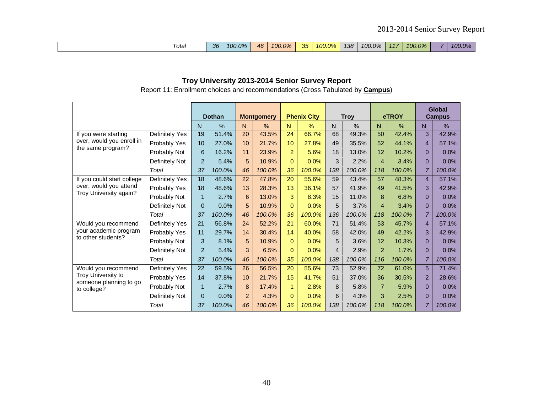| Total | $-36$ | $100.0\%$ | 46 <sup>1</sup> |  |  |  |  | 100.0% 35 100.0% 138 100.0% 117 |  | 100.0% |  | 100.0% |
|-------|-------|-----------|-----------------|--|--|--|--|---------------------------------|--|--------|--|--------|
|-------|-------|-----------|-----------------|--|--|--|--|---------------------------------|--|--------|--|--------|

Report 11: Enrollment choices and recommendations (Cross Tabulated by **Campus**)

|                                       |                |                | <b>Dothan</b> |                | <b>Montgomery</b> |                | <b>Phenix City</b> |     | <b>Troy</b> |                | eTROY  |                | Global<br><b>Campus</b> |
|---------------------------------------|----------------|----------------|---------------|----------------|-------------------|----------------|--------------------|-----|-------------|----------------|--------|----------------|-------------------------|
|                                       |                | N              | $\%$          | N              | %                 | N              | %                  | N   | %           | N              | $\%$   | N              | %                       |
| If you were starting                  | Definitely Yes | 19             | 51.4%         | 20             | 43.5%             | 24             | 66.7%              | 68  | 49.3%       | 50             | 42.4%  | 3              | 42.9%                   |
| over, would you enroll in             | Probably Yes   | 10             | 27.0%         | 10             | 21.7%             | 10             | 27.8%              | 49  | 35.5%       | 52             | 44.1%  | $\overline{4}$ | 57.1%                   |
| the same program?                     | Probably Not   | 6              | 16.2%         | 11             | 23.9%             | $\overline{a}$ | 5.6%               | 18  | 13.0%       | 12             | 10.2%  | $\Omega$       | 0.0%                    |
|                                       | Definitely Not | $\overline{2}$ | 5.4%          | 5              | 10.9%             | $\Omega$       | 0.0%               | 3   | 2.2%        | $\overline{4}$ | 3.4%   | $\Omega$       | 0.0%                    |
|                                       | Total          | 37             | 100.0%        | 46             | 100.0%            | 36             | 100.0%             | 138 | 100.0%      | 118            | 100.0% | $\overline{7}$ | 100.0%                  |
| If you could start college            | Definitely Yes | 18             | 48.6%         | 22             | 47.8%             | 20             | 55.6%              | 59  | 43.4%       | 57             | 48.3%  | $\overline{4}$ | 57.1%                   |
| over, would you attend                | Probably Yes   | 18             | 48.6%         | 13             | 28.3%             | 13             | 36.1%              | 57  | 41.9%       | 49             | 41.5%  | 3              | 42.9%                   |
| Troy University again?                | Probably Not   | $\mathbf{1}$   | 2.7%          | 6              | 13.0%             | 3              | 8.3%               | 15  | 11.0%       | 8              | 6.8%   | $\Omega$       | 0.0%                    |
|                                       | Definitely Not | 0              | 0.0%          | 5              | 10.9%             | $\Omega$       | 0.0%               | 5   | 3.7%        | 4              | 3.4%   | $\Omega$       | 0.0%                    |
|                                       | Total          | 37             | 100.0%        | 46             | 100.0%            | 36             | 100.0%             | 136 | 100.0%      | 118            | 100.0% | $\overline{7}$ | 100.0%                  |
| Would you recommend                   | Definitely Yes | 21             | 56.8%         | 24             | 52.2%             | 21             | 60.0%              | 71  | 51.4%       | 53             | 45.7%  | $\overline{4}$ | 57.1%                   |
| your academic program                 | Probably Yes   | 11             | 29.7%         | 14             | 30.4%             | 14             | 40.0%              | 58  | 42.0%       | 49             | 42.2%  | 3              | 42.9%                   |
| to other students?                    | Probably Not   | 3              | 8.1%          | 5              | 10.9%             | $\Omega$       | 0.0%               | 5   | 3.6%        | 12             | 10.3%  | $\Omega$       | 0.0%                    |
|                                       | Definitely Not | $\overline{2}$ | 5.4%          | 3              | 6.5%              | $\Omega$       | 0.0%               | 4   | 2.9%        | $\overline{2}$ | 1.7%   | $\Omega$       | 0.0%                    |
|                                       | Total          | 37             | 100.0%        | 46             | 100.0%            | 35             | 100.0%             | 138 | 100.0%      | 116            | 100.0% | $\overline{7}$ | 100.0%                  |
| Would you recommend                   | Definitely Yes | 22             | 59.5%         | 26             | 56.5%             | 20             | 55.6%              | 73  | 52.9%       | 72             | 61.0%  | 5              | 71.4%                   |
| Troy University to                    | Probably Yes   | 14             | 37.8%         | 10             | 21.7%             | 15             | 41.7%              | 51  | 37.0%       | 36             | 30.5%  | $\overline{2}$ | 28.6%                   |
| someone planning to go<br>to college? | Probably Not   | $\mathbf{1}$   | 2.7%          | 8              | 17.4%             | $\mathbf{1}$   | 2.8%               | 8   | 5.8%        | $\overline{7}$ | 5.9%   | $\Omega$       | 0.0%                    |
|                                       | Definitely Not | 0              | 0.0%          | $\overline{2}$ | 4.3%              | $\overline{0}$ | 0.0%               | 6   | 4.3%        | 3              | 2.5%   | $\Omega$       | 0.0%                    |
|                                       | Total          | 37             | 100.0%        | 46             | 100.0%            | 36             | 100.0%             | 138 | 100.0%      | 118            | 100.0% | $\overline{7}$ | 100.0%                  |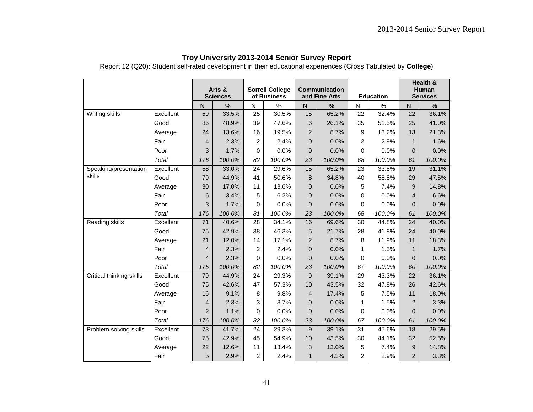Report 12 (Q20): Student self-rated development in their educational experiences (Cross Tabulated by **College**)

|                          |           |                | Arts &<br><b>Sciences</b> |                 | <b>Sorrell College</b><br>of Business |                | Communication<br>and Fine Arts |                | <b>Education</b> |                  | Health &<br>Human<br><b>Services</b> |
|--------------------------|-----------|----------------|---------------------------|-----------------|---------------------------------------|----------------|--------------------------------|----------------|------------------|------------------|--------------------------------------|
|                          |           | $\mathsf{N}$   | $\%$                      | N               | $\%$                                  | $\mathsf{N}$   | $\%$                           | N              | $\%$             | ${\sf N}$        | $\%$                                 |
| <b>Writing skills</b>    | Excellent | 59             | 33.5%                     | $\overline{25}$ | 30.5%                                 | 15             | 65.2%                          | 22             | 32.4%            | 22               | 36.1%                                |
|                          | Good      | 86             | 48.9%                     | 39              | 47.6%                                 | 6              | 26.1%                          | 35             | 51.5%            | 25               | 41.0%                                |
|                          | Average   | 24             | 13.6%                     | 16              | 19.5%                                 | $\overline{c}$ | 8.7%                           | 9              | 13.2%            | 13               | 21.3%                                |
|                          | Fair      | $\overline{4}$ | 2.3%                      | $\overline{2}$  | 2.4%                                  | $\mathbf 0$    | 0.0%                           | $\overline{2}$ | 2.9%             | $\mathbf{1}$     | 1.6%                                 |
|                          | Poor      | 3              | 1.7%                      | $\Omega$        | 0.0%                                  | $\mathbf 0$    | 0.0%                           | $\Omega$       | 0.0%             | $\overline{0}$   | 0.0%                                 |
|                          | Total     | 176            | 100.0%                    | 82              | 100.0%                                | 23             | 100.0%                         | 68             | 100.0%           | 61               | 100.0%                               |
| Speaking/presentation    | Excellent | 58             | 33.0%                     | 24              | 29.6%                                 | 15             | 65.2%                          | 23             | 33.8%            | 19               | 31.1%                                |
| skills                   | Good      | 79             | 44.9%                     | 41              | 50.6%                                 | 8              | 34.8%                          | 40             | 58.8%            | 29               | 47.5%                                |
|                          | Average   | 30             | 17.0%                     | 11              | 13.6%                                 | $\mathbf{0}$   | 0.0%                           | 5              | 7.4%             | 9                | 14.8%                                |
|                          | Fair      | 6              | 3.4%                      | 5               | 6.2%                                  | $\mathbf{0}$   | 0.0%                           | $\Omega$       | 0.0%             | 4                | 6.6%                                 |
|                          | Poor      | 3              | 1.7%                      | $\Omega$        | 0.0%                                  | 0              | 0.0%                           | $\Omega$       | 0.0%             | $\Omega$         | 0.0%                                 |
|                          | Total     | 176            | 100.0%                    | 81              | 100.0%                                | 23             | 100.0%                         | 68             | 100.0%           | 61               | 100.0%                               |
| Reading skills           | Excellent | 71             | 40.6%                     | 28              | 34.1%                                 | 16             | 69.6%                          | 30             | 44.8%            | 24               | 40.0%                                |
|                          | Good      | 75             | 42.9%                     | 38              | 46.3%                                 | 5              | 21.7%                          | 28             | 41.8%            | 24               | 40.0%                                |
|                          | Average   | 21             | 12.0%                     | 14              | 17.1%                                 | $\overline{2}$ | 8.7%                           | 8              | 11.9%            | 11               | 18.3%                                |
|                          | Fair      | 4              | 2.3%                      | $\overline{2}$  | 2.4%                                  | 0              | 0.0%                           | 1              | 1.5%             | $\mathbf{1}$     | 1.7%                                 |
|                          | Poor      | $\overline{4}$ | 2.3%                      | $\Omega$        | 0.0%                                  | $\mathbf{0}$   | 0.0%                           | $\Omega$       | 0.0%             | $\overline{0}$   | 0.0%                                 |
|                          | Total     | 175            | 100.0%                    | 82              | 100.0%                                | 23             | 100.0%                         | 67             | 100.0%           | 60               | 100.0%                               |
| Critical thinking skills | Excellent | 79             | 44.9%                     | 24              | 29.3%                                 | 9              | 39.1%                          | 29             | 43.3%            | 22               | 36.1%                                |
|                          | Good      | 75             | 42.6%                     | 47              | 57.3%                                 | 10             | 43.5%                          | 32             | 47.8%            | 26               | 42.6%                                |
|                          | Average   | 16             | 9.1%                      | 8               | 9.8%                                  | $\overline{4}$ | 17.4%                          | 5              | 7.5%             | 11               | 18.0%                                |
|                          | Fair      | $\overline{4}$ | 2.3%                      | 3               | 3.7%                                  | $\mathbf 0$    | 0.0%                           | 1              | 1.5%             | $\overline{2}$   | 3.3%                                 |
|                          | Poor      | $\overline{2}$ | 1.1%                      | $\mathbf 0$     | 0.0%                                  | 0              | 0.0%                           | 0              | 0.0%             | $\overline{0}$   | 0.0%                                 |
|                          | Total     | 176            | 100.0%                    | 82              | 100.0%                                | 23             | 100.0%                         | 67             | 100.0%           | 61               | 100.0%                               |
| Problem solving skills   | Excellent | 73             | 41.7%                     | 24              | 29.3%                                 | 9              | 39.1%                          | 31             | 45.6%            | 18               | 29.5%                                |
|                          | Good      | 75             | 42.9%                     | 45              | 54.9%                                 | 10             | 43.5%                          | 30             | 44.1%            | 32               | 52.5%                                |
|                          | Average   | 22             | 12.6%                     | 11              | 13.4%                                 | 3              | 13.0%                          | 5              | 7.4%             | $\boldsymbol{9}$ | 14.8%                                |
|                          | Fair      | 5              | 2.9%                      | $\overline{2}$  | 2.4%                                  | $\mathbf{1}$   | 4.3%                           | $\overline{2}$ | 2.9%             | $\overline{2}$   | 3.3%                                 |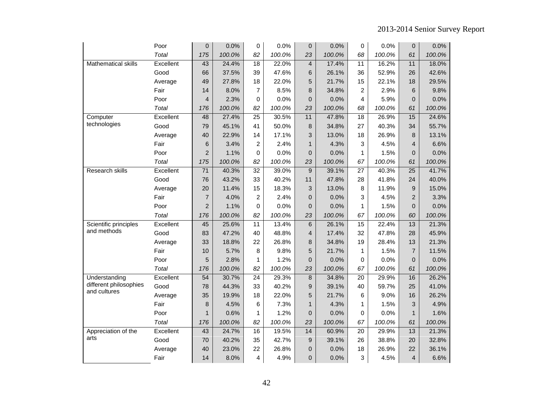|                                        | Poor      | 0              | 0.0%   | 0               | 0.0%   | $\mathbf 0$     | 0.0%   | 0               | 0.0%   | 0               | 0.0%   |
|----------------------------------------|-----------|----------------|--------|-----------------|--------|-----------------|--------|-----------------|--------|-----------------|--------|
|                                        | Total     | 175            | 100.0% | 82              | 100.0% | 23              | 100.0% | 68              | 100.0% | 61              | 100.0% |
| Mathematical skills                    | Excellent | 43             | 24.4%  | 18              | 22.0%  | $\overline{4}$  | 17.4%  | $\overline{11}$ | 16.2%  | 11              | 18.0%  |
|                                        | Good      | 66             | 37.5%  | 39              | 47.6%  | 6               | 26.1%  | 36              | 52.9%  | 26              | 42.6%  |
|                                        | Average   | 49             | 27.8%  | 18              | 22.0%  | 5               | 21.7%  | 15              | 22.1%  | 18              | 29.5%  |
|                                        | Fair      | 14             | 8.0%   | $\overline{7}$  | 8.5%   | 8               | 34.8%  | $\overline{2}$  | 2.9%   | 6               | 9.8%   |
|                                        | Poor      | $\overline{4}$ | 2.3%   | $\mathbf{0}$    | 0.0%   | $\overline{0}$  | 0.0%   | 4               | 5.9%   | $\overline{0}$  | 0.0%   |
|                                        | Total     | 176            | 100.0% | 82              | 100.0% | 23              | 100.0% | 68              | 100.0% | 61              | 100.0% |
| Computer                               | Excellent | 48             | 27.4%  | 25              | 30.5%  | 11              | 47.8%  | 18              | 26.9%  | 15              | 24.6%  |
| technologies                           | Good      | 79             | 45.1%  | 41              | 50.0%  | 8               | 34.8%  | 27              | 40.3%  | 34              | 55.7%  |
|                                        | Average   | 40             | 22.9%  | 14              | 17.1%  | 3               | 13.0%  | 18              | 26.9%  | 8               | 13.1%  |
|                                        | Fair      | 6              | 3.4%   | $\overline{2}$  | 2.4%   | $\mathbf{1}$    | 4.3%   | 3               | 4.5%   | $\overline{4}$  | 6.6%   |
|                                        | Poor      | $\overline{2}$ | 1.1%   | $\Omega$        | 0.0%   | $\mathbf 0$     | 0.0%   | $\mathbf{1}$    | 1.5%   | $\overline{0}$  | 0.0%   |
|                                        | Total     | 175            | 100.0% | 82              | 100.0% | 23              | 100.0% | 67              | 100.0% | 61              | 100.0% |
| <b>Research skills</b>                 | Excellent | 71             | 40.3%  | $\overline{32}$ | 39.0%  | $\overline{9}$  | 39.1%  | $\overline{27}$ | 40.3%  | $\overline{25}$ | 41.7%  |
|                                        | Good      | 76             | 43.2%  | 33              | 40.2%  | 11              | 47.8%  | 28              | 41.8%  | 24              | 40.0%  |
|                                        | Average   | 20             | 11.4%  | 15              | 18.3%  | 3               | 13.0%  | 8               | 11.9%  | 9               | 15.0%  |
|                                        | Fair      | $\overline{7}$ | 4.0%   | $\overline{c}$  | 2.4%   | $\mathbf 0$     | 0.0%   | 3               | 4.5%   | $\overline{c}$  | 3.3%   |
|                                        | Poor      | $\overline{c}$ | 1.1%   | 0               | 0.0%   | 0               | 0.0%   | 1               | 1.5%   | $\mathbf 0$     | 0.0%   |
|                                        | Total     | 176            | 100.0% | 82              | 100.0% | 23              | 100.0% | 67              | 100.0% | 60              | 100.0% |
| Scientific principles                  | Excellent | 45             | 25.6%  | 11              | 13.4%  | $6\phantom{1}$  | 26.1%  | 15              | 22.4%  | $\overline{13}$ | 21.3%  |
| and methods                            | Good      | 83             | 47.2%  | 40              | 48.8%  | 4               | 17.4%  | 32              | 47.8%  | 28              | 45.9%  |
|                                        | Average   | 33             | 18.8%  | 22              | 26.8%  | 8               | 34.8%  | 19              | 28.4%  | 13              | 21.3%  |
|                                        | Fair      | 10             | 5.7%   | 8               | 9.8%   | 5               | 21.7%  | 1               | 1.5%   | $\overline{7}$  | 11.5%  |
|                                        | Poor      | 5              | 2.8%   | 1               | 1.2%   | $\overline{0}$  | 0.0%   | $\Omega$        | 0.0%   | $\overline{0}$  | 0.0%   |
|                                        | Total     | 176            | 100.0% | 82              | 100.0% | 23              | 100.0% | 67              | 100.0% | 61              | 100.0% |
| Understanding                          | Excellent | 54             | 30.7%  | 24              | 29.3%  | 8               | 34.8%  | 20              | 29.9%  | 16              | 26.2%  |
| different philosophies<br>and cultures | Good      | 78             | 44.3%  | 33              | 40.2%  | $9\,$           | 39.1%  | 40              | 59.7%  | 25              | 41.0%  |
|                                        | Average   | 35             | 19.9%  | 18              | 22.0%  | 5               | 21.7%  | 6               | 9.0%   | 16              | 26.2%  |
|                                        | Fair      | 8              | 4.5%   | 6               | 7.3%   | $\mathbf{1}$    | 4.3%   | 1               | 1.5%   | 3               | 4.9%   |
|                                        | Poor      | $\mathbf{1}$   | 0.6%   | 1               | 1.2%   | $\overline{0}$  | 0.0%   | 0               | 0.0%   | $\mathbf{1}$    | 1.6%   |
|                                        | Total     | 176            | 100.0% | 82              | 100.0% | 23              | 100.0% | 67              | 100.0% | 61              | 100.0% |
| Appreciation of the                    | Excellent | 43             | 24.7%  | 16              | 19.5%  | $\overline{14}$ | 60.9%  | $\overline{20}$ | 29.9%  | 13              | 21.3%  |
| arts                                   | Good      | 70             | 40.2%  | 35              | 42.7%  | 9               | 39.1%  | 26              | 38.8%  | 20              | 32.8%  |
|                                        | Average   | 40             | 23.0%  | 22              | 26.8%  | $\mathbf 0$     | 0.0%   | 18              | 26.9%  | 22              | 36.1%  |
|                                        | Fair      | 14             | 8.0%   | 4               | 4.9%   | $\mathbf 0$     | 0.0%   | 3               | 4.5%   | $\overline{4}$  | 6.6%   |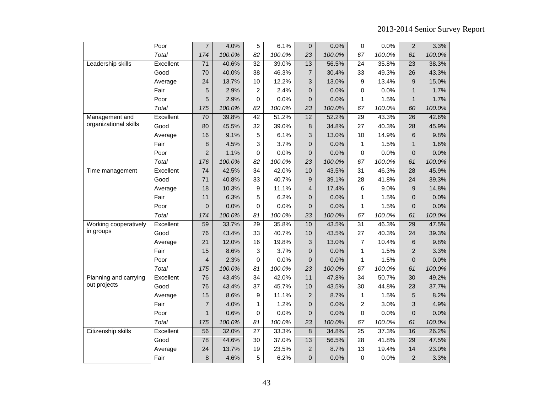|                       | Poor      | 7               | 4.0%   | 5               | 6.1%   | 0              | 0.0%   | 0               | 0.0%   | $\overline{2}$  | 3.3%   |
|-----------------------|-----------|-----------------|--------|-----------------|--------|----------------|--------|-----------------|--------|-----------------|--------|
|                       | Total     | 174             | 100.0% | 82              | 100.0% | 23             | 100.0% | 67              | 100.0% | 61              | 100.0% |
| Leadership skills     | Excellent | $\overline{71}$ | 40.6%  | $\overline{32}$ | 39.0%  | 13             | 56.5%  | 24              | 35.8%  | $\overline{23}$ | 38.3%  |
|                       | Good      | 70              | 40.0%  | 38              | 46.3%  | $\overline{7}$ | 30.4%  | 33              | 49.3%  | 26              | 43.3%  |
|                       | Average   | 24              | 13.7%  | 10              | 12.2%  | 3              | 13.0%  | 9               | 13.4%  | 9               | 15.0%  |
|                       | Fair      | 5               | 2.9%   | $\overline{2}$  | 2.4%   | 0              | 0.0%   | 0               | 0.0%   | $\mathbf{1}$    | 1.7%   |
|                       | Poor      | 5               | 2.9%   | $\Omega$        | 0.0%   | 0              | 0.0%   | 1               | 1.5%   | $\mathbf{1}$    | 1.7%   |
|                       | Total     | 175             | 100.0% | 82              | 100.0% | 23             | 100.0% | 67              | 100.0% | 60              | 100.0% |
| Management and        | Excellent | 70              | 39.8%  | 42              | 51.2%  | 12             | 52.2%  | 29              | 43.3%  | 26              | 42.6%  |
| organizational skills | Good      | 80              | 45.5%  | 32              | 39.0%  | 8              | 34.8%  | 27              | 40.3%  | 28              | 45.9%  |
|                       | Average   | 16              | 9.1%   | 5               | 6.1%   | 3              | 13.0%  | 10              | 14.9%  | 6               | 9.8%   |
|                       | Fair      | 8               | 4.5%   | 3               | 3.7%   | $\mathbf 0$    | 0.0%   | 1               | 1.5%   | $\mathbf{1}$    | 1.6%   |
|                       | Poor      | $\overline{2}$  | 1.1%   | $\Omega$        | 0.0%   | $\mathbf 0$    | 0.0%   | 0               | 0.0%   | $\overline{0}$  | 0.0%   |
|                       | Total     | 176             | 100.0% | 82              | 100.0% | 23             | 100.0% | 67              | 100.0% | 61              | 100.0% |
| Time management       | Excellent | 74              | 42.5%  | 34              | 42.0%  | 10             | 43.5%  | 31              | 46.3%  | $\overline{28}$ | 45.9%  |
|                       | Good      | 71              | 40.8%  | 33              | 40.7%  | 9              | 39.1%  | 28              | 41.8%  | 24              | 39.3%  |
|                       | Average   | 18              | 10.3%  | 9               | 11.1%  | 4              | 17.4%  | 6               | 9.0%   | 9               | 14.8%  |
|                       | Fair      | 11              | 6.3%   | 5               | 6.2%   | 0              | 0.0%   | 1               | 1.5%   | $\overline{0}$  | 0.0%   |
|                       | Poor      | $\overline{0}$  | 0.0%   | $\Omega$        | 0.0%   | 0              | 0.0%   | 1               | 1.5%   | $\overline{0}$  | 0.0%   |
|                       | Total     | 174             | 100.0% | 81              | 100.0% | 23             | 100.0% | 67              | 100.0% | 61              | 100.0% |
| Working cooperatively | Excellent | 59              | 33.7%  | 29              | 35.8%  | 10             | 43.5%  | 31              | 46.3%  | 29              | 47.5%  |
| in groups             | Good      | 76              | 43.4%  | 33              | 40.7%  | 10             | 43.5%  | 27              | 40.3%  | 24              | 39.3%  |
|                       | Average   | 21              | 12.0%  | 16              | 19.8%  | 3              | 13.0%  | 7               | 10.4%  | 6               | 9.8%   |
|                       | Fair      | 15              | 8.6%   | 3               | 3.7%   | $\mathbf 0$    | 0.0%   | 1               | 1.5%   | $\overline{2}$  | 3.3%   |
|                       | Poor      | $\overline{4}$  | 2.3%   | $\Omega$        | 0.0%   | $\mathbf 0$    | 0.0%   | 1               | 1.5%   | $\overline{0}$  | 0.0%   |
|                       | Total     | 175             | 100.0% | 81              | 100.0% | 23             | 100.0% | 67              | 100.0% | 61              | 100.0% |
| Planning and carrying | Excellent | 76              | 43.4%  | $\overline{34}$ | 42.0%  | 11             | 47.8%  | $\overline{34}$ | 50.7%  | $\overline{30}$ | 49.2%  |
| out projects          | Good      | 76              | 43.4%  | 37              | 45.7%  | 10             | 43.5%  | 30              | 44.8%  | 23              | 37.7%  |
|                       | Average   | 15              | 8.6%   | 9               | 11.1%  | $\overline{2}$ | 8.7%   | 1               | 1.5%   | 5               | 8.2%   |
|                       | Fair      | $\overline{7}$  | 4.0%   | $\mathbf{1}$    | 1.2%   | 0              | 0.0%   | $\overline{c}$  | 3.0%   | 3               | 4.9%   |
|                       | Poor      | $\mathbf{1}$    | 0.6%   | $\mathbf 0$     | 0.0%   | 0              | 0.0%   | 0               | 0.0%   | $\overline{0}$  | 0.0%   |
|                       | Total     | 175             | 100.0% | 81              | 100.0% | 23             | 100.0% | 67              | 100.0% | 61              | 100.0% |
| Citizenship skills    | Excellent | 56              | 32.0%  | $\overline{27}$ | 33.3%  | 8              | 34.8%  | $\overline{25}$ | 37.3%  | 16              | 26.2%  |
|                       | Good      | 78              | 44.6%  | 30              | 37.0%  | 13             | 56.5%  | 28              | 41.8%  | 29              | 47.5%  |
|                       | Average   | 24              | 13.7%  | 19              | 23.5%  | $\overline{2}$ | 8.7%   | 13              | 19.4%  | 14              | 23.0%  |
|                       | Fair      | 8               | 4.6%   | 5               | 6.2%   | 0              | 0.0%   | 0               | 0.0%   | $\overline{c}$  | 3.3%   |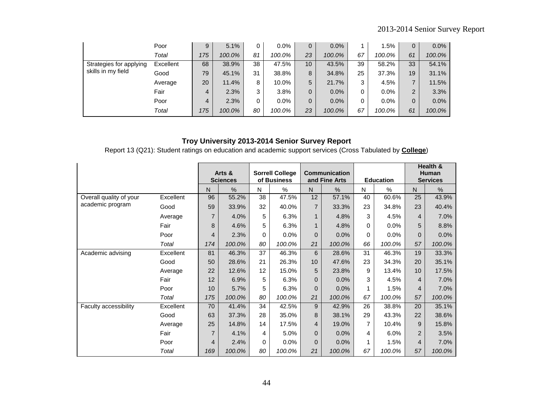|                         | Poor      | 9   | 5.1%   | 0  | $0.0\%$ | 0               | 0.0%    |    | 1.5%   | $\overline{0}$ | $0.0\%$ |
|-------------------------|-----------|-----|--------|----|---------|-----------------|---------|----|--------|----------------|---------|
|                         | Total     | 175 | 100.0% | 81 | 100.0%  | 23              | 100.0%  | 67 | 100.0% | 61             | 100.0%  |
| Strategies for applying | Excellent | 68  | 38.9%  | 38 | 47.5%   | 10 <sup>1</sup> | 43.5%   | 39 | 58.2%  | 33             | 54.1%   |
| skills in my field      | Good      | 79  | 45.1%  | 31 | 38.8%   | 8               | 34.8%   | 25 | 37.3%  | 19             | 31.1%   |
|                         | Average   | 20  | 11.4%  | 8  | 10.0%   | 5               | 21.7%   | 3  | 4.5%   | $\overline{ }$ | 11.5%   |
|                         | Fair      | 4   | 2.3%   | 3  | 3.8%    | 0               | $0.0\%$ | 0  | 0.0%   | 2              | 3.3%    |
|                         | Poor      | 4   | 2.3%   | 0  | $0.0\%$ | 0               | $0.0\%$ | 0  | 0.0%   | 0              | $0.0\%$ |
|                         | Total     | 175 | 100.0% | 80 | 100.0%  | 23              | 100.0%  | 67 | 100.0% | 61             | 100.0%  |

Report 13 (Q21): Student ratings on education and academic support services (Cross Tabulated by **College**)

|                         |           |                | Arts &<br><b>Sciences</b> |    | <b>Sorrell College</b><br>of Business |                | <b>Communication</b><br>and Fine Arts |    | <b>Education</b> |                | Health &<br><b>Human</b><br><b>Services</b> |
|-------------------------|-----------|----------------|---------------------------|----|---------------------------------------|----------------|---------------------------------------|----|------------------|----------------|---------------------------------------------|
|                         |           | N              | %                         | N  | %                                     | N              | %                                     | N  | %                | $\mathsf{N}$   | %                                           |
| Overall quality of your | Excellent | 96             | 55.2%                     | 38 | 47.5%                                 | 12             | 57.1%                                 | 40 | 60.6%            | 25             | 43.9%                                       |
| academic program        | Good      | 59             | 33.9%                     | 32 | 40.0%                                 | $\overline{7}$ | 33.3%                                 | 23 | 34.8%            | 23             | 40.4%                                       |
|                         | Average   | $\overline{7}$ | 4.0%                      | 5  | 6.3%                                  | 1              | 4.8%                                  | 3  | 4.5%             | $\overline{4}$ | 7.0%                                        |
|                         | Fair      | 8              | 4.6%                      | 5  | 6.3%                                  | $\mathbf{1}$   | 4.8%                                  | 0  | 0.0%             | 5              | 8.8%                                        |
|                         | Poor      | 4              | 2.3%                      | 0  | 0.0%                                  | $\mathbf{0}$   | 0.0%                                  | 0  | 0.0%             | $\mathbf{0}$   | 0.0%                                        |
|                         | Total     | 174            | 100.0%                    | 80 | 100.0%                                | 21             | 100.0%                                | 66 | 100.0%           | 57             | 100.0%                                      |
| Academic advising       | Excellent | 81             | 46.3%                     | 37 | 46.3%                                 | 6              | 28.6%                                 | 31 | 46.3%            | 19             | 33.3%                                       |
|                         | Good      | 50             | 28.6%                     | 21 | 26.3%                                 | 10             | 47.6%                                 | 23 | 34.3%            | 20             | 35.1%                                       |
|                         | Average   | 22             | 12.6%                     | 12 | 15.0%                                 | 5              | 23.8%                                 | 9  | 13.4%            | 10             | 17.5%                                       |
|                         | Fair      | 12             | 6.9%                      | 5  | 6.3%                                  | $\Omega$       | 0.0%                                  | 3  | 4.5%             | $\overline{4}$ | 7.0%                                        |
|                         | Poor      | 10             | 5.7%                      | 5  | 6.3%                                  | $\Omega$       | 0.0%                                  | 1  | 1.5%             | $\overline{4}$ | 7.0%                                        |
|                         | Total     | 175            | 100.0%                    | 80 | 100.0%                                | 21             | 100.0%                                | 67 | 100.0%           | 57             | 100.0%                                      |
| Faculty accessibility   | Excellent | 70             | 41.4%                     | 34 | 42.5%                                 | 9              | 42.9%                                 | 26 | 38.8%            | 20             | 35.1%                                       |
|                         | Good      | 63             | 37.3%                     | 28 | 35.0%                                 | 8              | 38.1%                                 | 29 | 43.3%            | 22             | 38.6%                                       |
|                         | Average   | 25             | 14.8%                     | 14 | 17.5%                                 | $\overline{4}$ | 19.0%                                 | 7  | 10.4%            | 9              | 15.8%                                       |
|                         | Fair      | $\overline{7}$ | 4.1%                      | 4  | 5.0%                                  | $\mathbf{0}$   | 0.0%                                  | 4  | 6.0%             | 2              | 3.5%                                        |
|                         | Poor      | 4              | 2.4%                      | 0  | 0.0%                                  | $\Omega$       | 0.0%                                  | 1  | 1.5%             | $\overline{4}$ | 7.0%                                        |
|                         | Total     | 169            | 100.0%                    | 80 | 100.0%                                | 21             | 100.0%                                | 67 | 100.0%           | 57             | 100.0%                                      |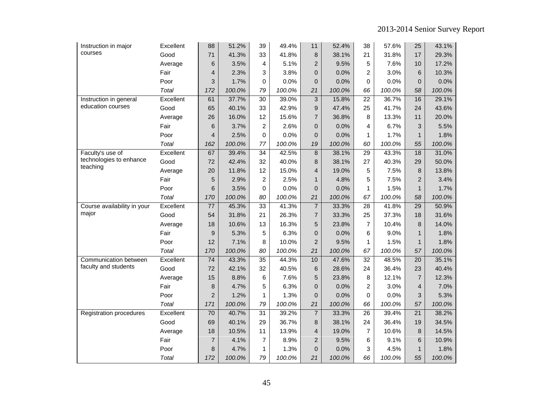| Instruction in major                | Excellent    | 88              | 51.2%  | 39              | 49.4%  | 11             | 52.4%  | 38              | 57.6%  | 25              | 43.1%  |
|-------------------------------------|--------------|-----------------|--------|-----------------|--------|----------------|--------|-----------------|--------|-----------------|--------|
| courses                             | Good         | 71              | 41.3%  | 33              | 41.8%  | 8              | 38.1%  | 21              | 31.8%  | 17              | 29.3%  |
|                                     | Average      | 6               | 3.5%   | 4               | 5.1%   | $\overline{2}$ | 9.5%   | 5               | 7.6%   | 10              | 17.2%  |
|                                     | Fair         | $\overline{4}$  | 2.3%   | 3               | 3.8%   | $\overline{0}$ | 0.0%   | $\overline{2}$  | 3.0%   | 6               | 10.3%  |
|                                     | Poor         | 3               | 1.7%   | 0               | 0.0%   | 0              | 0.0%   | $\Omega$        | 0.0%   | $\mathbf{0}$    | 0.0%   |
|                                     | Total        | 172             | 100.0% | 79              | 100.0% | 21             | 100.0% | 66              | 100.0% | 58              | 100.0% |
| Instruction in general              | Excellent    | 61              | 37.7%  | 30              | 39.0%  | 3              | 15.8%  | $\overline{22}$ | 36.7%  | 16              | 29.1%  |
| education courses                   | Good         | 65              | 40.1%  | 33              | 42.9%  | 9              | 47.4%  | 25              | 41.7%  | 24              | 43.6%  |
|                                     | Average      | 26              | 16.0%  | 12              | 15.6%  | $\overline{7}$ | 36.8%  | 8               | 13.3%  | 11              | 20.0%  |
|                                     | Fair         | 6               | 3.7%   | $\overline{c}$  | 2.6%   | $\overline{0}$ | 0.0%   | 4               | 6.7%   | 3               | 5.5%   |
|                                     | Poor         | 4               | 2.5%   | 0               | 0.0%   | 0              | 0.0%   | $\mathbf{1}$    | 1.7%   | $\mathbf{1}$    | 1.8%   |
|                                     | Total        | 162             | 100.0% | 77              | 100.0% | 19             | 100.0% | 60              | 100.0% | 55              | 100.0% |
| Faculty's use of                    | Excellent    | 67              | 39.4%  | 34              | 42.5%  | 8              | 38.1%  | 29              | 43.3%  | 18              | 31.0%  |
| technologies to enhance<br>teaching | Good         | 72              | 42.4%  | 32              | 40.0%  | 8              | 38.1%  | 27              | 40.3%  | 29              | 50.0%  |
|                                     | Average      | 20              | 11.8%  | 12              | 15.0%  | 4              | 19.0%  | 5               | 7.5%   | 8               | 13.8%  |
|                                     | Fair         | 5               | 2.9%   | $\overline{2}$  | 2.5%   | $\mathbf{1}$   | 4.8%   | 5               | 7.5%   | $\overline{2}$  | 3.4%   |
|                                     | Poor         | 6               | 3.5%   | 0               | 0.0%   | 0              | 0.0%   | 1               | 1.5%   | $\mathbf{1}$    | 1.7%   |
|                                     | Total        | 170             | 100.0% | 80              | 100.0% | 21             | 100.0% | 67              | 100.0% | 58              | 100.0% |
| Course availability in your         | Excellent    | 77              | 45.3%  | 33              | 41.3%  | $\overline{7}$ | 33.3%  | 28              | 41.8%  | 29              | 50.9%  |
| major                               | Good         | 54              | 31.8%  | 21              | 26.3%  | $\overline{7}$ | 33.3%  | 25              | 37.3%  | 18              | 31.6%  |
|                                     | Average      | 18              | 10.6%  | 13              | 16.3%  | 5              | 23.8%  | $\overline{7}$  | 10.4%  | 8               | 14.0%  |
|                                     | Fair         | 9               | 5.3%   | 5               | 6.3%   | 0              | 0.0%   | 6               | 9.0%   | 1               | 1.8%   |
|                                     | Poor         | 12              | 7.1%   | 8               | 10.0%  | $\overline{2}$ | 9.5%   | $\mathbf{1}$    | 1.5%   | $\mathbf{1}$    | 1.8%   |
|                                     | <b>Total</b> | 170             | 100.0% | 80              | 100.0% | 21             | 100.0% | 67              | 100.0% | 57              | 100.0% |
| Communication between               | Excellent    | $\overline{74}$ | 43.3%  | $\overline{35}$ | 44.3%  | 10             | 47.6%  | $\overline{32}$ | 48.5%  | $\overline{20}$ | 35.1%  |
| faculty and students                | Good         | 72              | 42.1%  | 32              | 40.5%  | 6              | 28.6%  | 24              | 36.4%  | 23              | 40.4%  |
|                                     | Average      | 15              | 8.8%   | 6               | 7.6%   | 5              | 23.8%  | 8               | 12.1%  | $\overline{7}$  | 12.3%  |
|                                     | Fair         | 8               | 4.7%   | 5               | 6.3%   | $\overline{0}$ | 0.0%   | $\overline{2}$  | 3.0%   | $\overline{4}$  | 7.0%   |
|                                     | Poor         | $\overline{2}$  | 1.2%   | 1               | 1.3%   | 0              | 0.0%   | $\mathbf 0$     | 0.0%   | 3               | 5.3%   |
|                                     | Total        | 171             | 100.0% | 79              | 100.0% | 21             | 100.0% | 66              | 100.0% | 57              | 100.0% |
| Registration procedures             | Excellent    | 70              | 40.7%  | 31              | 39.2%  | $\overline{7}$ | 33.3%  | 26              | 39.4%  | 21              | 38.2%  |
|                                     | Good         | 69              | 40.1%  | 29              | 36.7%  | 8              | 38.1%  | 24              | 36.4%  | 19              | 34.5%  |
|                                     | Average      | 18              | 10.5%  | 11              | 13.9%  | 4              | 19.0%  | $\overline{7}$  | 10.6%  | 8               | 14.5%  |
|                                     | Fair         | $\overline{7}$  | 4.1%   | 7               | 8.9%   | $\overline{2}$ | 9.5%   | 6               | 9.1%   | 6               | 10.9%  |
|                                     | Poor         | 8               | 4.7%   | 1               | 1.3%   | 0              | 0.0%   | 3               | 4.5%   | $\mathbf{1}$    | 1.8%   |
|                                     | Total        | 172             | 100.0% | 79              | 100.0% | 21             | 100.0% | 66              | 100.0% | 55              | 100.0% |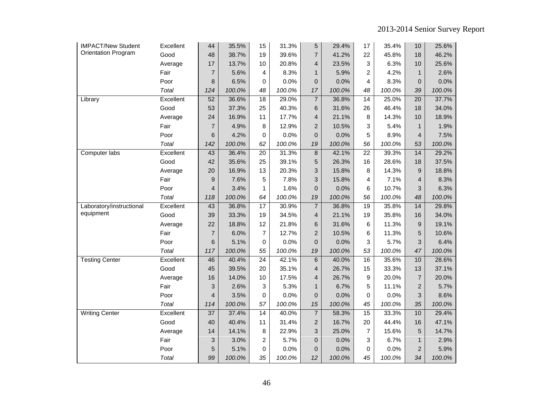| <b>IMPACT/New Student</b>  | Excellent    | 44              | 35.5%  | 15              | 31.3%  | 5              | 29.4%  | 17              | 35.4%  | 10              | 25.6%  |
|----------------------------|--------------|-----------------|--------|-----------------|--------|----------------|--------|-----------------|--------|-----------------|--------|
| <b>Orientation Program</b> | Good         | 48              | 38.7%  | 19              | 39.6%  | $\overline{7}$ | 41.2%  | 22              | 45.8%  | 18              | 46.2%  |
|                            | Average      | 17              | 13.7%  | 10              | 20.8%  | $\overline{4}$ | 23.5%  | 3               | 6.3%   | 10              | 25.6%  |
|                            | Fair         | $\overline{7}$  | 5.6%   | 4               | 8.3%   | $\mathbf{1}$   | 5.9%   | $\overline{c}$  | 4.2%   | $\mathbf{1}$    | 2.6%   |
|                            | Poor         | 8               | 6.5%   | 0               | 0.0%   | 0              | 0.0%   | 4               | 8.3%   | $\mathbf 0$     | 0.0%   |
|                            | Total        | 124             | 100.0% | 48              | 100.0% | 17             | 100.0% | 48              | 100.0% | 39              | 100.0% |
| Library                    | Excellent    | 52              | 36.6%  | 18              | 29.0%  | $\overline{7}$ | 36.8%  | 14              | 25.0%  | $\overline{20}$ | 37.7%  |
|                            | Good         | 53              | 37.3%  | 25              | 40.3%  | 6              | 31.6%  | 26              | 46.4%  | 18              | 34.0%  |
|                            | Average      | 24              | 16.9%  | 11              | 17.7%  | 4              | 21.1%  | 8               | 14.3%  | 10              | 18.9%  |
|                            | Fair         | $\overline{7}$  | 4.9%   | 8               | 12.9%  | $\overline{2}$ | 10.5%  | 3               | 5.4%   | $\mathbf{1}$    | 1.9%   |
|                            | Poor         | 6               | 4.2%   | 0               | 0.0%   | $\overline{0}$ | 0.0%   | 5               | 8.9%   | $\overline{4}$  | 7.5%   |
|                            | Total        | 142             | 100.0% | 62              | 100.0% | 19             | 100.0% | 56              | 100.0% | 53              | 100.0% |
| Computer labs              | Excellent    | 43              | 36.4%  | 20              | 31.3%  | 8              | 42.1%  | 22              | 39.3%  | $\overline{14}$ | 29.2%  |
|                            | Good         | 42              | 35.6%  | 25              | 39.1%  | 5              | 26.3%  | 16              | 28.6%  | 18              | 37.5%  |
|                            | Average      | 20              | 16.9%  | 13              | 20.3%  | 3              | 15.8%  | 8               | 14.3%  | 9               | 18.8%  |
|                            | Fair         | $9\,$           | 7.6%   | 5               | 7.8%   | 3              | 15.8%  | 4               | 7.1%   | $\overline{4}$  | 8.3%   |
|                            | Poor         | $\overline{4}$  | 3.4%   | 1               | 1.6%   | $\overline{0}$ | 0.0%   | 6               | 10.7%  | 3               | 6.3%   |
|                            | <b>Total</b> | 118             | 100.0% | 64              | 100.0% | 19             | 100.0% | 56              | 100.0% | 48              | 100.0% |
| Laboratory/instructional   | Excellent    | 43              | 36.8%  | 17              | 30.9%  | $\overline{7}$ | 36.8%  | 19              | 35.8%  | 14              | 29.8%  |
| equipment                  | Good         | 39              | 33.3%  | 19              | 34.5%  | 4              | 21.1%  | 19              | 35.8%  | 16              | 34.0%  |
|                            | Average      | 22              | 18.8%  | 12              | 21.8%  | 6              | 31.6%  | 6               | 11.3%  | 9               | 19.1%  |
|                            | Fair         | $\overline{7}$  | 6.0%   | 7               | 12.7%  | $\overline{2}$ | 10.5%  | 6               | 11.3%  | 5               | 10.6%  |
|                            | Poor         | 6               | 5.1%   | $\mathbf 0$     | 0.0%   | $\overline{0}$ | 0.0%   | 3               | 5.7%   | 3               | 6.4%   |
|                            | <b>Total</b> | 117             | 100.0% | 55              | 100.0% | 19             | 100.0% | 53              | 100.0% | 47              | 100.0% |
| <b>Testing Center</b>      | Excellent    | 46              | 40.4%  | $\overline{24}$ | 42.1%  | $\,$ 6         | 40.0%  | $\overline{16}$ | 35.6%  | 10              | 28.6%  |
|                            | Good         | 45              | 39.5%  | 20              | 35.1%  | 4              | 26.7%  | 15              | 33.3%  | 13              | 37.1%  |
|                            | Average      | 16              | 14.0%  | 10              | 17.5%  | 4              | 26.7%  | 9               | 20.0%  | $\overline{7}$  | 20.0%  |
|                            | Fair         | 3               | 2.6%   | 3               | 5.3%   | $\mathbf{1}$   | 6.7%   | 5               | 11.1%  | $\overline{2}$  | 5.7%   |
|                            | Poor         | $\overline{4}$  | 3.5%   | $\mathbf 0$     | 0.0%   | $\mathbf{0}$   | 0.0%   | $\Omega$        | 0.0%   | 3               | 8.6%   |
|                            | <b>Total</b> | 114             | 100.0% | 57              | 100.0% | 15             | 100.0% | 45              | 100.0% | 35              | 100.0% |
| <b>Writing Center</b>      | Excellent    | $\overline{37}$ | 37.4%  | $\overline{14}$ | 40.0%  | $\overline{7}$ | 58.3%  | $\overline{15}$ | 33.3%  | 10              | 29.4%  |
|                            | Good         | 40              | 40.4%  | 11              | 31.4%  | $\overline{c}$ | 16.7%  | 20              | 44.4%  | 16              | 47.1%  |
|                            | Average      | 14              | 14.1%  | 8               | 22.9%  | 3              | 25.0%  | $\overline{7}$  | 15.6%  | 5               | 14.7%  |
|                            | Fair         | 3               | 3.0%   | 2               | 5.7%   | $\overline{0}$ | 0.0%   | 3               | 6.7%   | $\mathbf{1}$    | 2.9%   |
|                            | Poor         | 5               | 5.1%   | 0               | 0.0%   | $\overline{0}$ | 0.0%   | 0               | 0.0%   | $\overline{2}$  | 5.9%   |
|                            | Total        | 99              | 100.0% | 35              | 100.0% | 12             | 100.0% | 45              | 100.0% | 34              | 100.0% |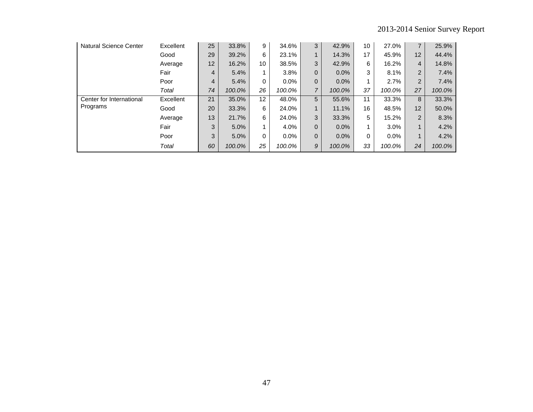| <b>Natural Science Center</b> | Excellent | 25             | 33.8%  | 9               | 34.6%   | 3              | 42.9%  | 10       | 27.0%   | $\overline{7}$    | 25.9%  |
|-------------------------------|-----------|----------------|--------|-----------------|---------|----------------|--------|----------|---------|-------------------|--------|
|                               | Good      | 29             | 39.2%  | 6               | 23.1%   | $\mathbf{1}$   | 14.3%  | 17       | 45.9%   | $12 \overline{ }$ | 44.4%  |
|                               | Average   | 12             | 16.2%  | 10              | 38.5%   | 3              | 42.9%  | 6        | 16.2%   | 4                 | 14.8%  |
|                               | Fair      | 4              | 5.4%   |                 | 3.8%    | 0              | 0.0%   | 3        | 8.1%    | $\overline{2}$    | 7.4%   |
|                               | Poor      | $\overline{4}$ | 5.4%   | 0               | $0.0\%$ | 0              | 0.0%   |          | 2.7%    | 2                 | 7.4%   |
|                               | Total     | 74             | 100.0% | 26              | 100.0%  | $\overline{7}$ | 100.0% | 37       | 100.0%  | 27                | 100.0% |
| Center for International      | Excellent | 21             | 35.0%  | 12 <sup>2</sup> | 48.0%   | 5              | 55.6%  | 11       | 33.3%   | 8                 | 33.3%  |
| Programs                      | Good      | 20             | 33.3%  | 6               | 24.0%   | $\mathbf{1}$   | 11.1%  | 16       | 48.5%   | 12                | 50.0%  |
|                               | Average   | 13             | 21.7%  | 6               | 24.0%   | 3              | 33.3%  | 5        | 15.2%   | 2                 | 8.3%   |
|                               | Fair      | 3              | 5.0%   |                 | 4.0%    | 0              | 0.0%   |          | 3.0%    |                   | 4.2%   |
|                               | Poor      | 3              | 5.0%   | 0               | $0.0\%$ | 0              | 0.0%   | $\Omega$ | $0.0\%$ | 1                 | 4.2%   |
|                               | Total     | 60             | 100.0% | 25              | 100.0%  | 9              | 100.0% | 33       | 100.0%  | 24                | 100.0% |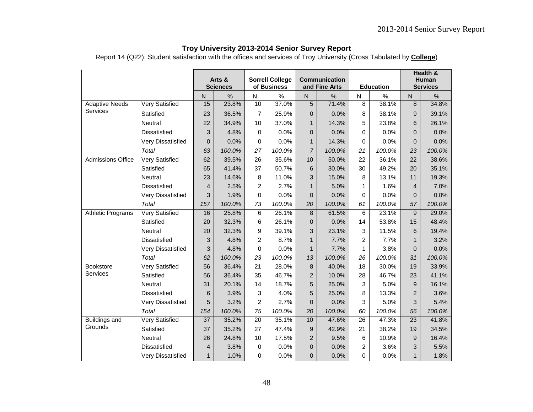Report 14 (Q22): Student satisfaction with the offices and services of Troy University (Cross Tabulated by **College**)

|                          |                       |                 |                           |                 | <b>Sorrell College</b> |                | Communication |                 |                  |                | Health &<br>Human |
|--------------------------|-----------------------|-----------------|---------------------------|-----------------|------------------------|----------------|---------------|-----------------|------------------|----------------|-------------------|
|                          |                       |                 | Arts &<br><b>Sciences</b> |                 | of Business            |                | and Fine Arts |                 | <b>Education</b> |                | <b>Services</b>   |
|                          |                       | $\overline{N}$  | $\frac{0}{0}$             | N               | $\%$                   | $\overline{N}$ | $\%$          | N               | $\%$             | $\overline{N}$ | $\frac{0}{0}$     |
| <b>Adaptive Needs</b>    | <b>Very Satisfied</b> | 15              | 23.8%                     | 10              | 37.0%                  | 5              | 71.4%         | $\overline{8}$  | 38.1%            | 8              | 34.8%             |
| Services                 | Satisfied             | 23              | 36.5%                     | 7               | 25.9%                  | 0              | 0.0%          | 8               | 38.1%            | 9              | 39.1%             |
|                          | Neutral               | 22              | 34.9%                     | 10              | 37.0%                  | $\mathbf{1}$   | 14.3%         | 5               | 23.8%            | 6              | 26.1%             |
|                          | <b>Dissatisfied</b>   | 3               | 4.8%                      | 0               | 0.0%                   | $\overline{0}$ | 0.0%          | 0               | 0.0%             | $\overline{0}$ | 0.0%              |
|                          | Very Dissatisfied     | $\mathbf 0$     | 0.0%                      | 0               | 0.0%                   | $\mathbf{1}$   | 14.3%         | 0               | 0.0%             | $\Omega$       | 0.0%              |
|                          | Total                 | 63              | 100.0%                    | 27              | 100.0%                 | $\overline{7}$ | 100.0%        | 21              | 100.0%           | 23             | 100.0%            |
| <b>Admissions Office</b> | <b>Very Satisfied</b> | 62              | 39.5%                     | $\overline{26}$ | 35.6%                  | 10             | 50.0%         | $\overline{22}$ | 36.1%            | 22             | 38.6%             |
|                          | Satisfied             | 65              | 41.4%                     | 37              | 50.7%                  | 6              | 30.0%         | 30              | 49.2%            | 20             | 35.1%             |
|                          | Neutral               | 23              | 14.6%                     | 8               | 11.0%                  | 3              | 15.0%         | 8               | 13.1%            | 11             | 19.3%             |
|                          | <b>Dissatisfied</b>   | $\overline{4}$  | 2.5%                      | 2               | 2.7%                   | $\mathbf 1$    | 5.0%          | 1               | 1.6%             | $\overline{4}$ | 7.0%              |
|                          | Very Dissatisfied     | 3               | 1.9%                      | 0               | 0.0%                   | 0              | 0.0%          | 0               | 0.0%             | $\overline{0}$ | 0.0%              |
|                          | Total                 | 157             | 100.0%                    | 73              | 100.0%                 | 20             | 100.0%        | 61              | 100.0%           | 57             | 100.0%            |
| <b>Athletic Programs</b> | <b>Very Satisfied</b> | 16              | 25.8%                     | 6               | 26.1%                  | 8              | 61.5%         | 6               | 23.1%            | 9              | 29.0%             |
|                          | Satisfied             | 20              | 32.3%                     | 6               | 26.1%                  | $\overline{0}$ | 0.0%          | 14              | 53.8%            | 15             | 48.4%             |
|                          | Neutral               | 20              | 32.3%                     | 9               | 39.1%                  | 3              | 23.1%         | 3               | 11.5%            | 6              | 19.4%             |
|                          | Dissatisfied          | 3               | 4.8%                      | $\overline{c}$  | 8.7%                   | $\mathbf{1}$   | 7.7%          | $\overline{2}$  | 7.7%             | $\mathbf{1}$   | 3.2%              |
|                          | Very Dissatisfied     | 3               | 4.8%                      | 0               | 0.0%                   | $\mathbf{1}$   | 7.7%          | 1               | 3.8%             | $\overline{0}$ | 0.0%              |
|                          | Total                 | 62              | 100.0%                    | 23              | 100.0%                 | 13             | 100.0%        | 26              | 100.0%           | 31             | 100.0%            |
| <b>Bookstore</b>         | <b>Very Satisfied</b> | $\overline{56}$ | 36.4%                     | $\overline{21}$ | 28.0%                  | 8              | 40.0%         | 18              | 30.0%            | 19             | 33.9%             |
| Services                 | Satisfied             | 56              | 36.4%                     | 35              | 46.7%                  | $\overline{2}$ | 10.0%         | 28              | 46.7%            | 23             | 41.1%             |
|                          | Neutral               | 31              | 20.1%                     | 14              | 18.7%                  | 5              | 25.0%         | 3               | 5.0%             | 9              | 16.1%             |
|                          | <b>Dissatisfied</b>   | 6               | 3.9%                      | 3               | 4.0%                   | 5              | 25.0%         | 8               | 13.3%            | $\overline{2}$ | 3.6%              |
|                          | Very Dissatisfied     | 5               | 3.2%                      | $\overline{2}$  | 2.7%                   | $\overline{0}$ | 0.0%          | 3               | 5.0%             | 3              | 5.4%              |
|                          | Total                 | 154             | 100.0%                    | 75              | 100.0%                 | 20             | 100.0%        | 60              | 100.0%           | 56             | 100.0%            |
| Buildings and            | Very Satisfied        | 37              | 35.2%                     | 20              | 35.1%                  | 10             | 47.6%         | 26              | 47.3%            | 23             | 41.8%             |
| Grounds                  | Satisfied             | 37              | 35.2%                     | 27              | 47.4%                  | 9              | 42.9%         | 21              | 38.2%            | 19             | 34.5%             |
|                          | Neutral               | 26              | 24.8%                     | 10              | 17.5%                  | $\overline{2}$ | 9.5%          | 6               | 10.9%            | 9              | 16.4%             |
|                          | <b>Dissatisfied</b>   | $\overline{4}$  | 3.8%                      | 0               | 0.0%                   | $\overline{0}$ | 0.0%          | $\overline{2}$  | 3.6%             | 3              | 5.5%              |
|                          | Very Dissatisfied     | 1               | 1.0%                      | 0               | 0.0%                   | 0              | 0.0%          | $\Omega$        | 0.0%             | $\mathbf{1}$   | 1.8%              |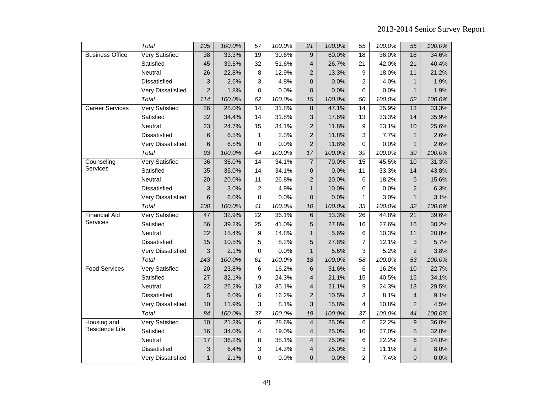|                        | Total                 | 105            | 100.0% | 57              | 100.0% | 21                      | 100.0% | 55              | 100.0% | 55             | 100.0% |
|------------------------|-----------------------|----------------|--------|-----------------|--------|-------------------------|--------|-----------------|--------|----------------|--------|
| <b>Business Office</b> | <b>Very Satisfied</b> | 38             | 33.3%  | 19              | 30.6%  | $\boldsymbol{9}$        | 60.0%  | 18              | 36.0%  | 18             | 34.6%  |
|                        | Satisfied             | 45             | 39.5%  | 32              | 51.6%  | 4                       | 26.7%  | 21              | 42.0%  | 21             | 40.4%  |
|                        | Neutral               | 26             | 22.8%  | 8               | 12.9%  | $\overline{2}$          | 13.3%  | 9               | 18.0%  | 11             | 21.2%  |
|                        | <b>Dissatisfied</b>   | 3              | 2.6%   | 3               | 4.8%   | $\mathbf{0}$            | 0.0%   | $\overline{c}$  | 4.0%   | $\mathbf{1}$   | 1.9%   |
|                        | Very Dissatisfied     | $\overline{2}$ | 1.8%   | 0               | 0.0%   | $\mathbf 0$             | 0.0%   | 0               | 0.0%   | $\mathbf{1}$   | 1.9%   |
|                        | Total                 | 114            | 100.0% | 62              | 100.0% | 15                      | 100.0% | 50              | 100.0% | 52             | 100.0% |
| <b>Career Services</b> | <b>Very Satisfied</b> | 26             | 28.0%  | $\overline{14}$ | 31.8%  | $\bf 8$                 | 47.1%  | $\overline{14}$ | 35.9%  | 13             | 33.3%  |
|                        | Satisfied             | 32             | 34.4%  | 14              | 31.8%  | 3                       | 17.6%  | 13              | 33.3%  | 14             | 35.9%  |
|                        | Neutral               | 23             | 24.7%  | 15              | 34.1%  | $\overline{c}$          | 11.8%  | 9               | 23.1%  | 10             | 25.6%  |
|                        | Dissatisfied          | 6              | 6.5%   | 1               | 2.3%   | $\overline{2}$          | 11.8%  | 3               | 7.7%   | $\mathbf{1}$   | 2.6%   |
|                        | Very Dissatisfied     | 6              | 6.5%   | 0               | 0.0%   | $\overline{c}$          | 11.8%  | 0               | 0.0%   | $\mathbf{1}$   | 2.6%   |
|                        | Total                 | 93             | 100.0% | 44              | 100.0% | 17                      | 100.0% | 39              | 100.0% | 39             | 100.0% |
| Counseling             | <b>Very Satisfied</b> | 36             | 36.0%  | $\overline{14}$ | 34.1%  | $\boldsymbol{7}$        | 70.0%  | 15              | 45.5%  | 10             | 31.3%  |
| Services               | Satisfied             | 35             | 35.0%  | 14              | 34.1%  | $\mathbf 0$             | 0.0%   | 11              | 33.3%  | 14             | 43.8%  |
|                        | Neutral               | 20             | 20.0%  | 11              | 26.8%  | $\overline{c}$          | 20.0%  | 6               | 18.2%  | 5              | 15.6%  |
|                        | <b>Dissatisfied</b>   | 3              | 3.0%   | 2               | 4.9%   | $\mathbf{1}$            | 10.0%  | 0               | 0.0%   | $\overline{2}$ | 6.3%   |
|                        | Very Dissatisfied     | 6              | 6.0%   | 0               | 0.0%   | $\mathsf 0$             | 0.0%   | 1               | 3.0%   | $\mathbf{1}$   | 3.1%   |
|                        | Total                 | 100            | 100.0% | 41              | 100.0% | 10                      | 100.0% | 33              | 100.0% | 32             | 100.0% |
| <b>Financial Aid</b>   | Very Satisfied        | 47             | 32.9%  | $\overline{22}$ | 36.1%  | 6                       | 33.3%  | 26              | 44.8%  | 21             | 39.6%  |
| Services               | Satisfied             | 56             | 39.2%  | 25              | 41.0%  | 5                       | 27.8%  | 16              | 27.6%  | 16             | 30.2%  |
|                        | Neutral               | 22             | 15.4%  | 9               | 14.8%  | $\mathbf{1}$            | 5.6%   | 6               | 10.3%  | 11             | 20.8%  |
|                        | Dissatisfied          | 15             | 10.5%  | 5               | 8.2%   | 5                       | 27.8%  | 7               | 12.1%  | 3              | 5.7%   |
|                        | Very Dissatisfied     | 3              | 2.1%   | 0               | 0.0%   | $\mathbf{1}$            | 5.6%   | 3               | 5.2%   | $\overline{2}$ | 3.8%   |
|                        | Total                 | 143            | 100.0% | 61              | 100.0% | 18                      | 100.0% | 58              | 100.0% | 53             | 100.0% |
| <b>Food Services</b>   | <b>Very Satisfied</b> | 20             | 23.8%  | 6               | 16.2%  | 6                       | 31.6%  | 6               | 16.2%  | 10             | 22.7%  |
|                        | Satisfied             | 27             | 32.1%  | 9               | 24.3%  | $\overline{\mathbf{4}}$ | 21.1%  | 15              | 40.5%  | 15             | 34.1%  |
|                        | Neutral               | 22             | 26.2%  | 13              | 35.1%  | 4                       | 21.1%  | 9               | 24.3%  | 13             | 29.5%  |
|                        | Dissatisfied          | 5              | 6.0%   | 6               | 16.2%  | $\overline{c}$          | 10.5%  | 3               | 8.1%   | 4              | 9.1%   |
|                        | Very Dissatisfied     | 10             | 11.9%  | 3               | 8.1%   | 3                       | 15.8%  | 4               | 10.8%  | $\overline{2}$ | 4.5%   |
|                        | Total                 | 84             | 100.0% | 37              | 100.0% | 19                      | 100.0% | 37              | 100.0% | 44             | 100.0% |
| Housing and            | <b>Very Satisfied</b> | 10             | 21.3%  | 6               | 28.6%  | $\overline{4}$          | 25.0%  | 6               | 22.2%  | 9              | 36.0%  |
| Residence Life         | Satisfied             | 16             | 34.0%  | 4               | 19.0%  | 4                       | 25.0%  | 10              | 37.0%  | 8              | 32.0%  |
|                        | Neutral               | 17             | 36.2%  | 8               | 38.1%  | 4                       | 25.0%  | 6               | 22.2%  | 6              | 24.0%  |
|                        | <b>Dissatisfied</b>   | 3              | 6.4%   | 3               | 14.3%  | 4                       | 25.0%  | 3               | 11.1%  | $\overline{2}$ | 8.0%   |
|                        | Very Dissatisfied     | 1              | 2.1%   | 0               | 0.0%   | 0                       | 0.0%   | 2               | 7.4%   | 0              | 0.0%   |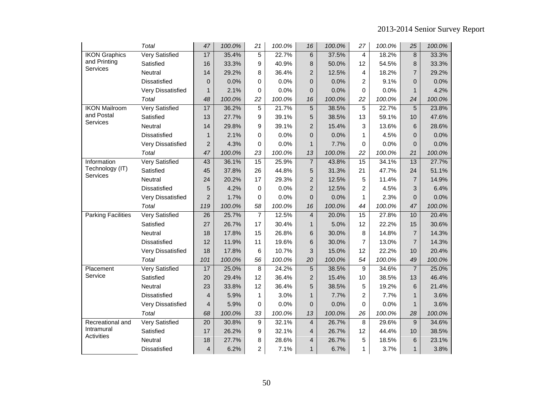|                           | Total                 | 47              | 100.0% | 21             | 100.0% | 16               | 100.0% | 27              | 100.0% | 25             | 100.0% |
|---------------------------|-----------------------|-----------------|--------|----------------|--------|------------------|--------|-----------------|--------|----------------|--------|
| <b>IKON Graphics</b>      | <b>Very Satisfied</b> | 17              | 35.4%  | $\overline{5}$ | 22.7%  | $\,6$            | 37.5%  | 4               | 18.2%  | 8              | 33.3%  |
| and Printing              | Satisfied             | 16              | 33.3%  | 9              | 40.9%  | 8                | 50.0%  | 12              | 54.5%  | 8              | 33.3%  |
| Services                  | Neutral               | 14              | 29.2%  | 8              | 36.4%  | $\overline{c}$   | 12.5%  | 4               | 18.2%  | $\overline{7}$ | 29.2%  |
|                           | Dissatisfied          | $\mathbf 0$     | 0.0%   | 0              | 0.0%   | 0                | 0.0%   | $\overline{2}$  | 9.1%   | 0              | 0.0%   |
|                           | Very Dissatisfied     | $\mathbf{1}$    | 2.1%   | 0              | 0.0%   | $\boldsymbol{0}$ | 0.0%   | 0               | 0.0%   | $\mathbf{1}$   | 4.2%   |
|                           | Total                 | 48              | 100.0% | 22             | 100.0% | 16               | 100.0% | 22              | 100.0% | 24             | 100.0% |
| <b>IKON Mailroom</b>      | <b>Very Satisfied</b> | 17              | 36.2%  | 5              | 21.7%  | $\sqrt{5}$       | 38.5%  | 5               | 22.7%  | 5              | 23.8%  |
| and Postal                | Satisfied             | 13              | 27.7%  | 9              | 39.1%  | 5                | 38.5%  | 13              | 59.1%  | 10             | 47.6%  |
| Services                  | Neutral               | 14              | 29.8%  | 9              | 39.1%  | $\overline{c}$   | 15.4%  | 3               | 13.6%  | 6              | 28.6%  |
|                           | <b>Dissatisfied</b>   | $\mathbf{1}$    | 2.1%   | 0              | 0.0%   | 0                | 0.0%   | 1               | 4.5%   | $\overline{0}$ | 0.0%   |
|                           | Very Dissatisfied     | $\overline{2}$  | 4.3%   | 0              | 0.0%   | $\mathbf{1}$     | 7.7%   | 0               | 0.0%   | 0              | 0.0%   |
|                           | Total                 | 47              | 100.0% | 23             | 100.0% | 13               | 100.0% | 22              | 100.0% | 21             | 100.0% |
| Information               | <b>Very Satisfied</b> | 43              | 36.1%  | 15             | 25.9%  | $\overline{7}$   | 43.8%  | 15              | 34.1%  | 13             | 27.7%  |
| Technology (IT)           | Satisfied             | 45              | 37.8%  | 26             | 44.8%  | 5                | 31.3%  | 21              | 47.7%  | 24             | 51.1%  |
| Services                  | Neutral               | 24              | 20.2%  | 17             | 29.3%  | $\overline{c}$   | 12.5%  | 5               | 11.4%  | $\overline{7}$ | 14.9%  |
|                           | Dissatisfied          | 5               | 4.2%   | 0              | 0.0%   | $\overline{c}$   | 12.5%  | 2               | 4.5%   | 3              | 6.4%   |
|                           | Very Dissatisfied     | $\overline{2}$  | 1.7%   | 0              | 0.0%   | $\overline{0}$   | 0.0%   | 1               | 2.3%   | $\overline{0}$ | 0.0%   |
|                           | Total                 | 119             | 100.0% | 58             | 100.0% | 16               | 100.0% | 44              | 100.0% | 47             | 100.0% |
| <b>Parking Facilities</b> | <b>Very Satisfied</b> | $\overline{26}$ | 25.7%  | $\overline{7}$ | 12.5%  | $\overline{4}$   | 20.0%  | $\overline{15}$ | 27.8%  | 10             | 20.4%  |
|                           | Satisfied             | 27              | 26.7%  | 17             | 30.4%  | $\mathbf{1}$     | 5.0%   | 12              | 22.2%  | 15             | 30.6%  |
|                           | Neutral               | 18              | 17.8%  | 15             | 26.8%  | 6                | 30.0%  | 8               | 14.8%  | $\overline{7}$ | 14.3%  |
|                           | Dissatisfied          | 12              | 11.9%  | 11             | 19.6%  | 6                | 30.0%  | $\overline{7}$  | 13.0%  | $\overline{7}$ | 14.3%  |
|                           | Very Dissatisfied     | 18              | 17.8%  | 6              | 10.7%  | 3                | 15.0%  | 12              | 22.2%  | 10             | 20.4%  |
|                           | Total                 | 101             | 100.0% | 56             | 100.0% | 20               | 100.0% | 54              | 100.0% | 49             | 100.0% |
| Placement                 | <b>Very Satisfied</b> | 17              | 25.0%  | 8              | 24.2%  | $\sqrt{5}$       | 38.5%  | 9               | 34.6%  | $\overline{7}$ | 25.0%  |
| Service                   | Satisfied             | 20              | 29.4%  | 12             | 36.4%  | $\overline{c}$   | 15.4%  | 10              | 38.5%  | 13             | 46.4%  |
|                           | Neutral               | 23              | 33.8%  | 12             | 36.4%  | 5                | 38.5%  | 5               | 19.2%  | 6              | 21.4%  |
|                           | <b>Dissatisfied</b>   | $\overline{4}$  | 5.9%   | 1              | 3.0%   | $\mathbf{1}$     | 7.7%   | $\overline{2}$  | 7.7%   | $\mathbf{1}$   | 3.6%   |
|                           | Very Dissatisfied     | $\overline{4}$  | 5.9%   | 0              | 0.0%   | 0                | 0.0%   | 0               | 0.0%   | $\mathbf{1}$   | 3.6%   |
|                           | Total                 | 68              | 100.0% | 33             | 100.0% | 13               | 100.0% | 26              | 100.0% | 28             | 100.0% |
| Recreational and          | Very Satisfied        | 20              | 30.8%  | 9              | 32.1%  | $\overline{4}$   | 26.7%  | 8               | 29.6%  | 9              | 34.6%  |
| Intramural                | Satisfied             | 17              | 26.2%  | 9              | 32.1%  | 4                | 26.7%  | 12              | 44.4%  | 10             | 38.5%  |
| Activities                | Neutral               | 18              | 27.7%  | 8              | 28.6%  | 4                | 26.7%  | 5               | 18.5%  | 6              | 23.1%  |
|                           | Dissatisfied          | $\overline{4}$  | 6.2%   | $\overline{c}$ | 7.1%   | $\mathbf{1}$     | 6.7%   | 1               | 3.7%   | $\mathbf{1}$   | 3.8%   |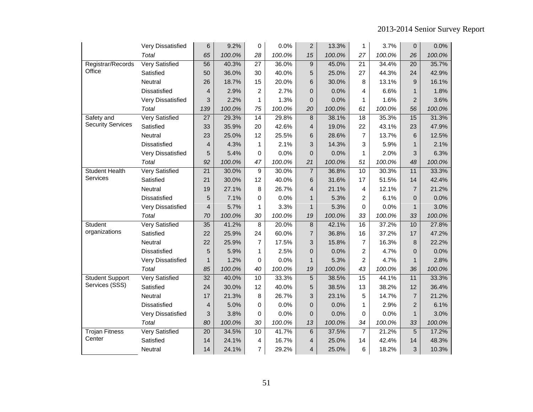|                          | Very Dissatisfied     | 6               | 9.2%   | 0               | 0.0%   | $\overline{c}$          | 13.3%  | 1               | 3.7%   | $\mathbf 0$    | 0.0%   |
|--------------------------|-----------------------|-----------------|--------|-----------------|--------|-------------------------|--------|-----------------|--------|----------------|--------|
|                          | Total                 | 65              | 100.0% | 28              | 100.0% | 15                      | 100.0% | 27              | 100.0% | 26             | 100.0% |
| Registrar/Records        | <b>Very Satisfied</b> | $\overline{56}$ | 40.3%  | $\overline{27}$ | 36.0%  | 9                       | 45.0%  | $\overline{21}$ | 34.4%  | 20             | 35.7%  |
| Office                   | Satisfied             | 50              | 36.0%  | 30              | 40.0%  | 5                       | 25.0%  | 27              | 44.3%  | 24             | 42.9%  |
|                          | Neutral               | 26              | 18.7%  | 15              | 20.0%  | 6                       | 30.0%  | 8               | 13.1%  | 9              | 16.1%  |
|                          | Dissatisfied          | $\overline{4}$  | 2.9%   | $\overline{c}$  | 2.7%   | 0                       | 0.0%   | 4               | 6.6%   | $\mathbf{1}$   | 1.8%   |
|                          | Very Dissatisfied     | 3               | 2.2%   | 1               | 1.3%   | 0                       | 0.0%   | 1               | 1.6%   | $\overline{2}$ | 3.6%   |
|                          | Total                 | 139             | 100.0% | 75              | 100.0% | 20                      | 100.0% | 61              | 100.0% | 56             | 100.0% |
| Safety and               | <b>Very Satisfied</b> | 27              | 29.3%  | 14              | 29.8%  | $\bf 8$                 | 38.1%  | 18              | 35.3%  | 15             | 31.3%  |
| <b>Security Services</b> | Satisfied             | 33              | 35.9%  | 20              | 42.6%  | 4                       | 19.0%  | 22              | 43.1%  | 23             | 47.9%  |
|                          | Neutral               | 23              | 25.0%  | 12              | 25.5%  | 6                       | 28.6%  | $\overline{7}$  | 13.7%  | 6              | 12.5%  |
|                          | Dissatisfied          | $\overline{4}$  | 4.3%   | 1               | 2.1%   | 3                       | 14.3%  | 3               | 5.9%   | $\mathbf{1}$   | 2.1%   |
|                          | Very Dissatisfied     | 5               | 5.4%   | 0               | 0.0%   | 0                       | 0.0%   | $\mathbf{1}$    | 2.0%   | 3              | 6.3%   |
|                          | Total                 | 92              | 100.0% | 47              | 100.0% | 21                      | 100.0% | 51              | 100.0% | 48             | 100.0% |
| <b>Student Health</b>    | <b>Very Satisfied</b> | 21              | 30.0%  | 9               | 30.0%  | $\overline{7}$          | 36.8%  | 10              | 30.3%  | 11             | 33.3%  |
| Services                 | Satisfied             | 21              | 30.0%  | 12              | 40.0%  | 6                       | 31.6%  | 17              | 51.5%  | 14             | 42.4%  |
|                          | Neutral               | 19              | 27.1%  | 8               | 26.7%  | 4                       | 21.1%  | $\overline{4}$  | 12.1%  | $\overline{7}$ | 21.2%  |
|                          | <b>Dissatisfied</b>   | 5               | 7.1%   | 0               | 0.0%   | $\mathbf{1}$            | 5.3%   | $\overline{2}$  | 6.1%   | $\Omega$       | 0.0%   |
|                          | Very Dissatisfied     | $\overline{4}$  | 5.7%   | 1               | 3.3%   | $\mathbf{1}$            | 5.3%   | 0               | 0.0%   | $\mathbf{1}$   | 3.0%   |
|                          | Total                 | 70              | 100.0% | 30              | 100.0% | 19                      | 100.0% | 33              | 100.0% | 33             | 100.0% |
| Student                  | <b>Very Satisfied</b> | $\overline{35}$ | 41.2%  | 8               | 20.0%  | $\bf8$                  | 42.1%  | $\overline{16}$ | 37.2%  | 10             | 27.8%  |
| organizations            | Satisfied             | 22              | 25.9%  | 24              | 60.0%  | $\overline{7}$          | 36.8%  | 16              | 37.2%  | 17             | 47.2%  |
|                          | Neutral               | 22              | 25.9%  | 7               | 17.5%  | 3                       | 15.8%  | $\overline{7}$  | 16.3%  | 8              | 22.2%  |
|                          | <b>Dissatisfied</b>   | 5               | 5.9%   | 1               | 2.5%   | 0                       | 0.0%   | $\overline{c}$  | 4.7%   | $\Omega$       | 0.0%   |
|                          | Very Dissatisfied     | $\mathbf{1}$    | 1.2%   | 0               | 0.0%   | 1                       | 5.3%   | 2               | 4.7%   | $\mathbf{1}$   | 2.8%   |
|                          | Total                 | 85              | 100.0% | 40              | 100.0% | 19                      | 100.0% | 43              | 100.0% | 36             | 100.0% |
| <b>Student Support</b>   | <b>Very Satisfied</b> | $\overline{32}$ | 40.0%  | $\overline{10}$ | 33.3%  | $\overline{5}$          | 38.5%  | $\overline{15}$ | 44.1%  | 11             | 33.3%  |
| Services (SSS)           | Satisfied             | 24              | 30.0%  | 12              | 40.0%  | 5                       | 38.5%  | 13              | 38.2%  | 12             | 36.4%  |
|                          | Neutral               | 17              | 21.3%  | 8               | 26.7%  | 3                       | 23.1%  | 5               | 14.7%  | $\overline{7}$ | 21.2%  |
|                          | Dissatisfied          | $\overline{4}$  | 5.0%   | 0               | 0.0%   | 0                       | 0.0%   | 1               | 2.9%   | $\overline{2}$ | 6.1%   |
|                          | Very Dissatisfied     | 3               | 3.8%   | 0               | 0.0%   | 0                       | 0.0%   | 0               | 0.0%   | $\mathbf{1}$   | 3.0%   |
|                          | Total                 | 80              | 100.0% | 30              | 100.0% | 13                      | 100.0% | 34              | 100.0% | 33             | 100.0% |
| <b>Trojan Fitness</b>    | <b>Very Satisfied</b> | 20              | 34.5%  | 10              | 41.7%  | 6                       | 37.5%  | $\overline{7}$  | 21.2%  | 5              | 17.2%  |
| Center                   | Satisfied             | 14              | 24.1%  | 4               | 16.7%  | 4                       | 25.0%  | 14              | 42.4%  | 14             | 48.3%  |
|                          | Neutral               | 14              | 24.1%  | 7               | 29.2%  | $\overline{\mathbf{4}}$ | 25.0%  | 6               | 18.2%  | 3              | 10.3%  |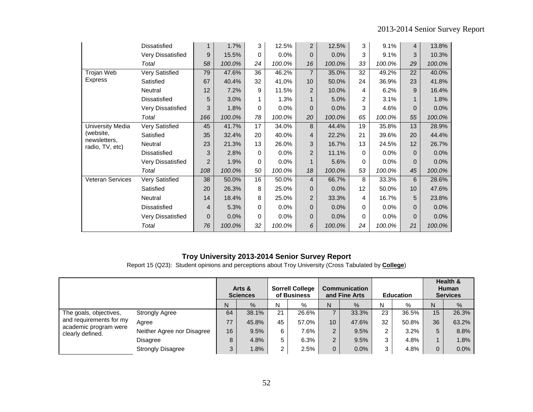|                                 | <b>Dissatisfied</b>      | 1              | 1.7%   | 3        | 12.5%   | $\overline{2}$  | 12.5%  | 3              | 9.1%    | $\overline{4}$ | 13.8%  |
|---------------------------------|--------------------------|----------------|--------|----------|---------|-----------------|--------|----------------|---------|----------------|--------|
|                                 | Very Dissatisfied        | 9              | 15.5%  | 0        | $0.0\%$ | $\mathbf{0}$    | 0.0%   | 3              | 9.1%    | 3              | 10.3%  |
|                                 | Total                    | 58             | 100.0% | 24       | 100.0%  | 16              | 100.0% | 33             | 100.0%  | 29             | 100.0% |
| Trojan Web                      | Very Satisfied           | 79             | 47.6%  | 36       | 46.2%   | $\overline{7}$  | 35.0%  | 32             | 49.2%   | 22             | 40.0%  |
| <b>Express</b>                  | Satisfied                | 67             | 40.4%  | 32       | 41.0%   | 10 <sup>1</sup> | 50.0%  | 24             | 36.9%   | 23             | 41.8%  |
|                                 | Neutral                  | 12             | 7.2%   | 9        | 11.5%   | $\overline{2}$  | 10.0%  | 4              | 6.2%    | 9              | 16.4%  |
|                                 | Dissatisfied             | 5              | 3.0%   |          | 1.3%    | 1               | 5.0%   | $\overline{2}$ | 3.1%    |                | 1.8%   |
|                                 | Very Dissatisfied        | 3              | 1.8%   | $\Omega$ | $0.0\%$ | 0               | 0.0%   | 3              | 4.6%    | $\Omega$       | 0.0%   |
|                                 | Total                    | 166            | 100.0% | 78       | 100.0%  | 20              | 100.0% | 65             | 100.0%  | 55             | 100.0% |
| University Media                | Very Satisfied           | 45             | 41.7%  | 17       | 34.0%   | 8               | 44.4%  | 19             | 35.8%   | 13             | 28.9%  |
| (website,                       | Satisfied                | 35             | 32.4%  | 20       | 40.0%   | 4               | 22.2%  | 21             | 39.6%   | 20             | 44.4%  |
| newsletters,<br>radio, TV, etc) | Neutral                  | 23             | 21.3%  | 13       | 26.0%   | 3               | 16.7%  | 13             | 24.5%   | 12             | 26.7%  |
|                                 | <b>Dissatisfied</b>      | 3              | 2.8%   | 0        | $0.0\%$ | $\overline{2}$  | 11.1%  | 0              | $0.0\%$ | $\Omega$       | 0.0%   |
|                                 | <b>Very Dissatisfied</b> | $\overline{2}$ | 1.9%   | 0        | $0.0\%$ | 1               | 5.6%   | 0              | $0.0\%$ | $\Omega$       | 0.0%   |
|                                 | Total                    | 108            | 100.0% | 50       | 100.0%  | 18              | 100.0% | 53             | 100.0%  | 45             | 100.0% |
| Veteran Services                | Very Satisfied           | 38             | 50.0%  | 16       | 50.0%   | 4               | 66.7%  | 8              | 33.3%   | 6              | 28.6%  |
|                                 | Satisfied                | 20             | 26.3%  | 8        | 25.0%   | 0               | 0.0%   | 12             | 50.0%   | 10             | 47.6%  |
|                                 | Neutral                  | 14             | 18.4%  | 8        | 25.0%   | 2               | 33.3%  | 4              | 16.7%   | 5              | 23.8%  |
|                                 | Dissatisfied             | 4              | 5.3%   | 0        | 0.0%    | $\mathbf{0}$    | 0.0%   | $\Omega$       | 0.0%    | $\Omega$       | 0.0%   |
|                                 | <b>Very Dissatisfied</b> | 0              | 0.0%   | 0        | $0.0\%$ | 0               | 0.0%   | 0              | $0.0\%$ | $\Omega$       | 0.0%   |
|                                 | Total                    | 76             | 100.0% | 32       | 100.0%  | 6               | 100.0% | 24             | 100.0%  | 21             | 100.0% |

Report 15 (Q23): Student opinions and perceptions about Troy University (Cross Tabulated by **College**)

|                                           |                            |    | Arts &<br><b>Sciences</b> |                | <b>Sorrell College</b><br>of Business |                 | <b>Communication</b><br>and Fine Arts |    | <b>Education</b> |                | Health &<br><b>Human</b><br><b>Services</b> |
|-------------------------------------------|----------------------------|----|---------------------------|----------------|---------------------------------------|-----------------|---------------------------------------|----|------------------|----------------|---------------------------------------------|
|                                           |                            | N  | $\%$                      | N              | %                                     | N               | $\%$                                  | N  | %                | N              | $\%$                                        |
| The goals, objectives,                    | <b>Strongly Agree</b>      | 64 | 38.1%                     | 21             | 26.6%                                 |                 | 33.3%                                 | 23 | 36.5%            | 15             | 26.3%                                       |
| and requirements for my                   | Agree                      | 77 | 45.8%                     | 45             | 57.0%                                 | 10 <sup>1</sup> | 47.6%                                 | 32 | 50.8%            | 36             | 63.2%                                       |
| academic program were<br>clearly defined. | Neither Agree nor Disagree | 16 | 9.5%                      | 6              | 7.6%                                  | 2               | 9.5%                                  | ົ  | 3.2%             | 5              | 8.8%                                        |
|                                           | <b>Disagree</b>            | 8  | 4.8%                      | 5              | 6.3%                                  | 2               | 9.5%                                  | 3  | 4.8%             |                | 1.8%                                        |
|                                           | <b>Strongly Disagree</b>   | 3  | $.8\%$                    | $\overline{2}$ | 2.5%                                  | 0               | 0.0%                                  | 3  | 4.8%             | $\overline{0}$ | 0.0%                                        |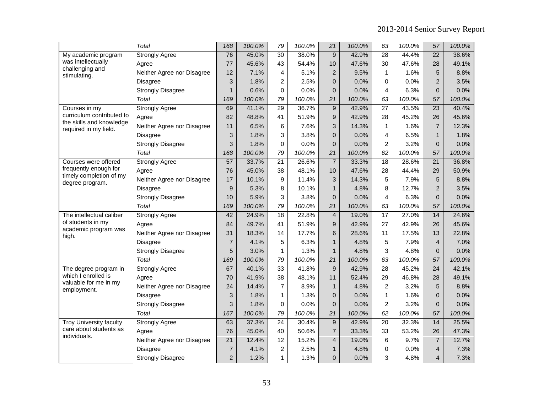|                                                       | Total                      | 168            | 100.0% | 79              | 100.0% | 21             | 100.0% | 63              | 100.0% | 57              | 100.0% |
|-------------------------------------------------------|----------------------------|----------------|--------|-----------------|--------|----------------|--------|-----------------|--------|-----------------|--------|
| My academic program                                   | <b>Strongly Agree</b>      | 76             | 45.0%  | 30              | 38.0%  | 9              | 42.9%  | $\overline{28}$ | 44.4%  | $\overline{22}$ | 38.6%  |
| was intellectually<br>challenging and                 | Agree                      | 77             | 45.6%  | 43              | 54.4%  | 10             | 47.6%  | 30              | 47.6%  | 28              | 49.1%  |
| stimulating.                                          | Neither Agree nor Disagree | 12             | 7.1%   | 4               | 5.1%   | $\overline{2}$ | 9.5%   | 1               | 1.6%   | 5               | 8.8%   |
|                                                       | <b>Disagree</b>            | 3              | 1.8%   | 2               | 2.5%   | $\overline{0}$ | 0.0%   | 0               | 0.0%   | $\overline{2}$  | 3.5%   |
|                                                       | <b>Strongly Disagree</b>   | $\mathbf{1}$   | 0.6%   | $\mathbf 0$     | 0.0%   | $\overline{0}$ | 0.0%   | 4               | 6.3%   | $\overline{0}$  | 0.0%   |
|                                                       | Total                      | 169            | 100.0% | 79              | 100.0% | 21             | 100.0% | 63              | 100.0% | 57              | 100.0% |
| Courses in my                                         | <b>Strongly Agree</b>      | 69             | 41.1%  | $\overline{29}$ | 36.7%  | $\overline{9}$ | 42.9%  | $\overline{27}$ | 43.5%  | $\overline{23}$ | 40.4%  |
| curriculum contributed to<br>the skills and knowledge | Agree                      | 82             | 48.8%  | 41              | 51.9%  | 9              | 42.9%  | 28              | 45.2%  | 26              | 45.6%  |
| required in my field.                                 | Neither Agree nor Disagree | 11             | 6.5%   | 6               | 7.6%   | 3              | 14.3%  | 1               | 1.6%   | $\overline{7}$  | 12.3%  |
|                                                       | <b>Disagree</b>            | 3              | 1.8%   | 3               | 3.8%   | $\overline{0}$ | 0.0%   | 4               | 6.5%   | $\mathbf{1}$    | 1.8%   |
|                                                       | <b>Strongly Disagree</b>   | 3              | 1.8%   | $\Omega$        | 0.0%   | $\overline{0}$ | 0.0%   | $\overline{c}$  | 3.2%   | $\overline{0}$  | 0.0%   |
|                                                       | Total                      | 168            | 100.0% | 79              | 100.0% | 21             | 100.0% | 62              | 100.0% | 57              | 100.0% |
| Courses were offered                                  | <b>Strongly Agree</b>      | 57             | 33.7%  | 21              | 26.6%  | $\overline{7}$ | 33.3%  | 18              | 28.6%  | $\overline{21}$ | 36.8%  |
| frequently enough for                                 | Agree                      | 76             | 45.0%  | 38              | 48.1%  | 10             | 47.6%  | 28              | 44.4%  | 29              | 50.9%  |
| timely completion of my<br>degree program.            | Neither Agree nor Disagree | 17             | 10.1%  | 9               | 11.4%  | 3              | 14.3%  | 5               | 7.9%   | 5               | 8.8%   |
|                                                       | <b>Disagree</b>            | 9              | 5.3%   | 8               | 10.1%  | $\mathbf{1}$   | 4.8%   | 8               | 12.7%  | $\overline{2}$  | 3.5%   |
|                                                       | <b>Strongly Disagree</b>   | 10             | 5.9%   | 3               | 3.8%   | 0              | 0.0%   | 4               | 6.3%   | $\pmb{0}$       | 0.0%   |
|                                                       | Total                      | 169            | 100.0% | 79              | 100.0% | 21             | 100.0% | 63              | 100.0% | 57              | 100.0% |
| The intellectual caliber                              | <b>Strongly Agree</b>      | 42             | 24.9%  | $\overline{18}$ | 22.8%  | $\overline{4}$ | 19.0%  | $\overline{17}$ | 27.0%  | $\overline{14}$ | 24.6%  |
| of students in my                                     | Agree                      | 84             | 49.7%  | 41              | 51.9%  | 9              | 42.9%  | 27              | 42.9%  | 26              | 45.6%  |
| academic program was<br>high.                         | Neither Agree nor Disagree | 31             | 18.3%  | 14              | 17.7%  | 6              | 28.6%  | 11              | 17.5%  | 13              | 22.8%  |
|                                                       | <b>Disagree</b>            | $\overline{7}$ | 4.1%   | 5               | 6.3%   | $\mathbf{1}$   | 4.8%   | 5               | 7.9%   | $\overline{4}$  | 7.0%   |
|                                                       | <b>Strongly Disagree</b>   | 5              | 3.0%   | $\mathbf{1}$    | 1.3%   | 1              | 4.8%   | 3               | 4.8%   | $\pmb{0}$       | 0.0%   |
|                                                       | Total                      | 169            | 100.0% | 79              | 100.0% | 21             | 100.0% | 63              | 100.0% | 57              | 100.0% |
| The degree program in                                 | <b>Strongly Agree</b>      | 67             | 40.1%  | $\overline{33}$ | 41.8%  | 9              | 42.9%  | 28              | 45.2%  | 24              | 42.1%  |
| which I enrolled is                                   | Agree                      | 70             | 41.9%  | 38              | 48.1%  | 11             | 52.4%  | 29              | 46.8%  | 28              | 49.1%  |
| valuable for me in my<br>employment.                  | Neither Agree nor Disagree | 24             | 14.4%  | $\overline{7}$  | 8.9%   | $\mathbf{1}$   | 4.8%   | $\overline{c}$  | 3.2%   | 5               | 8.8%   |
|                                                       | <b>Disagree</b>            | 3              | 1.8%   | $\mathbf{1}$    | 1.3%   | $\pmb{0}$      | 0.0%   | $\mathbf{1}$    | 1.6%   | $\overline{0}$  | 0.0%   |
|                                                       | <b>Strongly Disagree</b>   | 3              | 1.8%   | 0               | 0.0%   | $\mathbf{0}$   | 0.0%   | $\overline{c}$  | 3.2%   | $\mathbf 0$     | 0.0%   |
|                                                       | Total                      | 167            | 100.0% | 79              | 100.0% | 21             | 100.0% | 62              | 100.0% | 57              | 100.0% |
| <b>Troy University faculty</b>                        | <b>Strongly Agree</b>      | 63             | 37.3%  | $\overline{24}$ | 30.4%  | $9\,$          | 42.9%  | 20              | 32.3%  | 14              | 25.5%  |
| care about students as                                | Agree                      | 76             | 45.0%  | 40              | 50.6%  | $\overline{7}$ | 33.3%  | 33              | 53.2%  | 26              | 47.3%  |
| individuals.                                          | Neither Agree nor Disagree | 21             | 12.4%  | 12              | 15.2%  | $\overline{4}$ | 19.0%  | 6               | 9.7%   | $\overline{7}$  | 12.7%  |
|                                                       | Disagree                   | $\overline{7}$ | 4.1%   | $\overline{c}$  | 2.5%   | $\mathbf{1}$   | 4.8%   | 0               | 0.0%   | $\overline{4}$  | 7.3%   |
|                                                       | <b>Strongly Disagree</b>   | 2              | 1.2%   | 1               | 1.3%   | $\overline{0}$ | 0.0%   | 3               | 4.8%   | $\overline{4}$  | 7.3%   |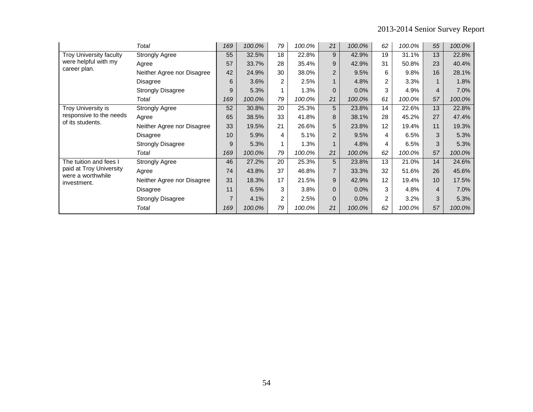|                                  | Total                      | 169 | 100.0% | 79             | 100.0% | 21             | 100.0% | 62             | 100.0% | 55             | 100.0% |
|----------------------------------|----------------------------|-----|--------|----------------|--------|----------------|--------|----------------|--------|----------------|--------|
| Troy University faculty          | <b>Strongly Agree</b>      | 55  | 32.5%  | 18             | 22.8%  | 9              | 42.9%  | 19             | 31.1%  | 13             | 22.8%  |
| were helpful with my             | Agree                      | 57  | 33.7%  | 28             | 35.4%  | 9              | 42.9%  | 31             | 50.8%  | 23             | 40.4%  |
| career plan.                     | Neither Agree nor Disagree | 42  | 24.9%  | 30             | 38.0%  | $\overline{2}$ | 9.5%   | 6              | 9.8%   | 16             | 28.1%  |
|                                  | Disagree                   | 6   | 3.6%   | $\overline{2}$ | 2.5%   | $\mathbf{1}$   | 4.8%   | 2              | 3.3%   | $\mathbf{1}$   | 1.8%   |
|                                  | <b>Strongly Disagree</b>   | 9   | 5.3%   |                | 1.3%   | $\Omega$       | 0.0%   | 3              | 4.9%   | $\overline{4}$ | 7.0%   |
|                                  | Total                      | 169 | 100.0% | 79             | 100.0% | 21             | 100.0% | 61             | 100.0% | 57             | 100.0% |
| Troy University is               | <b>Strongly Agree</b>      | 52  | 30.8%  | 20             | 25.3%  | 5              | 23.8%  | 14             | 22.6%  | 13             | 22.8%  |
| responsive to the needs          | Agree                      | 65  | 38.5%  | 33             | 41.8%  | 8              | 38.1%  | 28             | 45.2%  | 27             | 47.4%  |
| of its students.                 | Neither Agree nor Disagree | 33  | 19.5%  | 21             | 26.6%  | 5              | 23.8%  | 12             | 19.4%  | 11             | 19.3%  |
|                                  | Disagree                   | 10  | 5.9%   | 4              | 5.1%   | $\overline{2}$ | 9.5%   | 4              | 6.5%   | 3              | 5.3%   |
|                                  | <b>Strongly Disagree</b>   | 9   | 5.3%   | 1              | 1.3%   | 1              | 4.8%   | 4              | 6.5%   | 3              | 5.3%   |
|                                  | Total                      | 169 | 100.0% | 79             | 100.0% | 21             | 100.0% | 62             | 100.0% | 57             | 100.0% |
| The tuition and fees I           | <b>Strongly Agree</b>      | 46  | 27.2%  | 20             | 25.3%  | 5              | 23.8%  | 13             | 21.0%  | 14             | 24.6%  |
| paid at Troy University          | Agree                      | 74  | 43.8%  | 37             | 46.8%  | 7              | 33.3%  | 32             | 51.6%  | 26             | 45.6%  |
| were a worthwhile<br>investment. | Neither Agree nor Disagree | 31  | 18.3%  | 17             | 21.5%  | 9              | 42.9%  | 12             | 19.4%  | 10             | 17.5%  |
|                                  | Disagree                   | 11  | 6.5%   | 3              | 3.8%   | $\Omega$       | 0.0%   | 3              | 4.8%   | 4              | 7.0%   |
|                                  | <b>Strongly Disagree</b>   | 7   | 4.1%   | 2              | 2.5%   | $\Omega$       | 0.0%   | $\overline{2}$ | 3.2%   | 3              | 5.3%   |
|                                  | Total                      | 169 | 100.0% | 79             | 100.0% | 21             | 100.0% | 62             | 100.0% | 57             | 100.0% |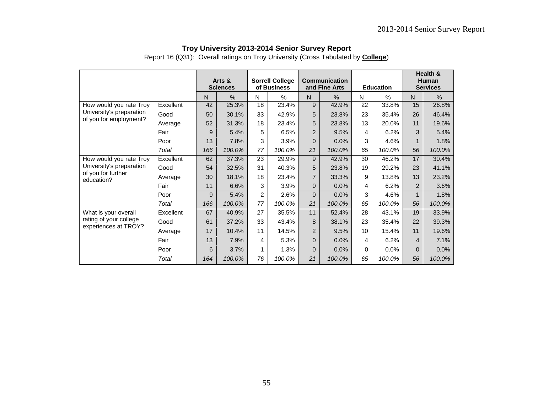|                                  |           | Arts &<br><b>Sciences</b> |        | <b>Sorrell College</b><br>of Business |        |                | <b>Communication</b><br>and Fine Arts |                 | <b>Education</b> | Health &<br>Human<br><b>Services</b> |        |
|----------------------------------|-----------|---------------------------|--------|---------------------------------------|--------|----------------|---------------------------------------|-----------------|------------------|--------------------------------------|--------|
|                                  |           | N                         | %      | N                                     | %      | N              | %                                     | N               | %                | N                                    | %      |
| How would you rate Troy          | Excellent | 42                        | 25.3%  | 18                                    | 23.4%  | 9              | 42.9%                                 | 22              | 33.8%            | 15                                   | 26.8%  |
| University's preparation         | Good      | 50                        | 30.1%  | 33                                    | 42.9%  | 5              | 23.8%                                 | 23              | 35.4%            | 26                                   | 46.4%  |
| of you for employment?           | Average   | 52                        | 31.3%  | 18                                    | 23.4%  | 5              | 23.8%                                 | 13              | 20.0%            | 11                                   | 19.6%  |
|                                  | Fair      | 9                         | 5.4%   | 5                                     | 6.5%   | $\overline{2}$ | 9.5%                                  | 4               | 6.2%             | 3                                    | 5.4%   |
|                                  | Poor      | 13                        | 7.8%   | 3                                     | 3.9%   | $\Omega$       | 0.0%                                  | 3               | 4.6%             |                                      | 1.8%   |
|                                  | Total     | 166                       | 100.0% | 77                                    | 100.0% | 21             | 100.0%                                | 65              | 100.0%           | 56                                   | 100.0% |
| How would you rate Troy          | Excellent | 62                        | 37.3%  | 23                                    | 29.9%  | 9              | 42.9%                                 | 30              | 46.2%            | 17                                   | 30.4%  |
| University's preparation         | Good      | 54                        | 32.5%  | 31                                    | 40.3%  | 5              | 23.8%                                 | 19              | 29.2%            | 23                                   | 41.1%  |
| of you for further<br>education? | Average   | 30                        | 18.1%  | 18                                    | 23.4%  | $\overline{7}$ | 33.3%                                 | 9               | 13.8%            | 13                                   | 23.2%  |
|                                  | Fair      | 11                        | 6.6%   | 3                                     | 3.9%   | $\Omega$       | 0.0%                                  | 4               | 6.2%             | 2                                    | 3.6%   |
|                                  | Poor      | 9                         | 5.4%   | 2                                     | 2.6%   | $\mathbf{0}$   | 0.0%                                  | 3               | 4.6%             | $\mathbf 1$                          | 1.8%   |
|                                  | Total     | 166                       | 100.0% | 77                                    | 100.0% | 21             | 100.0%                                | 65              | 100.0%           | 56                                   | 100.0% |
| What is your overall             | Excellent | 67                        | 40.9%  | 27                                    | 35.5%  | 11             | 52.4%                                 | 28              | 43.1%            | 19                                   | 33.9%  |
| rating of your college           | Good      | 61                        | 37.2%  | 33                                    | 43.4%  | 8              | 38.1%                                 | 23              | 35.4%            | 22                                   | 39.3%  |
| experiences at TROY?             | Average   | 17                        | 10.4%  | 11                                    | 14.5%  | $\overline{2}$ | 9.5%                                  | 10 <sup>°</sup> | 15.4%            | 11                                   | 19.6%  |
|                                  | Fair      | 13                        | 7.9%   | 4                                     | 5.3%   | $\mathbf{0}$   | 0.0%                                  | 4               | 6.2%             | 4                                    | 7.1%   |
|                                  | Poor      | 6                         | 3.7%   |                                       | 1.3%   | $\Omega$       | 0.0%                                  | 0               | 0.0%             | $\Omega$                             | 0.0%   |
|                                  | Total     | 164                       | 100.0% | 76                                    | 100.0% | 21             | 100.0%                                | 65              | 100.0%           | 56                                   | 100.0% |

Report 16 (Q31): Overall ratings on Troy University (Cross Tabulated by **College**)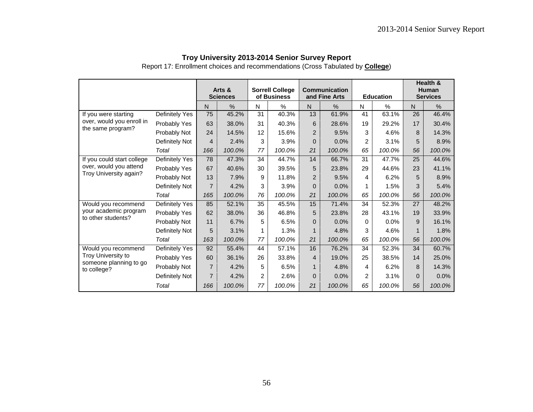|  | Troy University 2013-2014 Senior Survey Report |  |
|--|------------------------------------------------|--|
|--|------------------------------------------------|--|

Report 17: Enrollment choices and recommendations (Cross Tabulated by **College**)

|                                                  |                | Arts &<br><b>Sciences</b> |        | <b>Sorrell College</b><br>of Business |        |                | <b>Communication</b><br>and Fine Arts |                | <b>Education</b> | Health &<br><b>Human</b><br><b>Services</b> |        |  |
|--------------------------------------------------|----------------|---------------------------|--------|---------------------------------------|--------|----------------|---------------------------------------|----------------|------------------|---------------------------------------------|--------|--|
|                                                  |                | N                         | %      | N                                     | %      | N              | %                                     | N              | %                | $\mathsf{N}$                                | $\%$   |  |
| If you were starting                             | Definitely Yes | 75                        | 45.2%  | 31                                    | 40.3%  | 13             | 61.9%                                 | 41             | 63.1%            | 26                                          | 46.4%  |  |
| over, would you enroll in<br>the same program?   | Probably Yes   | 63                        | 38.0%  | 31                                    | 40.3%  | 6              | 28.6%                                 | 19             | 29.2%            | 17                                          | 30.4%  |  |
|                                                  | Probably Not   | 24                        | 14.5%  | 12                                    | 15.6%  | $\overline{2}$ | 9.5%                                  | 3              | 4.6%             | 8                                           | 14.3%  |  |
|                                                  | Definitely Not | $\overline{4}$            | 2.4%   | 3                                     | 3.9%   | $\Omega$       | 0.0%                                  | $\overline{2}$ | 3.1%             | 5                                           | 8.9%   |  |
|                                                  | Total          | 166                       | 100.0% | 77                                    | 100.0% | 21             | 100.0%                                | 65             | 100.0%           | 56                                          | 100.0% |  |
| If you could start college                       | Definitely Yes | 78                        | 47.3%  | 34                                    | 44.7%  | 14             | 66.7%                                 | 31             | 47.7%            | 25                                          | 44.6%  |  |
| over, would you attend<br>Troy University again? | Probably Yes   | 67                        | 40.6%  | 30                                    | 39.5%  | 5              | 23.8%                                 | 29             | 44.6%            | 23                                          | 41.1%  |  |
|                                                  | Probably Not   | 13                        | 7.9%   | 9                                     | 11.8%  | $\overline{2}$ | 9.5%                                  | 4              | 6.2%             | 5                                           | 8.9%   |  |
|                                                  | Definitely Not | $\overline{7}$            | 4.2%   | 3                                     | 3.9%   | $\Omega$       | 0.0%                                  |                | 1.5%             | 3                                           | 5.4%   |  |
|                                                  | Total          | 165                       | 100.0% | 76                                    | 100.0% | 21             | 100.0%                                | 65             | 100.0%           | 56                                          | 100.0% |  |
| Would you recommend                              | Definitely Yes | 85                        | 52.1%  | 35                                    | 45.5%  | 15             | 71.4%                                 | 34             | 52.3%            | 27                                          | 48.2%  |  |
| your academic program                            | Probably Yes   | 62                        | 38.0%  | 36                                    | 46.8%  | 5              | 23.8%                                 | 28             | 43.1%            | 19                                          | 33.9%  |  |
| to other students?                               | Probably Not   | 11                        | 6.7%   | 5                                     | 6.5%   | $\Omega$       | 0.0%                                  | $\Omega$       | 0.0%             | 9                                           | 16.1%  |  |
|                                                  | Definitely Not | 5                         | 3.1%   | 1                                     | 1.3%   |                | 4.8%                                  | 3              | 4.6%             | 1                                           | 1.8%   |  |
|                                                  | Total          | 163                       | 100.0% | 77                                    | 100.0% | 21             | 100.0%                                | 65             | 100.0%           | 56                                          | 100.0% |  |
| Would you recommend                              | Definitely Yes | 92                        | 55.4%  | 44                                    | 57.1%  | 16             | 76.2%                                 | 34             | 52.3%            | 34                                          | 60.7%  |  |
| Troy University to                               | Probably Yes   | 60                        | 36.1%  | 26                                    | 33.8%  | 4              | 19.0%                                 | 25             | 38.5%            | 14                                          | 25.0%  |  |
| someone planning to go<br>to college?            | Probably Not   | $\overline{7}$            | 4.2%   | 5                                     | 6.5%   | $\mathbf{1}$   | 4.8%                                  | 4              | 6.2%             | 8                                           | 14.3%  |  |
|                                                  | Definitely Not | $\overline{7}$            | 4.2%   | $\overline{c}$                        | 2.6%   | $\Omega$       | 0.0%                                  | $\overline{2}$ | 3.1%             | $\Omega$                                    | 0.0%   |  |
|                                                  | Total          | 166                       | 100.0% | 77                                    | 100.0% | 21             | 100.0%                                | 65             | 100.0%           | 56                                          | 100.0% |  |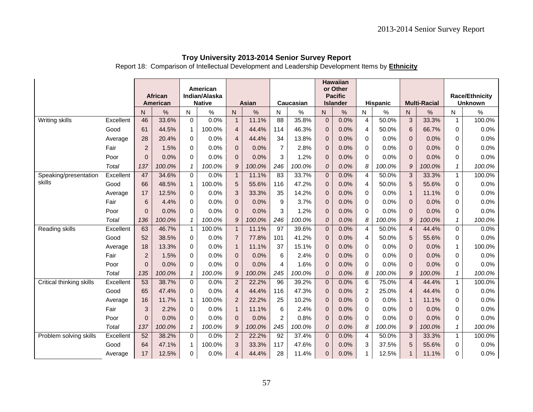Report 18: Comparison of Intellectual Development and Leadership Development Items by **Ethnicity**

|                                 |                 |                      |                 |               | American      |                                |               |                 |               |                          | <b>Hawaiian</b><br>or Other |                |              |                         |                     |                             |                       |
|---------------------------------|-----------------|----------------------|-----------------|---------------|---------------|--------------------------------|---------------|-----------------|---------------|--------------------------|-----------------------------|----------------|--------------|-------------------------|---------------------|-----------------------------|-----------------------|
|                                 |                 |                      | <b>African</b>  |               | Indian/Alaska |                                |               |                 |               |                          | <b>Pacific</b>              |                |              |                         |                     |                             | <b>Race/Ethnicity</b> |
|                                 |                 |                      | <b>American</b> |               | <b>Native</b> |                                | Asian         |                 | Caucasian     |                          | <b>Islander</b>             |                | Hispanic     |                         | <b>Multi-Racial</b> |                             | <b>Unknown</b>        |
|                                 |                 | N                    | $\%$            | N             | $\%$          | ${\sf N}$                      | $\%$          | N               | $\%$          | N                        | $\%$                        | N              | $\%$         | N                       | $\%$                | N                           | $\%$                  |
| Writing skills                  | Excellent       | 46                   | 33.6%           | $\mathbf 0$   | 0.0%          | $\mathbf{1}$                   | 11.1%         | $\overline{88}$ | 35.8%         | $\mathbf 0$              | 0.0%                        | $\overline{4}$ | 50.0%        | 3                       | 33.3%               | $\mathbf{1}$                | 100.0%                |
|                                 | Good            | 61                   | 44.5%           | $\mathbf{1}$  | 100.0%        | $\overline{4}$                 | 44.4%         | 114             | 46.3%         | $\mathbf{0}$             | 0.0%                        | 4              | 50.0%        | 6                       | 66.7%               | $\mathbf 0$                 | 0.0%                  |
|                                 | Average         | 28                   | 20.4%           | 0             | 0.0%          | $\overline{4}$                 | 44.4%         | 34              | 13.8%         | $\mathbf{0}$             | 0.0%                        | 0              | 0.0%         | $\mathbf{0}$            | 0.0%                | 0                           | 0.0%                  |
|                                 | Fair            | $\overline{2}$       | 1.5%            | $\Omega$      | 0.0%          | $\overline{0}$                 | 0.0%          | $\overline{7}$  | 2.8%          | $\mathbf{0}$             | 0.0%                        | 0              | 0.0%         | $\mathbf{0}$            | 0.0%                | $\mathbf 0$                 | 0.0%                  |
|                                 | Poor            | $\Omega$             | 0.0%            | $\Omega$      | 0.0%          | $\Omega$                       | 0.0%          | 3               | 1.2%          | $\Omega$                 | 0.0%                        | $\Omega$       | 0.0%         | $\Omega$                | 0.0%                | $\Omega$                    | 0.0%                  |
|                                 | Total           | 137                  | 100.0%          | 1             | 100.0%        | 9                              | 100.0%        | 246             | 100.0%        | $\overline{O}$           | 0.0%                        | 8              | 100.0%       | 9                       | 100.0%              | $\mathbf{1}$                | 100.0%                |
| Speaking/presentation<br>skills | Excellent       | 47                   | 34.6%           | $\Omega$      | 0.0%          | $\overline{1}$                 | 11.1%         | $\overline{83}$ | 33.7%         | $\overline{0}$           | 0.0%                        | $\overline{4}$ | 50.0%        | $\mathbf{3}$            | 33.3%               | $\mathbf{1}$                | 100.0%                |
|                                 | Good            | 66                   | 48.5%           | $\mathbf{1}$  | 100.0%        | 5                              | 55.6%         | 116             | 47.2%         | $\mathbf{0}$             | 0.0%                        | 4              | 50.0%        | 5                       | 55.6%               | $\mathbf 0$                 | 0.0%                  |
|                                 | Average         | 17                   | 12.5%           | $\Omega$      | 0.0%          | 3                              | 33.3%         | 35              | 14.2%         | $\mathbf{0}$             | 0.0%                        | 0              | 0.0%         | $\mathbf{1}$            | 11.1%               | 0                           | 0.0%                  |
|                                 | Fair            | 6                    | 4.4%            | $\Omega$      | 0.0%          | $\mathbf{0}$                   | 0.0%          | 9               | 3.7%          | $\Omega$                 | 0.0%                        | 0              | 0.0%         | $\mathbf{0}$            | 0.0%                | $\Omega$                    | 0.0%                  |
|                                 | Poor            | $\overline{0}$       | 0.0%            | $\Omega$      | 0.0%          | $\Omega$                       | 0.0%          | 3               | 1.2%          | $\mathbf{0}$             | 0.0%                        | 0              | 0.0%         | $\Omega$                | 0.0%                | $\Omega$                    | 0.0%                  |
|                                 | Total           | 136                  | 100.0%          | $\mathbf{1}$  | 100.0%        | $\mathcal{Q}$                  | 100.0%        | 246             | 100.0%        | $\overline{O}$           | 0.0%                        | 8              | 100.0%       | 9                       | 100.0%              | $\mathbf{1}$                | 100.0%                |
| Reading skills                  | Excellent       | 63                   | 46.7%           | 1             | 100.0%        | $\mathbf{1}$                   | 11.1%         | $\overline{97}$ | 39.6%         | $\mathbf{0}$             | 0.0%                        | 4              | 50.0%        | $\overline{4}$          | 44.4%               | $\Omega$                    | 0.0%                  |
|                                 | Good            | 52                   | 38.5%           | $\mathbf 0$   | 0.0%          | $\overline{7}$                 | 77.8%         | 101             | 41.2%         | $\mathbf{0}$             | 0.0%                        | 4              | 50.0%        | 5                       | 55.6%               | $\mathbf 0$                 | 0.0%                  |
|                                 | Average<br>Fair | 18<br>$\overline{2}$ | 13.3%<br>1.5%   | 0<br>$\Omega$ | 0.0%<br>0.0%  | $\overline{1}$<br>$\mathbf{0}$ | 11.1%<br>0.0% | 37<br>6         | 15.1%<br>2.4% | $\mathbf{0}$<br>$\Omega$ | 0.0%<br>0.0%                | 0<br>$\Omega$  | 0.0%<br>0.0% | $\mathbf 0$<br>$\Omega$ | 0.0%<br>0.0%        | $\mathbf{1}$<br>$\mathbf 0$ | 100.0%<br>0.0%        |
|                                 | Poor            | $\Omega$             | 0.0%            | $\Omega$      | 0.0%          | $\Omega$                       | 0.0%          | 4               | 1.6%          | $\mathbf{0}$             | 0.0%                        | $\Omega$       | 0.0%         | $\Omega$                | 0.0%                | $\Omega$                    | 0.0%                  |
|                                 | Total           | 135                  | 100.0%          | 1             | 100.0%        | 9                              | 100.0%        | 245             | 100.0%        | $\Omega$                 | 0.0%                        | 8              | 100.0%       | 9                       | 100.0%              | 1                           | 100.0%                |
| Critical thinking skills        | Excellent       | 53                   | 38.7%           | $\mathbf 0$   | 0.0%          | $\overline{2}$                 | 22.2%         | 96              | 39.2%         | $\mathbf{0}$             | 0.0%                        | 6              | 75.0%        | $\overline{4}$          | 44.4%               | $\mathbf{1}$                | 100.0%                |
|                                 | Good            | 65                   | 47.4%           | $\Omega$      | 0.0%          | $\overline{4}$                 | 44.4%         | 116             | 47.3%         | $\mathbf{0}$             | 0.0%                        | $\overline{c}$ | 25.0%        | $\overline{4}$          | 44.4%               | $\mathbf 0$                 | 0.0%                  |
|                                 | Average         | 16                   | 11.7%           | $\mathbf{1}$  | 100.0%        | $\overline{2}$                 | 22.2%         | 25              | 10.2%         | $\Omega$                 | 0.0%                        | $\mathbf 0$    | 0.0%         |                         | 11.1%               | $\Omega$                    | 0.0%                  |
|                                 | Fair            | 3                    | 2.2%            | $\Omega$      | 0.0%          | $\mathbf{1}$                   | 11.1%         | 6               | 2.4%          | $\Omega$                 | 0.0%                        | 0              | 0.0%         | $\Omega$                | 0.0%                | $\Omega$                    | 0.0%                  |
|                                 | Poor            | $\overline{0}$       | 0.0%            | 0             | 0.0%          | $\mathbf{0}$                   | 0.0%          | $\overline{2}$  | 0.8%          | $\overline{0}$           | 0.0%                        | 0              | 0.0%         | $\mathbf 0$             | 0.0%                | 0                           | 0.0%                  |
|                                 | Total           | 137                  | 100.0%          | 1             | 100.0%        | 9                              | 100.0%        | 245             | 100.0%        | $\overline{O}$           | 0.0%                        | 8              | 100.0%       | 9                       | 100.0%              | $\mathbf{1}$                | 100.0%                |
| Problem solving skills          | Excellent       | 52                   | 38.2%           | $\Omega$      | 0.0%          | $\overline{c}$                 | 22.2%         | $\overline{92}$ | 37.4%         | $\mathbf 0$              | 0.0%                        | $\overline{4}$ | 50.0%        | $\mathbf{3}$            | 33.3%               | $\mathbf{1}$                | 100.0%                |
|                                 | Good            | 64                   | 47.1%           | $\mathbf{1}$  | 100.0%        | 3                              | 33.3%         | 117             | 47.6%         | $\Omega$                 | 0.0%                        | 3              | 37.5%        | 5                       | 55.6%               | $\Omega$                    | 0.0%                  |
|                                 | Average         | 17                   | 12.5%           | 0             | 0.0%          | 4                              | 44.4%         | 28              | 11.4%         | 0                        | 0.0%                        | $\mathbf 1$    | 12.5%        |                         | 11.1%               | $\Omega$                    | 0.0%                  |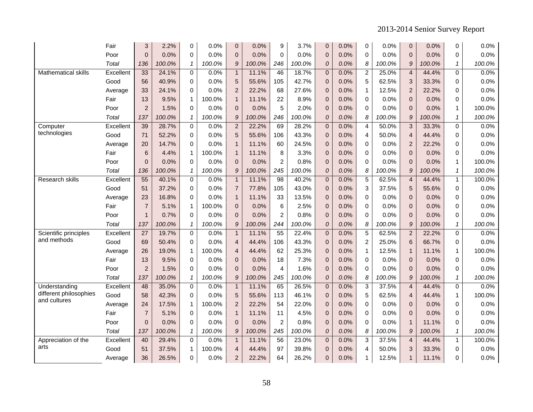|                            | Fair      | 3               | 2.2%   | 0            | 0.0%   | 0              | 0.0%   | 9               | 3.7%   | $\overline{0}$   | 0.0% | 0              | 0.0%   | $\mathbf 0$    | 0.0%   | 0              | 0.0%   |
|----------------------------|-----------|-----------------|--------|--------------|--------|----------------|--------|-----------------|--------|------------------|------|----------------|--------|----------------|--------|----------------|--------|
|                            | Poor      | $\overline{0}$  | 0.0%   | 0            | 0.0%   | $\mathbf{0}$   | 0.0%   | $\Omega$        | 0.0%   | $\overline{0}$   | 0.0% | 0              | 0.0%   | $\mathbf 0$    | 0.0%   | 0              | 0.0%   |
|                            | Total     | 136             | 100.0% | 1            | 100.0% | 9              | 100.0% | 246             | 100.0% | $\overline{O}$   | 0.0% | 8              | 100.0% | 9              | 100.0% | $\mathcal I$   | 100.0% |
| <b>Mathematical skills</b> | Excellent | 33              | 24.1%  | $\mathbf 0$  | 0.0%   | $\mathbf{1}$   | 11.1%  | 46              | 18.7%  | $\overline{0}$   | 0.0% | 2              | 25.0%  | $\overline{4}$ | 44.4%  | 0              | 0.0%   |
|                            | Good      | 56              | 40.9%  | $\Omega$     | 0.0%   | 5              | 55.6%  | 105             | 42.7%  | $\overline{0}$   | 0.0% | 5              | 62.5%  | 3              | 33.3%  | 0              | 0.0%   |
|                            | Average   | 33              | 24.1%  | $\Omega$     | 0.0%   | $\overline{c}$ | 22.2%  | 68              | 27.6%  | $\overline{0}$   | 0.0% | 1              | 12.5%  | $\overline{2}$ | 22.2%  | 0              | 0.0%   |
|                            | Fair      | 13              | 9.5%   | $\mathbf{1}$ | 100.0% | $\mathbf{1}$   | 11.1%  | 22              | 8.9%   | $\Omega$         | 0.0% | 0              | 0.0%   | $\mathbf{0}$   | 0.0%   | 0              | 0.0%   |
|                            | Poor      | $\overline{2}$  | 1.5%   | $\mathbf 0$  | 0.0%   | $\pmb{0}$      | 0.0%   | 5               | 2.0%   | $\overline{0}$   | 0.0% | 0              | 0.0%   | $\mathbf{0}$   | 0.0%   | $\mathbf{1}$   | 100.0% |
|                            | Total     | 137             | 100.0% | 1            | 100.0% | 9              | 100.0% | 246             | 100.0% | $\overline{O}$   | 0.0% | 8              | 100.0% | 9              | 100.0% | $\mathcal I$   | 100.0% |
| Computer                   | Excellent | 39              | 28.7%  | $\Omega$     | 0.0%   | $\overline{2}$ | 22.2%  | 69              | 28.2%  | $\overline{0}$   | 0.0% | 4              | 50.0%  | 3              | 33.3%  | 0              | 0.0%   |
| technologies               | Good      | 71              | 52.2%  | $\Omega$     | 0.0%   | 5              | 55.6%  | 106             | 43.3%  | $\overline{0}$   | 0.0% | 4              | 50.0%  | $\overline{4}$ | 44.4%  | 0              | 0.0%   |
|                            | Average   | 20              | 14.7%  | $\Omega$     | 0.0%   | $\mathbf{1}$   | 11.1%  | 60              | 24.5%  | $\overline{0}$   | 0.0% | 0              | 0.0%   | $\overline{2}$ | 22.2%  | 0              | 0.0%   |
|                            | Fair      | 6               | 4.4%   | $\mathbf 1$  | 100.0% | $\mathbf{1}$   | 11.1%  | 8               | 3.3%   | $\boldsymbol{0}$ | 0.0% | 0              | 0.0%   | $\pmb{0}$      | 0.0%   | 0              | 0.0%   |
|                            | Poor      | $\Omega$        | 0.0%   | 0            | 0.0%   | $\mathbf 0$    | 0.0%   | $\overline{2}$  | 0.8%   | $\mathbf 0$      | 0.0% | 0              | 0.0%   | $\mathbf{0}$   | 0.0%   | 1              | 100.0% |
|                            | Total     | 136             | 100.0% | $\mathcal I$ | 100.0% | 9              | 100.0% | 245             | 100.0% | $\overline{O}$   | 0.0% | 8              | 100.0% | 9              | 100.0% | $\mathbf{1}$   | 100.0% |
| Research skills            | Excellent | 55              | 40.1%  | $\Omega$     | 0.0%   | $\mathbf{1}$   | 11.1%  | $\overline{98}$ | 40.2%  | $\overline{0}$   | 0.0% | 5              | 62.5%  | $\overline{4}$ | 44.4%  | $\mathbf{1}$   | 100.0% |
|                            | Good      | 51              | 37.2%  | $\Omega$     | 0.0%   | $\overline{7}$ | 77.8%  | 105             | 43.0%  | $\mathbf{0}$     | 0.0% | 3              | 37.5%  | 5              | 55.6%  | 0              | 0.0%   |
|                            | Average   | 23              | 16.8%  | $\Omega$     | 0.0%   | $\mathbf{1}$   | 11.1%  | 33              | 13.5%  | $\Omega$         | 0.0% | 0              | 0.0%   | $\Omega$       | 0.0%   | $\Omega$       | 0.0%   |
|                            | Fair      | $\overline{7}$  | 5.1%   | 1            | 100.0% | $\pmb{0}$      | 0.0%   | $6\phantom{1}6$ | 2.5%   | $\overline{0}$   | 0.0% | 0              | 0.0%   | $\mathbf{0}$   | 0.0%   | 0              | 0.0%   |
|                            | Poor      | $\mathbf 1$     | 0.7%   | 0            | 0.0%   | 0              | 0.0%   | $\overline{2}$  | 0.8%   | $\overline{0}$   | 0.0% | 0              | 0.0%   | $\mathbf{0}$   | 0.0%   | 0              | 0.0%   |
|                            | Total     | 137             | 100.0% | 1            | 100.0% | 9              | 100.0% | 244             | 100.0% | $\overline{O}$   | 0.0% | 8              | 100.0% | 9              | 100.0% | $\mathbf{1}$   | 100.0% |
| Scientific principles      | Excellent | $\overline{27}$ | 19.7%  | $\Omega$     | 0.0%   | $\overline{1}$ | 11.1%  | $\overline{55}$ | 22.4%  | $\mathbf 0$      | 0.0% | 5              | 62.5%  | $\overline{c}$ | 22.2%  | $\Omega$       | 0.0%   |
| and methods                | Good      | 69              | 50.4%  | $\Omega$     | 0.0%   | $\overline{4}$ | 44.4%  | 106             | 43.3%  | $\Omega$         | 0.0% | $\overline{c}$ | 25.0%  | 6              | 66.7%  | 0              | 0.0%   |
|                            | Average   | 26              | 19.0%  | $\mathbf 1$  | 100.0% | $\overline{4}$ | 44.4%  | 62              | 25.3%  | $\overline{0}$   | 0.0% | 1              | 12.5%  | $\mathbf{1}$   | 11.1%  | $\mathbf{1}$   | 100.0% |
|                            | Fair      | 13              | 9.5%   | 0            | 0.0%   | $\mathbf 0$    | 0.0%   | 18              | 7.3%   | $\overline{0}$   | 0.0% | 0              | 0.0%   | $\mathbf{0}$   | 0.0%   | 0              | 0.0%   |
|                            | Poor      | $\overline{2}$  | 1.5%   | $\Omega$     | 0.0%   | 0              | 0.0%   | $\overline{4}$  | 1.6%   | 0                | 0.0% | 0              | 0.0%   | $\mathbf 0$    | 0.0%   | 0              | 0.0%   |
|                            | Total     | 137             | 100.0% | $\mathbf{1}$ | 100.0% | 9              | 100.0% | 245             | 100.0% | $\mathcal{O}$    | 0.0% | 8              | 100.0% | 9              | 100.0% | $\mathbf{1}$   | 100.0% |
| Understanding              | Excellent | 48              | 35.0%  | $\Omega$     | 0.0%   | $\mathbf{1}$   | 11.1%  | 65              | 26.5%  | $\overline{0}$   | 0.0% | 3              | 37.5%  | $\overline{4}$ | 44.4%  | $\overline{0}$ | 0.0%   |
| different philosophies     | Good      | 58              | 42.3%  | $\Omega$     | 0.0%   | 5              | 55.6%  | 113             | 46.1%  | 0                | 0.0% | 5              | 62.5%  | $\overline{4}$ | 44.4%  | $\mathbf{1}$   | 100.0% |
| and cultures               | Average   | 24              | 17.5%  | 1            | 100.0% | $\overline{2}$ | 22.2%  | 54              | 22.0%  | $\overline{0}$   | 0.0% | 0              | 0.0%   | $\mathbf{0}$   | 0.0%   | 0              | 0.0%   |
|                            | Fair      | $\overline{7}$  | 5.1%   | $\mathbf 0$  | 0.0%   | $\mathbf{1}$   | 11.1%  | 11              | 4.5%   | $\overline{0}$   | 0.0% | 0              | 0.0%   | $\Omega$       | 0.0%   | 0              | 0.0%   |
|                            | Poor      | $\Omega$        | 0.0%   | $\Omega$     | 0.0%   | $\mathbf{0}$   | 0.0%   | $\overline{2}$  | 0.8%   | $\overline{0}$   | 0.0% | 0              | 0.0%   | $\mathbf{1}$   | 11.1%  | $\Omega$       | 0.0%   |
|                            | Total     | 137             | 100.0% | 1            | 100.0% | 9              | 100.0% | 245             | 100.0% | $\mathcal{O}$    | 0.0% | 8              | 100.0% | 9              | 100.0% | $\mathbf{1}$   | 100.0% |
| Appreciation of the        | Excellent | 40              | 29.4%  | $\Omega$     | 0.0%   | $\mathbf{1}$   | 11.1%  | $\overline{56}$ | 23.0%  | $\mathbf 0$      | 0.0% | 3              | 37.5%  | $\overline{4}$ | 44.4%  | $\mathbf{1}$   | 100.0% |
| arts                       | Good      | 51              | 37.5%  | $\mathbf{1}$ | 100.0% | 4              | 44.4%  | 97              | 39.8%  | $\overline{0}$   | 0.0% | 4              | 50.0%  | 3              | 33.3%  | 0              | 0.0%   |
|                            | Average   | 36              | 26.5%  | $\Omega$     | 0.0%   | $\overline{c}$ | 22.2%  | 64              | 26.2%  | $\mathbf{0}$     | 0.0% | 1              | 12.5%  | $\mathbf{1}$   | 11.1%  | 0              | 0.0%   |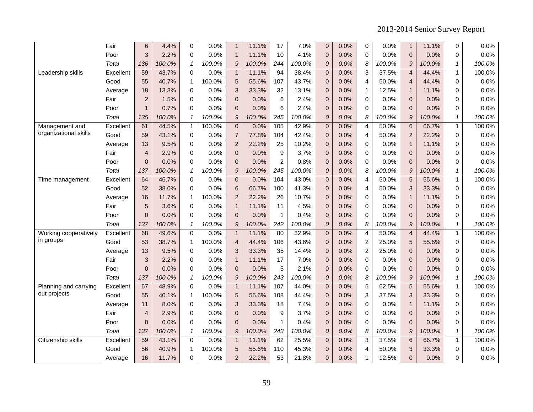|                       | Fair      | 6              | 4.4%   | 0            | 0.0%    | $\mathbf{1}$            | 11.1%  | 17             | 7.0%   | $\overline{0}$   | 0.0% | 0 | 0.0%   | $\mathbf{1}$     | 11.1%  | 0            | 0.0%   |
|-----------------------|-----------|----------------|--------|--------------|---------|-------------------------|--------|----------------|--------|------------------|------|---|--------|------------------|--------|--------------|--------|
|                       | Poor      | 3              | 2.2%   | 0            | 0.0%    | $\mathbf{1}$            | 11.1%  | 10             | 4.1%   | 0                | 0.0% | 0 | 0.0%   | $\mathbf 0$      | 0.0%   | 0            | 0.0%   |
|                       | Total     | 136            | 100.0% | 1            | 100.0%  | 9                       | 100.0% | 244            | 100.0% | $\overline{O}$   | 0.0% | 8 | 100.0% | 9                | 100.0% | $\mathcal I$ | 100.0% |
| Leadership skills     | Excellent | 59             | 43.7%  | $\Omega$     | 0.0%    | $\mathbf{1}$            | 11.1%  | 94             | 38.4%  | $\overline{0}$   | 0.0% | 3 | 37.5%  | $\overline{4}$   | 44.4%  | $\mathbf{1}$ | 100.0% |
|                       | Good      | 55             | 40.7%  | 1            | 100.0%  | 5                       | 55.6%  | 107            | 43.7%  | $\overline{0}$   | 0.0% | 4 | 50.0%  | $\overline{4}$   | 44.4%  | 0            | 0.0%   |
|                       | Average   | 18             | 13.3%  | 0            | 0.0%    | 3                       | 33.3%  | 32             | 13.1%  | $\boldsymbol{0}$ | 0.0% | 1 | 12.5%  | $\mathbf{1}$     | 11.1%  | 0            | 0.0%   |
|                       | Fair      | $\overline{2}$ | 1.5%   | 0            | $0.0\%$ | 0                       | 0.0%   | 6              | 2.4%   | $\mathbf{0}$     | 0.0% | 0 | 0.0%   | $\mathbf{0}$     | 0.0%   | 0            | 0.0%   |
|                       | Poor      | $\mathbf 1$    | 0.7%   | $\Omega$     | 0.0%    | $\overline{0}$          | 0.0%   | 6              | 2.4%   | $\mathbf{0}$     | 0.0% | 0 | 0.0%   | $\mathbf{0}$     | 0.0%   | 0            | 0.0%   |
|                       | Total     | 135            | 100.0% | 1            | 100.0%  | 9                       | 100.0% | 245            | 100.0% | $\overline{O}$   | 0.0% | 8 | 100.0% | 9                | 100.0% | $\mathbf{1}$ | 100.0% |
| Management and        | Excellent | 61             | 44.5%  | $\mathbf{1}$ | 100.0%  | $\pmb{0}$               | 0.0%   | 105            | 42.9%  | $\Omega$         | 0.0% | 4 | 50.0%  | $6\phantom{1}6$  | 66.7%  | $\mathbf{1}$ | 100.0% |
| organizational skills | Good      | 59             | 43.1%  | 0            | 0.0%    | $\overline{7}$          | 77.8%  | 104            | 42.4%  | $\mathbf{0}$     | 0.0% | 4 | 50.0%  | $\overline{2}$   | 22.2%  | 0            | 0.0%   |
|                       | Average   | 13             | 9.5%   | 0            | 0.0%    | $\overline{c}$          | 22.2%  | 25             | 10.2%  | $\overline{0}$   | 0.0% | 0 | 0.0%   | $\mathbf{1}$     | 11.1%  | 0            | 0.0%   |
|                       | Fair      | 4              | 2.9%   | 0            | 0.0%    | $\pmb{0}$               | 0.0%   | 9              | 3.7%   | $\overline{0}$   | 0.0% | 0 | 0.0%   | $\mathbf 0$      | 0.0%   | 0            | 0.0%   |
|                       | Poor      | $\Omega$       | 0.0%   | 0            | 0.0%    | $\overline{0}$          | 0.0%   | $\overline{2}$ | 0.8%   | $\mathbf{0}$     | 0.0% | 0 | 0.0%   | $\Omega$         | 0.0%   | $\Omega$     | 0.0%   |
|                       | Total     | 137            | 100.0% | 1            | 100.0%  | $\mathcal{G}$           | 100.0% | 245            | 100.0% | ${\cal O}$       | 0.0% | 8 | 100.0% | $\boldsymbol{9}$ | 100.0% | $\mathcal I$ | 100.0% |
| Time management       | Excellent | 64             | 46.7%  | $\Omega$     | 0.0%    | $\pmb{0}$               | 0.0%   | 104            | 43.0%  | 0                | 0.0% | 4 | 50.0%  | 5                | 55.6%  | $\mathbf{1}$ | 100.0% |
|                       | Good      | 52             | 38.0%  | 0            | 0.0%    | 6                       | 66.7%  | 100            | 41.3%  | $\overline{0}$   | 0.0% | 4 | 50.0%  | 3                | 33.3%  | 0            | 0.0%   |
|                       | Average   | 16             | 11.7%  | 1            | 100.0%  | $\overline{2}$          | 22.2%  | 26             | 10.7%  | $\Omega$         | 0.0% | 0 | 0.0%   | $\mathbf{1}$     | 11.1%  | 0            | 0.0%   |
|                       | Fair      | 5              | 3.6%   | $\Omega$     | 0.0%    | $\mathbf{1}$            | 11.1%  | 11             | 4.5%   | $\overline{0}$   | 0.0% | 0 | 0.0%   | $\mathbf{0}$     | 0.0%   | 0            | 0.0%   |
|                       | Poor      | 0              | 0.0%   | 0            | 0.0%    | $\overline{0}$          | 0.0%   | 1              | 0.4%   | $\overline{0}$   | 0.0% | 0 | 0.0%   | $\overline{0}$   | 0.0%   | 0            | 0.0%   |
|                       | Total     | 137            | 100.0% | $\mathbf{1}$ | 100.0%  | 9                       | 100.0% | 242            | 100.0% | $\overline{O}$   | 0.0% | 8 | 100.0% | 9                | 100.0% | $\mathbf{1}$ | 100.0% |
| Working cooperatively | Excellent | 68             | 49.6%  | $\Omega$     | 0.0%    | $\mathbf{1}$            | 11.1%  | 80             | 32.9%  | $\mathbf 0$      | 0.0% | 4 | 50.0%  | $\overline{4}$   | 44.4%  | $\mathbf{1}$ | 100.0% |
| in groups             | Good      | 53             | 38.7%  | 1            | 100.0%  | $\overline{\mathbf{4}}$ | 44.4%  | 106            | 43.6%  | 0                | 0.0% | 2 | 25.0%  | 5                | 55.6%  | 0            | 0.0%   |
|                       | Average   | 13             | 9.5%   | 0            | 0.0%    | 3                       | 33.3%  | 35             | 14.4%  | $\mathbf{0}$     | 0.0% | 2 | 25.0%  | $\mathbf{0}$     | 0.0%   | 0            | 0.0%   |
|                       | Fair      | 3              | 2.2%   | $\Omega$     | 0.0%    | $\mathbf{1}$            | 11.1%  | 17             | 7.0%   | $\mathbf{0}$     | 0.0% | 0 | 0.0%   | $\mathbf{0}$     | 0.0%   | 0            | 0.0%   |
|                       | Poor      | $\Omega$       | 0.0%   | $\Omega$     | 0.0%    | $\mathbf{0}$            | 0.0%   | 5              | 2.1%   | $\overline{0}$   | 0.0% | 0 | 0.0%   | $\Omega$         | 0.0%   | 0            | 0.0%   |
|                       | Total     | 137            | 100.0% | 1            | 100.0%  | $\mathcal{G}$           | 100.0% | 243            | 100.0% | ${\cal O}$       | 0.0% | 8 | 100.0% | 9                | 100.0% | $\mathbf{1}$ | 100.0% |
| Planning and carrying | Excellent | 67             | 48.9%  | 0            | 0.0%    | $\mathbf{1}$            | 11.1%  | 107            | 44.0%  | $\mathbf 0$      | 0.0% | 5 | 62.5%  | 5                | 55.6%  | $\mathbf{1}$ | 100.0% |
| out projects          | Good      | 55             | 40.1%  | $\mathbf{1}$ | 100.0%  | 5                       | 55.6%  | 108            | 44.4%  | $\mathbf{0}$     | 0.0% | 3 | 37.5%  | 3                | 33.3%  | 0            | 0.0%   |
|                       | Average   | 11             | 8.0%   | $\Omega$     | 0.0%    | 3                       | 33.3%  | 18             | 7.4%   | $\mathbf{0}$     | 0.0% | 0 | 0.0%   | $\mathbf{1}$     | 11.1%  | 0            | 0.0%   |
|                       | Fair      | 4              | 2.9%   | $\Omega$     | 0.0%    | $\overline{0}$          | 0.0%   | 9              | 3.7%   | $\overline{0}$   | 0.0% | 0 | 0.0%   | $\mathbf{0}$     | 0.0%   | 0            | 0.0%   |
|                       | Poor      | $\Omega$       | 0.0%   | 0            | 0.0%    | $\overline{0}$          | 0.0%   | $\mathbf{1}$   | 0.4%   | $\overline{0}$   | 0.0% | 0 | 0.0%   | $\Omega$         | 0.0%   | 0            | 0.0%   |
|                       | Total     | 137            | 100.0% | 1            | 100.0%  | 9                       | 100.0% | 243            | 100.0% | $\overline{O}$   | 0.0% | 8 | 100.0% | 9                | 100.0% | $\mathbf{1}$ | 100.0% |
| Citizenship skills    | Excellent | 59             | 43.1%  | $\Omega$     | 0.0%    | $\mathbf{1}$            | 11.1%  | 62             | 25.5%  | $\overline{0}$   | 0.0% | 3 | 37.5%  | 6                | 66.7%  | $\mathbf{1}$ | 100.0% |
|                       | Good      | 56             | 40.9%  | $\mathbf 1$  | 100.0%  | 5                       | 55.6%  | 110            | 45.3%  | $\overline{0}$   | 0.0% | 4 | 50.0%  | 3                | 33.3%  | 0            | 0.0%   |
|                       | Average   | 16             | 11.7%  | 0            | 0.0%    | $\overline{2}$          | 22.2%  | 53             | 21.8%  | 0                | 0.0% | 1 | 12.5%  | $\pmb{0}$        | 0.0%   | 0            | 0.0%   |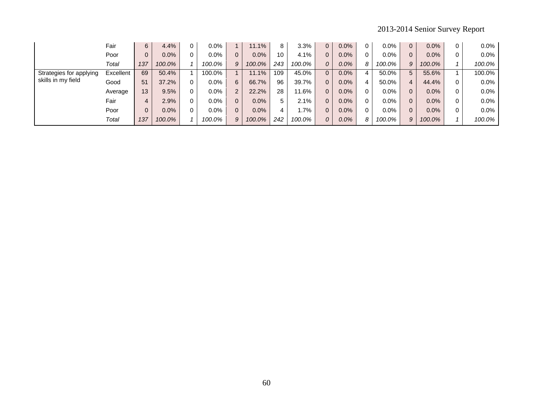|                         | Fair      | 6   | 4.4%    | $0.0\%$ |                | 11.1%  | 8   | 3.3%   | $\overline{0}$ | $0.0\%$ |   | $0.0\%$ | $\overline{0}$ | $0.0\%$ | 0 | $0.0\%$ |
|-------------------------|-----------|-----|---------|---------|----------------|--------|-----|--------|----------------|---------|---|---------|----------------|---------|---|---------|
|                         | Poor      | 0   | $0.0\%$ | $0.0\%$ |                | 0.0%   | 10  | 4.1%   | 0              | $0.0\%$ |   | $0.0\%$ | 0              | 0.0%    | 0 | $0.0\%$ |
|                         | Total     | 137 | 100.0%  | 100.0%  | 9              | 100.0% | 243 | 100.0% | 0              | $0.0\%$ | 8 | 100.0%  | 9              | 100.0%  |   | 100.0%  |
| Strategies for applying | Excellent | 69  | 50.4%   | 100.0%  |                | 11.1%  | 109 | 45.0%  | $\Omega$       | $0.0\%$ | 4 | 50.0%   | 5              | 55.6%   |   | 100.0%  |
| skills in my field      | Good      | 51  | 37.2%   | $0.0\%$ | 6              | 66.7%  | 96  | 39.7%  | 0              | $0.0\%$ | 4 | 50.0%   | 4              | 44.4%   | 0 | $0.0\%$ |
|                         | Average   | 13  | 9.5%    | $0.0\%$ | 2              | 22.2%  | 28  | 11.6%  | 0              | $0.0\%$ |   | $0.0\%$ | 0              | $0.0\%$ | 0 | $0.0\%$ |
|                         | Fair      | 4   | 2.9%    | $0.0\%$ | 0              | 0.0%   |     | 2.1%   | 0              | $0.0\%$ |   | $0.0\%$ | 0              | $0.0\%$ | 0 | $0.0\%$ |
|                         | Poor      | 0   | $0.0\%$ | $0.0\%$ | $\overline{0}$ | 0.0%   |     | 7%،    | 0              | $0.0\%$ |   | $0.0\%$ | 0              | $0.0\%$ | 0 | $0.0\%$ |
|                         | Total     | 137 | 100.0%  | 100.0%  | 9              | 100.0% | 242 | 100.0% | 0              | $0.0\%$ | 8 | 100.0%  | 9              | 100.0%  |   | 100.0%  |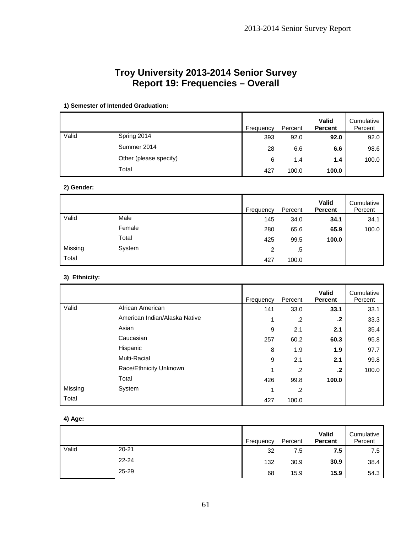# **Troy University 2013-2014 Senior Survey Report 19: Frequencies – Overall**

|       |                        | Frequency | Percent | <b>Valid</b><br><b>Percent</b> | Cumulative<br>Percent |
|-------|------------------------|-----------|---------|--------------------------------|-----------------------|
| Valid | Spring 2014            | 393       | 92.0    | 92.0                           | 92.0                  |
|       | Summer 2014            | 28        | 6.6     | 6.6                            | 98.6                  |
|       | Other (please specify) | 6         | 1.4     | 1.4                            | 100.0                 |
|       | Total                  | 427       | 100.0   | 100.0                          |                       |

### **1) Semester of Intended Graduation:**

### **2) Gender:**

|         |        | Frequency | Percent | Valid<br><b>Percent</b> | Cumulative<br>Percent |
|---------|--------|-----------|---------|-------------------------|-----------------------|
| Valid   | Male   | 145       | 34.0    | 34.1                    | 34.1                  |
|         | Female | 280       | 65.6    | 65.9                    | 100.0                 |
|         | Total  | 425       | 99.5    | 100.0                   |                       |
| Missing | System | 2         | .5      |                         |                       |
| Total   |        | 427       | 100.0   |                         |                       |

### **3) Ethnicity:**

|         |                               | Frequency | Percent | Valid<br><b>Percent</b> | Cumulative<br>Percent |
|---------|-------------------------------|-----------|---------|-------------------------|-----------------------|
| Valid   | African American              | 141       | 33.0    | 33.1                    | 33.1                  |
|         | American Indian/Alaska Native | 4         | .2      | .2                      | 33.3                  |
|         | Asian                         | 9         | 2.1     | 2.1                     | 35.4                  |
|         | Caucasian                     | 257       | 60.2    | 60.3                    | 95.8                  |
|         | Hispanic                      | 8         | 1.9     | 1.9                     | 97.7                  |
|         | <b>Multi-Racial</b>           | 9         | 2.1     | 2.1                     | 99.8                  |
|         | Race/Ethnicity Unknown        | 4         | .2      | .2                      | 100.0                 |
|         | Total                         | 426       | 99.8    | 100.0                   |                       |
| Missing | System                        |           | .2      |                         |                       |
| Total   |                               | 427       | 100.0   |                         |                       |

## **4) Age:**

|       |           | Frequency | Percent | Valid<br><b>Percent</b> | Cumulative<br>Percent |
|-------|-----------|-----------|---------|-------------------------|-----------------------|
| Valid | $20 - 21$ | 32        | 7.5     | 7.5                     | 7.5                   |
|       | $22 - 24$ | 132       | 30.9    | 30.9                    | 38.4                  |
|       | 25-29     | 68        | 15.9    | 15.9                    | 54.3                  |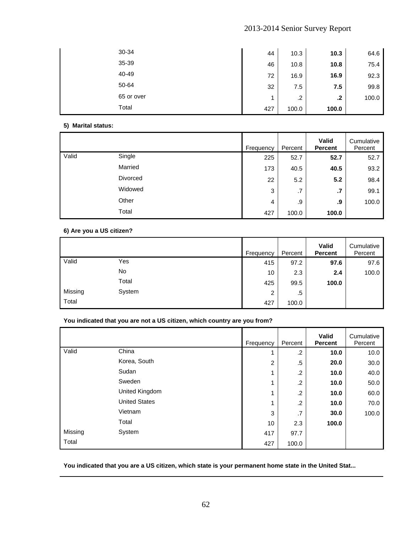| 30-34      | 44  | 10.3  | 10.3    | 64.6  |
|------------|-----|-------|---------|-------|
| 35-39      | 46  | 10.8  | 10.8    | 75.4  |
| 40-49      | 72  | 16.9  | 16.9    | 92.3  |
| 50-64      | 32  | 7.5   | 7.5     | 99.8  |
| 65 or over |     | .2    | $\cdot$ | 100.0 |
| Total      | 427 | 100.0 | 100.0   |       |

## **5) Marital status:**

|       |          | Frequency | Percent | Valid<br><b>Percent</b> | Cumulative<br>Percent |
|-------|----------|-----------|---------|-------------------------|-----------------------|
| Valid | Single   | 225       | 52.7    | 52.7                    | 52.7                  |
|       | Married  | 173       | 40.5    | 40.5                    | 93.2                  |
|       | Divorced | 22        | 5.2     | 5.2                     | 98.4                  |
|       | Widowed  | 3         | .7      | $\cdot$                 | 99.1                  |
|       | Other    | 4         | .9      | .9                      | 100.0                 |
|       | Total    | 427       | 100.0   | 100.0                   |                       |

## **6) Are you a US citizen?**

|         |        | Frequency | Percent | Valid<br><b>Percent</b> | Cumulative<br>Percent |
|---------|--------|-----------|---------|-------------------------|-----------------------|
| Valid   | Yes    | 415       | 97.2    | 97.6                    | 97.6                  |
|         | No     | 10        | 2.3     | 2.4                     | 100.0                 |
|         | Total  | 425       | 99.5    | 100.0                   |                       |
| Missing | System | 2         | .5      |                         |                       |
| Total   |        | 427       | 100.0   |                         |                       |

## **You indicated that you are not a US citizen, which country are you from?**

|         |                      | Frequency | Percent | <b>Valid</b><br><b>Percent</b> | Cumulative<br>Percent |
|---------|----------------------|-----------|---------|--------------------------------|-----------------------|
| Valid   | China                |           | .2      | 10.0                           | 10.0                  |
|         | Korea, South         | 2         | $.5\,$  | 20.0                           | 30.0                  |
|         | Sudan                |           | .2      | 10.0                           | 40.0                  |
|         | Sweden               |           | $\cdot$ | 10.0                           | 50.0                  |
|         | United Kingdom       |           | .2      | 10.0                           | 60.0                  |
|         | <b>United States</b> |           | $\cdot$ | 10.0                           | 70.0                  |
|         | Vietnam              | 3         | .7      | 30.0                           | 100.0                 |
|         | Total                | 10        | 2.3     | 100.0                          |                       |
| Missing | System               | 417       | 97.7    |                                |                       |
| Total   |                      | 427       | 100.0   |                                |                       |

**You indicated that you are a US citizen, which state is your permanent home state in the United Stat...**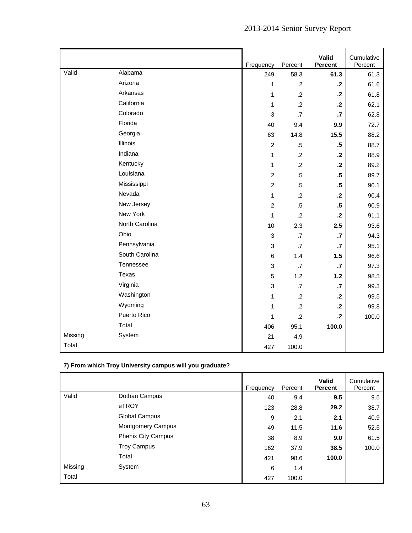|         |                |                           |                 | Valid           | Cumulative |
|---------|----------------|---------------------------|-----------------|-----------------|------------|
|         |                | Frequency                 | Percent         | Percent         | Percent    |
| Valid   | Alabama        | 249                       | 58.3            | 61.3            | 61.3       |
|         | Arizona        | 1                         | $\cdot$ .2      | $\cdot$         | 61.6       |
|         | Arkansas       | 1                         | $\cdot$         | $\cdot$         | 61.8       |
|         | California     | 1                         | $\cdot$         | $\cdot$         | 62.1       |
|         | Colorado       | $\ensuremath{\mathsf{3}}$ | $\cdot$ 7       | $\cdot$         | 62.8       |
|         | Florida        | 40                        | 9.4             | 9.9             | 72.7       |
|         | Georgia        | 63                        | 14.8            | 15.5            | 88.2       |
|         | Illinois       | $\overline{2}$            | $.5\,$          | $.5\phantom{0}$ | 88.7       |
|         | Indiana        | 1                         | $\cdot$ .2      | $\cdot$         | 88.9       |
|         | Kentucky       | 1                         | $\cdot$         | $\mathbf{.2}$   | 89.2       |
|         | Louisiana      | $\overline{c}$            | $.5\,$          | $.5\,$          | 89.7       |
|         | Mississippi    | $\overline{c}$            | $.5\,$          | $.5\phantom{0}$ | 90.1       |
|         | Nevada         | 1                         | $\overline{2}$  | $\cdot$         | 90.4       |
|         | New Jersey     | $\overline{c}$            | $.5\,$          | $.5\,$          | 90.9       |
|         | New York       | 1                         | .2              | $\cdot$ .2      | 91.1       |
|         | North Carolina | 10                        | 2.3             | 2.5             | 93.6       |
|         | Ohio           | $\ensuremath{\mathsf{3}}$ | .7              | $\cdot$         | 94.3       |
|         | Pennsylvania   | 3                         | .7              | $\cdot$         | 95.1       |
|         | South Carolina | 6                         | 1.4             | 1.5             | 96.6       |
|         | Tennessee      | 3                         | .7              | $\cdot$         | 97.3       |
|         | Texas          | 5                         | 1.2             | $1.2$           | 98.5       |
|         | Virginia       | 3                         | $\overline{.7}$ | $\cdot$         | 99.3       |
|         | Washington     | 1                         | $\cdot$ .2      | $\cdot$ .2      | 99.5       |
|         | Wyoming        | 1                         | $\cdot$ .2      | $\cdot$         | 99.8       |
|         | Puerto Rico    | 1                         | $\cdot$ .2      | $\cdot$         | 100.0      |
|         | Total          | 406                       | 95.1            | 100.0           |            |
| Missing | System         | 21                        | 4.9             |                 |            |
| Total   |                | 427                       | 100.0           |                 |            |

# **7) From which Troy University campus will you graduate?**

|         |                          | Frequency | Percent | <b>Valid</b><br><b>Percent</b> | Cumulative<br>Percent |
|---------|--------------------------|-----------|---------|--------------------------------|-----------------------|
| Valid   | Dothan Campus            | 40        | 9.4     | 9.5                            | 9.5                   |
|         | eTROY                    | 123       | 28.8    | 29.2                           | 38.7                  |
|         | <b>Global Campus</b>     | 9         | 2.1     | 2.1                            | 40.9                  |
|         | <b>Montgomery Campus</b> | 49        | 11.5    | 11.6                           | 52.5                  |
|         | Phenix City Campus       | 38        | 8.9     | 9.0                            | 61.5                  |
|         | <b>Troy Campus</b>       | 162       | 37.9    | 38.5                           | 100.0                 |
|         | Total                    | 421       | 98.6    | 100.0                          |                       |
| Missing | System                   | 6         | 1.4     |                                |                       |
| Total   |                          | 427       | 100.0   |                                |                       |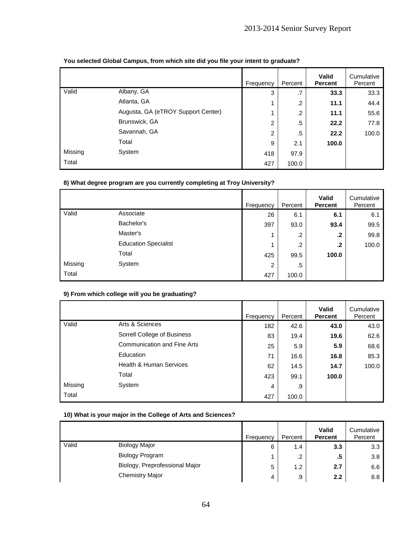|         |                                    | Frequency      | Percent | <b>Valid</b><br><b>Percent</b> | Cumulative<br>Percent |
|---------|------------------------------------|----------------|---------|--------------------------------|-----------------------|
| Valid   | Albany, GA                         | 3              | .7      | 33.3                           | 33.3                  |
|         | Atlanta, GA                        |                | .2      | 11.1                           | 44.4                  |
|         | Augusta, GA (eTROY Support Center) |                | $\cdot$ | 11.1                           | 55.6                  |
|         | Brunswick, GA                      | $\overline{2}$ | .5      | 22.2                           | 77.8                  |
|         | Savannah, GA                       | 2              | .5      | 22.2                           | 100.0                 |
|         | Total                              | 9              | 2.1     | 100.0                          |                       |
| Missing | System                             | 418            | 97.9    |                                |                       |
| Total   |                                    | 427            | 100.0   |                                |                       |

## **You selected Global Campus, from which site did you file your intent to graduate?**

## **8) What degree program are you currently completing at Troy University?**

|         |                             | Frequency | Percent | Valid<br><b>Percent</b> | Cumulative<br>Percent |
|---------|-----------------------------|-----------|---------|-------------------------|-----------------------|
| Valid   | Associate                   | 26        | 6.1     | 6.1                     | 6.1                   |
|         | Bachelor's                  | 397       | 93.0    | 93.4                    | 99.5                  |
|         | Master's                    | 1         | .2      | .2                      | 99.8                  |
|         | <b>Education Specialist</b> | 4         | .2      | .2                      | 100.0                 |
|         | Total                       | 425       | 99.5    | 100.0                   |                       |
| Missing | System                      | 2         | $.5\,$  |                         |                       |
| Total   |                             | 427       | 100.0   |                         |                       |

## **9) From which college will you be graduating?**

|         |                                    | Frequency | Percent | <b>Valid</b><br><b>Percent</b> | Cumulative<br>Percent |
|---------|------------------------------------|-----------|---------|--------------------------------|-----------------------|
| Valid   | Arts & Sciences                    | 182       | 42.6    | 43.0                           | 43.0                  |
|         | Sorrell College of Business        | 83        | 19.4    | 19.6                           | 62.6                  |
|         | <b>Communication and Fine Arts</b> | 25        | 5.9     | 5.9                            | 68.6                  |
|         | Education                          | 71        | 16.6    | 16.8                           | 85.3                  |
|         | <b>Health &amp; Human Services</b> | 62        | 14.5    | 14.7                           | 100.0                 |
|         | Total                              | 423       | 99.1    | 100.0                          |                       |
| Missing | System                             | 4         | .9      |                                |                       |
| Total   |                                    | 427       | 100.0   |                                |                       |

## **10) What is your major in the College of Arts and Sciences?**

|       |                                | Frequency | Percent | <b>Valid</b><br><b>Percent</b> | Cumulative<br>Percent |
|-------|--------------------------------|-----------|---------|--------------------------------|-----------------------|
| Valid | <b>Biology Major</b>           | 6         | 1.4     | 3.3                            | 3.3                   |
|       | <b>Biology Program</b>         |           | .2      | .5                             | 3.8                   |
|       | Biology, Preprofessional Major | 5         | 1.2     | 2.7                            | 6.6                   |
|       | <b>Chemistry Major</b>         | 4         | .9      | 2.2                            | 8.8                   |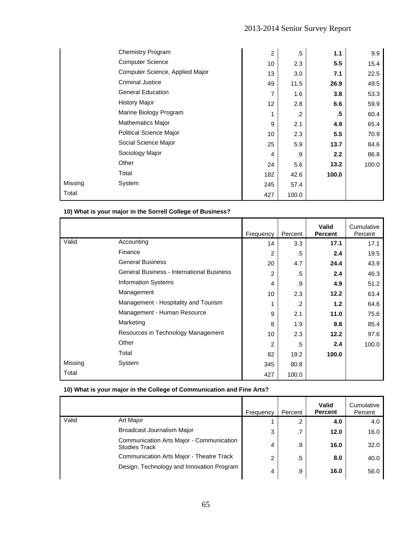|         | <b>Chemistry Program</b>        | $\overline{2}$ | .5    | 1.1   | 9.9   |
|---------|---------------------------------|----------------|-------|-------|-------|
|         | <b>Computer Science</b>         | 10             | 2.3   | 5.5   | 15.4  |
|         | Computer Science, Applied Major | 13             | 3.0   | 7.1   | 22.5  |
|         | <b>Criminal Justice</b>         | 49             | 11.5  | 26.9  | 49.5  |
|         | <b>General Education</b>        | 7              | 1.6   | 3.8   | 53.3  |
|         | <b>History Major</b>            | 12             | 2.8   | 6.6   | 59.9  |
|         | Marine Biology Program          | 1              | .2    | .5    | 60.4  |
|         | <b>Mathematics Major</b>        | 9              | 2.1   | 4.9   | 65.4  |
|         | Political Science Major         | 10             | 2.3   | 5.5   | 70.9  |
|         | Social Science Major            | 25             | 5.9   | 13.7  | 84.6  |
|         | Sociology Major                 | 4              | .9    | 2.2   | 86.8  |
|         | Other                           | 24             | 5.6   | 13.2  | 100.0 |
|         | Total                           | 182            | 42.6  | 100.0 |       |
| Missing | System                          | 245            | 57.4  |       |       |
| Total   |                                 | 427            | 100.0 |       |       |

**10) What is your major in the Sorrell College of Business?** 

|         |                                                  | Frequency | Percent | <b>Valid</b><br><b>Percent</b> | Cumulative<br>Percent |
|---------|--------------------------------------------------|-----------|---------|--------------------------------|-----------------------|
| Valid   | Accounting                                       | 14        | 3.3     | 17.1                           | 17.1                  |
|         | Finance                                          | 2         | .5      | 2.4                            | 19.5                  |
|         | <b>General Business</b>                          | 20        | 4.7     | 24.4                           | 43.9                  |
|         | <b>General Business - International Business</b> | 2         | .5      | 2.4                            | 46.3                  |
|         | <b>Information Systems</b>                       | 4         | .9      | 4.9                            | 51.2                  |
|         | Management                                       | 10        | 2.3     | 12.2                           | 63.4                  |
|         | Management - Hospitality and Tourism             | 1         | .2      | 1.2                            | 64.6                  |
|         | Management - Human Resource                      | 9         | 2.1     | 11.0                           | 75.6                  |
|         | Marketing                                        | 8         | 1.9     | 9.8                            | 85.4                  |
|         | Resources in Technology Management               | 10        | 2.3     | 12.2                           | 97.6                  |
|         | Other                                            | 2         | .5      | 2.4                            | 100.0                 |
|         | Total                                            | 82        | 19.2    | 100.0                          |                       |
| Missing | System                                           | 345       | 80.8    |                                |                       |
| Total   |                                                  | 427       | 100.0   |                                |                       |

## **10) What is your major in the College of Communication and Fine Arts?**

|       |                                                                  | Frequency | Percent | <b>Valid</b><br><b>Percent</b> | Cumulative<br>Percent |
|-------|------------------------------------------------------------------|-----------|---------|--------------------------------|-----------------------|
| Valid | Art Major                                                        |           | $\cdot$ | 4.0                            | 4.0                   |
|       | Broadcast Journalism Major                                       | 3         | .7      | 12.0                           | 16.0                  |
|       | Communication Arts Major - Communication<br><b>Studies Track</b> | 4         | .9      | 16.0                           | 32.0                  |
|       | Communication Arts Major - Theatre Track                         | 2         | .5      | 8.0                            | 40.0                  |
|       | Design, Technology and Innovation Program                        | 4         | .9      | 16.0                           | 56.0                  |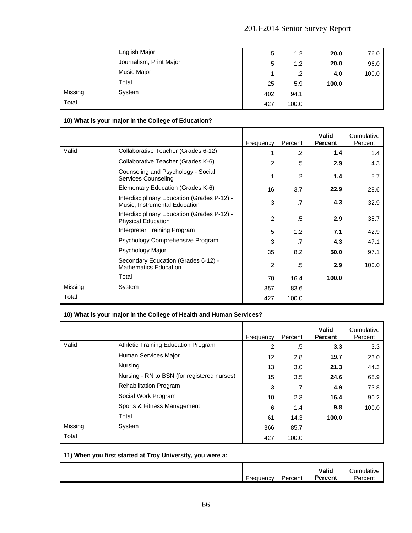|         | English Major           | 5   | 1.2     | 20.0  | 76.0  |
|---------|-------------------------|-----|---------|-------|-------|
|         | Journalism, Print Major | 5   | 1.2     | 20.0  | 96.0  |
|         | Music Major             |     | $\cdot$ | 4.0   | 100.0 |
|         | Total                   | 25  | 5.9     | 100.0 |       |
| Missing | System                  | 402 | 94.1    |       |       |
| Total   |                         | 427 | 100.0   |       |       |

## **10) What is your major in the College of Education?**

|         |                                                                              | Frequency | Percent | <b>Valid</b><br><b>Percent</b> | Cumulative<br>Percent |
|---------|------------------------------------------------------------------------------|-----------|---------|--------------------------------|-----------------------|
| Valid   | Collaborative Teacher (Grades 6-12)                                          |           | $\cdot$ | 1.4                            | 1.4                   |
|         | Collaborative Teacher (Grades K-6)                                           | 2         | .5      | 2.9                            | 4.3                   |
|         | Counseling and Psychology - Social<br>Services Counseling                    |           | $\cdot$ | 1.4                            | 5.7                   |
|         | Elementary Education (Grades K-6)                                            | 16        | 3.7     | 22.9                           | 28.6                  |
|         | Interdisciplinary Education (Grades P-12) -<br>Music, Instrumental Education | 3         | .7      | 4.3                            | 32.9                  |
|         | Interdisciplinary Education (Grades P-12) -<br><b>Physical Education</b>     | 2         | .5      | 2.9                            | 35.7                  |
|         | Interpreter Training Program                                                 | 5         | 1.2     | 7.1                            | 42.9                  |
|         | Psychology Comprehensive Program                                             | 3         | .7      | 4.3                            | 47.1                  |
|         | Psychology Major                                                             | 35        | 8.2     | 50.0                           | 97.1                  |
|         | Secondary Education (Grades 6-12) -<br><b>Mathematics Education</b>          | 2         | .5      | 2.9                            | 100.0                 |
|         | Total                                                                        | 70        | 16.4    | 100.0                          |                       |
| Missing | System                                                                       | 357       | 83.6    |                                |                       |
| Total   |                                                                              | 427       | 100.0   |                                |                       |

## **10) What is your major in the College of Health and Human Services?**

|         |                                             | Frequency | Percent | <b>Valid</b><br><b>Percent</b> | Cumulative<br>Percent |
|---------|---------------------------------------------|-----------|---------|--------------------------------|-----------------------|
| Valid   | Athletic Training Education Program         | 2         | .5      | 3.3                            | 3.3                   |
|         | Human Services Major                        | 12        | 2.8     | 19.7                           | 23.0                  |
|         | <b>Nursing</b>                              | 13        | 3.0     | 21.3                           | 44.3                  |
|         | Nursing - RN to BSN (for registered nurses) | 15        | 3.5     | 24.6                           | 68.9                  |
|         | <b>Rehabilitation Program</b>               | 3         | .7      | 4.9                            | 73.8                  |
|         | Social Work Program                         | 10        | 2.3     | 16.4                           | 90.2                  |
|         | Sports & Fitness Management                 | 6         | 1.4     | 9.8                            | 100.0                 |
|         | Total                                       | 61        | 14.3    | 100.0                          |                       |
| Missing | System                                      | 366       | 85.7    |                                |                       |
| Total   |                                             | 427       | 100.0   |                                |                       |

### **11) When you first started at Troy University, you were a:**

|  | <b>guency</b> | Percent | Valid<br>Percent | ≅mula.<br>TIVE.<br>-<br>rcent |
|--|---------------|---------|------------------|-------------------------------|
|--|---------------|---------|------------------|-------------------------------|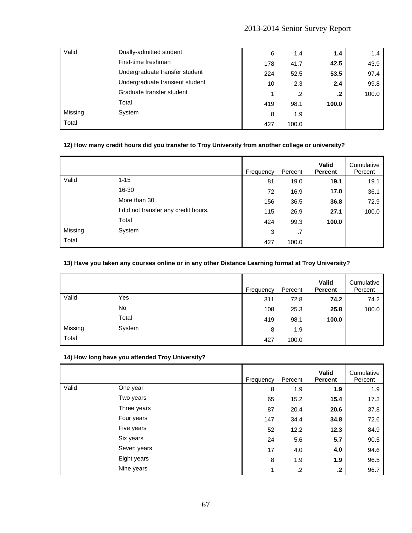| Valid   | Dually-admitted student         | 6   | 1.4        | 1.4   | 1.4   |
|---------|---------------------------------|-----|------------|-------|-------|
|         | First-time freshman             | 178 | 41.7       | 42.5  | 43.9  |
|         | Undergraduate transfer student  | 224 | 52.5       | 53.5  | 97.4  |
|         | Undergraduate transient student | 10  | 2.3        | 2.4   | 99.8  |
|         | Graduate transfer student       |     | $\cdot$ .2 | .2    | 100.0 |
|         | Total                           | 419 | 98.1       | 100.0 |       |
| Missing | System                          | 8   | 1.9        |       |       |
| Total   |                                 | 427 | 100.0      |       |       |

## **12) How many credit hours did you transfer to Troy University from another college or university?**

|         |                                      | Frequency | Percent | <b>Valid</b><br><b>Percent</b> | Cumulative<br>Percent |
|---------|--------------------------------------|-----------|---------|--------------------------------|-----------------------|
| Valid   | $1 - 15$                             | 81        | 19.0    | 19.1                           | 19.1                  |
|         | 16-30                                | 72        | 16.9    | 17.0                           | 36.1                  |
|         | More than 30                         | 156       | 36.5    | 36.8                           | 72.9                  |
|         | I did not transfer any credit hours. | 115       | 26.9    | 27.1                           | 100.0                 |
|         | Total                                | 424       | 99.3    | 100.0                          |                       |
| Missing | System                               | 3         | .7      |                                |                       |
| Total   |                                      | 427       | 100.0   |                                |                       |

## **13) Have you taken any courses online or in any other Distance Learning format at Troy University?**

|         |        | Frequency | Percent | Valid<br><b>Percent</b> | Cumulative<br>Percent |
|---------|--------|-----------|---------|-------------------------|-----------------------|
| Valid   | Yes    | 311       | 72.8    | 74.2                    | 74.2                  |
|         | No     | 108       | 25.3    | 25.8                    | 100.0                 |
|         | Total  | 419       | 98.1    | 100.0                   |                       |
| Missing | System | 8         | 1.9     |                         |                       |
| Total   |        | 427       | 100.0   |                         |                       |

#### **14) How long have you attended Troy University?**

|       |             | Frequency | Percent | <b>Valid</b><br><b>Percent</b> | Cumulative<br>Percent |
|-------|-------------|-----------|---------|--------------------------------|-----------------------|
| Valid | One year    | 8         | 1.9     | 1.9                            | 1.9                   |
|       | Two years   | 65        | 15.2    | 15.4                           | 17.3                  |
|       | Three years | 87        | 20.4    | 20.6                           | 37.8                  |
|       | Four years  | 147       | 34.4    | 34.8                           | 72.6                  |
|       | Five years  | 52        | 12.2    | 12.3                           | 84.9                  |
|       | Six years   | 24        | 5.6     | 5.7                            | 90.5                  |
|       | Seven years | 17        | 4.0     | 4.0                            | 94.6                  |
|       | Eight years | 8         | 1.9     | 1.9                            | 96.5                  |
|       | Nine years  | 1         | $\cdot$ | $\cdot$                        | 96.7                  |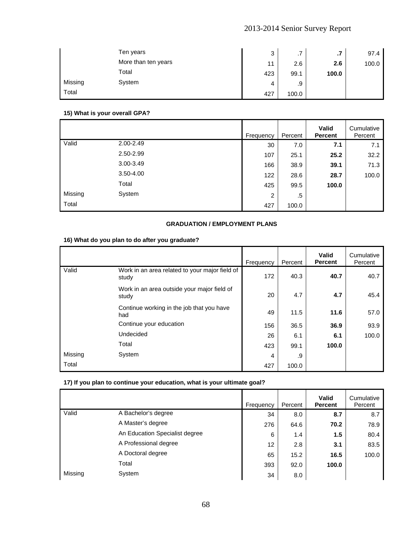|         | Ten years           | 3   | 7<br>. . | $\cdot$ | 97.4  |
|---------|---------------------|-----|----------|---------|-------|
|         | More than ten years | 11  | 2.6      | 2.6     | 100.0 |
|         | Total               | 423 | 99.1     | 100.0   |       |
| Missing | System              | 4   | .9       |         |       |
| Total   |                     | 427 | 100.0    |         |       |

## **15) What is your overall GPA?**

|         |               | Frequency      | Percent | <b>Valid</b><br><b>Percent</b> | Cumulative<br>Percent |
|---------|---------------|----------------|---------|--------------------------------|-----------------------|
| Valid   | 2.00-2.49     | 30             | 7.0     | 7.1                            | 7.1                   |
|         | 2.50-2.99     | 107            | 25.1    | 25.2                           | 32.2                  |
|         | $3.00 - 3.49$ | 166            | 38.9    | 39.1                           | 71.3                  |
|         | $3.50 - 4.00$ | 122            | 28.6    | 28.7                           | 100.0                 |
|         | Total         | 425            | 99.5    | 100.0                          |                       |
| Missing | System        | $\overline{2}$ | .5      |                                |                       |
| Total   |               | 427            | 100.0   |                                |                       |

## **GRADUATION / EMPLOYMENT PLANS**

## **16) What do you plan to do after you graduate?**

|         |                                                         | Frequency | Percent | <b>Valid</b><br><b>Percent</b> | Cumulative<br>Percent |
|---------|---------------------------------------------------------|-----------|---------|--------------------------------|-----------------------|
| Valid   | Work in an area related to your major field of<br>study | 172       | 40.3    | 40.7                           | 40.7                  |
|         | Work in an area outside your major field of<br>study    | 20        | 4.7     | 4.7                            | 45.4                  |
|         | Continue working in the job that you have<br>had        | 49        | 11.5    | 11.6                           | 57.0                  |
|         | Continue your education                                 | 156       | 36.5    | 36.9                           | 93.9                  |
|         | Undecided                                               | 26        | 6.1     | 6.1                            | 100.0                 |
|         | Total                                                   | 423       | 99.1    | 100.0                          |                       |
| Missing | System                                                  | 4         | .9      |                                |                       |
| Total   |                                                         | 427       | 100.0   |                                |                       |

## **17) If you plan to continue your education, what is your ultimate goal?**

|         |                                | Frequency | Percent | <b>Valid</b><br><b>Percent</b> | Cumulative<br>Percent |
|---------|--------------------------------|-----------|---------|--------------------------------|-----------------------|
| Valid   | A Bachelor's degree            | 34        | 8.0     | 8.7                            | 8.7                   |
|         | A Master's degree              | 276       | 64.6    | 70.2                           | 78.9                  |
|         | An Education Specialist degree | 6         | 1.4     | 1.5                            | 80.4                  |
|         | A Professional degree          | 12        | 2.8     | 3.1                            | 83.5                  |
|         | A Doctoral degree              | 65        | 15.2    | 16.5                           | 100.0                 |
|         | Total                          | 393       | 92.0    | 100.0                          |                       |
| Missing | System                         | 34        | 8.0     |                                |                       |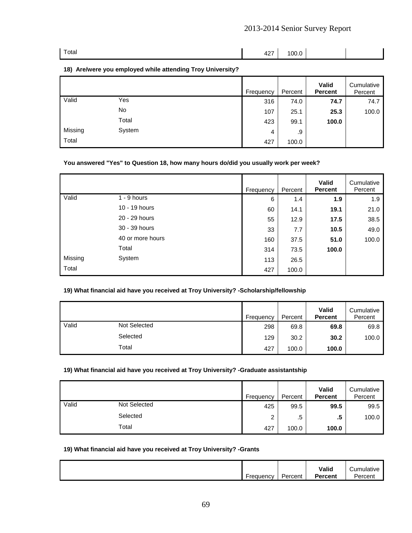| Total | $\vert$ 427 100.0 |  |  |
|-------|-------------------|--|--|

### **18) Are/were you employed while attending Troy University?**

|         |        | Frequency | Percent | Valid<br><b>Percent</b> | Cumulative<br>Percent |
|---------|--------|-----------|---------|-------------------------|-----------------------|
| Valid   | Yes    | 316       | 74.0    | 74.7                    | 74.7                  |
|         | No     | 107       | 25.1    | 25.3                    | 100.0                 |
|         | Total  | 423       | 99.1    | 100.0                   |                       |
| Missing | System | 4         | .9      |                         |                       |
| Total   |        | 427       | 100.0   |                         |                       |

## **You answered "Yes" to Question 18, how many hours do/did you usually work per week?**

|         |                  | Frequency | Percent | <b>Valid</b><br><b>Percent</b> | Cumulative<br>Percent |
|---------|------------------|-----------|---------|--------------------------------|-----------------------|
| Valid   | $1 - 9$ hours    | 6         | 1.4     | 1.9                            | 1.9                   |
|         | 10 - 19 hours    | 60        | 14.1    | 19.1                           | 21.0                  |
|         | 20 - 29 hours    | 55        | 12.9    | 17.5                           | 38.5                  |
|         | 30 - 39 hours    | 33        | 7.7     | 10.5                           | 49.0                  |
|         | 40 or more hours | 160       | 37.5    | 51.0                           | 100.0                 |
|         | Total            | 314       | 73.5    | 100.0                          |                       |
| Missing | System           | 113       | 26.5    |                                |                       |
| Total   |                  | 427       | 100.0   |                                |                       |

## **19) What financial aid have you received at Troy University? -Scholarship/fellowship**

|       |                     | Frequency | Percent | <b>Valid</b><br><b>Percent</b> | Cumulative<br>Percent |
|-------|---------------------|-----------|---------|--------------------------------|-----------------------|
| Valid | <b>Not Selected</b> | 298       | 69.8    | 69.8                           | 69.8                  |
|       | Selected            | 129       | 30.2    | 30.2                           | 100.0                 |
|       | Total               | 427       | 100.0   | 100.0                          |                       |

#### **19) What financial aid have you received at Troy University? -Graduate assistantship**

|       |                     | Frequency | Percent | Valid<br><b>Percent</b> | Cumulative<br>Percent |
|-------|---------------------|-----------|---------|-------------------------|-----------------------|
| Valid | <b>Not Selected</b> | 425       | 99.5    | 99.5                    | 99.5                  |
|       | Selected            | າ         | .5      | .5                      | 100.0                 |
|       | Total               | 427       | 100.0   | 100.0                   |                       |

#### **19) What financial aid have you received at Troy University? -Grants**

| -<br>-<br>Frequency | Percent | Valid<br>Percent | <b>umulative</b><br>≅rceni i |
|---------------------|---------|------------------|------------------------------|
|---------------------|---------|------------------|------------------------------|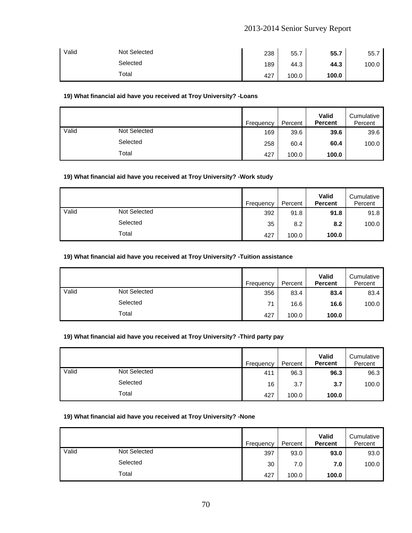| Valid | Not Selected | 238 | 55.7  | 55.7  | 55.7  |
|-------|--------------|-----|-------|-------|-------|
|       | Selected     | 189 | 44.3  | 44.3  | 100.0 |
|       | Total        | 427 | 100.0 | 100.0 |       |

## **19) What financial aid have you received at Troy University? -Loans**

|       |              | Frequency | Percent | Valid<br><b>Percent</b> | Cumulative<br>Percent |
|-------|--------------|-----------|---------|-------------------------|-----------------------|
| Valid | Not Selected | 169       | 39.6    | 39.6                    | 39.6                  |
|       | Selected     | 258       | 60.4    | 60.4                    | 100.0                 |
|       | Total        | 427       | 100.0   | 100.0                   |                       |

#### **19) What financial aid have you received at Troy University? -Work study**

|       |                     | Frequency | Percent | Valid<br><b>Percent</b> | Cumulative<br>Percent |
|-------|---------------------|-----------|---------|-------------------------|-----------------------|
| Valid | <b>Not Selected</b> | 392       | 91.8    | 91.8                    | 91.8                  |
|       | Selected            | 35        | 8.2     | 8.2                     | 100.0                 |
|       | Total               | 427       | 100.0   | 100.0                   |                       |

## **19) What financial aid have you received at Troy University? -Tuition assistance**

|       |                     | Frequency | Percent | Valid<br><b>Percent</b> | Cumulative<br>Percent |
|-------|---------------------|-----------|---------|-------------------------|-----------------------|
| Valid | <b>Not Selected</b> | 356       | 83.4    | 83.4                    | 83.4                  |
|       | Selected            | 71        | 16.6    | 16.6                    | 100.0                 |
|       | Total               | 427       | 100.0   | 100.0                   |                       |

### **19) What financial aid have you received at Troy University? -Third party pay**

|       |                     | Frequency | Percent | Valid<br><b>Percent</b> | Cumulative<br>Percent |
|-------|---------------------|-----------|---------|-------------------------|-----------------------|
| Valid | <b>Not Selected</b> | 411       | 96.3    | 96.3                    | 96.3                  |
|       | Selected            | 16        | 3.7     | 3.7                     | 100.0                 |
|       | Total               | 427       | 100.0   | 100.0                   |                       |

#### **19) What financial aid have you received at Troy University? -None**

|       |                     | Frequency | Percent   | Valid<br><b>Percent</b> | Cumulative<br>Percent |
|-------|---------------------|-----------|-----------|-------------------------|-----------------------|
| Valid | <b>Not Selected</b> | 397       | 93.0      | 93.0                    | 93.0                  |
|       | Selected            |           | 30<br>7.0 | 7.0                     | 100.0                 |
|       | Total               | 427       | 100.0     | 100.0                   |                       |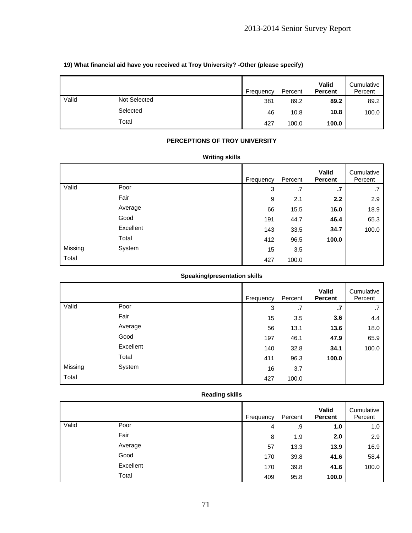|       |                     | Frequency | Percent | Valid<br><b>Percent</b> | Cumulative<br>Percent |
|-------|---------------------|-----------|---------|-------------------------|-----------------------|
| Valid | <b>Not Selected</b> | 381       | 89.2    | 89.2                    | 89.2                  |
|       | Selected            | 46        | 10.8    | 10.8                    | 100.0                 |
|       | Total               | 427       | 100.0   | 100.0                   |                       |

## **19) What financial aid have you received at Troy University? -Other (please specify)**

## **PERCEPTIONS OF TROY UNIVERSITY**

## **Writing skills**

|         |           | Frequency | Percent | Valid<br><b>Percent</b> | Cumulative<br>Percent |
|---------|-----------|-----------|---------|-------------------------|-----------------------|
| Valid   | Poor      | 3         | .7      | $\cdot$                 | .7                    |
|         | Fair      | 9         | 2.1     | 2.2                     | 2.9                   |
|         | Average   | 66        | 15.5    | 16.0                    | 18.9                  |
|         | Good      | 191       | 44.7    | 46.4                    | 65.3                  |
|         | Excellent | 143       | 33.5    | 34.7                    | 100.0                 |
|         | Total     | 412       | 96.5    | 100.0                   |                       |
| Missing | System    | 15        | 3.5     |                         |                       |
| Total   |           | 427       | 100.0   |                         |                       |

## **Speaking/presentation skills**

|         |           | Frequency | Percent | Valid<br><b>Percent</b> | Cumulative<br>Percent |
|---------|-----------|-----------|---------|-------------------------|-----------------------|
| Valid   | Poor      | 3         | .7      | $\cdot$                 | .7                    |
|         | Fair      | 15        | 3.5     | 3.6                     | 4.4                   |
|         | Average   | 56        | 13.1    | 13.6                    | 18.0                  |
|         | Good      | 197       | 46.1    | 47.9                    | 65.9                  |
|         | Excellent | 140       | 32.8    | 34.1                    | 100.0                 |
|         | Total     | 411       | 96.3    | 100.0                   |                       |
| Missing | System    | 16        | 3.7     |                         |                       |
| Total   |           | 427       | 100.0   |                         |                       |

## **Reading skills**

|       |           | Frequency | Percent | Valid<br><b>Percent</b> | Cumulative<br>Percent |
|-------|-----------|-----------|---------|-------------------------|-----------------------|
| Valid | Poor      | 4         | .9      | 1.0                     | 1.0                   |
|       | Fair      | 8         | 1.9     | 2.0                     | 2.9                   |
|       | Average   | 57        | 13.3    | 13.9                    | 16.9                  |
|       | Good      | 170       | 39.8    | 41.6                    | 58.4                  |
|       | Excellent | 170       | 39.8    | 41.6                    | 100.0                 |
|       | Total     | 409       | 95.8    | 100.0                   |                       |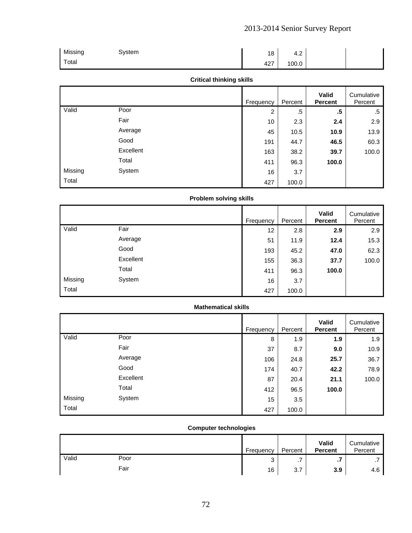| Missing | System | 18  | ְ<br>т. д |  |
|---------|--------|-----|-----------|--|
| Total   |        | 427 | 100.0     |  |

# **Critical thinking skills**

|         |           | Frequency | Percent | Valid<br><b>Percent</b> | Cumulative<br>Percent |
|---------|-----------|-----------|---------|-------------------------|-----------------------|
| Valid   | Poor      | 2         | .5      | .5                      | .5                    |
|         | Fair      | 10        | 2.3     | 2.4                     | 2.9                   |
|         | Average   | 45        | 10.5    | 10.9                    | 13.9                  |
|         | Good      | 191       | 44.7    | 46.5                    | 60.3                  |
|         | Excellent | 163       | 38.2    | 39.7                    | 100.0                 |
|         | Total     | 411       | 96.3    | 100.0                   |                       |
| Missing | System    | 16        | 3.7     |                         |                       |
| Total   |           | 427       | 100.0   |                         |                       |

# **Problem solving skills**

|         |           | Frequency | Percent | Valid<br><b>Percent</b> | Cumulative<br>Percent |
|---------|-----------|-----------|---------|-------------------------|-----------------------|
| Valid   | Fair      | 12        | 2.8     | 2.9                     | 2.9                   |
|         | Average   | 51        | 11.9    | 12.4                    | 15.3                  |
|         | Good      | 193       | 45.2    | 47.0                    | 62.3                  |
|         | Excellent | 155       | 36.3    | 37.7                    | 100.0                 |
|         | Total     | 411       | 96.3    | 100.0                   |                       |
| Missing | System    | 16        | 3.7     |                         |                       |
| Total   |           | 427       | 100.0   |                         |                       |

### **Mathematical skills**

|         |           | Frequency | Percent | Valid<br><b>Percent</b> | Cumulative<br>Percent |
|---------|-----------|-----------|---------|-------------------------|-----------------------|
| Valid   | Poor      | 8         | 1.9     | 1.9                     | 1.9                   |
|         | Fair      | 37        | 8.7     | 9.0                     | 10.9                  |
|         | Average   | 106       | 24.8    | 25.7                    | 36.7                  |
|         | Good      | 174       | 40.7    | 42.2                    | 78.9                  |
|         | Excellent | 87        | 20.4    | 21.1                    | 100.0                 |
|         | Total     | 412       | 96.5    | 100.0                   |                       |
| Missing | System    | 15        | 3.5     |                         |                       |
| Total   |           | 427       | 100.0   |                         |                       |

# **Computer technologies**

|       |      | Frequency | Percent  | Valid<br><b>Percent</b> | Cumulative<br>Percent |
|-------|------|-----------|----------|-------------------------|-----------------------|
| Valid | Poor | ົ<br>ບ    | . .      | .,                      |                       |
|       | Fair | 16        | 27<br>ن. | 3.9                     | 4.6                   |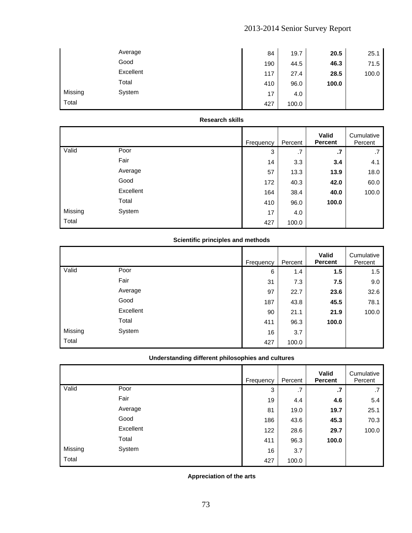|         | Average   | 84  | 19.7  | 20.5  | 25.1  |
|---------|-----------|-----|-------|-------|-------|
|         | Good      | 190 | 44.5  | 46.3  | 71.5  |
|         | Excellent | 117 | 27.4  | 28.5  | 100.0 |
|         | Total     | 410 | 96.0  | 100.0 |       |
| Missing | System    | 17  | 4.0   |       |       |
| Total   |           | 427 | 100.0 |       |       |

### **Research skills**

|         |           | Frequency | Percent | Valid<br><b>Percent</b> | Cumulative<br>Percent |
|---------|-----------|-----------|---------|-------------------------|-----------------------|
| Valid   | Poor      | 3         | .7      | $\cdot$                 | .7                    |
|         | Fair      | 14        | 3.3     | 3.4                     | 4.1                   |
|         | Average   | 57        | 13.3    | 13.9                    | 18.0                  |
|         | Good      | 172       | 40.3    | 42.0                    | 60.0                  |
|         | Excellent | 164       | 38.4    | 40.0                    | 100.0                 |
|         | Total     | 410       | 96.0    | 100.0                   |                       |
| Missing | System    | 17        | 4.0     |                         |                       |
| Total   |           | 427       | 100.0   |                         |                       |

# **Scientific principles and methods**

|         |           | Frequency | Percent | Valid<br><b>Percent</b> | Cumulative<br>Percent |
|---------|-----------|-----------|---------|-------------------------|-----------------------|
| Valid   | Poor      | 6         | 1.4     | 1.5                     | 1.5                   |
|         | Fair      | 31        | 7.3     | 7.5                     | 9.0                   |
|         | Average   | 97        | 22.7    | 23.6                    | 32.6                  |
|         | Good      | 187       | 43.8    | 45.5                    | 78.1                  |
|         | Excellent | 90        | 21.1    | 21.9                    | 100.0                 |
|         | Total     | 411       | 96.3    | 100.0                   |                       |
| Missing | System    | 16        | 3.7     |                         |                       |
| Total   |           | 427       | 100.0   |                         |                       |

# **Understanding different philosophies and cultures**

|         |           | Frequency | Percent | Valid<br><b>Percent</b> | Cumulative<br>Percent |
|---------|-----------|-----------|---------|-------------------------|-----------------------|
| Valid   | Poor      | 3         | .7      | $\cdot$                 | .7                    |
|         | Fair      | 19        | 4.4     | 4.6                     | 5.4                   |
|         | Average   | 81        | 19.0    | 19.7                    | 25.1                  |
|         | Good      | 186       | 43.6    | 45.3                    | 70.3                  |
|         | Excellent | 122       | 28.6    | 29.7                    | 100.0                 |
|         | Total     | 411       | 96.3    | 100.0                   |                       |
| Missing | System    | 16        | 3.7     |                         |                       |
| Total   |           | 427       | 100.0   |                         |                       |

**Appreciation of the arts**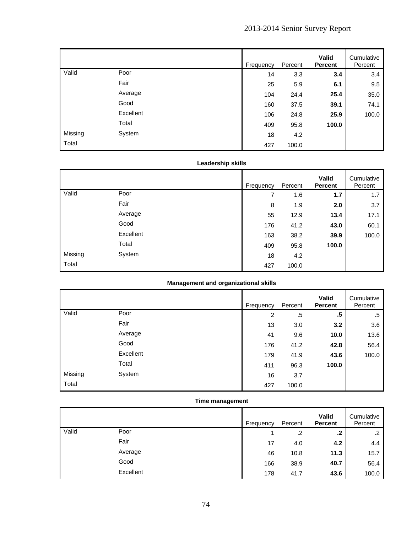|         |           | Frequency | Percent | Valid<br><b>Percent</b> | Cumulative<br>Percent |
|---------|-----------|-----------|---------|-------------------------|-----------------------|
| Valid   | Poor      | 14        | 3.3     | 3.4                     | 3.4                   |
|         | Fair      | 25        | 5.9     | 6.1                     | 9.5                   |
|         | Average   | 104       | 24.4    | 25.4                    | 35.0                  |
|         | Good      | 160       | 37.5    | 39.1                    | 74.1                  |
|         | Excellent | 106       | 24.8    | 25.9                    | 100.0                 |
|         | Total     | 409       | 95.8    | 100.0                   |                       |
| Missing | System    | 18        | 4.2     |                         |                       |
| Total   |           | 427       | 100.0   |                         |                       |

# **Leadership skills**

|         |           | Frequency | Percent | Valid<br><b>Percent</b> | Cumulative<br>Percent |
|---------|-----------|-----------|---------|-------------------------|-----------------------|
| Valid   | Poor      | 7         | 1.6     | 1.7                     | 1.7                   |
|         | Fair      | 8         | 1.9     | 2.0                     | 3.7                   |
|         | Average   | 55        | 12.9    | 13.4                    | 17.1                  |
|         | Good      | 176       | 41.2    | 43.0                    | 60.1                  |
|         | Excellent | 163       | 38.2    | 39.9                    | 100.0                 |
|         | Total     | 409       | 95.8    | 100.0                   |                       |
| Missing | System    | 18        | 4.2     |                         |                       |
| Total   |           | 427       | 100.0   |                         |                       |

### **Management and organizational skills**

|         |           | Frequency | Percent | Valid<br><b>Percent</b> | Cumulative<br>Percent |
|---------|-----------|-----------|---------|-------------------------|-----------------------|
| Valid   | Poor      | 2         | .5      | .5                      | .5                    |
|         | Fair      | 13        | 3.0     | 3.2                     | 3.6                   |
|         | Average   | 41        | 9.6     | 10.0                    | 13.6                  |
|         | Good      | 176       | 41.2    | 42.8                    | 56.4                  |
|         | Excellent | 179       | 41.9    | 43.6                    | 100.0                 |
|         | Total     | 411       | 96.3    | 100.0                   |                       |
| Missing | System    | 16        | 3.7     |                         |                       |
| Total   |           | 427       | 100.0   |                         |                       |

# **Time management**

|       |           | Frequency |     | Percent | Valid<br><b>Percent</b> | Cumulative<br>Percent |
|-------|-----------|-----------|-----|---------|-------------------------|-----------------------|
| Valid | Poor      |           |     | .2      | $\cdot$                 | $\cdot$               |
|       | Fair      |           | 17  | 4.0     | 4.2                     | 4.4                   |
|       | Average   |           | 46  | 10.8    | 11.3                    | 15.7                  |
|       | Good      |           | 166 | 38.9    | 40.7                    | 56.4                  |
|       | Excellent |           | 178 | 41.7    | 43.6                    | 100.0                 |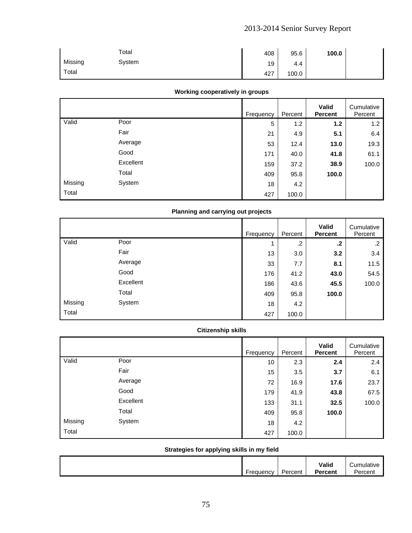|         | Total  | 408 | 95.6  | 100.0 |  |
|---------|--------|-----|-------|-------|--|
| Missing | System | 19  | 4.4   |       |  |
| Total   |        | 427 | 100.0 |       |  |

### **Working cooperatively in groups**

|         |           | Frequency | Percent | Valid<br><b>Percent</b> | Cumulative<br>Percent |
|---------|-----------|-----------|---------|-------------------------|-----------------------|
| Valid   | Poor      | 5         | 1.2     | 1.2                     | 1.2                   |
|         | Fair      | 21        | 4.9     | 5.1                     | 6.4                   |
|         | Average   | 53        | 12.4    | 13.0                    | 19.3                  |
|         | Good      | 171       | 40.0    | 41.8                    | 61.1                  |
|         | Excellent | 159       | 37.2    | 38.9                    | 100.0                 |
|         | Total     | 409       | 95.8    | 100.0                   |                       |
| Missing | System    | 18        | 4.2     |                         |                       |
| Total   |           | 427       | 100.0   |                         |                       |

# **Planning and carrying out projects**

|         |           | Frequency | Percent | Valid<br><b>Percent</b> | Cumulative<br>Percent |
|---------|-----------|-----------|---------|-------------------------|-----------------------|
| Valid   | Poor      | 4         | $\cdot$ | $\cdot$                 | .2                    |
|         | Fair      | 13        | 3.0     | 3.2                     | 3.4                   |
|         | Average   | 33        | 7.7     | 8.1                     | 11.5                  |
|         | Good      | 176       | 41.2    | 43.0                    | 54.5                  |
|         | Excellent | 186       | 43.6    | 45.5                    | 100.0                 |
|         | Total     | 409       | 95.8    | 100.0                   |                       |
| Missing | System    | 18        | 4.2     |                         |                       |
| Total   |           | 427       | 100.0   |                         |                       |

# **Citizenship skills**

|         |           | Frequency | Percent | Valid<br><b>Percent</b> | Cumulative<br>Percent |
|---------|-----------|-----------|---------|-------------------------|-----------------------|
| Valid   | Poor      | 10        | 2.3     | 2.4                     | 2.4                   |
|         | Fair      | 15        | 3.5     | 3.7                     | 6.1                   |
|         | Average   | 72        | 16.9    | 17.6                    | 23.7                  |
|         | Good      | 179       | 41.9    | 43.8                    | 67.5                  |
|         | Excellent | 133       | 31.1    | 32.5                    | 100.0                 |
|         | Total     | 409       | 95.8    | 100.0                   |                       |
| Missing | System    | 18        | 4.2     |                         |                       |
| Total   |           | 427       | 100.0   |                         |                       |

# **Strategies for applying skills in my field**

|           |         | Valid          | -<br>umulative<br>пшануе |
|-----------|---------|----------------|--------------------------|
| ·requency | Percent | <b>Percent</b> | Percent                  |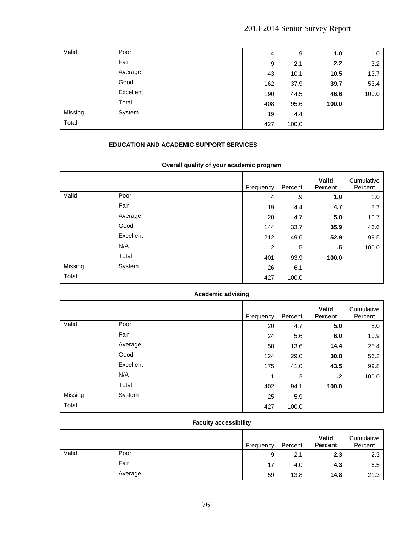| Valid   | Poor      | 4   | .9    | 1.0   | 1.0   |
|---------|-----------|-----|-------|-------|-------|
|         | Fair      | 9   | 2.1   | 2.2   | 3.2   |
|         | Average   | 43  | 10.1  | 10.5  | 13.7  |
|         | Good      | 162 | 37.9  | 39.7  | 53.4  |
|         | Excellent | 190 | 44.5  | 46.6  | 100.0 |
|         | Total     | 408 | 95.6  | 100.0 |       |
| Missing | System    | 19  | 4.4   |       |       |
| Total   |           | 427 | 100.0 |       |       |

# **EDUCATION AND ACADEMIC SUPPORT SERVICES**

# **Overall quality of your academic program**

|         |           | <b>Frequency</b> | Percent | <b>Valid</b><br><b>Percent</b> | Cumulative<br>Percent |
|---------|-----------|------------------|---------|--------------------------------|-----------------------|
| Valid   | Poor      | 4                | .9      | 1.0                            | 1.0                   |
|         | Fair      | 19               | 4.4     | 4.7                            | 5.7                   |
|         | Average   | 20               | 4.7     | 5.0                            | 10.7                  |
|         | Good      | 144              | 33.7    | 35.9                           | 46.6                  |
|         | Excellent | 212              | 49.6    | 52.9                           | 99.5                  |
|         | N/A       | 2                | .5      | .5                             | 100.0                 |
|         | Total     | 401              | 93.9    | 100.0                          |                       |
| Missing | System    | 26               | 6.1     |                                |                       |
| Total   |           | 427              | 100.0   |                                |                       |

# **Academic advising**

|         |           | Frequency | Percent | <b>Valid</b><br><b>Percent</b> | Cumulative<br>Percent |
|---------|-----------|-----------|---------|--------------------------------|-----------------------|
| Valid   | Poor      | 20        | 4.7     | 5.0                            | 5.0                   |
|         | Fair      | 24        | 5.6     | 6.0                            | 10.9                  |
|         | Average   | 58        | 13.6    | 14.4                           | 25.4                  |
|         | Good      | 124       | 29.0    | 30.8                           | 56.2                  |
|         | Excellent | 175       | 41.0    | 43.5                           | 99.8                  |
|         | N/A       | 4         | $\cdot$ | .2                             | 100.0                 |
|         | Total     | 402       | 94.1    | 100.0                          |                       |
| Missing | System    | 25        | 5.9     |                                |                       |
| Total   |           | 427       | 100.0   |                                |                       |

# **Faculty accessibility**

|       |         | Frequency | Percent | Valid<br><b>Percent</b> | Cumulative<br>Percent |
|-------|---------|-----------|---------|-------------------------|-----------------------|
| Valid | Poor    | 9         | 2.1     | 2.3                     | 2.3                   |
|       | Fair    | 17        | 4.0     | 4.3                     | 6.5                   |
|       | Average | 59        | 13.8    | 14.8                    | 21.3                  |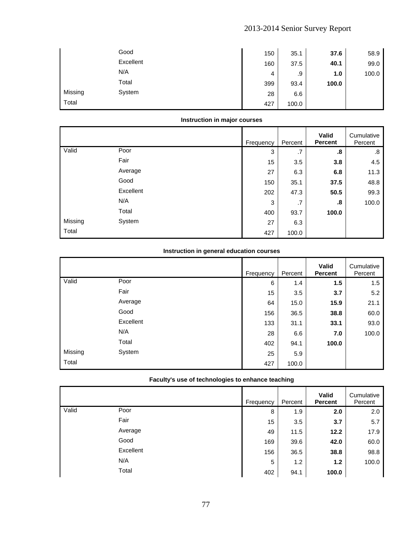|         | Good      | 150 | 35.1  | 37.6  | 58.9  |
|---------|-----------|-----|-------|-------|-------|
|         | Excellent | 160 | 37.5  | 40.1  | 99.0  |
|         | N/A       | 4   | .9    | 1.0   | 100.0 |
|         | Total     | 399 | 93.4  | 100.0 |       |
| Missing | System    | 28  | 6.6   |       |       |
| Total   |           | 427 | 100.0 |       |       |

### **Instruction in major courses**

|         |           | Frequency | Percent | Valid<br><b>Percent</b> | Cumulative<br>Percent |
|---------|-----------|-----------|---------|-------------------------|-----------------------|
| Valid   | Poor      | 3         | .7      | .8                      | .8                    |
|         | Fair      | 15        | 3.5     | 3.8                     | 4.5                   |
|         | Average   | 27        | 6.3     | 6.8                     | 11.3                  |
|         | Good      | 150       | 35.1    | 37.5                    | 48.8                  |
|         | Excellent | 202       | 47.3    | 50.5                    | 99.3                  |
|         | N/A       | 3         | .7      | .8                      | 100.0                 |
|         | Total     | 400       | 93.7    | 100.0                   |                       |
| Missing | System    | 27        | 6.3     |                         |                       |
| Total   |           | 427       | 100.0   |                         |                       |

### **Instruction in general education courses**

|         |           | Frequency | Percent | Valid<br><b>Percent</b> | Cumulative<br>Percent |
|---------|-----------|-----------|---------|-------------------------|-----------------------|
| Valid   | Poor      | 6         | 1.4     | 1.5                     | 1.5                   |
|         | Fair      | 15        | 3.5     | 3.7                     | 5.2                   |
|         | Average   | 64        | 15.0    | 15.9                    | 21.1                  |
|         | Good      | 156       | 36.5    | 38.8                    | 60.0                  |
|         | Excellent | 133       | 31.1    | 33.1                    | 93.0                  |
|         | N/A       | 28        | 6.6     | 7.0                     | 100.0                 |
|         | Total     | 402       | 94.1    | 100.0                   |                       |
| Missing | System    | 25        | 5.9     |                         |                       |
| Total   |           | 427       | 100.0   |                         |                       |

### **Faculty's use of technologies to enhance teaching**

|       |           | Frequency | Percent | Valid<br><b>Percent</b> | Cumulative<br>Percent |
|-------|-----------|-----------|---------|-------------------------|-----------------------|
| Valid | Poor      | 8         | 1.9     | 2.0                     | 2.0                   |
|       | Fair      | 15        | 3.5     | 3.7                     | 5.7                   |
|       | Average   | 49        | 11.5    | 12.2                    | 17.9                  |
|       | Good      | 169       | 39.6    | 42.0                    | 60.0                  |
|       | Excellent | 156       | 36.5    | 38.8                    | 98.8                  |
|       | N/A       | 5         | 1.2     | 1.2                     | 100.0                 |
|       | Total     | 402       | 94.1    | 100.0                   |                       |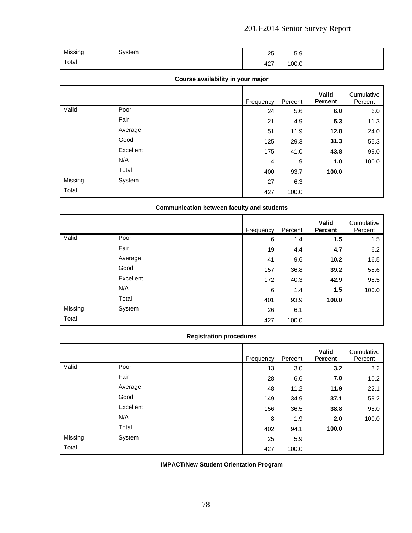| Missing | System | 25  | 50<br>5.9 |  |
|---------|--------|-----|-----------|--|
| Total   |        | 427 | 100.0     |  |

### **Course availability in your major**

|         |           | Frequency | Percent | Valid<br><b>Percent</b> | Cumulative<br>Percent |
|---------|-----------|-----------|---------|-------------------------|-----------------------|
| Valid   | Poor      | 24        | 5.6     | 6.0                     | 6.0                   |
|         | Fair      | 21        | 4.9     | 5.3                     | 11.3                  |
|         | Average   | 51        | 11.9    | 12.8                    | 24.0                  |
|         | Good      | 125       | 29.3    | 31.3                    | 55.3                  |
|         | Excellent | 175       | 41.0    | 43.8                    | 99.0                  |
|         | N/A       | 4         | .9      | 1.0                     | 100.0                 |
|         | Total     | 400       | 93.7    | 100.0                   |                       |
| Missing | System    | 27        | 6.3     |                         |                       |
| Total   |           | 427       | 100.0   |                         |                       |

### **Communication between faculty and students**

|         |           | Frequency | Percent | Valid<br><b>Percent</b> | Cumulative<br>Percent |
|---------|-----------|-----------|---------|-------------------------|-----------------------|
| Valid   | Poor      | 6         | 1.4     | 1.5                     | 1.5                   |
|         | Fair      | 19        | 4.4     | 4.7                     | 6.2                   |
|         | Average   | 41        | 9.6     | 10.2                    | 16.5                  |
|         | Good      | 157       | 36.8    | 39.2                    | 55.6                  |
|         | Excellent | 172       | 40.3    | 42.9                    | 98.5                  |
|         | N/A       | 6         | 1.4     | 1.5                     | 100.0                 |
|         | Total     | 401       | 93.9    | 100.0                   |                       |
| Missing | System    | 26        | 6.1     |                         |                       |
| Total   |           | 427       | 100.0   |                         |                       |

#### **Registration procedures**

|         |           | Frequency | Percent | <b>Valid</b><br><b>Percent</b> | Cumulative<br>Percent |
|---------|-----------|-----------|---------|--------------------------------|-----------------------|
| Valid   | Poor      | 13        | 3.0     | 3.2                            | 3.2                   |
|         | Fair      | 28        | 6.6     | 7.0                            | 10.2                  |
|         | Average   | 48        | 11.2    | 11.9                           | 22.1                  |
|         | Good      | 149       | 34.9    | 37.1                           | 59.2                  |
|         | Excellent | 156       | 36.5    | 38.8                           | 98.0                  |
|         | N/A       | 8         | 1.9     | 2.0                            | 100.0                 |
|         | Total     | 402       | 94.1    | 100.0                          |                       |
| Missing | System    | 25        | 5.9     |                                |                       |
| Total   |           | 427       | 100.0   |                                |                       |

**IMPACT/New Student Orientation Program**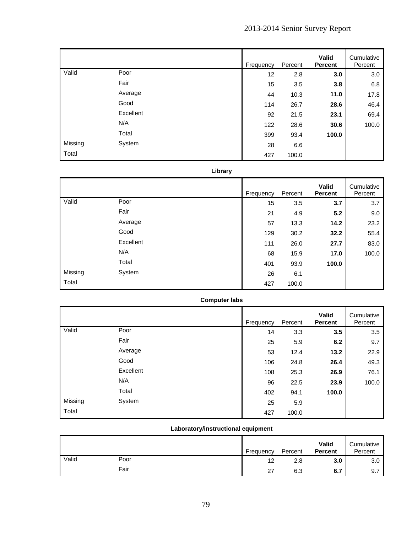|         |           | Frequency | Percent | Valid<br><b>Percent</b> | Cumulative<br>Percent |
|---------|-----------|-----------|---------|-------------------------|-----------------------|
| Valid   | Poor      | 12        | 2.8     | 3.0                     | 3.0                   |
|         | Fair      | 15        | 3.5     | 3.8                     | 6.8                   |
|         | Average   | 44        | 10.3    | 11.0                    | 17.8                  |
|         | Good      | 114       | 26.7    | 28.6                    | 46.4                  |
|         | Excellent | 92        | 21.5    | 23.1                    | 69.4                  |
|         | N/A       | 122       | 28.6    | 30.6                    | 100.0                 |
|         | Total     | 399       | 93.4    | 100.0                   |                       |
| Missing | System    | 28        | 6.6     |                         |                       |
| Total   |           | 427       | 100.0   |                         |                       |

### **Library**

|         |           | Frequency | Percent | Valid<br><b>Percent</b> | Cumulative<br>Percent |
|---------|-----------|-----------|---------|-------------------------|-----------------------|
| Valid   | Poor      | 15        | 3.5     | 3.7                     | 3.7                   |
|         | Fair      | 21        | 4.9     | 5.2                     | 9.0                   |
|         | Average   | 57        | 13.3    | 14.2                    | 23.2                  |
|         | Good      | 129       | 30.2    | 32.2                    | 55.4                  |
|         | Excellent | 111       | 26.0    | 27.7                    | 83.0                  |
|         | N/A       | 68        | 15.9    | 17.0                    | 100.0                 |
|         | Total     | 401       | 93.9    | 100.0                   |                       |
| Missing | System    | 26        | 6.1     |                         |                       |
| Total   |           | 427       | 100.0   |                         |                       |

| <b>Computer labs</b> |  |
|----------------------|--|
|----------------------|--|

|         |           | Frequency | Percent | <b>Valid</b><br><b>Percent</b> | Cumulative<br>Percent |
|---------|-----------|-----------|---------|--------------------------------|-----------------------|
| Valid   | Poor      | 14        | 3.3     | 3.5                            | 3.5                   |
|         | Fair      | 25        | 5.9     | 6.2                            | 9.7                   |
|         | Average   | 53        | 12.4    | 13.2                           | 22.9                  |
|         | Good      | 106       | 24.8    | 26.4                           | 49.3                  |
|         | Excellent | 108       | 25.3    | 26.9                           | 76.1                  |
|         | N/A       | 96        | 22.5    | 23.9                           | 100.0                 |
|         | Total     | 402       | 94.1    | 100.0                          |                       |
| Missing | System    | 25        | 5.9     |                                |                       |
| Total   |           | 427       | 100.0   |                                |                       |

# **Laboratory/instructional equipment**

|       |      | Frequency | Percent | Valid<br><b>Percent</b> | Cumulative<br>Percent |
|-------|------|-----------|---------|-------------------------|-----------------------|
| Valid | Poor | 12        | 2.8     | 3.0                     | 3.0                   |
|       | Fair | 27        | 6.3     | 6.7                     | 9.7                   |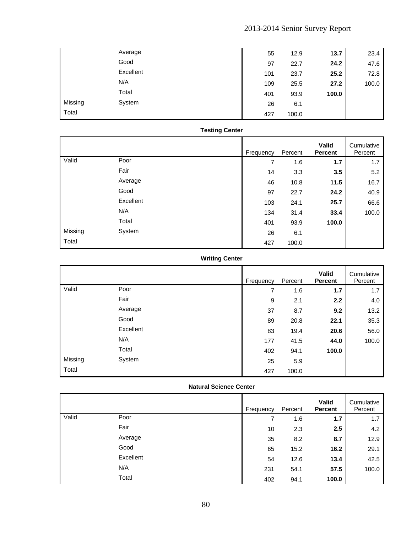|         | Average   | 55  | 12.9  | 13.7  | 23.4  |
|---------|-----------|-----|-------|-------|-------|
|         | Good      | 97  | 22.7  | 24.2  | 47.6  |
|         | Excellent | 101 | 23.7  | 25.2  | 72.8  |
|         | N/A       | 109 | 25.5  | 27.2  | 100.0 |
|         | Total     | 401 | 93.9  | 100.0 |       |
| Missing | System    | 26  | 6.1   |       |       |
| Total   |           | 427 | 100.0 |       |       |

### **Testing Center**

|         |           | Frequency | Percent | Valid<br><b>Percent</b> | Cumulative<br>Percent |
|---------|-----------|-----------|---------|-------------------------|-----------------------|
| Valid   | Poor      | 7         | 1.6     | 1.7                     | 1.7                   |
|         | Fair      | 14        | 3.3     | 3.5                     | 5.2                   |
|         | Average   | 46        | 10.8    | 11.5                    | 16.7                  |
|         | Good      | 97        | 22.7    | 24.2                    | 40.9                  |
|         | Excellent | 103       | 24.1    | 25.7                    | 66.6                  |
|         | N/A       | 134       | 31.4    | 33.4                    | 100.0                 |
|         | Total     | 401       | 93.9    | 100.0                   |                       |
| Missing | System    | 26        | 6.1     |                         |                       |
| Total   |           | 427       | 100.0   |                         |                       |

# **Writing Center**

|         |           | Frequency | Percent | Valid<br><b>Percent</b> | Cumulative<br>Percent |
|---------|-----------|-----------|---------|-------------------------|-----------------------|
| Valid   | Poor      | 7         | 1.6     | 1.7                     | 1.7                   |
|         | Fair      | 9         | 2.1     | 2.2                     | 4.0                   |
|         | Average   | 37        | 8.7     | 9.2                     | 13.2                  |
|         | Good      | 89        | 20.8    | 22.1                    | 35.3                  |
|         | Excellent | 83        | 19.4    | 20.6                    | 56.0                  |
|         | N/A       | 177       | 41.5    | 44.0                    | 100.0                 |
|         | Total     | 402       | 94.1    | 100.0                   |                       |
| Missing | System    | 25        | 5.9     |                         |                       |
| Total   |           | 427       | 100.0   |                         |                       |

### **Natural Science Center**

|       |           | Frequency | Percent | Valid<br><b>Percent</b> | Cumulative<br>Percent |
|-------|-----------|-----------|---------|-------------------------|-----------------------|
| Valid | Poor      | 7         | 1.6     | 1.7                     | 1.7                   |
|       | Fair      | 10        | 2.3     | 2.5                     | 4.2                   |
|       | Average   | 35        | 8.2     | 8.7                     | 12.9                  |
|       | Good      | 65        | 15.2    | 16.2                    | 29.1                  |
|       | Excellent | 54        | 12.6    | 13.4                    | 42.5                  |
|       | N/A       | 231       | 54.1    | 57.5                    | 100.0                 |
|       | Total     | 402       | 94.1    | 100.0                   |                       |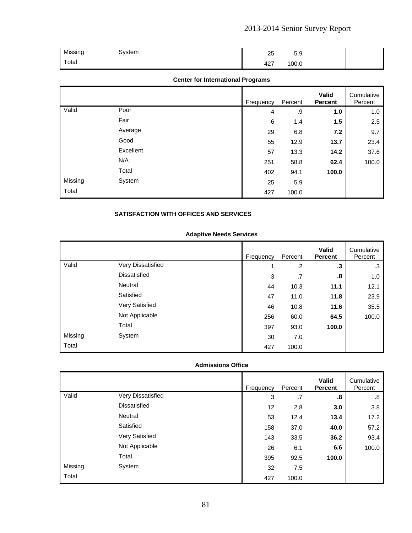| Missing | System | 25  | 50<br>5.9 |  |
|---------|--------|-----|-----------|--|
| Total   |        | 427 | 100.0     |  |

### **Center for International Programs**

|         |           | Frequency | Percent | Valid<br><b>Percent</b> | Cumulative<br>Percent |
|---------|-----------|-----------|---------|-------------------------|-----------------------|
| Valid   | Poor      | 4         | .9      | 1.0                     | 1.0                   |
|         | Fair      | 6         | 1.4     | 1.5                     | 2.5                   |
|         | Average   | 29        | 6.8     | 7.2                     | 9.7                   |
|         | Good      | 55        | 12.9    | 13.7                    | 23.4                  |
|         | Excellent | 57        | 13.3    | 14.2                    | 37.6                  |
|         | N/A       | 251       | 58.8    | 62.4                    | 100.0                 |
|         | Total     | 402       | 94.1    | 100.0                   |                       |
| Missing | System    | 25        | 5.9     |                         |                       |
| Total   |           | 427       | 100.0   |                         |                       |

### **SATISFACTION WITH OFFICES AND SERVICES**

### **Adaptive Needs Services**

|         |                     | Frequency | Percent | <b>Valid</b><br><b>Percent</b> | Cumulative<br>Percent |
|---------|---------------------|-----------|---------|--------------------------------|-----------------------|
| Valid   | Very Dissatisfied   | 4         | $\cdot$ | .3                             | .3                    |
|         | <b>Dissatisfied</b> | 3         | .7      | .8                             | 1.0                   |
|         | Neutral             | 44        | 10.3    | 11.1                           | 12.1                  |
|         | Satisfied           | 47        | 11.0    | 11.8                           | 23.9                  |
|         | Very Satisfied      | 46        | 10.8    | 11.6                           | 35.5                  |
|         | Not Applicable      | 256       | 60.0    | 64.5                           | 100.0                 |
|         | Total               | 397       | 93.0    | 100.0                          |                       |
| Missing | System              | 30        | 7.0     |                                |                       |
| Total   |                     | 427       | 100.0   |                                |                       |

### **Admissions Office**

|         |                     | Frequency | Percent | <b>Valid</b><br><b>Percent</b> | Cumulative<br>Percent |
|---------|---------------------|-----------|---------|--------------------------------|-----------------------|
| Valid   | Very Dissatisfied   | 3         | .7      | .8                             | .8                    |
|         | <b>Dissatisfied</b> | 12        | 2.8     | 3.0                            | 3.8                   |
|         | Neutral             | 53        | 12.4    | 13.4                           | 17.2                  |
|         | Satisfied           | 158       | 37.0    | 40.0                           | 57.2                  |
|         | Very Satisfied      | 143       | 33.5    | 36.2                           | 93.4                  |
|         | Not Applicable      | 26        | 6.1     | 6.6                            | 100.0                 |
|         | Total               | 395       | 92.5    | 100.0                          |                       |
| Missing | System              | 32        | 7.5     |                                |                       |
| Total   |                     | 427       | 100.0   |                                |                       |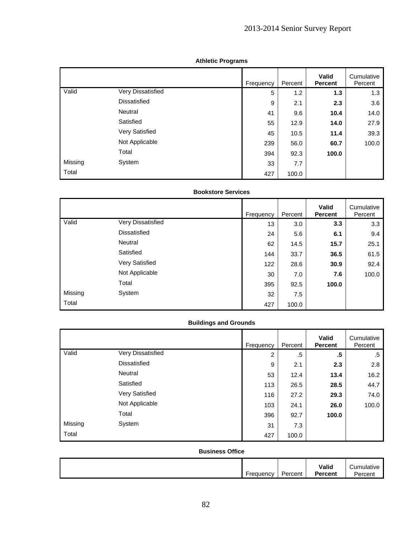|         |                     | Frequency | Percent | <b>Valid</b><br><b>Percent</b> | Cumulative<br>Percent |
|---------|---------------------|-----------|---------|--------------------------------|-----------------------|
| Valid   | Very Dissatisfied   | 5         | 1.2     | 1.3                            | 1.3                   |
|         | <b>Dissatisfied</b> | 9         | 2.1     | 2.3                            | 3.6                   |
|         | Neutral             | 41        | 9.6     | 10.4                           | 14.0                  |
|         | Satisfied           | 55        | 12.9    | 14.0                           | 27.9                  |
|         | Very Satisfied      | 45        | 10.5    | 11.4                           | 39.3                  |
|         | Not Applicable      | 239       | 56.0    | 60.7                           | 100.0                 |
|         | Total               | 394       | 92.3    | 100.0                          |                       |
| Missing | System              | 33        | 7.7     |                                |                       |
| Total   |                     | 427       | 100.0   |                                |                       |

#### **Athletic Programs**

### **Bookstore Services**

|         |                     | Frequency | Percent | <b>Valid</b><br><b>Percent</b> | Cumulative<br>Percent |
|---------|---------------------|-----------|---------|--------------------------------|-----------------------|
| Valid   | Very Dissatisfied   | 13        | 3.0     | 3.3                            | 3.3                   |
|         | <b>Dissatisfied</b> | 24        | 5.6     | 6.1                            | 9.4                   |
|         | Neutral             | 62        | 14.5    | 15.7                           | 25.1                  |
|         | Satisfied           | 144       | 33.7    | 36.5                           | 61.5                  |
|         | Very Satisfied      | 122       | 28.6    | 30.9                           | 92.4                  |
|         | Not Applicable      | 30        | 7.0     | 7.6                            | 100.0                 |
|         | Total               | 395       | 92.5    | 100.0                          |                       |
| Missing | System              | 32        | 7.5     |                                |                       |
| Total   |                     | 427       | 100.0   |                                |                       |

# **Buildings and Grounds**

|         |                     | Frequency | Percent | <b>Valid</b><br><b>Percent</b> | Cumulative<br>Percent |
|---------|---------------------|-----------|---------|--------------------------------|-----------------------|
| Valid   | Very Dissatisfied   | 2         | .5      | .5                             | .5                    |
|         | <b>Dissatisfied</b> | 9         | 2.1     | 2.3                            | 2.8                   |
|         | <b>Neutral</b>      | 53        | 12.4    | 13.4                           | 16.2                  |
|         | Satisfied           | 113       | 26.5    | 28.5                           | 44.7                  |
|         | Very Satisfied      | 116       | 27.2    | 29.3                           | 74.0                  |
|         | Not Applicable      | 103       | 24.1    | 26.0                           | 100.0                 |
|         | Total               | 396       | 92.7    | 100.0                          |                       |
| Missing | System              | 31        | 7.3     |                                |                       |
| Total   |                     | 427       | 100.0   |                                |                       |

### **Business Office**

|  | <b>Frequency</b> | -<br>Percent | Valid<br>Percent | umulative <sub>∙</sub><br>Percent |
|--|------------------|--------------|------------------|-----------------------------------|
|--|------------------|--------------|------------------|-----------------------------------|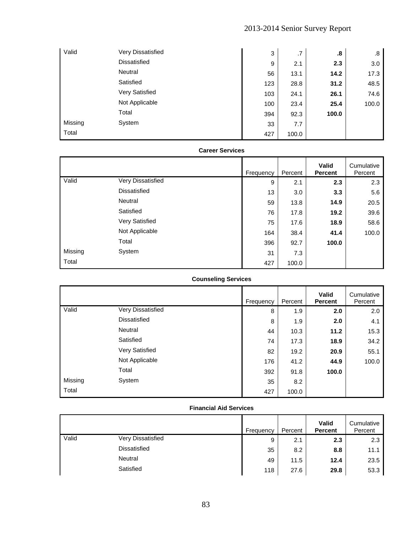| Valid   | Very Dissatisfied   | 3   | .7    | .8    | .8    |
|---------|---------------------|-----|-------|-------|-------|
|         | <b>Dissatisfied</b> | 9   | 2.1   | 2.3   | 3.0   |
|         | Neutral             | 56  | 13.1  | 14.2  | 17.3  |
|         | Satisfied           | 123 | 28.8  | 31.2  | 48.5  |
|         | Very Satisfied      | 103 | 24.1  | 26.1  | 74.6  |
|         | Not Applicable      | 100 | 23.4  | 25.4  | 100.0 |
|         | Total               | 394 | 92.3  | 100.0 |       |
| Missing | System              | 33  | 7.7   |       |       |
| Total   |                     | 427 | 100.0 |       |       |

|         |                     | <b>CALCEL JEI VILES</b> |           |         |                                |                       |
|---------|---------------------|-------------------------|-----------|---------|--------------------------------|-----------------------|
|         |                     |                         | Frequency | Percent | <b>Valid</b><br><b>Percent</b> | Cumulative<br>Percent |
| Valid   | Very Dissatisfied   |                         | 9         | 2.1     | 2.3                            | 2.3                   |
|         | <b>Dissatisfied</b> |                         | 13        | 3.0     | 3.3                            | 5.6                   |
|         | Neutral             |                         | 59        | 13.8    | 14.9                           | 20.5                  |
|         | Satisfied           |                         | 76        | 17.8    | 19.2                           | 39.6                  |
|         | Very Satisfied      |                         | 75        | 17.6    | 18.9                           | 58.6                  |
|         | Not Applicable      |                         | 164       | 38.4    | 41.4                           | 100.0                 |
|         | Total               |                         | 396       | 92.7    | 100.0                          |                       |
| Missing | System              |                         | 31        | 7.3     |                                |                       |
| Total   |                     |                         | 427       | 100.0   |                                |                       |

### **Career Services**

# **Counseling Services**

|         |                     | Frequency | Percent | <b>Valid</b><br><b>Percent</b> | Cumulative<br>Percent |
|---------|---------------------|-----------|---------|--------------------------------|-----------------------|
| Valid   | Very Dissatisfied   | 8         | 1.9     | 2.0                            | 2.0                   |
|         | <b>Dissatisfied</b> | 8         | 1.9     | 2.0                            | 4.1                   |
|         | Neutral             | 44        | 10.3    | 11.2                           | 15.3                  |
|         | Satisfied           | 74        | 17.3    | 18.9                           | 34.2                  |
|         | Very Satisfied      | 82        | 19.2    | 20.9                           | 55.1                  |
|         | Not Applicable      | 176       | 41.2    | 44.9                           | 100.0                 |
|         | Total               | 392       | 91.8    | 100.0                          |                       |
| Missing | System              | 35        | 8.2     |                                |                       |
| Total   |                     | 427       | 100.0   |                                |                       |

### **Financial Aid Services**

|       |                     | Frequency | Percent | Valid<br><b>Percent</b> | Cumulative<br>Percent |
|-------|---------------------|-----------|---------|-------------------------|-----------------------|
| Valid | Very Dissatisfied   | 9         | 2.1     | 2.3                     | 2.3                   |
|       | <b>Dissatisfied</b> | 35        | 8.2     | 8.8                     | 11.1                  |
|       | Neutral             | 49        | 11.5    | 12.4                    | 23.5                  |
|       | Satisfied           | 118       | 27.6    | 29.8                    | 53.3                  |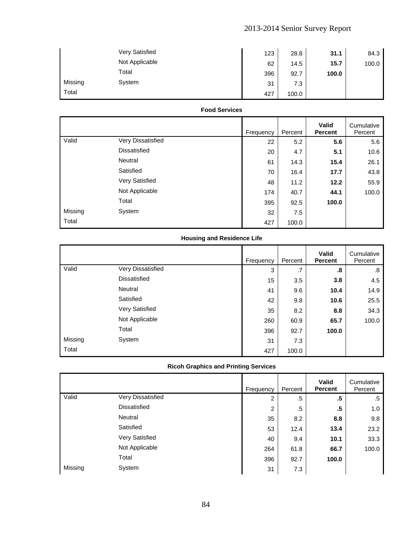|         | <b>Very Satisfied</b> | 123 | 28.8  | 31.1  | 84.3  |
|---------|-----------------------|-----|-------|-------|-------|
|         | Not Applicable        | 62  | 14.5  | 15.7  | 100.0 |
|         | Total                 | 396 | 92.7  | 100.0 |       |
| Missing | System                | 31  | 7.3   |       |       |
| Total   |                       | 427 | 100.0 |       |       |

### **Food Services**

|         |                     | Frequency | Percent | <b>Valid</b><br><b>Percent</b> | Cumulative<br>Percent |
|---------|---------------------|-----------|---------|--------------------------------|-----------------------|
| Valid   | Very Dissatisfied   | 22        | 5.2     | 5.6                            | 5.6                   |
|         | <b>Dissatisfied</b> | 20        | 4.7     | 5.1                            | 10.6                  |
|         | Neutral             | 61        | 14.3    | 15.4                           | 26.1                  |
|         | Satisfied           | 70        | 16.4    | 17.7                           | 43.8                  |
|         | Very Satisfied      | 48        | 11.2    | 12.2                           | 55.9                  |
|         | Not Applicable      | 174       | 40.7    | 44.1                           | 100.0                 |
|         | Total               | 395       | 92.5    | 100.0                          |                       |
| Missing | System              | 32        | 7.5     |                                |                       |
| Total   |                     | 427       | 100.0   |                                |                       |

# **Housing and Residence Life**

|         |                     | Frequency | Percent | <b>Valid</b><br><b>Percent</b> | Cumulative<br>Percent |
|---------|---------------------|-----------|---------|--------------------------------|-----------------------|
| Valid   | Very Dissatisfied   | 3         | .7      | .8                             | .8                    |
|         | <b>Dissatisfied</b> | 15        | 3.5     | 3.8                            | 4.5                   |
|         | Neutral             | 41        | 9.6     | 10.4                           | 14.9                  |
|         | Satisfied           | 42        | 9.8     | 10.6                           | 25.5                  |
|         | Very Satisfied      | 35        | 8.2     | 8.8                            | 34.3                  |
|         | Not Applicable      | 260       | 60.9    | 65.7                           | 100.0                 |
|         | Total               | 396       | 92.7    | 100.0                          |                       |
| Missing | System              | 31        | 7.3     |                                |                       |
| Total   |                     | 427       | 100.0   |                                |                       |

### **Ricoh Graphics and Printing Services**

|         |                     | Frequency | Percent | <b>Valid</b><br><b>Percent</b> | Cumulative<br>Percent |
|---------|---------------------|-----------|---------|--------------------------------|-----------------------|
| Valid   | Very Dissatisfied   | 2         | .5      | .5                             | .5                    |
|         | <b>Dissatisfied</b> | 2         | .5      | .5                             | 1.0                   |
|         | Neutral             | 35        | 8.2     | 8.8                            | 9.8                   |
|         | Satisfied           | 53        | 12.4    | 13.4                           | 23.2                  |
|         | Very Satisfied      | 40        | 9.4     | 10.1                           | 33.3                  |
|         | Not Applicable      | 264       | 61.8    | 66.7                           | 100.0                 |
|         | Total               | 396       | 92.7    | 100.0                          |                       |
| Missing | System              | 31        | 7.3     |                                |                       |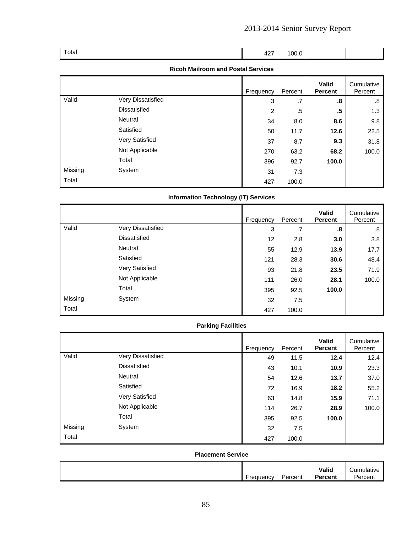| Total | $427$ 100.0 |  |  |
|-------|-------------|--|--|
|       |             |  |  |

### **Ricoh Mailroom and Postal Services**

|         |                     | Frequency      | Percent | <b>Valid</b><br><b>Percent</b> | Cumulative<br>Percent |
|---------|---------------------|----------------|---------|--------------------------------|-----------------------|
| Valid   | Very Dissatisfied   | 3              | .7      | .8                             | .8                    |
|         | <b>Dissatisfied</b> | $\overline{2}$ | $.5\,$  | .5                             | 1.3                   |
|         | Neutral             | 34             | 8.0     | 8.6                            | 9.8                   |
|         | Satisfied           | 50             | 11.7    | 12.6                           | 22.5                  |
|         | Very Satisfied      | 37             | 8.7     | 9.3                            | 31.8                  |
|         | Not Applicable      | 270            | 63.2    | 68.2                           | 100.0                 |
|         | Total               | 396            | 92.7    | 100.0                          |                       |
| Missing | System              | 31             | 7.3     |                                |                       |
| Total   |                     | 427            | 100.0   |                                |                       |

# **Information Technology (IT) Services**

|         |                     | Frequency | Percent | <b>Valid</b><br><b>Percent</b> | Cumulative<br>Percent |
|---------|---------------------|-----------|---------|--------------------------------|-----------------------|
| Valid   | Very Dissatisfied   | 3         | .7      | .8                             | .8                    |
|         | <b>Dissatisfied</b> | 12        | 2.8     | 3.0                            | 3.8                   |
|         | Neutral             | 55        | 12.9    | 13.9                           | 17.7                  |
|         | Satisfied           | 121       | 28.3    | 30.6                           | 48.4                  |
|         | Very Satisfied      | 93        | 21.8    | 23.5                           | 71.9                  |
|         | Not Applicable      | 111       | 26.0    | 28.1                           | 100.0                 |
|         | Total               | 395       | 92.5    | 100.0                          |                       |
| Missing | System              | 32        | 7.5     |                                |                       |
| Total   |                     | 427       | 100.0   |                                |                       |

### **Parking Facilities**

|         |                     | Frequency | Percent | <b>Valid</b><br><b>Percent</b> | Cumulative<br>Percent |
|---------|---------------------|-----------|---------|--------------------------------|-----------------------|
| Valid   | Very Dissatisfied   | 49        | 11.5    | 12.4                           | 12.4                  |
|         | <b>Dissatisfied</b> | 43        | 10.1    | 10.9                           | 23.3                  |
|         | Neutral             | 54        | 12.6    | 13.7                           | 37.0                  |
|         | Satisfied           | 72        | 16.9    | 18.2                           | 55.2                  |
|         | Very Satisfied      | 63        | 14.8    | 15.9                           | 71.1                  |
|         | Not Applicable      | 114       | 26.7    | 28.9                           | 100.0                 |
|         | Total               | 395       | 92.5    | 100.0                          |                       |
| Missing | System              | 32        | 7.5     |                                |                       |
| Total   |                     | 427       | 100.0   |                                |                       |

#### **Placement Service**

| -        | $\overline{\phantom{0}}$ | Valid            | ,umulatıv∈ |
|----------|--------------------------|------------------|------------|
| requency | Percent                  | $\bullet$ ercent | Percent    |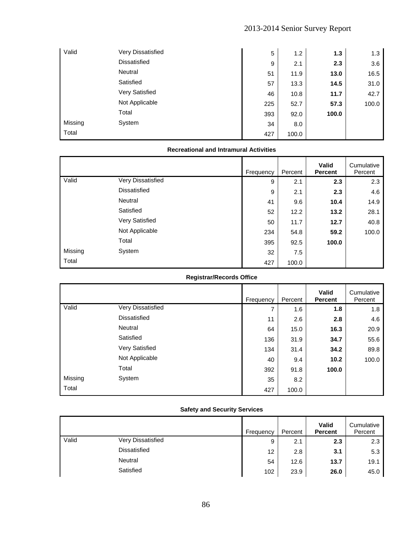| Valid   | Very Dissatisfied | 5   | 1.2   | 1.3   | 1.3   |
|---------|-------------------|-----|-------|-------|-------|
|         | Dissatisfied      | 9   | 2.1   | 2.3   | 3.6   |
|         | Neutral           | 51  | 11.9  | 13.0  | 16.5  |
|         | Satisfied         | 57  | 13.3  | 14.5  | 31.0  |
|         | Very Satisfied    | 46  | 10.8  | 11.7  | 42.7  |
|         | Not Applicable    | 225 | 52.7  | 57.3  | 100.0 |
|         | Total             | 393 | 92.0  | 100.0 |       |
| Missing | System            | 34  | 8.0   |       |       |
| Total   |                   | 427 | 100.0 |       |       |

### **Recreational and Intramural Activities**

|         |                     | Frequency | Percent | <b>Valid</b><br><b>Percent</b> | Cumulative<br>Percent |
|---------|---------------------|-----------|---------|--------------------------------|-----------------------|
| Valid   | Very Dissatisfied   | 9         | 2.1     | 2.3                            | 2.3                   |
|         | <b>Dissatisfied</b> | 9         | 2.1     | 2.3                            | 4.6                   |
|         | Neutral             | 41        | 9.6     | 10.4                           | 14.9                  |
|         | Satisfied           | 52        | 12.2    | 13.2                           | 28.1                  |
|         | Very Satisfied      | 50        | 11.7    | 12.7                           | 40.8                  |
|         | Not Applicable      | 234       | 54.8    | 59.2                           | 100.0                 |
|         | Total               | 395       | 92.5    | 100.0                          |                       |
| Missing | System              | 32        | 7.5     |                                |                       |
| Total   |                     | 427       | 100.0   |                                |                       |

# **Registrar/Records Office**

|         |                     | Frequency | Percent | <b>Valid</b><br><b>Percent</b> | Cumulative<br>Percent |
|---------|---------------------|-----------|---------|--------------------------------|-----------------------|
| Valid   | Very Dissatisfied   | 7         | 1.6     | 1.8                            | 1.8                   |
|         | <b>Dissatisfied</b> | 11        | 2.6     | 2.8                            | 4.6                   |
|         | Neutral             | 64        | 15.0    | 16.3                           | 20.9                  |
|         | Satisfied           | 136       | 31.9    | 34.7                           | 55.6                  |
|         | Very Satisfied      | 134       | 31.4    | 34.2                           | 89.8                  |
|         | Not Applicable      | 40        | 9.4     | 10.2                           | 100.0                 |
|         | Total               | 392       | 91.8    | 100.0                          |                       |
| Missing | System              | 35        | 8.2     |                                |                       |
| Total   |                     | 427       | 100.0   |                                |                       |

### **Safety and Security Services**

|       |                     | Frequency | Percent | Valid<br><b>Percent</b> | Cumulative<br>Percent |
|-------|---------------------|-----------|---------|-------------------------|-----------------------|
| Valid | Very Dissatisfied   | 9         | 2.1     | 2.3                     | 2.3                   |
|       | <b>Dissatisfied</b> | 12        | 2.8     | 3.1                     | 5.3                   |
|       | Neutral             | 54        | 12.6    | 13.7                    | 19.1                  |
|       | Satisfied           | 102       | 23.9    | 26.0                    | 45.0                  |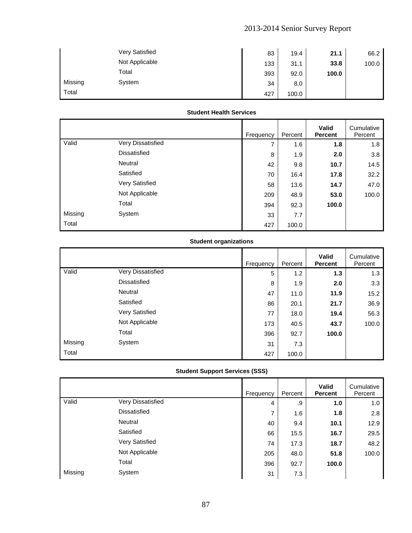|         | <b>Very Satisfied</b> | 83  | 19.4  | 21.1  | 66.2  |
|---------|-----------------------|-----|-------|-------|-------|
|         | Not Applicable        | 133 | 31.1  | 33.8  | 100.0 |
|         | Total                 | 393 | 92.0  | 100.0 |       |
| Missing | System                | 34  | 8.0   |       |       |
| Total   |                       | 427 | 100.0 |       |       |

### **Student Health Services**

|         |                     | Frequency | Percent | <b>Valid</b><br><b>Percent</b> | Cumulative<br>Percent |
|---------|---------------------|-----------|---------|--------------------------------|-----------------------|
| Valid   | Very Dissatisfied   | ⇁         | 1.6     | 1.8                            | 1.8                   |
|         | <b>Dissatisfied</b> | 8         | 1.9     | 2.0                            | 3.8                   |
|         | <b>Neutral</b>      | 42        | 9.8     | 10.7                           | 14.5                  |
|         | Satisfied           | 70        | 16.4    | 17.8                           | 32.2                  |
|         | Very Satisfied      | 58        | 13.6    | 14.7                           | 47.0                  |
|         | Not Applicable      | 209       | 48.9    | 53.0                           | 100.0                 |
|         | Total               | 394       | 92.3    | 100.0                          |                       |
| Missing | System              | 33        | 7.7     |                                |                       |
| Total   |                     | 427       | 100.0   |                                |                       |

# **Student organizations**

|         |                     | Frequency | Percent | <b>Valid</b><br><b>Percent</b> | Cumulative<br>Percent |
|---------|---------------------|-----------|---------|--------------------------------|-----------------------|
| Valid   | Very Dissatisfied   | 5         | 1.2     | 1.3                            | 1.3                   |
|         | <b>Dissatisfied</b> | 8         | 1.9     | 2.0                            | 3.3                   |
|         | Neutral             | 47        | 11.0    | 11.9                           | 15.2                  |
|         | Satisfied           | 86        | 20.1    | 21.7                           | 36.9                  |
|         | Very Satisfied      | 77        | 18.0    | 19.4                           | 56.3                  |
|         | Not Applicable      | 173       | 40.5    | 43.7                           | 100.0                 |
|         | Total               | 396       | 92.7    | 100.0                          |                       |
| Missing | System              | 31        | 7.3     |                                |                       |
| Total   |                     | 427       | 100.0   |                                |                       |

# **Student Support Services (SSS)**

|         |                   | Frequency | Percent | <b>Valid</b><br><b>Percent</b> | Cumulative<br>Percent |
|---------|-------------------|-----------|---------|--------------------------------|-----------------------|
| Valid   | Very Dissatisfied | 4         | .9      | 1.0                            | 1.0                   |
|         | Dissatisfied      | 7         | 1.6     | 1.8                            | 2.8                   |
|         | Neutral           | 40        | 9.4     | 10.1                           | 12.9                  |
|         | Satisfied         | 66        | 15.5    | 16.7                           | 29.5                  |
|         | Very Satisfied    | 74        | 17.3    | 18.7                           | 48.2                  |
|         | Not Applicable    | 205       | 48.0    | 51.8                           | 100.0                 |
|         | Total             | 396       | 92.7    | 100.0                          |                       |
| Missing | System            | 31        | 7.3     |                                |                       |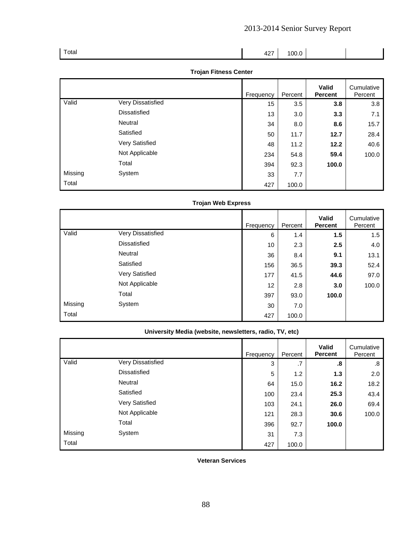| Total | 427 | 100.0 |  |
|-------|-----|-------|--|
|       |     |       |  |

### **Trojan Fitness Center**

|         |                     | Frequency | Percent | <b>Valid</b><br><b>Percent</b> | Cumulative<br>Percent |
|---------|---------------------|-----------|---------|--------------------------------|-----------------------|
| Valid   | Very Dissatisfied   | 15        | 3.5     | 3.8                            | 3.8                   |
|         | <b>Dissatisfied</b> | 13        | 3.0     | 3.3                            | 7.1                   |
|         | Neutral             | 34        | 8.0     | 8.6                            | 15.7                  |
|         | Satisfied           | 50        | 11.7    | 12.7                           | 28.4                  |
|         | Very Satisfied      | 48        | 11.2    | 12.2                           | 40.6                  |
|         | Not Applicable      | 234       | 54.8    | 59.4                           | 100.0                 |
|         | Total               | 394       | 92.3    | 100.0                          |                       |
| Missing | System              | 33        | 7.7     |                                |                       |
| Total   |                     | 427       | 100.0   |                                |                       |

# **Trojan Web Express**

|         |                     | Frequency | Percent | <b>Valid</b><br><b>Percent</b> | Cumulative<br>Percent |
|---------|---------------------|-----------|---------|--------------------------------|-----------------------|
| Valid   | Very Dissatisfied   | 6         | 1.4     | 1.5                            | 1.5                   |
|         | <b>Dissatisfied</b> | 10        | 2.3     | 2.5                            | 4.0                   |
|         | Neutral             | 36        | 8.4     | 9.1                            | 13.1                  |
|         | Satisfied           | 156       | 36.5    | 39.3                           | 52.4                  |
|         | Very Satisfied      | 177       | 41.5    | 44.6                           | 97.0                  |
|         | Not Applicable      | 12        | 2.8     | 3.0                            | 100.0                 |
|         | Total               | 397       | 93.0    | 100.0                          |                       |
| Missing | System              | 30        | 7.0     |                                |                       |
| Total   |                     | 427       | 100.0   |                                |                       |

# **University Media (website, newsletters, radio, TV, etc)**

|         |                     | Frequency | Percent | <b>Valid</b><br><b>Percent</b> | Cumulative<br>Percent |
|---------|---------------------|-----------|---------|--------------------------------|-----------------------|
| Valid   | Very Dissatisfied   | 3         | .7      | .8                             | .8                    |
|         | <b>Dissatisfied</b> | 5         | 1.2     | 1.3                            | 2.0                   |
|         | Neutral             | 64        | 15.0    | 16.2                           | 18.2                  |
|         | Satisfied           | 100       | 23.4    | 25.3                           | 43.4                  |
|         | Very Satisfied      | 103       | 24.1    | 26.0                           | 69.4                  |
|         | Not Applicable      | 121       | 28.3    | 30.6                           | 100.0                 |
|         | Total               | 396       | 92.7    | 100.0                          |                       |
| Missing | System              | 31        | 7.3     |                                |                       |
| Total   |                     | 427       | 100.0   |                                |                       |

**Veteran Services** 

88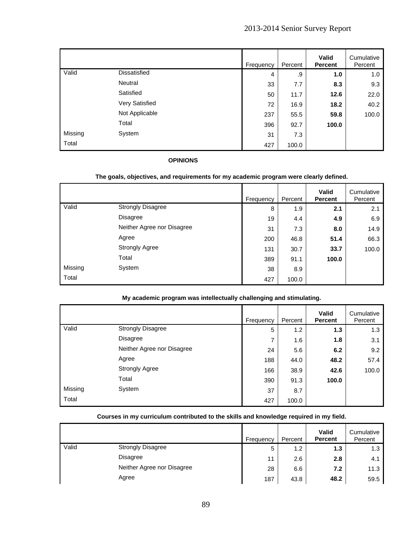|         |                | Frequency | Percent | Valid<br><b>Percent</b> | Cumulative<br>Percent |
|---------|----------------|-----------|---------|-------------------------|-----------------------|
| Valid   | Dissatisfied   | 4         | .9      | 1.0                     | 1.0                   |
|         | Neutral        | 33        | 7.7     | 8.3                     | 9.3                   |
|         | Satisfied      | 50        | 11.7    | 12.6                    | 22.0                  |
|         | Very Satisfied | 72        | 16.9    | 18.2                    | 40.2                  |
|         | Not Applicable | 237       | 55.5    | 59.8                    | 100.0                 |
|         | Total          | 396       | 92.7    | 100.0                   |                       |
| Missing | System         | 31        | 7.3     |                         |                       |
| Total   |                | 427       | 100.0   |                         |                       |

### **OPINIONS**

### **The goals, objectives, and requirements for my academic program were clearly defined.**

|         |                            | Frequency | Percent | <b>Valid</b><br><b>Percent</b> | Cumulative<br>Percent |
|---------|----------------------------|-----------|---------|--------------------------------|-----------------------|
| Valid   | <b>Strongly Disagree</b>   | 8         | 1.9     | 2.1                            | 2.1                   |
|         | Disagree                   | 19        | 4.4     | 4.9                            | 6.9                   |
|         | Neither Agree nor Disagree | 31        | 7.3     | 8.0                            | 14.9                  |
|         | Agree                      | 200       | 46.8    | 51.4                           | 66.3                  |
|         | <b>Strongly Agree</b>      | 131       | 30.7    | 33.7                           | 100.0                 |
|         | Total                      | 389       | 91.1    | 100.0                          |                       |
| Missing | System                     | 38        | 8.9     |                                |                       |
| Total   |                            | 427       | 100.0   |                                |                       |

### **My academic program was intellectually challenging and stimulating.**

|         |                            | Frequency | Percent | Valid<br><b>Percent</b> | Cumulative<br>Percent |
|---------|----------------------------|-----------|---------|-------------------------|-----------------------|
| Valid   | <b>Strongly Disagree</b>   | 5         | 1.2     | 1.3                     | 1.3                   |
|         | <b>Disagree</b>            | 7         | 1.6     | 1.8                     | 3.1                   |
|         | Neither Agree nor Disagree | 24        | 5.6     | 6.2                     | 9.2                   |
|         | Agree                      | 188       | 44.0    | 48.2                    | 57.4                  |
|         | <b>Strongly Agree</b>      | 166       | 38.9    | 42.6                    | 100.0                 |
|         | Total                      | 390       | 91.3    | 100.0                   |                       |
| Missing | System                     | 37        | 8.7     |                         |                       |
| Total   |                            | 427       | 100.0   |                         |                       |

### **Courses in my curriculum contributed to the skills and knowledge required in my field.**

|       |                            | Frequency | Percent | <b>Valid</b><br><b>Percent</b> | Cumulative<br>Percent |
|-------|----------------------------|-----------|---------|--------------------------------|-----------------------|
| Valid | <b>Strongly Disagree</b>   | 5         | 1.2     | 1.3                            | 1.3                   |
|       | Disagree                   | 11        | 2.6     | 2.8                            | 4.1                   |
|       | Neither Agree nor Disagree | 28        | 6.6     | 7.2                            | 11.3                  |
|       | Agree                      | 187       | 43.8    | 48.2                           | 59.5                  |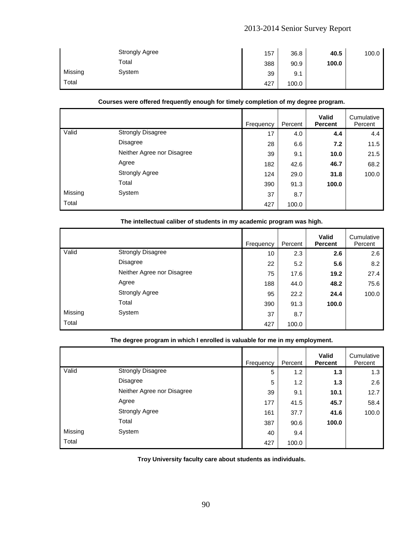|         | <b>Strongly Agree</b> | 157 | 36.8  | 40.5  | 100.0 |
|---------|-----------------------|-----|-------|-------|-------|
|         | Total                 | 388 | 90.9  | 100.0 |       |
| Missing | System                | 39  | 9.1   |       |       |
| Total   |                       | 427 | 100.0 |       |       |

### **Courses were offered frequently enough for timely completion of my degree program.**

|         |                            | Frequency | Percent | <b>Valid</b><br><b>Percent</b> | Cumulative<br>Percent |
|---------|----------------------------|-----------|---------|--------------------------------|-----------------------|
| Valid   | <b>Strongly Disagree</b>   | 17        | 4.0     | 4.4                            | 4.4                   |
|         | Disagree                   | 28        | 6.6     | 7.2                            | 11.5                  |
|         | Neither Agree nor Disagree | 39        | 9.1     | 10.0                           | 21.5                  |
|         | Agree                      | 182       | 42.6    | 46.7                           | 68.2                  |
|         | <b>Strongly Agree</b>      | 124       | 29.0    | 31.8                           | 100.0                 |
|         | Total                      | 390       | 91.3    | 100.0                          |                       |
| Missing | System                     | 37        | 8.7     |                                |                       |
| Total   |                            | 427       | 100.0   |                                |                       |

|         |                            | Frequency | Percent | <b>Valid</b><br><b>Percent</b> | Cumulative<br>Percent |
|---------|----------------------------|-----------|---------|--------------------------------|-----------------------|
| Valid   | <b>Strongly Disagree</b>   | 10        | 2.3     | 2.6                            | 2.6                   |
|         | <b>Disagree</b>            | 22        | 5.2     | 5.6                            | 8.2                   |
|         | Neither Agree nor Disagree | 75        | 17.6    | 19.2                           | 27.4                  |
|         | Agree                      | 188       | 44.0    | 48.2                           | 75.6                  |
|         | <b>Strongly Agree</b>      | 95        | 22.2    | 24.4                           | 100.0                 |
|         | Total                      | 390       | 91.3    | 100.0                          |                       |
| Missing | System                     | 37        | 8.7     |                                |                       |
| Total   |                            | 427       | 100.0   |                                |                       |

### **The intellectual caliber of students in my academic program was high.**

### **The degree program in which I enrolled is valuable for me in my employment.**

|         |                            | Frequency | Percent | <b>Valid</b><br><b>Percent</b> | Cumulative<br>Percent |
|---------|----------------------------|-----------|---------|--------------------------------|-----------------------|
| Valid   | <b>Strongly Disagree</b>   | 5         | 1.2     | 1.3                            | 1.3                   |
|         | <b>Disagree</b>            | 5         | 1.2     | 1.3                            | 2.6                   |
|         | Neither Agree nor Disagree | 39        | 9.1     | 10.1                           | 12.7                  |
|         | Agree                      | 177       | 41.5    | 45.7                           | 58.4                  |
|         | <b>Strongly Agree</b>      | 161       | 37.7    | 41.6                           | 100.0                 |
|         | Total                      | 387       | 90.6    | 100.0                          |                       |
| Missing | System                     | 40        | 9.4     |                                |                       |
| Total   |                            | 427       | 100.0   |                                |                       |

**Troy University faculty care about students as individuals.**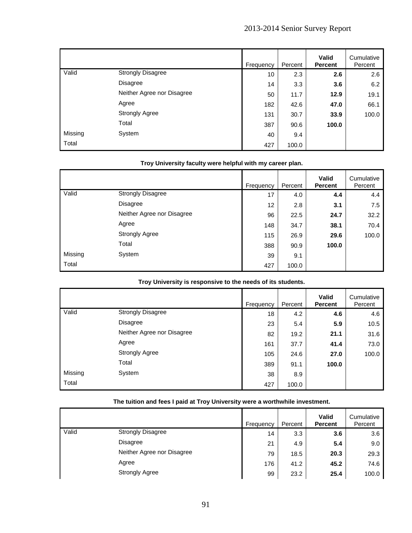|         |                            | Frequency | Percent | Valid<br><b>Percent</b> | Cumulative<br>Percent |
|---------|----------------------------|-----------|---------|-------------------------|-----------------------|
| Valid   | <b>Strongly Disagree</b>   | 10        | 2.3     | 2.6                     | 2.6                   |
|         | <b>Disagree</b>            | 14        | 3.3     | 3.6                     | 6.2                   |
|         | Neither Agree nor Disagree | 50        | 11.7    | 12.9                    | 19.1                  |
|         | Agree                      | 182       | 42.6    | 47.0                    | 66.1                  |
|         | <b>Strongly Agree</b>      | 131       | 30.7    | 33.9                    | 100.0                 |
|         | Total                      | 387       | 90.6    | 100.0                   |                       |
| Missing | System                     | 40        | 9.4     |                         |                       |
| Total   |                            | 427       | 100.0   |                         |                       |

### **Troy University faculty were helpful with my career plan.**

|         |                            | Frequency | Percent | Valid<br><b>Percent</b> | Cumulative<br>Percent |
|---------|----------------------------|-----------|---------|-------------------------|-----------------------|
| Valid   | <b>Strongly Disagree</b>   | 17        | 4.0     | 4.4                     | 4.4                   |
|         | Disagree                   | 12        | 2.8     | 3.1                     | 7.5                   |
|         | Neither Agree nor Disagree | 96        | 22.5    | 24.7                    | 32.2                  |
|         | Agree                      | 148       | 34.7    | 38.1                    | 70.4                  |
|         | <b>Strongly Agree</b>      | 115       | 26.9    | 29.6                    | 100.0                 |
|         | Total                      | 388       | 90.9    | 100.0                   |                       |
| Missing | System                     | 39        | 9.1     |                         |                       |
| Total   |                            | 427       | 100.0   |                         |                       |

### **Troy University is responsive to the needs of its students.**

|         |                            | Frequency | Percent | <b>Valid</b><br><b>Percent</b> | Cumulative<br>Percent |
|---------|----------------------------|-----------|---------|--------------------------------|-----------------------|
| Valid   | <b>Strongly Disagree</b>   | 18        | 4.2     | 4.6                            | 4.6                   |
|         | Disagree                   | 23        | 5.4     | 5.9                            | 10.5                  |
|         | Neither Agree nor Disagree | 82        | 19.2    | 21.1                           | 31.6                  |
|         | Agree                      | 161       | 37.7    | 41.4                           | 73.0                  |
|         | <b>Strongly Agree</b>      | 105       | 24.6    | 27.0                           | 100.0                 |
|         | Total                      | 389       | 91.1    | 100.0                          |                       |
| Missing | System                     | 38        | 8.9     |                                |                       |
| Total   |                            | 427       | 100.0   |                                |                       |

# **The tuition and fees I paid at Troy University were a worthwhile investment.**

|       |                            | Frequency | Percent | <b>Valid</b><br><b>Percent</b> | Cumulative<br>Percent |
|-------|----------------------------|-----------|---------|--------------------------------|-----------------------|
| Valid | <b>Strongly Disagree</b>   | 14        | 3.3     | 3.6                            | 3.6                   |
|       | <b>Disagree</b>            | 21        | 4.9     | 5.4                            | 9.0                   |
|       | Neither Agree nor Disagree | 79        | 18.5    | 20.3                           | 29.3                  |
|       | Agree                      | 176       | 41.2    | 45.2                           | 74.6                  |
|       | <b>Strongly Agree</b>      | 99        | 23.2    | 25.4                           | 100.0                 |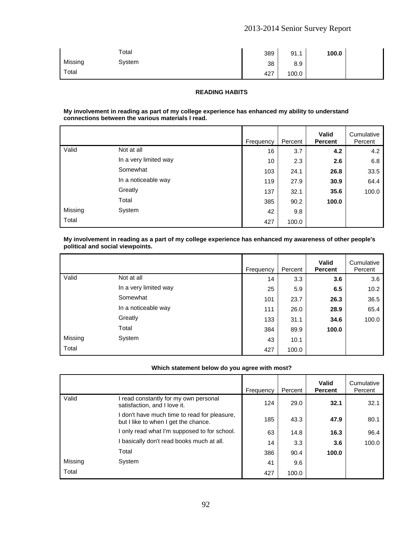|         | Total  | 389 | 91.1  | 100.0 |  |
|---------|--------|-----|-------|-------|--|
| Missing | System | 38  | 8.9   |       |  |
| Total   |        | 427 | 100.0 |       |  |

#### **READING HABITS**

#### **My involvement in reading as part of my college experience has enhanced my ability to understand connections between the various materials I read.**

|         |                       | Frequency | Percent | <b>Valid</b><br><b>Percent</b> | Cumulative<br>Percent |
|---------|-----------------------|-----------|---------|--------------------------------|-----------------------|
| Valid   | Not at all            | 16        | 3.7     | 4.2                            | 4.2                   |
|         | In a very limited way | 10        | 2.3     | 2.6                            | 6.8                   |
|         | Somewhat              | 103       | 24.1    | 26.8                           | 33.5                  |
|         | In a noticeable way   | 119       | 27.9    | 30.9                           | 64.4                  |
|         | Greatly               | 137       | 32.1    | 35.6                           | 100.0                 |
|         | Total                 | 385       | 90.2    | 100.0                          |                       |
| Missing | System                | 42        | 9.8     |                                |                       |
| Total   |                       | 427       | 100.0   |                                |                       |

#### **My involvement in reading as a part of my college experience has enhanced my awareness of other people's political and social viewpoints.**

|         |                       | Frequency | Percent | <b>Valid</b><br><b>Percent</b> | Cumulative<br>Percent |
|---------|-----------------------|-----------|---------|--------------------------------|-----------------------|
| Valid   | Not at all            | 14        | 3.3     | 3.6                            | 3.6                   |
|         | In a very limited way | 25        | 5.9     | 6.5                            | 10.2                  |
|         | Somewhat              | 101       | 23.7    | 26.3                           | 36.5                  |
|         | In a noticeable way   | 111       | 26.0    | 28.9                           | 65.4                  |
|         | Greatly               | 133       | 31.1    | 34.6                           | 100.0                 |
|         | Total                 | 384       | 89.9    | 100.0                          |                       |
| Missing | System                | 43        | 10.1    |                                |                       |
| Total   |                       | 427       | 100.0   |                                |                       |

#### **Which statement below do you agree with most?**

|         |                                                                                      | Frequency | Percent | Valid<br><b>Percent</b> | Cumulative<br>Percent |
|---------|--------------------------------------------------------------------------------------|-----------|---------|-------------------------|-----------------------|
| Valid   | read constantly for my own personal<br>satisfaction, and I love it.                  | 124       | 29.0    | 32.1                    | 32.1                  |
|         | I don't have much time to read for pleasure,<br>but I like to when I get the chance. | 185       | 43.3    | 47.9                    | 80.1                  |
|         | I only read what I'm supposed to for school.                                         | 63        | 14.8    | 16.3                    | 96.4                  |
|         | I basically don't read books much at all.                                            | 14        | 3.3     | 3.6                     | 100.0                 |
|         | Total                                                                                | 386       | 90.4    | 100.0                   |                       |
| Missing | System                                                                               | 41        | 9.6     |                         |                       |
| Total   |                                                                                      | 427       | 100.0   |                         |                       |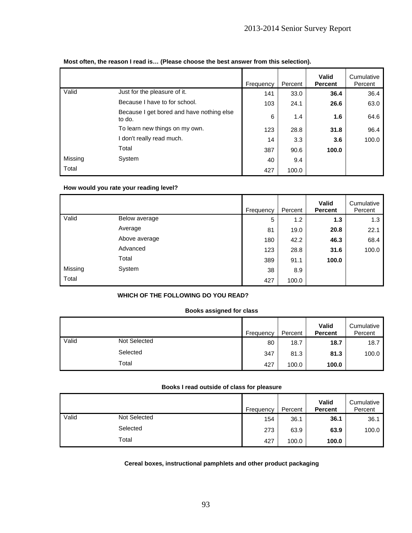|         |                                                     | Frequency | Percent | Valid<br><b>Percent</b> | Cumulative<br>Percent |
|---------|-----------------------------------------------------|-----------|---------|-------------------------|-----------------------|
| Valid   | Just for the pleasure of it.                        | 141       | 33.0    | 36.4                    | 36.4                  |
|         | Because I have to for school.                       | 103       | 24.1    | 26.6                    | 63.0                  |
|         | Because I get bored and have nothing else<br>to do. | 6         | 1.4     | 1.6                     | 64.6                  |
|         | To learn new things on my own.                      | 123       | 28.8    | 31.8                    | 96.4                  |
|         | I don't really read much.                           | 14        | 3.3     | 3.6                     | 100.0                 |
|         | Total                                               | 387       | 90.6    | 100.0                   |                       |
| Missing | System                                              | 40        | 9.4     |                         |                       |
| Total   |                                                     | 427       | 100.0   |                         |                       |

### **Most often, the reason I read is… (Please choose the best answer from this selection).**

#### **How would you rate your reading level?**

|         |               | Frequency | Percent | <b>Valid</b><br><b>Percent</b> | Cumulative<br>Percent |
|---------|---------------|-----------|---------|--------------------------------|-----------------------|
| Valid   | Below average | 5         | 1.2     | 1.3                            | 1.3                   |
|         | Average       | 81        | 19.0    | 20.8                           | 22.1                  |
|         | Above average | 180       | 42.2    | 46.3                           | 68.4                  |
|         | Advanced      | 123       | 28.8    | 31.6                           | 100.0                 |
|         | Total         | 389       | 91.1    | 100.0                          |                       |
| Missing | System        | 38        | 8.9     |                                |                       |
| Total   |               | 427       | 100.0   |                                |                       |

### **WHICH OF THE FOLLOWING DO YOU READ?**

#### **Books assigned for class**

|       |              | Frequency | Percent | Valid<br><b>Percent</b> | Cumulative<br>Percent |
|-------|--------------|-----------|---------|-------------------------|-----------------------|
| Valid | Not Selected | 80        | 18.7    | 18.7                    | 18.7                  |
|       | Selected     | 347       | 81.3    | 81.3                    | 100.0                 |
|       | Total        | 427       | 100.0   | 100.0                   |                       |

### **Books I read outside of class for pleasure**

|       |                     | Frequency |     | Percent | <b>Valid</b><br><b>Percent</b> | Cumulative<br>Percent |
|-------|---------------------|-----------|-----|---------|--------------------------------|-----------------------|
| Valid | <b>Not Selected</b> |           | 154 | 36.1    | 36.1                           | 36.1                  |
|       | Selected            |           | 273 | 63.9    | 63.9                           | 100.0                 |
|       | Total               |           | 427 | 100.0   | 100.0                          |                       |

### **Cereal boxes, instructional pamphlets and other product packaging**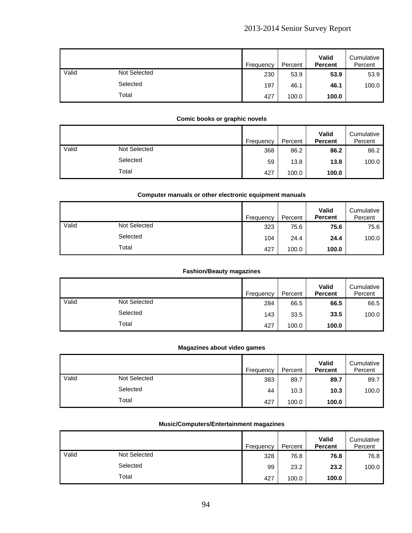|       |                     | Frequency | Percent | <b>Valid</b><br><b>Percent</b> | Cumulative<br>Percent |
|-------|---------------------|-----------|---------|--------------------------------|-----------------------|
| Valid | <b>Not Selected</b> | 230       | 53.9    | 53.9                           | 53.9                  |
|       | Selected            | 197       | 46.1    | 46.1                           | 100.0                 |
|       | Total               | 427       | 100.0   | 100.0                          |                       |

### **Comic books or graphic novels**

|       |              | Frequency | Percent | Valid<br><b>Percent</b> | Cumulative<br>Percent |
|-------|--------------|-----------|---------|-------------------------|-----------------------|
| Valid | Not Selected | 368       | 86.2    | 86.2                    | 86.2                  |
|       | Selected     | 59        | 13.8    | 13.8                    | 100.0                 |
|       | Total        | 427       | 100.0   | 100.0                   |                       |

#### **Computer manuals or other electronic equipment manuals**

|       |                     | Frequency | Percent | <b>Valid</b><br><b>Percent</b> | Cumulative<br>Percent |
|-------|---------------------|-----------|---------|--------------------------------|-----------------------|
| Valid | <b>Not Selected</b> | 323       | 75.6    | 75.6                           | 75.6                  |
|       | Selected            | 104       | 24.4    | 24.4                           | 100.0                 |
|       | Total               | 427       | 100.0   | 100.0                          |                       |

### **Fashion/Beauty magazines**

|       |              | Frequency | Percent | Valid<br><b>Percent</b> | Cumulative<br>Percent |
|-------|--------------|-----------|---------|-------------------------|-----------------------|
| Valid | Not Selected | 284       | 66.5    | 66.5                    | 66.5                  |
|       | Selected     | 143       | 33.5    | 33.5                    | 100.0                 |
|       | Total        | 427       | 100.0   | 100.0                   |                       |

#### **Magazines about video games**

|       |              | Frequency | Percent | Valid<br><b>Percent</b> | Cumulative<br>Percent |
|-------|--------------|-----------|---------|-------------------------|-----------------------|
| Valid | Not Selected | 383       | 89.7    | 89.7                    | 89.7                  |
|       | Selected     | 44        | 10.3    | 10.3                    | 100.0                 |
|       | Total        | 427       | 100.0   | 100.0                   |                       |

### **Music/Computers/Entertainment magazines**

|       |              | Frequency | Percent | Valid<br><b>Percent</b> | Cumulative<br>Percent |
|-------|--------------|-----------|---------|-------------------------|-----------------------|
| Valid | Not Selected | 328       | 76.8    | 76.8                    | 76.8                  |
|       | Selected     | 99        | 23.2    | 23.2                    | 100.0                 |
|       | Total        | 427       | 100.0   | 100.0                   |                       |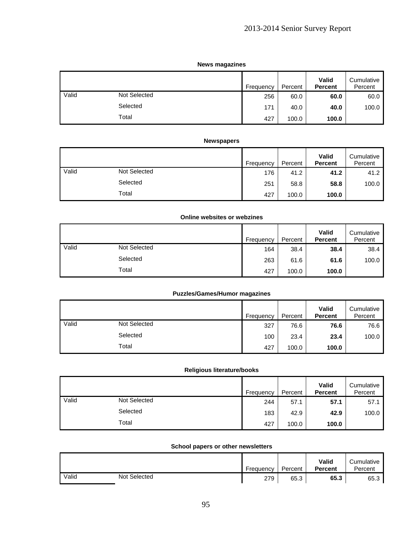### **News magazines**

|       |                     | Frequency | Percent | Valid<br><b>Percent</b> | Cumulative<br>Percent |
|-------|---------------------|-----------|---------|-------------------------|-----------------------|
| Valid | <b>Not Selected</b> | 256       | 60.0    | 60.0                    | 60.0                  |
|       | Selected            | 171       | 40.0    | 40.0                    | 100.0                 |
|       | Total               | 427       | 100.0   | 100.0                   |                       |

### **Newspapers**

|       |              | Frequency | Percent | <b>Valid</b><br><b>Percent</b> | Cumulative<br>Percent |
|-------|--------------|-----------|---------|--------------------------------|-----------------------|
| Valid | Not Selected | 176       | 41.2    | 41.2                           | 41.2                  |
|       | Selected     | 251       | 58.8    | 58.8                           | 100.0                 |
|       | Total        | 427       | 100.0   | 100.0                          |                       |

### **Online websites or webzines**

|       |              | Frequency | Percent | Valid<br><b>Percent</b> | Cumulative<br>Percent |
|-------|--------------|-----------|---------|-------------------------|-----------------------|
| Valid | Not Selected | 164       | 38.4    | 38.4                    | 38.4                  |
|       | Selected     | 263       | 61.6    | 61.6                    | 100.0                 |
|       | Total        | 427       | 100.0   | 100.0                   |                       |

### **Puzzles/Games/Humor magazines**

|       |              | Frequency | Percent | Valid<br><b>Percent</b> | Cumulative<br>Percent |
|-------|--------------|-----------|---------|-------------------------|-----------------------|
| Valid | Not Selected | 327       | 76.6    | 76.6                    | 76.6                  |
|       | Selected     | 100       | 23.4    | 23.4                    | 100.0                 |
|       | Total        | 427       | 100.0   | 100.0                   |                       |

#### **Religious literature/books**

|       |              | Frequency | Percent | Valid<br><b>Percent</b> | Cumulative<br>Percent |
|-------|--------------|-----------|---------|-------------------------|-----------------------|
| Valid | Not Selected | 244       | 57.1    | 57.1                    | 57.1                  |
|       | Selected     | 183       | 42.9    | 42.9                    | 100.0                 |
|       | Total        | 427       | 100.0   | 100.0                   |                       |

### **School papers or other newsletters**

|       |              | Frequency | Percent | Valid<br><b>Percent</b> | Cumulative<br>Percent |
|-------|--------------|-----------|---------|-------------------------|-----------------------|
| Valid | Not Selected | 279       | 65.3    | 65.3                    | 65.3                  |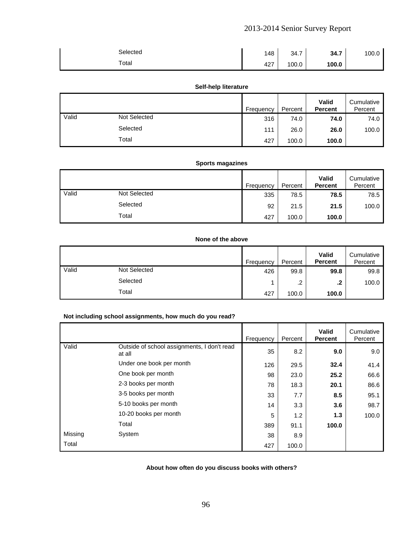| Selected | 148 | 34.7  | 34.7  | 100.0 |
|----------|-----|-------|-------|-------|
| Total    | 427 | 100.0 | 100.0 |       |

#### **Self-help literature**

|       |                     | Frequency | Percent | <b>Valid</b><br><b>Percent</b> | Cumulative<br>Percent |
|-------|---------------------|-----------|---------|--------------------------------|-----------------------|
| Valid | <b>Not Selected</b> | 316       | 74.0    | 74.0                           | 74.0                  |
|       | Selected            | 111       | 26.0    | 26.0                           | 100.0                 |
|       | Total               | 427       | 100.0   | 100.0                          |                       |

# **Sports magazines**

|       |                     | Frequency | Percent | Valid<br><b>Percent</b> | Cumulative<br>Percent |
|-------|---------------------|-----------|---------|-------------------------|-----------------------|
| Valid | <b>Not Selected</b> | 335       | 78.5    | 78.5                    | 78.5                  |
|       | Selected            | 92        | 21.5    | 21.5                    | 100.0                 |
|       | Total               | 427       | 100.0   | 100.0                   |                       |

### **None of the above**

|       |                     | Frequency | Percent              | Valid<br><b>Percent</b> | Cumulative<br>Percent |
|-------|---------------------|-----------|----------------------|-------------------------|-----------------------|
| Valid | <b>Not Selected</b> | 426       | 99.8                 | 99.8                    | 99.8                  |
|       | Selected            |           | $\sim$<br>. <u>.</u> | .2                      | 100.0                 |
|       | Total               | 427       | 100.0                | 100.0                   |                       |

### **Not including school assignments, how much do you read?**

|         |                                                       | Frequency | Percent | Valid<br><b>Percent</b> | Cumulative<br>Percent |
|---------|-------------------------------------------------------|-----------|---------|-------------------------|-----------------------|
| Valid   | Outside of school assignments, I don't read<br>at all | 35        | 8.2     | 9.0                     | 9.0                   |
|         | Under one book per month                              | 126       | 29.5    | 32.4                    | 41.4                  |
|         | One book per month                                    | 98        | 23.0    | 25.2                    | 66.6                  |
|         | 2-3 books per month                                   | 78        | 18.3    | 20.1                    | 86.6                  |
|         | 3-5 books per month                                   | 33        | 7.7     | 8.5                     | 95.1                  |
|         | 5-10 books per month                                  | 14        | 3.3     | 3.6                     | 98.7                  |
|         | 10-20 books per month                                 | 5         | 1.2     | 1.3                     | 100.0                 |
|         | Total                                                 | 389       | 91.1    | 100.0                   |                       |
| Missing | System                                                | 38        | 8.9     |                         |                       |
| Total   |                                                       | 427       | 100.0   |                         |                       |

### **About how often do you discuss books with others?**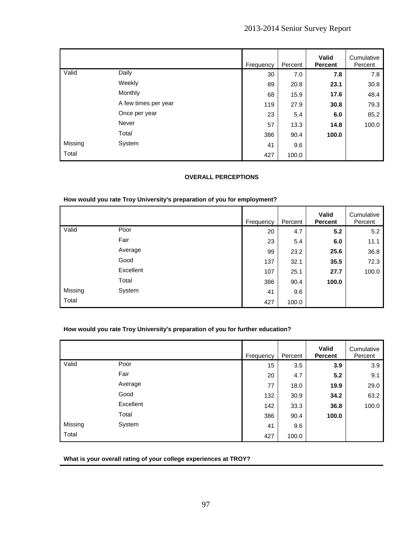|         |                      | Frequency | Percent | Valid<br><b>Percent</b> | Cumulative<br>Percent |
|---------|----------------------|-----------|---------|-------------------------|-----------------------|
| Valid   | Daily                | 30        | 7.0     | 7.8                     | 7.8                   |
|         | Weekly               | 89        | 20.8    | 23.1                    | 30.8                  |
|         | Monthly              | 68        | 15.9    | 17.6                    | 48.4                  |
|         | A few times per year | 119       | 27.9    | 30.8                    | 79.3                  |
|         | Once per year        | 23        | 5.4     | 6.0                     | 85.2                  |
|         | Never                | 57        | 13.3    | 14.8                    | 100.0                 |
|         | Total                | 386       | 90.4    | 100.0                   |                       |
| Missing | System               | 41        | 9.6     |                         |                       |
| Total   |                      | 427       | 100.0   |                         |                       |

### **OVERALL PERCEPTIONS**

#### **How would you rate Troy University's preparation of you for employment?**

|         |           | Frequency | Percent | Valid<br>Percent | Cumulative<br>Percent |
|---------|-----------|-----------|---------|------------------|-----------------------|
| Valid   | Poor      | 20        | 4.7     | 5.2              | 5.2                   |
|         | Fair      | 23        | 5.4     | 6.0              | 11.1                  |
|         | Average   | 99        | 23.2    | 25.6             | 36.8                  |
|         | Good      | 137       | 32.1    | 35.5             | 72.3                  |
|         | Excellent | 107       | 25.1    | 27.7             | 100.0                 |
|         | Total     | 386       | 90.4    | 100.0            |                       |
| Missing | System    | 41        | 9.6     |                  |                       |
| Total   |           | 427       | 100.0   |                  |                       |

### **How would you rate Troy University's preparation of you for further education?**

|         |           | Frequency | Percent | <b>Valid</b><br><b>Percent</b> | Cumulative<br>Percent |
|---------|-----------|-----------|---------|--------------------------------|-----------------------|
| Valid   | Poor      | 15        | 3.5     | 3.9                            | 3.9                   |
|         | Fair      | 20        | 4.7     | 5.2                            | 9.1                   |
|         | Average   | 77        | 18.0    | 19.9                           | 29.0                  |
|         | Good      | 132       | 30.9    | 34.2                           | 63.2                  |
|         | Excellent | 142       | 33.3    | 36.8                           | 100.0                 |
|         | Total     | 386       | 90.4    | 100.0                          |                       |
| Missing | System    | 41        | 9.6     |                                |                       |
| Total   |           | 427       | 100.0   |                                |                       |

**What is your overall rating of your college experiences at TROY?**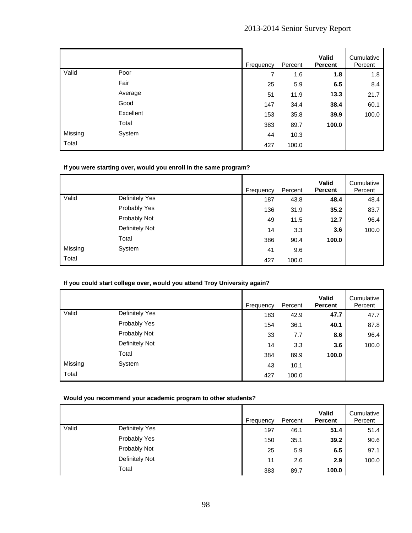|         |           | Frequency | Percent | Valid<br><b>Percent</b> | Cumulative<br>Percent |
|---------|-----------|-----------|---------|-------------------------|-----------------------|
| Valid   | Poor      | 7         | 1.6     | 1.8                     | 1.8                   |
|         | Fair      | 25        | 5.9     | 6.5                     | 8.4                   |
|         | Average   | 51        | 11.9    | 13.3                    | 21.7                  |
|         | Good      | 147       | 34.4    | 38.4                    | 60.1                  |
|         | Excellent | 153       | 35.8    | 39.9                    | 100.0                 |
|         | Total     | 383       | 89.7    | 100.0                   |                       |
| Missing | System    | 44        | 10.3    |                         |                       |
| Total   |           | 427       | 100.0   |                         |                       |

### **If you were starting over, would you enroll in the same program?**

|         |                | Frequency | Percent | <b>Valid</b><br><b>Percent</b> | Cumulative<br>Percent |
|---------|----------------|-----------|---------|--------------------------------|-----------------------|
| Valid   | Definitely Yes | 187       | 43.8    | 48.4                           | 48.4                  |
|         | Probably Yes   | 136       | 31.9    | 35.2                           | 83.7                  |
|         | Probably Not   | 49        | 11.5    | 12.7                           | 96.4                  |
|         | Definitely Not | 14        | 3.3     | 3.6                            | 100.0                 |
|         | Total          | 386       | 90.4    | 100.0                          |                       |
| Missing | System         | 41        | 9.6     |                                |                       |
| Total   |                | 427       | 100.0   |                                |                       |

### **If you could start college over, would you attend Troy University again?**

|         |                | Frequency |     | Percent | <b>Valid</b><br><b>Percent</b> | Cumulative<br>Percent |
|---------|----------------|-----------|-----|---------|--------------------------------|-----------------------|
| Valid   | Definitely Yes |           | 183 | 42.9    | 47.7                           | 47.7                  |
|         | Probably Yes   |           | 154 | 36.1    | 40.1                           | 87.8                  |
|         | Probably Not   |           | 33  | 7.7     | 8.6                            | 96.4                  |
|         | Definitely Not |           | 14  | 3.3     | 3.6                            | 100.0                 |
|         | Total          |           | 384 | 89.9    | 100.0                          |                       |
| Missing | System         |           | 43  | 10.1    |                                |                       |
| Total   |                |           | 427 | 100.0   |                                |                       |

### **Would you recommend your academic program to other students?**

|       |                | Frequency | Percent | <b>Valid</b><br><b>Percent</b> | Cumulative<br>Percent |
|-------|----------------|-----------|---------|--------------------------------|-----------------------|
| Valid | Definitely Yes | 197       | 46.1    | 51.4                           | 51.4                  |
|       | Probably Yes   | 150       | 35.1    | 39.2                           | 90.6                  |
|       | Probably Not   | 25        | 5.9     | 6.5                            | 97.1                  |
|       | Definitely Not | 11        | 2.6     | 2.9                            | 100.0                 |
|       | Total          | 383       | 89.7    | 100.0                          |                       |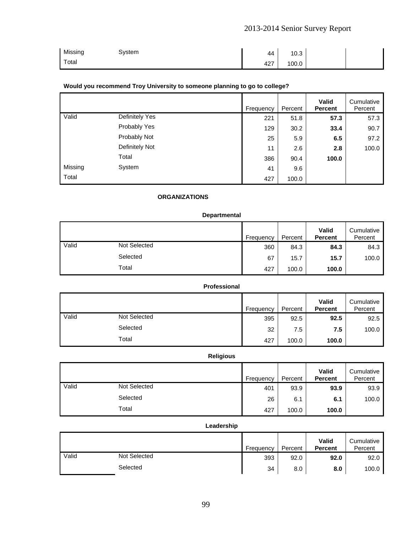| Missing | System | 44  | 10.3  |  |
|---------|--------|-----|-------|--|
| Total   |        | 427 | 100.0 |  |

### **Would you recommend Troy University to someone planning to go to college?**

|         |                | Frequency | Percent | <b>Valid</b><br><b>Percent</b> | Cumulative<br>Percent |
|---------|----------------|-----------|---------|--------------------------------|-----------------------|
| Valid   | Definitely Yes | 221       | 51.8    | 57.3                           | 57.3                  |
|         | Probably Yes   | 129       | 30.2    | 33.4                           | 90.7                  |
|         | Probably Not   | 25        | 5.9     | 6.5                            | 97.2                  |
|         | Definitely Not | 11        | 2.6     | 2.8                            | 100.0                 |
|         | Total          | 386       | 90.4    | 100.0                          |                       |
| Missing | System         | 41        | 9.6     |                                |                       |
| Total   |                | 427       | 100.0   |                                |                       |

## **ORGANIZATIONS**

### **Departmental**

|       |                     | Frequency | Percent | Valid<br><b>Percent</b> | Cumulative<br>Percent |
|-------|---------------------|-----------|---------|-------------------------|-----------------------|
| Valid | <b>Not Selected</b> | 360       | 84.3    | 84.3                    | 84.3                  |
|       | Selected            | 67        | 15.7    | 15.7                    | 100.0                 |
|       | Total               | 427       | 100.0   | 100.0                   |                       |

### **Professional**

|       |                     | Frequency | Percent | Valid<br><b>Percent</b> | Cumulative<br>Percent |
|-------|---------------------|-----------|---------|-------------------------|-----------------------|
| Valid | <b>Not Selected</b> | 395       | 92.5    | 92.5                    | 92.5                  |
|       | Selected            | 32        | 7.5     | 7.5                     | 100.0                 |
|       | Total               | 427       | 100.0   | 100.0                   |                       |

# **Religious**

|       |              | Frequency | Percent | Valid<br><b>Percent</b> | Cumulative<br>Percent |
|-------|--------------|-----------|---------|-------------------------|-----------------------|
| Valid | Not Selected | 401       | 93.9    | 93.9                    | 93.9                  |
|       | Selected     | 26        | 6.1     | 6.1                     | 100.0                 |
|       | Total        | 427       | 100.0   | 100.0                   |                       |

#### **Leadership**

|       |              | Frequency | Percent | Valid<br><b>Percent</b> | Cumulative<br>Percent |
|-------|--------------|-----------|---------|-------------------------|-----------------------|
| Valid | Not Selected | 393       | 92.0    | 92.0                    | 92.0                  |
|       | Selected     | 34        | 8.0     | 8.0                     | 100.0                 |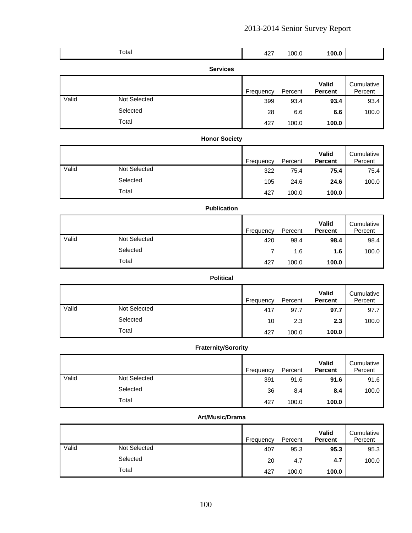|       | Total               |                 | 427       | 100.0   | 100.0                   |                       |
|-------|---------------------|-----------------|-----------|---------|-------------------------|-----------------------|
|       |                     | <b>Services</b> |           |         |                         |                       |
|       |                     |                 | Frequency | Percent | Valid<br><b>Percent</b> | Cumulative<br>Percent |
| Valid | <b>Not Selected</b> |                 | 399       | 93.4    | 93.4                    | 93.4                  |
|       | Selected            |                 | 28        | 6.6     | 6.6                     | 100.0                 |

Total 427 100.0 **100.0** 

#### **Honor Society**  Frequency Percent **Valid Percent**  Cumulative Percent Valid Not Selected 322 75.4 **75.4** 75.4 Selected 105 24.6 **24.6** 100.0 Total 427 100.0 **100.0**

#### **Publication**

|       |                     | Frequency | Percent | Valid<br><b>Percent</b> | Cumulative<br>Percent |
|-------|---------------------|-----------|---------|-------------------------|-----------------------|
| Valid | <b>Not Selected</b> | 420       | 98.4    | 98.4                    | 98.4                  |
|       | Selected            |           | 1.6     | 1.6                     | 100.0                 |
|       | Total               | 427       | 100.0   | 100.0                   |                       |

### **Political**

|       |                     | Frequency | Percent | Valid<br><b>Percent</b> | Cumulative<br>Percent |
|-------|---------------------|-----------|---------|-------------------------|-----------------------|
| Valid | <b>Not Selected</b> | 417       | 97.7    | 97.7                    | 97.7                  |
|       | Selected            | 10        | 2.3     | 2.3                     | 100.0                 |
|       | Total               | 427       | 100.0   | 100.0                   |                       |

### **Fraternity/Sorority**

|       |              | Frequency | Percent | Valid<br><b>Percent</b> | Cumulative<br>Percent |
|-------|--------------|-----------|---------|-------------------------|-----------------------|
| Valid | Not Selected | 391       | 91.6    | 91.6                    | 91.6                  |
|       | Selected     | 36        | 8.4     | 8.4                     | 100.0                 |
|       | Total        | 427       | 100.0   | 100.0                   |                       |

#### **Art/Music/Drama**

|       |                     | Frequency | Percent | Valid<br><b>Percent</b> | Cumulative<br>Percent |
|-------|---------------------|-----------|---------|-------------------------|-----------------------|
| Valid | <b>Not Selected</b> | 407       | 95.3    | 95.3                    | 95.3                  |
|       | Selected            | 20        | 4.7     | 4.7                     | 100.0                 |
|       | Total               | 427       | 100.0   | 100.0                   |                       |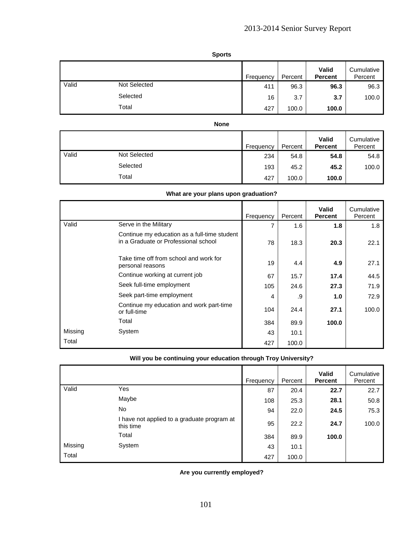**Sports** 

|       |              | Frequency | Percent | Valid<br><b>Percent</b> | Cumulative<br>Percent |
|-------|--------------|-----------|---------|-------------------------|-----------------------|
| Valid | Not Selected | 411       | 96.3    | 96.3                    | 96.3                  |
|       | Selected     | 16        | 3.7     | 3.7                     | 100.0                 |
|       | Total        | 427       | 100.0   | 100.0                   |                       |

|       |              | Frequency | Percent | <b>Valid</b><br><b>Percent</b> | Cumulative<br>Percent |
|-------|--------------|-----------|---------|--------------------------------|-----------------------|
| Valid | Not Selected | 234       | 54.8    | 54.8                           | 54.8                  |
|       | Selected     | 193       | 45.2    | 45.2                           | 100.0                 |
|       | Total        | 427       | 100.0   | 100.0                          |                       |

# **What are your plans upon graduation?**

|         |                                                                                      | Frequency | Percent | <b>Valid</b><br><b>Percent</b> | Cumulative<br>Percent |
|---------|--------------------------------------------------------------------------------------|-----------|---------|--------------------------------|-----------------------|
| Valid   | Serve in the Military                                                                | 7         | 1.6     | 1.8                            | 1.8                   |
|         | Continue my education as a full-time student<br>in a Graduate or Professional school | 78        | 18.3    | 20.3                           | 22.1                  |
|         | Take time off from school and work for<br>personal reasons                           | 19        | 4.4     | 4.9                            | 27.1                  |
|         | Continue working at current job                                                      | 67        | 15.7    | 17.4                           | 44.5                  |
|         | Seek full-time employment                                                            | 105       | 24.6    | 27.3                           | 71.9                  |
|         | Seek part-time employment                                                            | 4         | .9      | 1.0                            | 72.9                  |
|         | Continue my education and work part-time<br>or full-time                             | 104       | 24.4    | 27.1                           | 100.0                 |
|         | Total                                                                                | 384       | 89.9    | 100.0                          |                       |
| Missing | System                                                                               | 43        | 10.1    |                                |                       |
| Total   |                                                                                      | 427       | 100.0   |                                |                       |

| Will you be continuing your education through Troy University? |  |  |
|----------------------------------------------------------------|--|--|
|                                                                |  |  |

|         |                                                          | Frequency | Percent | <b>Valid</b><br><b>Percent</b> | Cumulative<br>Percent |
|---------|----------------------------------------------------------|-----------|---------|--------------------------------|-----------------------|
| Valid   | Yes                                                      | 87        | 20.4    | 22.7                           | 22.7                  |
|         | Maybe                                                    | 108       | 25.3    | 28.1                           | 50.8                  |
|         | <b>No</b>                                                | 94        | 22.0    | 24.5                           | 75.3                  |
|         | I have not applied to a graduate program at<br>this time | 95        | 22.2    | 24.7                           | 100.0                 |
|         | Total                                                    | 384       | 89.9    | 100.0                          |                       |
| Missing | System                                                   | 43        | 10.1    |                                |                       |
| Total   |                                                          | 427       | 100.0   |                                |                       |

**Are you currently employed?**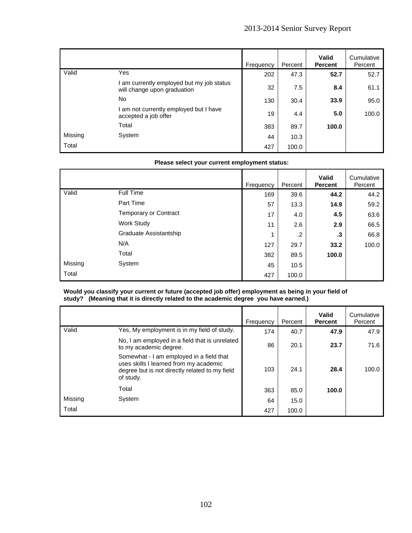|         |                                                                        | Frequency | Percent | <b>Valid</b><br><b>Percent</b> | Cumulative<br>Percent |
|---------|------------------------------------------------------------------------|-----------|---------|--------------------------------|-----------------------|
| Valid   | Yes                                                                    | 202       | 47.3    | 52.7                           | 52.7                  |
|         | am currently employed but my job status<br>will change upon graduation | 32        | 7.5     | 8.4                            | 61.1                  |
|         | No.                                                                    | 130       | 30.4    | 33.9                           | 95.0                  |
|         | am not currently employed but I have<br>accepted a job offer           | 19        | 4.4     | 5.0                            | 100.0                 |
|         | Total                                                                  | 383       | 89.7    | 100.0                          |                       |
| Missing | System                                                                 | 44        | 10.3    |                                |                       |
| Total   |                                                                        | 427       | 100.0   |                                |                       |

#### **Please select your current employment status:**

|         |                              | Frequency | Percent | <b>Valid</b><br><b>Percent</b> | Cumulative<br>Percent |
|---------|------------------------------|-----------|---------|--------------------------------|-----------------------|
| Valid   | Full Time                    | 169       | 39.6    | 44.2                           | 44.2                  |
|         | Part Time                    | 57        | 13.3    | 14.9                           | 59.2                  |
|         | <b>Temporary or Contract</b> | 17        | 4.0     | 4.5                            | 63.6                  |
|         | Work Study                   | 11        | 2.6     | 2.9                            | 66.5                  |
|         | Graduate Assistantship       | 1         | .2      | .3                             | 66.8                  |
|         | N/A                          | 127       | 29.7    | 33.2                           | 100.0                 |
|         | Total                        | 382       | 89.5    | 100.0                          |                       |
| Missing | System                       | 45        | 10.5    |                                |                       |
| Total   |                              | 427       | 100.0   |                                |                       |

#### **Would you classify your current or future (accepted job offer) employment as being in your field of study? (Meaning that it is directly related to the academic degree you have earned.)**

|         |                                                                                                                                                   | Frequency | Percent | Valid<br><b>Percent</b> | Cumulative<br>Percent |
|---------|---------------------------------------------------------------------------------------------------------------------------------------------------|-----------|---------|-------------------------|-----------------------|
| Valid   | Yes, My employment is in my field of study.                                                                                                       | 174       | 40.7    | 47.9                    | 47.9                  |
|         | No, I am employed in a field that is unrelated<br>to my academic degree.                                                                          | 86        | 20.1    | 23.7                    | 71.6                  |
|         | Somewhat - I am employed in a field that<br>uses skills I learned from my academic<br>degree but is not directly related to my field<br>of study. | 103       | 24.1    | 28.4                    | 100.0                 |
|         | Total                                                                                                                                             | 363       | 85.0    | 100.0                   |                       |
| Missing | System                                                                                                                                            | 64        | 15.0    |                         |                       |
| Total   |                                                                                                                                                   | 427       | 100.0   |                         |                       |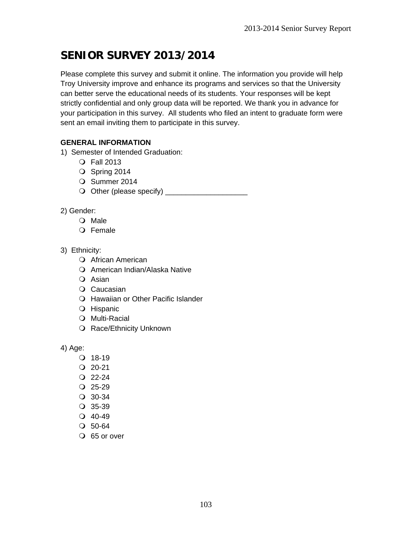# **SENIOR SURVEY 2013/2014**

Please complete this survey and submit it online. The information you provide will help Troy University improve and enhance its programs and services so that the University can better serve the educational needs of its students. Your responses will be kept strictly confidential and only group data will be reported. We thank you in advance for your participation in this survey. All students who filed an intent to graduate form were sent an email inviting them to participate in this survey.

# **GENERAL INFORMATION**

- 1) Semester of Intended Graduation:
	- Fall 2013
	- O Spring 2014
	- O Summer 2014
	- O Other (please specify) \_\_\_\_\_\_\_\_\_\_\_\_\_\_\_\_\_\_\_\_\_\_
- 2) Gender:
	- O Male
	- O Female
- 3) Ethnicity:
	- African American
	- O American Indian/Alaska Native
	- O Asian
	- O Caucasian
	- Hawaiian or Other Pacific Islander
	- O Hispanic
	- O Multi-Racial
	- O Race/Ethnicity Unknown

4) Age:

- $Q$  18-19
- $Q$  20-21
- $Q$  22-24
- $Q$  25-29
- 30-34
- 35-39
- $Q$  40-49
- 50-64
- O 65 or over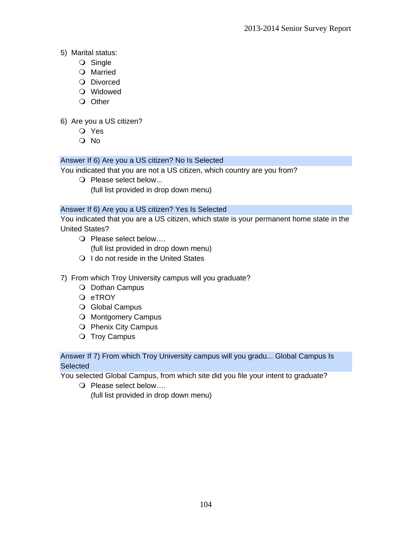# 5) Marital status:

- O Single
- O Married
- O Divorced
- Widowed
- O Other

# 6) Are you a US citizen?

- Yes
- O No

# Answer If 6) Are you a US citizen? No Is Selected

You indicated that you are not a US citizen, which country are you from?

O Please select below... (full list provided in drop down menu)

# Answer If 6) Are you a US citizen? Yes Is Selected

You indicated that you are a US citizen, which state is your permanent home state in the United States?

O Please select below....

(full list provided in drop down menu)

- O I do not reside in the United States
- 7) From which Troy University campus will you graduate?
	- O Dothan Campus
	- Q eTROY
	- O Global Campus
	- O Montgomery Campus
	- O Phenix City Campus
	- O Troy Campus

# Answer If 7) From which Troy University campus will you gradu... Global Campus Is **Selected**

You selected Global Campus, from which site did you file your intent to graduate?

O Please select below....

(full list provided in drop down menu)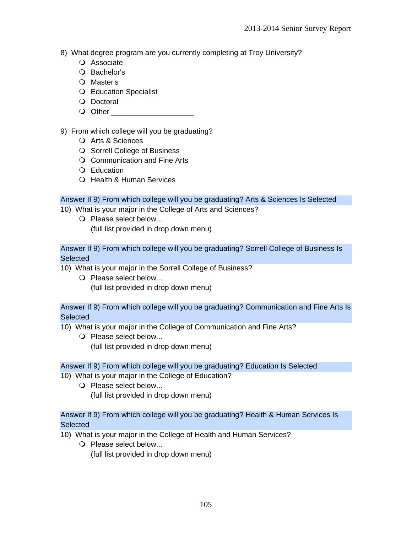- 8) What degree program are you currently completing at Troy University?
	- Associate
	- O Bachelor's
	- O Master's
	- Education Specialist
	- O Doctoral
	- Q Other

# 9) From which college will you be graduating?

- Arts & Sciences
- O Sorrell College of Business
- Communication and Fine Arts
- Q Education
- O Health & Human Services

# Answer If 9) From which college will you be graduating? Arts & Sciences Is Selected

- 10) What is your major in the College of Arts and Sciences?
	- O Please select below... (full list provided in drop down menu)

Answer If 9) From which college will you be graduating? Sorrell College of Business Is **Selected** 

- 10) What is your major in the Sorrell College of Business?
	- O Please select below... (full list provided in drop down menu)

### Answer If 9) From which college will you be graduating? Communication and Fine Arts Is **Selected**

- 10) What is your major in the College of Communication and Fine Arts?
	- O Please select below... (full list provided in drop down menu)

### Answer If 9) From which college will you be graduating? Education Is Selected

- 10) What is your major in the College of Education?
	- O Please select below... (full list provided in drop down menu)

# Answer If 9) From which college will you be graduating? Health & Human Services Is **Selected**

- 10) What is your major in the College of Health and Human Services?
	- O Please select below... (full list provided in drop down menu)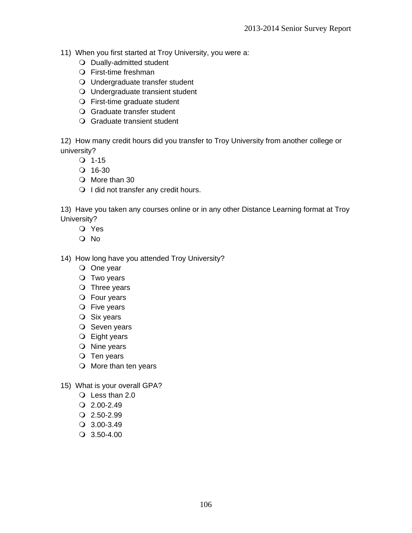- 11) When you first started at Troy University, you were a:
	- O Dually-admitted student
	- First-time freshman
	- Undergraduate transfer student
	- Undergraduate transient student
	- First-time graduate student
	- Graduate transfer student
	- Graduate transient student

12) How many credit hours did you transfer to Troy University from another college or university?

- $Q$  1-15
- $Q$  16-30
- O More than 30
- O I did not transfer any credit hours.

13) Have you taken any courses online or in any other Distance Learning format at Troy University?

- Yes
- O No
- 14) How long have you attended Troy University?
	- O One year
	- O Two years
	- $\bigcirc$  Three years
	- Four years
	- O Five years
	- O Six years
	- $O$  Seven years
	- Eight years
	- O Nine years
	- $Q$  Ten years
	- $\bigcirc$  More than ten years
- 15) What is your overall GPA?
	- Less than 2.0
	- $Q$  2.00-2.49
	- $Q$  2.50-2.99
	- 3.00-3.49
	- 3.50-4.00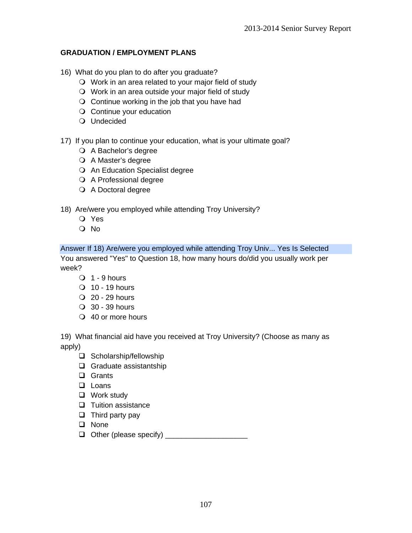# **GRADUATION / EMPLOYMENT PLANS**

- 16) What do you plan to do after you graduate?
	- Work in an area related to your major field of study
	- Work in an area outside your major field of study
	- $\bigcirc$  Continue working in the job that you have had
	- O Continue your education
	- Undecided
- 17) If you plan to continue your education, what is your ultimate goal?
	- A Bachelor's degree
	- A Master's degree
	- O An Education Specialist degree
	- A Professional degree
	- A Doctoral degree
- 18) Are/were you employed while attending Troy University?
	- Yes
	- No

Answer If 18) Are/were you employed while attending Troy Univ... Yes Is Selected You answered "Yes" to Question 18, how many hours do/did you usually work per week?

- $\bigcirc$  1 9 hours
- $\overline{O}$  10 19 hours
- $Q$  20 29 hours
- 30 39 hours
- 40 or more hours

19) What financial aid have you received at Troy University? (Choose as many as apply)

- $\Box$  Scholarship/fellowship
- $\Box$  Graduate assistantship
- **Q** Grants
- **Loans**
- □ Work study
- $\Box$  Tuition assistance
- $\Box$  Third party pay
- **Q** None
- Other (please specify) \_\_\_\_\_\_\_\_\_\_\_\_\_\_\_\_\_\_\_\_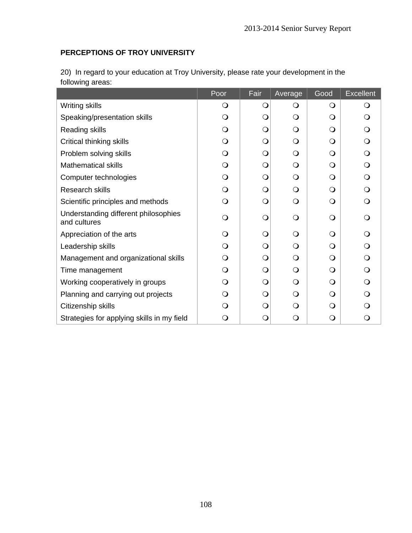## **PERCEPTIONS OF TROY UNIVERSITY**

| 20) In regard to your education at Troy University, please rate your development in the |  |
|-----------------------------------------------------------------------------------------|--|
| following areas:                                                                        |  |

|                                                      | Poor       | Fair         | Average      | Good         | <b>Excellent</b> |
|------------------------------------------------------|------------|--------------|--------------|--------------|------------------|
| <b>Writing skills</b>                                | $\Omega$   | O            | $\Omega$     | $\Omega$     | O                |
| Speaking/presentation skills                         | $\Omega$   | $\circ$      | $\Omega$     | $\Omega$     | ∩                |
| Reading skills                                       | $\bigcirc$ | $\mathsf{O}$ | $\Omega$     | $\Omega$     | O                |
| Critical thinking skills                             | $\Omega$   | $\bigcirc$   | $\Omega$     | $\Omega$     | Q                |
| Problem solving skills                               | $\Omega$   | $\bigcirc$   | $\Omega$     | Q            | O                |
| <b>Mathematical skills</b>                           | $\bigcirc$ | $\bigcirc$   | $\bigcirc$   | $\bigcirc$   | $\Omega$         |
| Computer technologies                                | $\Omega$   | $\bigcirc$   | $\Omega$     | $\Omega$     | ∩                |
| Research skills                                      | $\bigcirc$ | $\mathsf{O}$ | $\Omega$     | $\bigcirc$   | ∩                |
| Scientific principles and methods                    | $\Omega$   | $\bigcirc$   | $\Omega$     | $\Omega$     | ∩                |
| Understanding different philosophies<br>and cultures | $\Omega$   | $\mathsf{O}$ | $\mathsf{O}$ | $\mathsf{O}$ | ∩                |
| Appreciation of the arts                             | $\Omega$   | $\bigcirc$   | $\Omega$     | $\Omega$     |                  |
| Leadership skills                                    | $\Omega$   | $\mathsf{O}$ | $\Omega$     | $\Omega$     | ∩                |
| Management and organizational skills                 | $\Omega$   | $\mathsf{O}$ | $\Omega$     | $\Omega$     | ∩                |
| Time management                                      | $\Omega$   | $\bigcirc$   | $\Omega$     | $\Omega$     | ∩                |
| Working cooperatively in groups                      | $\Omega$   | $\bigcirc$   | $\Omega$     | O            | ∩                |
| Planning and carrying out projects                   | $\Omega$   | $\bigcirc$   | $\mathsf{O}$ | O            | ∩                |
| Citizenship skills                                   | Q          | $\bigcirc$   | $\Omega$     | O            |                  |
| Strategies for applying skills in my field           |            | $\circ$      | $\Omega$     | $\mathsf{O}$ |                  |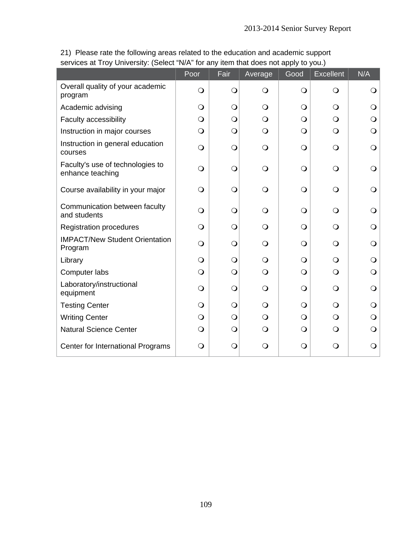|                                                      | Poor       | Fair           | Average        | Good       | <b>Excellent</b> | N/A        |
|------------------------------------------------------|------------|----------------|----------------|------------|------------------|------------|
| Overall quality of your academic<br>program          | $\bigcirc$ | $\bigcirc$     | $\bigcirc$     | $\bigcirc$ | $\bigcirc$       | Ő          |
| Academic advising                                    | $\bigcirc$ | $\bigcirc$     | $\bigcirc$     | $\bigcirc$ | $\circ$          |            |
| Faculty accessibility                                | $\bigcirc$ | $\bigcirc$     | $\bigcirc$     | $\bigcirc$ | $\circ$          |            |
| Instruction in major courses                         | $\bigcirc$ | $\bigcirc$     | $\bigcirc$     | $\bigcirc$ | $\circ$          | Q          |
| Instruction in general education<br>courses          | $\bigcirc$ | $\overline{O}$ | $\bigcirc$     | $\bigcirc$ | $\bigcirc$       | $\Omega$   |
| Faculty's use of technologies to<br>enhance teaching | $\bigcirc$ | $\bigcirc$     | $\bigcirc$     | $\bigcirc$ | $\bigcirc$       |            |
| Course availability in your major                    | $\bigcirc$ | $\bigcirc$     | $\bigcirc$     | $\bigcirc$ | $\bigcirc$       |            |
| Communication between faculty<br>and students        | $\bigcirc$ | $\bigcirc$     | $\bigcirc$     | $\bigcirc$ | $\Omega$         |            |
| <b>Registration procedures</b>                       | $\Omega$   | $\bigcirc$     | $\circ$        | $\bigcirc$ | $\Omega$         |            |
| <b>IMPACT/New Student Orientation</b><br>Program     | $\Omega$   | $\bigcirc$     | $\bigcirc$     | $\bigcirc$ | $\circ$          |            |
| Library                                              | $\bigcirc$ | $\overline{O}$ | $\overline{O}$ | $\bigcirc$ | $\bigcirc$       | Q          |
| Computer labs                                        | $\bigcirc$ | $\overline{O}$ | $\bigcirc$     | $\bigcirc$ | $\bigcirc$       | $\bigcirc$ |
| Laboratory/instructional<br>equipment                | $\bigcirc$ | $\bigcirc$     | $\bigcirc$     | $\bigcirc$ | $\circ$          | O          |
| <b>Testing Center</b>                                | $\bigcirc$ | $\bigcirc$     | $\bigcirc$     | $\bigcirc$ | $\circ$          | O          |
| <b>Writing Center</b>                                | $\bigcirc$ | $\overline{O}$ | $\bigcirc$     | $\bigcirc$ | $\bigcirc$       |            |
| <b>Natural Science Center</b>                        | $\bigcirc$ | $\bigcirc$     | $\bigcirc$     | $\bigcirc$ | $\bigcirc$       | O          |
| Center for International Programs                    | $\Omega$   | $\bigcirc$     | $\bigcirc$     | $\bigcirc$ | $\mathsf{O}$     | O          |

21) Please rate the following areas related to the education and academic support services at Troy University: (Select "N/A" for any item that does not apply to you.)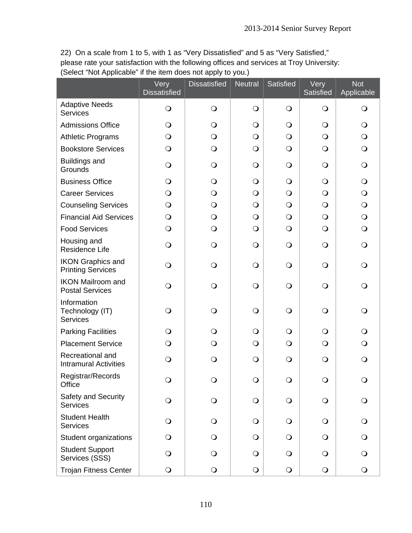22) On a scale from 1 to 5, with 1 as "Very Dissatisfied" and 5 as "Very Satisfied," please rate your satisfaction with the following offices and services at Troy University: (Select "Not Applicable" if the item does not apply to you.)

|                                                      | Very<br><b>Dissatisfied</b> | <b>Dissatisfied</b> | <b>Neutral</b> | Satisfied  | Very<br>Satisfied | <b>Not</b><br>Applicable |
|------------------------------------------------------|-----------------------------|---------------------|----------------|------------|-------------------|--------------------------|
| <b>Adaptive Needs</b><br><b>Services</b>             | $\bigcirc$                  | $\bigcirc$          | $\bigcirc$     | $\bigcirc$ | $\bigcirc$        | $\bigcirc$               |
| <b>Admissions Office</b>                             | $\bigcirc$                  | $\bigcirc$          | $\bigcirc$     | $\bigcirc$ | $\bigcirc$        | $\bigcirc$               |
| <b>Athletic Programs</b>                             | $\bigcirc$                  | $\bigcirc$          | $\bigcirc$     | $\bigcirc$ | $\bigcirc$        | $\bigcirc$               |
| <b>Bookstore Services</b>                            | $\bigcirc$                  | $\bigcirc$          | $\bigcirc$     | $\bigcirc$ | $\bigcirc$        | $\bigcirc$               |
| <b>Buildings and</b><br>Grounds                      | $\bigcirc$                  | $\bigcirc$          | $\bigcirc$     | $\bigcirc$ | $\bigcirc$        | $\bigcirc$               |
| <b>Business Office</b>                               | $\bigcirc$                  | $\bigcirc$          | $\bigcirc$     | $\bigcirc$ | $\bigcirc$        | $\bigcirc$               |
| <b>Career Services</b>                               | $\bigcirc$                  | $\circ$             | $\bigcirc$     | $\bigcirc$ | $\bigcirc$        | $\bigcirc$               |
| <b>Counseling Services</b>                           | $\bigcirc$                  | $\bigcirc$          | $\bigcirc$     | $\bigcirc$ | $\bigcirc$        | $\bigcirc$               |
| <b>Financial Aid Services</b>                        | $\bigcirc$                  | $\bigcirc$          | $\bigcirc$     | $\bigcirc$ | $\bigcirc$        | $\bigcirc$               |
| <b>Food Services</b>                                 | $\bigcirc$                  | $\bigcirc$          | $\bigcirc$     | $\bigcirc$ | $\bigcirc$        | $\bigcirc$               |
| Housing and<br>Residence Life                        | $\bigcirc$                  | $\bigcirc$          | $\bigcirc$     | $\bigcirc$ | $\bigcirc$        | $\bigcirc$               |
| <b>IKON Graphics and</b><br><b>Printing Services</b> | $\bigcirc$                  | $\bigcirc$          | $\bigcirc$     | $\bigcirc$ | $\bigcirc$        | $\bigcirc$               |
| <b>IKON Mailroom and</b><br><b>Postal Services</b>   | $\bigcirc$                  | $\bigcirc$          | $\bigcirc$     | $\bigcirc$ | $\bigcirc$        | $\bigcirc$               |
| Information<br>Technology (IT)<br><b>Services</b>    | $\bigcirc$                  | $\bigcirc$          | $\bigcirc$     | $\bigcirc$ | $\bigcirc$        | $\bigcirc$               |
| <b>Parking Facilities</b>                            | $\bigcirc$                  | $\bigcirc$          | $\bigcirc$     | $\bigcirc$ | $\bigcirc$        | $\bigcirc$               |
| <b>Placement Service</b>                             | $\bigcirc$                  | $\bigcirc$          | $\bigcirc$     | $\bigcirc$ | $\bigcirc$        | $\bigcirc$               |
| Recreational and<br><b>Intramural Activities</b>     | $\bigcirc$                  | $\bigcirc$          | $\bigcirc$     | $\bigcirc$ | $\bigcirc$        | $\bigcirc$               |
| Registrar/Records<br>Office                          | $\bigcirc$                  | $\Omega$            | $\bigcirc$     | $\bigcirc$ | $\bigcirc$        | $\Omega$                 |
| Safety and Security<br><b>Services</b>               | $\bigcirc$                  | $\bigcirc$          | $\bigcirc$     | $\bigcirc$ | $\bigcirc$        | $\bigcirc$               |
| <b>Student Health</b><br><b>Services</b>             | $\bigcirc$                  | $\bigcirc$          | $\bigcirc$     | $\bigcirc$ | $\bigcirc$        | $\bigcirc$               |
| Student organizations                                | $\circ$                     | $\Omega$            | $\bigcirc$     | $\bigcirc$ | $\bigcirc$        | $\bigcirc$               |
| <b>Student Support</b><br>Services (SSS)             | $\circ$                     | $\Omega$            | $\bigcirc$     | $\bigcirc$ | $\bigcirc$        |                          |
| <b>Trojan Fitness Center</b>                         | $\bigcirc$                  | $\bigcirc$          | $\bigcirc$     | $\bigcirc$ | $\bigcirc$        | $\bigcirc$               |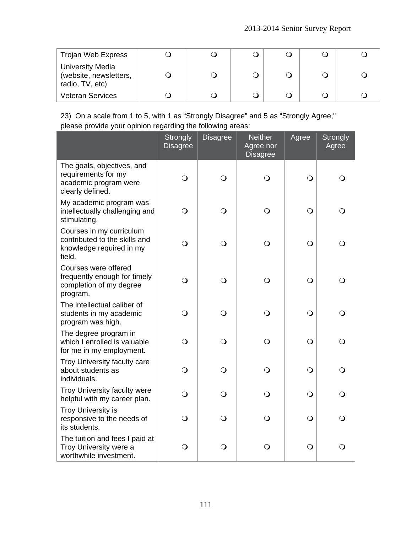| Trojan Web Express                                                   |  |  |  |
|----------------------------------------------------------------------|--|--|--|
| <b>University Media</b><br>(website, newsletters,<br>radio, TV, etc) |  |  |  |
| <b>Veteran Services</b>                                              |  |  |  |

23) On a scale from 1 to 5, with 1 as "Strongly Disagree" and 5 as "Strongly Agree," please provide your opinion regarding the following areas:

|                                                                                                 | <b>Strongly</b><br><b>Disagree</b> | <b>Disagree</b> | <b>Neither</b><br>Agree nor<br><b>Disagree</b> | Agree      | <b>Strongly</b><br>Agree |
|-------------------------------------------------------------------------------------------------|------------------------------------|-----------------|------------------------------------------------|------------|--------------------------|
| The goals, objectives, and<br>requirements for my<br>academic program were<br>clearly defined.  | $\bigcirc$                         | $\bigcirc$      | $\bigcirc$                                     | $\bigcirc$ | $\bigcirc$               |
| My academic program was<br>intellectually challenging and<br>stimulating.                       | $\bigcirc$                         | $\bigcirc$      | $\bigcirc$                                     | $\bigcirc$ | Q                        |
| Courses in my curriculum<br>contributed to the skills and<br>knowledge required in my<br>field. | $\bigcirc$                         | $\bigcirc$      | $\bigcirc$                                     | $\bigcirc$ | O                        |
| Courses were offered<br>frequently enough for timely<br>completion of my degree<br>program.     | $\bigcirc$                         | $\bigcirc$      | $\bigcirc$                                     | $\bigcirc$ | $\mathsf{O}$             |
| The intellectual caliber of<br>students in my academic<br>program was high.                     | $\bigcirc$                         | $\bigcirc$      | $\bigcirc$                                     | $\bigcirc$ | ∩                        |
| The degree program in<br>which I enrolled is valuable<br>for me in my employment.               | $\bigcirc$                         | $\bigcirc$      | $\bigcirc$                                     | $\bigcirc$ | $\bigcirc$               |
| Troy University faculty care<br>about students as<br>individuals.                               | $\bigcirc$                         | $\Omega$        | $\bigcirc$                                     | $\bigcirc$ | Q                        |
| Troy University faculty were<br>helpful with my career plan.                                    | $\bigcirc$                         | $\bigcirc$      | $\bigcirc$                                     | $\bigcirc$ | $\bigcirc$               |
| <b>Troy University is</b><br>responsive to the needs of<br>its students.                        | Q                                  | $\Omega$        | O                                              | $\bigcirc$ | Q                        |
| The tuition and fees I paid at<br>Troy University were a<br>worthwhile investment.              | $\bigcirc$                         | $\bigcirc$      | $\bigcirc$                                     | $\bigcirc$ | $\bigcirc$               |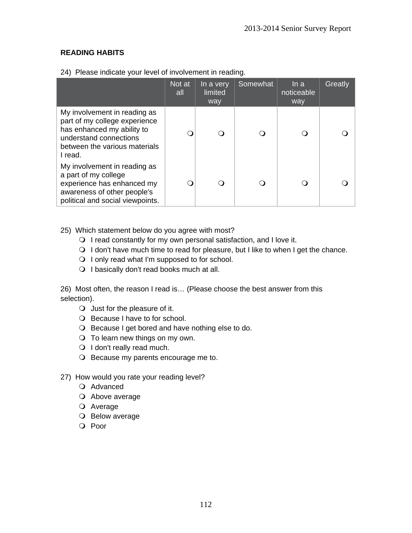## **READING HABITS**

|                                                                                                                                                                   | Not at<br>all | In a very<br>limited<br>way | Somewhat | In a<br>noticeable<br>way | Greatly |
|-------------------------------------------------------------------------------------------------------------------------------------------------------------------|---------------|-----------------------------|----------|---------------------------|---------|
| My involvement in reading as<br>part of my college experience<br>has enhanced my ability to<br>understand connections<br>between the various materials<br>I read. |               |                             |          |                           |         |
| My involvement in reading as<br>a part of my college<br>experience has enhanced my<br>awareness of other people's<br>political and social viewpoints.             |               |                             |          |                           |         |

24) Please indicate your level of involvement in reading.

- 25) Which statement below do you agree with most?
	- $\bigcirc$  I read constantly for my own personal satisfaction, and I love it.
	- $\bigcirc$  I don't have much time to read for pleasure, but I like to when I get the chance.
	- $\bigcirc$  I only read what I'm supposed to for school.
	- O I basically don't read books much at all.

26) Most often, the reason I read is… (Please choose the best answer from this selection).

- Just for the pleasure of it.
- O Because I have to for school.
- O Because I get bored and have nothing else to do.
- $\bigcirc$  To learn new things on my own.
- O I don't really read much.
- O Because my parents encourage me to.
- 27) How would you rate your reading level?
	- O Advanced
	- O Above average
	- Average
	- O Below average
	- O Poor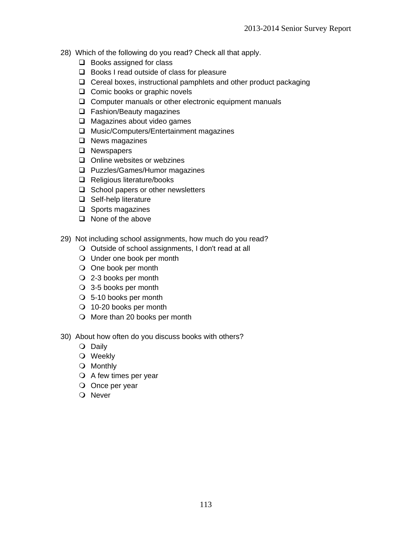- 28) Which of the following do you read? Check all that apply.
	- $\Box$  Books assigned for class
	- $\Box$  Books I read outside of class for pleasure
	- $\Box$  Cereal boxes, instructional pamphlets and other product packaging
	- $\Box$  Comic books or graphic novels
	- $\Box$  Computer manuals or other electronic equipment manuals
	- □ Fashion/Beauty magazines
	- $\Box$  Magazines about video games
	- □ Music/Computers/Entertainment magazines
	- $\Box$  News magazines
	- **Q** Newspapers
	- $\Box$  Online websites or webzines
	- **Q** Puzzles/Games/Humor magazines
	- □ Religious literature/books
	- $\Box$  School papers or other newsletters
	- □ Self-help literature
	- $\Box$  Sports magazines
	- $\Box$  None of the above
- 29) Not including school assignments, how much do you read?
	- O Outside of school assignments, I don't read at all
	- Under one book per month
	- O One book per month
	- 2-3 books per month
	- 3-5 books per month
	- 5-10 books per month
	- 10-20 books per month
	- O More than 20 books per month
- 30) About how often do you discuss books with others?
	- O Daily
	- Weekly
	- Monthly
	- $\bigcirc$  A few times per year
	- O Once per year
	- O Never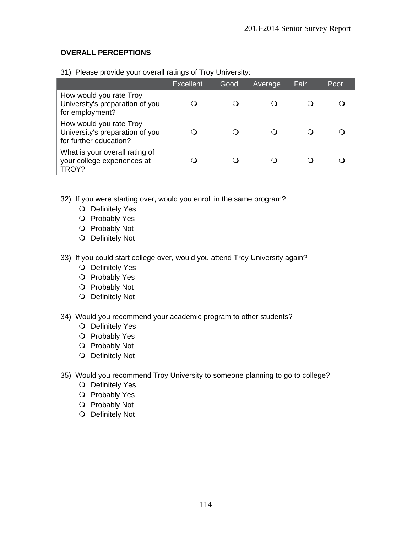## **OVERALL PERCEPTIONS**

|                                                                                      | <b>Excellent</b> | Good | Average  | Fair | Poor |
|--------------------------------------------------------------------------------------|------------------|------|----------|------|------|
| How would you rate Troy<br>University's preparation of you<br>for employment?        |                  |      |          |      |      |
| How would you rate Troy<br>University's preparation of you<br>for further education? |                  |      | $\Omega$ |      |      |
| What is your overall rating of<br>your college experiences at<br>TROY?               |                  |      |          |      |      |

31) Please provide your overall ratings of Troy University:

- 32) If you were starting over, would you enroll in the same program?
	- O Definitely Yes
	- O Probably Yes
	- O Probably Not
	- O Definitely Not
- 33) If you could start college over, would you attend Troy University again?
	- O Definitely Yes
	- O Probably Yes
	- O Probably Not
	- O Definitely Not
- 34) Would you recommend your academic program to other students?
	- O Definitely Yes
	- O Probably Yes
	- O Probably Not
	- O Definitely Not
- 35) Would you recommend Troy University to someone planning to go to college?
	- O Definitely Yes
	- O Probably Yes
	- O Probably Not
	- O Definitely Not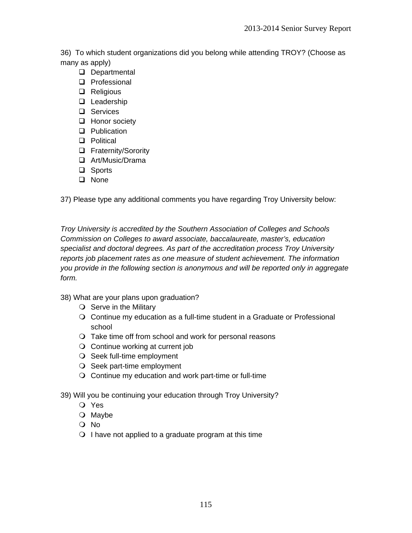36) To which student organizations did you belong while attending TROY? (Choose as many as apply)

- Departmental
- **Q** Professional
- **Q** Religious
- **Leadership**
- □ Services
- □ Honor society
- **Q** Publication
- **D** Political
- **Q** Fraternity/Sorority
- Art/Music/Drama
- □ Sports
- **Q** None

37) Please type any additional comments you have regarding Troy University below:

*Troy University is accredited by the Southern Association of Colleges and Schools Commission on Colleges to award associate, baccalaureate, master's, education specialist and doctoral degrees. As part of the accreditation process Troy University reports job placement rates as one measure of student achievement. The information you provide in the following section is anonymous and will be reported only in aggregate form.* 

38) What are your plans upon graduation?

- $\bigcirc$  Serve in the Military
- Continue my education as a full-time student in a Graduate or Professional school
- $\bigcirc$  Take time off from school and work for personal reasons
- $\bigcirc$  Continue working at current job
- O Seek full-time employment
- O Seek part-time employment
- $\bigcirc$  Continue my education and work part-time or full-time
- 39) Will you be continuing your education through Troy University?
	- Yes
	- O Maybe
	- No
	- $\bigcirc$  I have not applied to a graduate program at this time